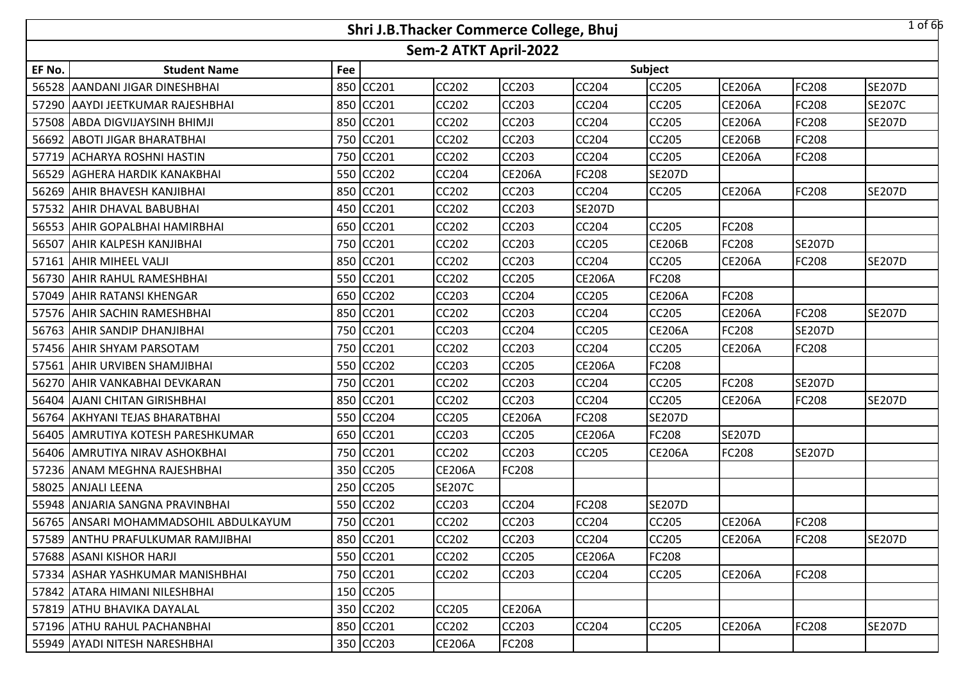|        |                                       |     | Shri J.B.Thacker Commerce College, Bhuj |                       |               |               |               |               |               | $1$ of 66     |
|--------|---------------------------------------|-----|-----------------------------------------|-----------------------|---------------|---------------|---------------|---------------|---------------|---------------|
|        |                                       |     |                                         | Sem-2 ATKT April-2022 |               |               |               |               |               |               |
| EF No. | <b>Student Name</b>                   | Fee |                                         |                       |               |               | Subject       |               |               |               |
| 56528  | AANDANI JIGAR DINESHBHAI              | 850 | CC201                                   | CC202                 | CC203         | CC204         | CC205         | <b>CE206A</b> | <b>FC208</b>  | <b>SE207D</b> |
|        | 57290 AAYDI JEETKUMAR RAJESHBHAI      | 850 | <b>CC201</b>                            | CC202                 | CC203         | CC204         | CC205         | <b>CE206A</b> | <b>FC208</b>  | <b>SE207C</b> |
|        | 57508 ABDA DIGVIJAYSINH BHIMJI        | 850 | <b>CC201</b>                            | CC202                 | CC203         | CC204         | CC205         | <b>CE206A</b> | FC208         | <b>SE207D</b> |
|        | 56692 ABOTI JIGAR BHARATBHAI          |     | 750 CC201                               | <b>CC202</b>          | <b>CC203</b>  | <b>CC204</b>  | CC205         | <b>CE206B</b> | <b>FC208</b>  |               |
|        | 57719 ACHARYA ROSHNI HASTIN           |     | 750 CC201                               | CC202                 | CC203         | CC204         | CC205         | <b>CE206A</b> | <b>FC208</b>  |               |
|        | 56529 AGHERA HARDIK KANAKBHAI         | 550 | CC202                                   | <b>CC204</b>          | <b>CE206A</b> | <b>FC208</b>  | <b>SE207D</b> |               |               |               |
|        | 56269 AHIR BHAVESH KANJIBHAI          | 850 | CC201                                   | CC202                 | CC203         | CC204         | CC205         | <b>CE206A</b> | <b>FC208</b>  | <b>SE207D</b> |
|        | 57532 AHIR DHAVAL BABUBHAI            | 450 | CC201                                   | CC202                 | CC203         | <b>SE207D</b> |               |               |               |               |
|        | 56553 AHIR GOPALBHAI HAMIRBHAI        | 650 | CC201                                   | CC202                 | <b>CC203</b>  | <b>CC204</b>  | CC205         | FC208         |               |               |
| 56507  | <b>AHIR KALPESH KANJIBHAI</b>         | 750 | CC201                                   | CC202                 | <b>CC203</b>  | <b>CC205</b>  | <b>CE206B</b> | FC208         | <b>SE207D</b> |               |
| 57161  | <b>AHIR MIHEEL VALJI</b>              | 850 | CC201                                   | CC202                 | CC203         | CC204         | CC205         | <b>CE206A</b> | <b>FC208</b>  | <b>SE207D</b> |
| 56730  | <b>AHIR RAHUL RAMESHBHAI</b>          | 550 | CC201                                   | CC202                 | CC205         | <b>CE206A</b> | FC208         |               |               |               |
|        | 57049 AHIR RATANSI KHENGAR            | 650 | <b>CC202</b>                            | CC203                 | CC204         | CC205         | <b>CE206A</b> | FC208         |               |               |
|        | 57576 AHIR SACHIN RAMESHBHAI          | 850 | <b>CC201</b>                            | CC202                 | CC203         | CC204         | CC205         | <b>CE206A</b> | <b>FC208</b>  | <b>SE207D</b> |
|        | 56763 AHIR SANDIP DHANJIBHAI          | 750 | CC201                                   | CC203                 | CC204         | CC205         | <b>CE206A</b> | FC208         | <b>SE207D</b> |               |
|        | 57456 AHIR SHYAM PARSOTAM             |     | 750 CC201                               | CC202                 | CC203         | CC204         | CC205         | <b>CE206A</b> | FC208         |               |
|        | 57561   AHIR URVIBEN SHAMJIBHAI       |     | 550 CC202                               | <b>CC203</b>          | <b>CC205</b>  | <b>CE206A</b> | FC208         |               |               |               |
|        | 56270 JAHIR VANKABHAI DEVKARAN        |     | 750 CC201                               | CC202                 | CC203         | CC204         | CC205         | FC208         | <b>SE207D</b> |               |
|        | 56404 AJANI CHITAN GIRISHBHAI         | 850 | CC201                                   | <b>CC202</b>          | <b>CC203</b>  | <b>CC204</b>  | CC205         | <b>CE206A</b> | <b>FC208</b>  | <b>SE207D</b> |
|        | 56764 AKHYANI TEJAS BHARATBHAI        |     | 550 CC204                               | CC205                 | <b>CE206A</b> | FC208         | <b>SE207D</b> |               |               |               |
| 56405  | AMRUTIYA KOTESH PARESHKUMAR           | 650 | <b>CC201</b>                            | CC203                 | <b>CC205</b>  | <b>CE206A</b> | FC208         | <b>SE207D</b> |               |               |
| 56406  | <b>AMRUTIYA NIRAV ASHOKBHAI</b>       | 750 | CC201                                   | CC202                 | <b>CC203</b>  | CC205         | <b>CE206A</b> | FC208         | <b>SE207D</b> |               |
| 57236  | <b>ANAM MEGHNA RAJESHBHAI</b>         | 350 | <b>CC205</b>                            | <b>CE206A</b>         | <b>FC208</b>  |               |               |               |               |               |
| 58025  | <b>ANJALI LEENA</b>                   | 250 | <b>CC205</b>                            | <b>SE207C</b>         |               |               |               |               |               |               |
|        | 55948 ANJARIA SANGNA PRAVINBHAI       | 550 | <b>CC202</b>                            | CC203                 | CC204         | FC208         | <b>SE207D</b> |               |               |               |
|        | 56765 ANSARI MOHAMMADSOHIL ABDULKAYUM |     | 750 CC201                               | CC202                 | CC203         | CC204         | CC205         | <b>CE206A</b> | <b>FC208</b>  |               |
|        | 57589 ANTHU PRAFULKUMAR RAMJIBHAI     |     | 850 CC201                               | <b>CC202</b>          | <b>CC203</b>  | <b>CC204</b>  | CC205         | <b>CE206A</b> | <b>FC208</b>  | <b>SE207D</b> |
|        | 57688 ASANI KISHOR HARJI              |     | 550 CC201                               | <b>CC202</b>          | <b>CC205</b>  | <b>CE206A</b> | FC208         |               |               |               |
|        | 57334 JASHAR YASHKUMAR MANISHBHAI     |     | 750 CC201                               | CC202                 | <b>CC203</b>  | <b>CC204</b>  | CC205         | <b>CE206A</b> | <b>FC208</b>  |               |
|        | 57842 ATARA HIMANI NILESHBHAI         |     | 150 CC205                               |                       |               |               |               |               |               |               |
|        | 57819 ATHU BHAVIKA DAYALAL            |     | 350 CC202                               | <b>CC205</b>          | <b>CE206A</b> |               |               |               |               |               |
|        | 57196 ATHU RAHUL PACHANBHAI           |     | 850 CC201                               | CC202                 | CC203         | <b>CC204</b>  | <b>CC205</b>  | <b>CE206A</b> | <b>FC208</b>  | <b>SE207D</b> |
|        | 55949 AYADI NITESH NARESHBHAI         |     | 350 CC203                               | <b>CE206A</b>         | FC208         |               |               |               |               |               |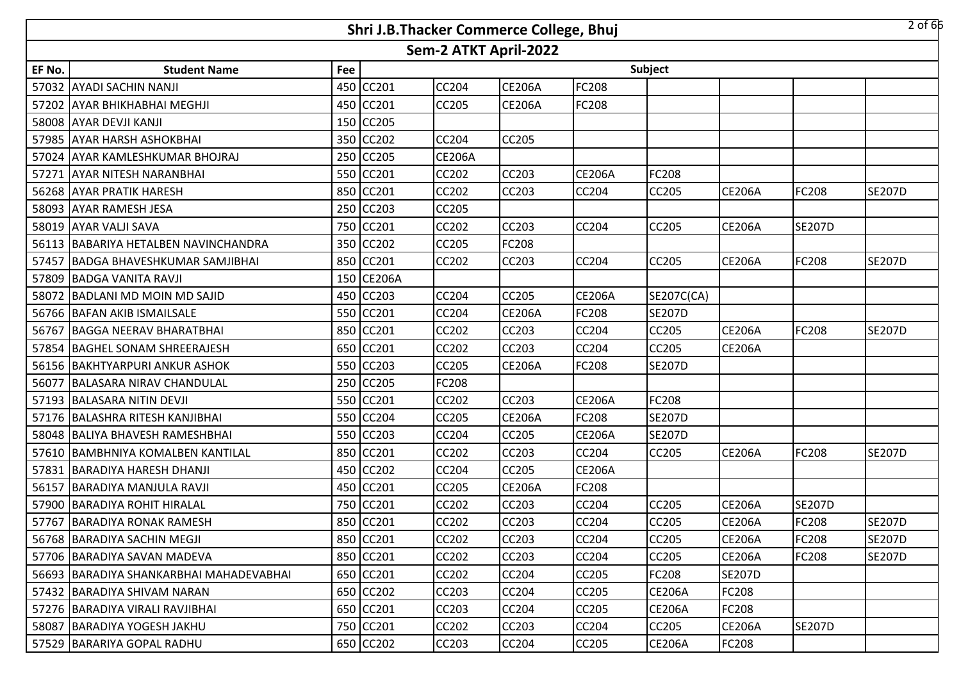|        |                                         |     |            |                       | Shri J.B.Thacker Commerce College, Bhuj |               |               |               |               | $2$ of 66     |
|--------|-----------------------------------------|-----|------------|-----------------------|-----------------------------------------|---------------|---------------|---------------|---------------|---------------|
|        |                                         |     |            | Sem-2 ATKT April-2022 |                                         |               |               |               |               |               |
| EF No. | <b>Student Name</b>                     | Fee |            |                       |                                         |               | Subject       |               |               |               |
|        | 57032 AYADI SACHIN NANJI                |     | 450 CC201  | <b>CC204</b>          | <b>CE206A</b>                           | FC208         |               |               |               |               |
|        | 57202 AYAR BHIKHABHAI MEGHJI            |     | 450 CC201  | <b>CC205</b>          | <b>CE206A</b>                           | FC208         |               |               |               |               |
|        | 58008 AYAR DEVJI KANJI                  |     | 150 CC205  |                       |                                         |               |               |               |               |               |
|        | 57985 AYAR HARSH ASHOKBHAI              |     | 350 CC202  | <b>CC204</b>          | <b>CC205</b>                            |               |               |               |               |               |
|        | 57024 AYAR KAMLESHKUMAR BHOJRAJ         |     | 250 CC205  | <b>CE206A</b>         |                                         |               |               |               |               |               |
|        | 57271 AYAR NITESH NARANBHAI             |     | 550 CC201  | <b>CC202</b>          | <b>CC203</b>                            | <b>CE206A</b> | <b>FC208</b>  |               |               |               |
|        | 56268 AYAR PRATIK HARESH                |     | 850 CC201  | <b>CC202</b>          | <b>CC203</b>                            | CC204         | <b>CC205</b>  | <b>CE206A</b> | FC208         | <b>SE207D</b> |
|        | 58093 AYAR RAMESH JESA                  |     | 250 CC203  | CC205                 |                                         |               |               |               |               |               |
|        | 58019 AYAR VALJI SAVA                   |     | 750 CC201  | CC202                 | CC203                                   | CC204         | <b>CC205</b>  | <b>CE206A</b> | <b>SE207D</b> |               |
|        | 56113 BABARIYA HETALBEN NAVINCHANDRA    |     | 350 CC202  | CC205                 | FC208                                   |               |               |               |               |               |
|        | 57457 BADGA BHAVESHKUMAR SAMJIBHAI      |     | 850 CC201  | CC202                 | CC203                                   | CC204         | <b>CC205</b>  | <b>CE206A</b> | FC208         | <b>SE207D</b> |
|        | 57809 BADGA VANITA RAVJI                |     | 150 CE206A |                       |                                         |               |               |               |               |               |
|        | 58072 BADLANI MD MOIN MD SAJID          |     | 450 CC203  | <b>CC204</b>          | <b>CC205</b>                            | <b>CE206A</b> | SE207C(CA)    |               |               |               |
|        | 56766 BAFAN AKIB ISMAILSALE             |     | 550 CC201  | <b>CC204</b>          | <b>CE206A</b>                           | FC208         | <b>SE207D</b> |               |               |               |
|        | 56767 BAGGA NEERAV BHARATBHAI           |     | 850 CC201  | <b>CC202</b>          | <b>CC203</b>                            | CC204         | <b>CC205</b>  | <b>CE206A</b> | <b>FC208</b>  | <b>SE207D</b> |
|        | 57854 BAGHEL SONAM SHREERAJESH          |     | 650 CC201  | <b>CC202</b>          | CC203                                   | CC204         | <b>CC205</b>  | <b>CE206A</b> |               |               |
|        | 56156 BAKHTYARPURI ANKUR ASHOK          |     | 550 CC203  | <b>CC205</b>          | <b>CE206A</b>                           | FC208         | <b>SE207D</b> |               |               |               |
|        | 56077 BALASARA NIRAV CHANDULAL          |     | 250 CC205  | <b>FC208</b>          |                                         |               |               |               |               |               |
|        | 57193 BALASARA NITIN DEVJI              |     | 550 CC201  | CC202                 | <b>CC203</b>                            | <b>CE206A</b> | <b>FC208</b>  |               |               |               |
|        | 57176 BALASHRA RITESH KANJIBHAI         |     | 550 CC204  | CC205                 | <b>CE206A</b>                           | FC208         | <b>SE207D</b> |               |               |               |
|        | 58048 BALIYA BHAVESH RAMESHBHAI         |     | 550 CC203  | CC204                 | CC205                                   | <b>CE206A</b> | <b>SE207D</b> |               |               |               |
|        | 57610 BAMBHNIYA KOMALBEN KANTILAL       |     | 850 CC201  | CC202                 | <b>CC203</b>                            | CC204         | <b>CC205</b>  | <b>CE206A</b> | FC208         | <b>SE207D</b> |
|        | 57831 BARADIYA HARESH DHANJI            |     | 450 CC202  | CC204                 | CC205                                   | <b>CE206A</b> |               |               |               |               |
|        | 56157 BARADIYA MANJULA RAVJI            |     | 450 CC201  | CC205                 | <b>CE206A</b>                           | FC208         |               |               |               |               |
|        | 57900 BARADIYA ROHIT HIRALAL            |     | 750 CC201  | CC202                 | CC203                                   | CC204         | CC205         | <b>CE206A</b> | <b>SE207D</b> |               |
|        | 57767 BARADIYA RONAK RAMESH             |     | 850 CC201  | <b>CC202</b>          | <b>CC203</b>                            | CC204         | <b>CC205</b>  | <b>CE206A</b> | <b>FC208</b>  | <b>SE207D</b> |
|        | 56768   BARADIYA SACHIN MEGJI           |     | 850 CC201  | <b>CC202</b>          | CC203                                   | CC204         | <b>CC205</b>  | <b>CE206A</b> | <b>FC208</b>  | <b>SE207D</b> |
|        | 57706 BARADIYA SAVAN MADEVA             |     | 850 CC201  | <b>CC202</b>          | CC203                                   | CC204         | <b>CC205</b>  | <b>CE206A</b> | <b>FC208</b>  | <b>SE207D</b> |
|        | 56693 BARADIYA SHANKARBHAI MAHADEVABHAI |     | 650 CC201  | <b>CC202</b>          | <b>CC204</b>                            | <b>CC205</b>  | <b>FC208</b>  | <b>SE207D</b> |               |               |
|        | 57432 BARADIYA SHIVAM NARAN             |     | 650 CC202  | CC203                 | CC204                                   | CC205         | <b>CE206A</b> | FC208         |               |               |
|        | 57276 BARADIYA VIRALI RAVJIBHAI         |     | 650 CC201  | CC203                 | CC204                                   | CC205         | <b>CE206A</b> | FC208         |               |               |
|        | 58087 BARADIYA YOGESH JAKHU             |     | 750 CC201  | <b>CC202</b>          | <b>CC203</b>                            | CC204         | CC205         | <b>CE206A</b> | <b>SE207D</b> |               |
|        | 57529 BARARIYA GOPAL RADHU              |     | 650 CC202  | CC203                 | CC204                                   | CC205         | <b>CE206A</b> | FC208         |               |               |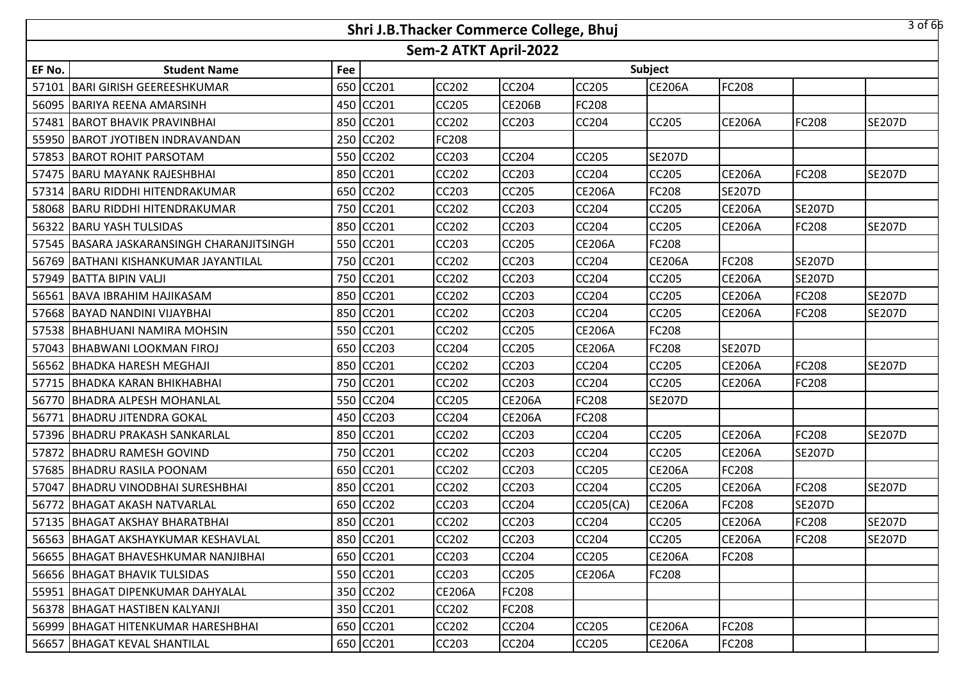|        |                                           |     | Shri J.B.Thacker Commerce College, Bhuj |                       |               |               |               |               |               | 3 of 66       |
|--------|-------------------------------------------|-----|-----------------------------------------|-----------------------|---------------|---------------|---------------|---------------|---------------|---------------|
|        |                                           |     |                                         | Sem-2 ATKT April-2022 |               |               |               |               |               |               |
| EF No. | <b>Student Name</b>                       | Fee |                                         |                       |               |               | Subject       |               |               |               |
| 57101  | <b>BARI GIRISH GEEREESHKUMAR</b>          |     | 650 CC201                               | <b>CC202</b>          | CC204         | CC205         | <b>CE206A</b> | FC208         |               |               |
|        | 56095 BARIYA REENA AMARSINH               |     | 450 CC201                               | <b>CC205</b>          | <b>CE206B</b> | FC208         |               |               |               |               |
| 57481  | <b>BAROT BHAVIK PRAVINBHAI</b>            |     | 850 CC201                               | <b>CC202</b>          | CC203         | CC204         | <b>CC205</b>  | <b>CE206A</b> | FC208         | <b>SE207D</b> |
|        | 55950 BAROT JYOTIBEN INDRAVANDAN          |     | 250 CC202                               | <b>FC208</b>          |               |               |               |               |               |               |
| 57853  | <b>BAROT ROHIT PARSOTAM</b>               |     | 550 CC202                               | <b>CC203</b>          | <b>CC204</b>  | CC205         | <b>SE207D</b> |               |               |               |
|        | 57475 BARU MAYANK RAJESHBHAI              |     | 850 CC201                               | <b>CC202</b>          | <b>CC203</b>  | CC204         | <b>CC205</b>  | <b>CE206A</b> | <b>FC208</b>  | <b>SE207D</b> |
| 57314  | <b>BARU RIDDHI HITENDRAKUMAR</b>          |     | 650 CC202                               | <b>CC203</b>          | CC205         | <b>CE206A</b> | FC208         | <b>SE207D</b> |               |               |
| 58068  | <b>BARU RIDDHI HITENDRAKUMAR</b>          |     | 750 CC201                               | <b>CC202</b>          | <b>CC203</b>  | CC204         | <b>CC205</b>  | <b>CE206A</b> | <b>SE207D</b> |               |
| 56322  | <b>BARU YASH TULSIDAS</b>                 |     | 850 CC201                               | CC202                 | CC203         | CC204         | CC205         | <b>CE206A</b> | FC208         | <b>SE207D</b> |
|        | 57545 BASARA JASKARANSINGH CHARANJITSINGH |     | 550 CC201                               | CC203                 | CC205         | <b>CE206A</b> | FC208         |               |               |               |
| 56769  | BATHANI KISHANKUMAR JAYANTILAL            |     | 750 CC201                               | CC202                 | CC203         | CC204         | <b>CE206A</b> | FC208         | <b>SE207D</b> |               |
| 57949  | BATTA BIPIN VALJI                         | 750 | CC201                                   | CC202                 | CC203         | CC204         | CC205         | <b>CE206A</b> | <b>SE207D</b> |               |
|        | 56561 BAVA IBRAHIM HAJIKASAM              |     | 850 CC201                               | CC202                 | CC203         | CC204         | <b>CC205</b>  | <b>CE206A</b> | FC208         | <b>SE207D</b> |
|        | 57668 BAYAD NANDINI VIJAYBHAI             |     | 850 CC201                               | CC202                 | CC203         | CC204         | CC205         | <b>CE206A</b> | FC208         | <b>SE207D</b> |
|        | 57538 BHABHUANI NAMIRA MOHSIN             |     | 550 CC201                               | <b>CC202</b>          | <b>CC205</b>  | <b>CE206A</b> | FC208         |               |               |               |
|        | 57043 BHABWANI LOOKMAN FIROJ              |     | 650 CC203                               | <b>CC204</b>          | CC205         | <b>CE206A</b> | FC208         | <b>SE207D</b> |               |               |
|        | 56562 BHADKA HARESH MEGHAJI               |     | 850 CC201                               | <b>CC202</b>          | CC203         | CC204         | <b>CC205</b>  | <b>CE206A</b> | <b>FC208</b>  | <b>SE207D</b> |
|        | 57715   BHADKA KARAN BHIKHABHAI           |     | 750 CC201                               | <b>CC202</b>          | CC203         | CC204         | <b>CC205</b>  | <b>CE206A</b> | FC208         |               |
|        | 56770 BHADRA ALPESH MOHANLAL              |     | 550 CC204                               | <b>CC205</b>          | <b>CE206A</b> | FC208         | <b>SE207D</b> |               |               |               |
| 56771  | <b>BHADRU JITENDRA GOKAL</b>              |     | 450 CC203                               | <b>CC204</b>          | <b>CE206A</b> | FC208         |               |               |               |               |
|        | 57396 BHADRU PRAKASH SANKARLAL            |     | 850 CC201                               | CC202                 | <b>CC203</b>  | CC204         | <b>CC205</b>  | <b>CE206A</b> | FC208         | <b>SE207D</b> |
| 57872  | <b>BHADRU RAMESH GOVIND</b>               |     | 750 CC201                               | CC202                 | CC203         | CC204         | <b>CC205</b>  | <b>CE206A</b> | <b>SE207D</b> |               |
| 57685  | <b>BHADRU RASILA POONAM</b>               |     | 650 CC201                               | CC202                 | CC203         | CC205         | <b>CE206A</b> | FC208         |               |               |
| 57047  | <b>BHADRU VINODBHAI SURESHBHAI</b>        |     | 850 CC201                               | CC202                 | CC203         | CC204         | <b>CC205</b>  | <b>CE206A</b> | FC208         | <b>SE207D</b> |
| 56772  | <b>IBHAGAT AKASH NATVARLAL</b>            |     | 650 CC202                               | CC203                 | CC204         | CC205(CA)     | <b>CE206A</b> | FC208         | <b>SE207D</b> |               |
|        | 57135 BHAGAT AKSHAY BHARATBHAI            |     | 850 CC201                               | <b>CC202</b>          | CC203         | CC204         | <b>CC205</b>  | <b>CE206A</b> | <b>FC208</b>  | <b>SE207D</b> |
|        | 56563 BHAGAT AKSHAYKUMAR KESHAVLAL        |     | 850 CC201                               | <b>CC202</b>          | <b>CC203</b>  | CC204         | <b>CC205</b>  | <b>CE206A</b> | FC208         | <b>SE207D</b> |
|        | 56655 BHAGAT BHAVESHKUMAR NANJIBHAI       |     | 650 CC201                               | CC203                 | <b>CC204</b>  | CC205         | <b>CE206A</b> | FC208         |               |               |
|        | 56656 BHAGAT BHAVIK TULSIDAS              |     | 550 CC201                               | CC203                 | CC205         | <b>CE206A</b> | <b>FC208</b>  |               |               |               |
|        | 55951   BHAGAT DIPENKUMAR DAHYALAL        |     | 350 CC202                               | <b>CE206A</b>         | <b>FC208</b>  |               |               |               |               |               |
|        | 56378 BHAGAT HASTIBEN KALYANJI            |     | 350 CC201                               | CC202                 | FC208         |               |               |               |               |               |
|        | 56999 BHAGAT HITENKUMAR HARESHBHAI        |     | 650 CC201                               | <b>CC202</b>          | CC204         | CC205         | <b>CE206A</b> | FC208         |               |               |
|        | 56657   BHAGAT KEVAL SHANTILAL            |     | 650 CC201                               | CC203                 | CC204         | CC205         | <b>CE206A</b> | FC208         |               |               |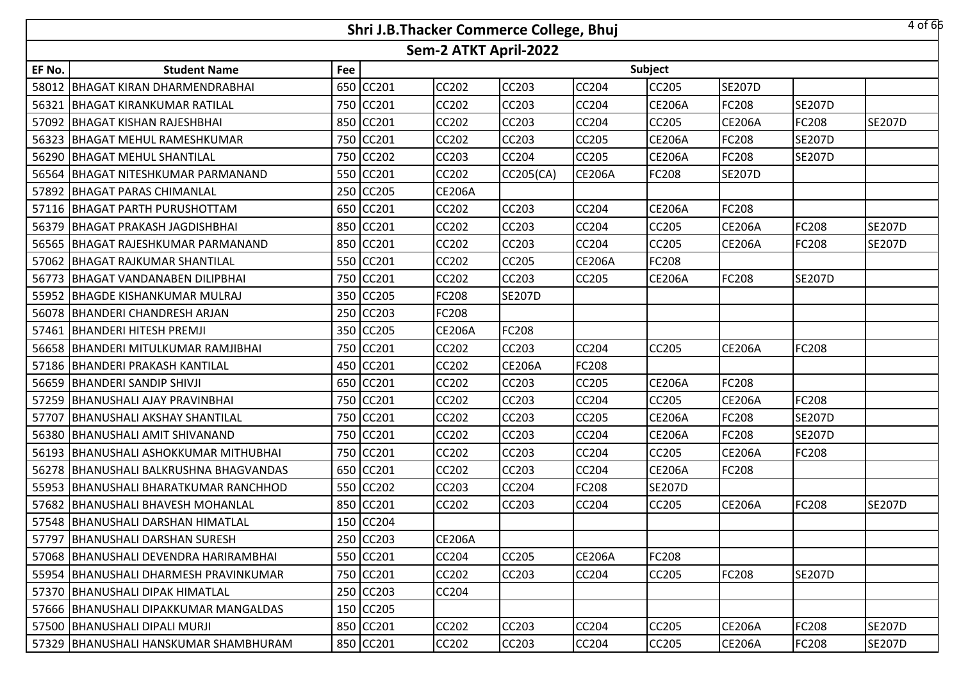|        |                                         |     | Shri J.B.Thacker Commerce College, Bhuj |                       |               |               |               |               |               | 4 of 66       |
|--------|-----------------------------------------|-----|-----------------------------------------|-----------------------|---------------|---------------|---------------|---------------|---------------|---------------|
|        |                                         |     |                                         | Sem-2 ATKT April-2022 |               |               |               |               |               |               |
| EF No. | <b>Student Name</b>                     | Fee |                                         |                       |               |               | Subject       |               |               |               |
| 58012  | <b>BHAGAT KIRAN DHARMENDRABHAI</b>      | 650 | <b>CC201</b>                            | CC202                 | CC203         | CC204         | CC205         | <b>SE207D</b> |               |               |
|        | 56321 BHAGAT KIRANKUMAR RATILAL         | 750 | <b>CC201</b>                            | <b>CC202</b>          | CC203         | <b>CC204</b>  | <b>CE206A</b> | FC208         | <b>SE207D</b> |               |
| 57092  | <b>BHAGAT KISHAN RAJESHBHAI</b>         |     | 850 CC201                               | CC202                 | CC203         | CC204         | CC205         | <b>CE206A</b> | <b>FC208</b>  | <b>SE207D</b> |
|        | 56323 BHAGAT MEHUL RAMESHKUMAR          |     | 750 CC201                               | <b>CC202</b>          | <b>CC203</b>  | <b>CC205</b>  | <b>CE206A</b> | FC208         | <b>SE207D</b> |               |
| 56290  | <b>BHAGAT MEHUL SHANTILAL</b>           | 750 | <b>CC202</b>                            | CC203                 | CC204         | CC205         | <b>CE206A</b> | FC208         | <b>SE207D</b> |               |
|        | 56564 BHAGAT NITESHKUMAR PARMANAND      | 550 | CC201                                   | <b>CC202</b>          | CC205(CA)     | <b>CE206A</b> | FC208         | <b>SE207D</b> |               |               |
| 57892  | <b>BHAGAT PARAS CHIMANLAL</b>           | 250 | <b>CC205</b>                            | <b>CE206A</b>         |               |               |               |               |               |               |
|        | 57116 BHAGAT PARTH PURUSHOTTAM          | 650 | CC201                                   | <b>CC202</b>          | CC203         | <b>CC204</b>  | <b>CE206A</b> | FC208         |               |               |
| 56379  | <b>BHAGAT PRAKASH JAGDISHBHAI</b>       | 850 | <b>CC201</b>                            | CC202                 | CC203         | CC204         | CC205         | <b>CE206A</b> | <b>FC208</b>  | <b>SE207D</b> |
| 56565  | <b>BHAGAT RAJESHKUMAR PARMANAND</b>     | 850 | CC201                                   | CC202                 | <b>CC203</b>  | CC204         | CC205         | <b>CE206A</b> | <b>FC208</b>  | <b>SE207D</b> |
| 57062  | <b>BHAGAT RAJKUMAR SHANTILAL</b>        | 550 | CC201                                   | CC202                 | CC205         | <b>CE206A</b> | FC208         |               |               |               |
| 56773  | BHAGAT VANDANABEN DILIPBHAI             | 750 | CC201                                   | CC202                 | CC203         | CC205         | <b>CE206A</b> | FC208         | <b>SE207D</b> |               |
|        | 55952 BHAGDE KISHANKUMAR MULRAJ         | 350 | <b>CC205</b>                            | FC208                 | <b>SE207D</b> |               |               |               |               |               |
|        | 56078 BHANDERI CHANDRESH ARJAN          | 250 | <b>CC203</b>                            | FC208                 |               |               |               |               |               |               |
|        | 57461 BHANDERI HITESH PREMJI            | 350 | <b>CC205</b>                            | <b>CE206A</b>         | FC208         |               |               |               |               |               |
|        | 56658 BHANDERI MITULKUMAR RAMJIBHAI     |     | 750 CC201                               | CC202                 | CC203         | CC204         | CC205         | <b>CE206A</b> | <b>FC208</b>  |               |
|        | 57186   BHANDERI PRAKASH KANTILAL       | 450 | <b>CC201</b>                            | <b>CC202</b>          | <b>CE206A</b> | <b>FC208</b>  |               |               |               |               |
|        | 56659 BHANDERI SANDIP SHIVJI            | 650 | CC201                                   | CC202                 | CC203         | CC205         | <b>CE206A</b> | FC208         |               |               |
| 57259  | <b>BHANUSHALI AJAY PRAVINBHAI</b>       | 750 | <b>CC201</b>                            | CC202                 | <b>CC203</b>  | <b>CC204</b>  | CC205         | <b>CE206A</b> | <b>FC208</b>  |               |
| 57707  | <b>BHANUSHALI AKSHAY SHANTILAL</b>      | 750 | <b>CC201</b>                            | CC202                 | <b>CC203</b>  | CC205         | <b>CE206A</b> | FC208         | <b>SE207D</b> |               |
| 56380  | <b>BHANUSHALI AMIT SHIVANAND</b>        | 750 | <b>CC201</b>                            | CC202                 | <b>CC203</b>  | <b>CC204</b>  | <b>CE206A</b> | FC208         | <b>SE207D</b> |               |
| 56193  | <b>BHANUSHALI ASHOKKUMAR MITHUBHAI</b>  | 750 | CC201                                   | CC202                 | CC203         | CC204         | CC205         | <b>CE206A</b> | <b>FC208</b>  |               |
| 56278  | <b>BHANUSHALI BALKRUSHNA BHAGVANDAS</b> | 650 | CC201                                   | CC202                 | CC203         | CC204         | <b>CE206A</b> | FC208         |               |               |
|        | 55953 BHANUSHALI BHARATKUMAR RANCHHOD   | 550 | <b>CC202</b>                            | CC203                 | <b>CC204</b>  | FC208         | <b>SE207D</b> |               |               |               |
| 57682  | BHANUSHALI BHAVESH MOHANLAL             | 850 | CC201                                   | CC202                 | CC203         | CC204         | CC205         | <b>CE206A</b> | <b>FC208</b>  | <b>SE207D</b> |
|        | 57548 BHANUSHALI DARSHAN HIMATLAL       |     | 150 CC204                               |                       |               |               |               |               |               |               |
|        | 57797 BHANUSHALI DARSHAN SURESH         |     | 250 CC203                               | <b>CE206A</b>         |               |               |               |               |               |               |
|        | 57068   BHANUSHALI DEVENDRA HARIRAMBHAI |     | 550 CC201                               | CC204                 | <b>CC205</b>  | <b>CE206A</b> | FC208         |               |               |               |
|        | 55954   BHANUSHALI DHARMESH PRAVINKUMAR |     | 750 CC201                               | CC202                 | <b>CC203</b>  | <b>CC204</b>  | <b>CC205</b>  | FC208         | <b>SE207D</b> |               |
|        | 57370   BHANUSHALI DIPAK HIMATLAL       |     | 250 CC203                               | CC204                 |               |               |               |               |               |               |
|        | 57666   BHANUSHALI DIPAKKUMAR MANGALDAS |     | 150 CC205                               |                       |               |               |               |               |               |               |
|        | 57500 BHANUSHALI DIPALI MURJI           |     | 850 CC201                               | CC202                 | <b>CC203</b>  | <b>CC204</b>  | CC205         | <b>CE206A</b> | <b>FC208</b>  | <b>SE207D</b> |
|        | 57329 BHANUSHALI HANSKUMAR SHAMBHURAM   |     | 850 CC201                               | CC202                 | CC203         | <b>CC204</b>  | CC205         | <b>CE206A</b> | <b>FC208</b>  | <b>SE207D</b> |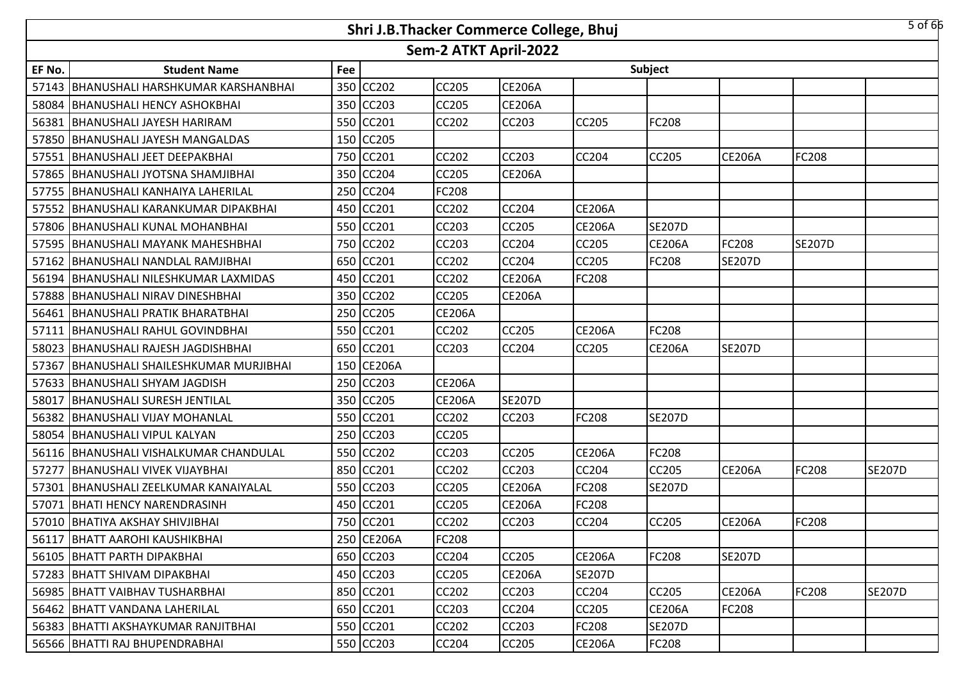|        |                                          |     | Shri J.B.Thacker Commerce College, Bhuj |                       |               |               |               |               |               | $5$ of 66     |
|--------|------------------------------------------|-----|-----------------------------------------|-----------------------|---------------|---------------|---------------|---------------|---------------|---------------|
|        |                                          |     |                                         | Sem-2 ATKT April-2022 |               |               |               |               |               |               |
| EF No. | <b>Student Name</b>                      | Fee |                                         |                       |               |               | Subject       |               |               |               |
|        | 57143 BHANUSHALI HARSHKUMAR KARSHANBHAI  | 350 | CC202                                   | <b>CC205</b>          | <b>CE206A</b> |               |               |               |               |               |
|        | 58084   BHANUSHALI HENCY ASHOKBHAI       |     | 350 CC203                               | <b>CC205</b>          | <b>CE206A</b> |               |               |               |               |               |
|        | 56381 BHANUSHALI JAYESH HARIRAM          |     | 550 CC201                               | <b>CC202</b>          | <b>CC203</b>  | CC205         | FC208         |               |               |               |
|        | 57850 BHANUSHALI JAYESH MANGALDAS        |     | 150 CC205                               |                       |               |               |               |               |               |               |
| 57551  | <b>BHANUSHALI JEET DEEPAKBHAI</b>        |     | 750 CC201                               | <b>CC202</b>          | <b>CC203</b>  | <b>CC204</b>  | CC205         | <b>CE206A</b> | <b>FC208</b>  |               |
|        | 57865   BHANUSHALI JYOTSNA SHAMJIBHAI    |     | 350 CC204                               | <b>CC205</b>          | <b>CE206A</b> |               |               |               |               |               |
|        | 57755   BHANUSHALI KANHAIYA LAHERILAL    |     | 250 CC204                               | FC208                 |               |               |               |               |               |               |
|        | 57552 BHANUSHALI KARANKUMAR DIPAKBHAI    | 450 | <b>CC201</b>                            | <b>CC202</b>          | <b>CC204</b>  | <b>CE206A</b> |               |               |               |               |
| 57806  | <b>BHANUSHALI KUNAL MOHANBHAI</b>        | 550 | CC201                                   | <b>CC203</b>          | <b>CC205</b>  | <b>CE206A</b> | <b>SE207D</b> |               |               |               |
|        | 57595 BHANUSHALI MAYANK MAHESHBHAI       | 750 | CC202                                   | CC203                 | <b>CC204</b>  | <b>CC205</b>  | <b>CE206A</b> | FC208         | <b>SE207D</b> |               |
| 57162  | <b>BHANUSHALI NANDLAL RAMJIBHAI</b>      | 650 | CC201                                   | <b>CC202</b>          | <b>CC204</b>  | <b>CC205</b>  | FC208         | <b>SE207D</b> |               |               |
| 56194  | <b>BHANUSHALI NILESHKUMAR LAXMIDAS</b>   | 450 | CC201                                   | CC202                 | <b>CE206A</b> | FC208         |               |               |               |               |
|        | 57888 BHANUSHALI NIRAV DINESHBHAI        | 350 | <b>CC202</b>                            | <b>CC205</b>          | <b>CE206A</b> |               |               |               |               |               |
| 56461  | <b>BHANUSHALI PRATIK BHARATBHAI</b>      |     | 250 CC205                               | <b>CE206A</b>         |               |               |               |               |               |               |
| 57111  | BHANUSHALI RAHUL GOVINDBHAI              |     | 550 CC201                               | <b>CC202</b>          | <b>CC205</b>  | <b>CE206A</b> | FC208         |               |               |               |
| 58023  | BHANUSHALI RAJESH JAGDISHBHAI            |     | 650 CC201                               | CC203                 | <b>CC204</b>  | CC205         | <b>CE206A</b> | <b>SE207D</b> |               |               |
| 57367  | BHANUSHALI SHAILESHKUMAR MURJIBHAI       |     | 150 CE206A                              |                       |               |               |               |               |               |               |
|        | 57633 BHANUSHALI SHYAM JAGDISH           | 250 | <b>CC203</b>                            | <b>CE206A</b>         |               |               |               |               |               |               |
| 58017  | <b>BHANUSHALI SURESH JENTILAL</b>        | 350 | CC205                                   | <b>CE206A</b>         | <b>SE207D</b> |               |               |               |               |               |
|        | 56382 BHANUSHALI VIJAY MOHANLAL          | 550 | <b>CC201</b>                            | <b>CC202</b>          | <b>CC203</b>  | <b>FC208</b>  | <b>SE207D</b> |               |               |               |
|        | 58054 BHANUSHALI VIPUL KALYAN            | 250 | CC203                                   | CC205                 |               |               |               |               |               |               |
|        | 56116   BHANUSHALI VISHALKUMAR CHANDULAL | 550 | CC202                                   | <b>CC203</b>          | <b>CC205</b>  | <b>CE206A</b> | FC208         |               |               |               |
| 57277  | <b>BHANUSHALI VIVEK VIJAYBHAI</b>        | 850 | CC201                                   | CC202                 | <b>CC203</b>  | CC204         | CC205         | <b>CE206A</b> | <b>FC208</b>  | <b>SE207D</b> |
|        | 57301 BHANUSHALI ZEELKUMAR KANAIYALAL    | 550 | <b>CC203</b>                            | <b>CC205</b>          | <b>CE206A</b> | <b>FC208</b>  | <b>SE207D</b> |               |               |               |
|        | 57071   BHATI HENCY NARENDRASINH         | 450 | CC201                                   | <b>CC205</b>          | <b>CE206A</b> | FC208         |               |               |               |               |
|        | 57010 BHATIYA AKSHAY SHIVJIBHAI          |     | 750 CC201                               | <b>CC202</b>          | <b>CC203</b>  | <b>CC204</b>  | CC205         | <b>CE206A</b> | <b>FC208</b>  |               |
|        | 56117 BHATT AAROHI KAUSHIKBHAI           |     | 250 CE206A                              | <b>FC208</b>          |               |               |               |               |               |               |
|        | 56105 BHATT PARTH DIPAKBHAI              |     | 650 CC203                               | CC204                 | <b>CC205</b>  | <b>CE206A</b> | FC208         | <b>SE207D</b> |               |               |
|        | 57283 BHATT SHIVAM DIPAKBHAI             |     | 450 CC203                               | <b>CC205</b>          | <b>CE206A</b> | <b>SE207D</b> |               |               |               |               |
|        | 56985 BHATT VAIBHAV TUSHARBHAI           |     | 850 CC201                               | CC202                 | <b>CC203</b>  | <b>CC204</b>  | <b>CC205</b>  | <b>CE206A</b> | <b>FC208</b>  | <b>SE207D</b> |
|        | 56462 BHATT VANDANA LAHERILAL            |     | 650 CC201                               | CC203                 | <b>CC204</b>  | <b>CC205</b>  | <b>CE206A</b> | FC208         |               |               |
|        | 56383 BHATTI AKSHAYKUMAR RANJITBHAI      |     | 550 CC201                               | CC202                 | <b>CC203</b>  | <b>FC208</b>  | <b>SE207D</b> |               |               |               |
|        | 56566   BHATTI RAJ BHUPENDRABHAI         |     | 550 CC203                               | CC204                 | <b>CC205</b>  | <b>CE206A</b> | FC208         |               |               |               |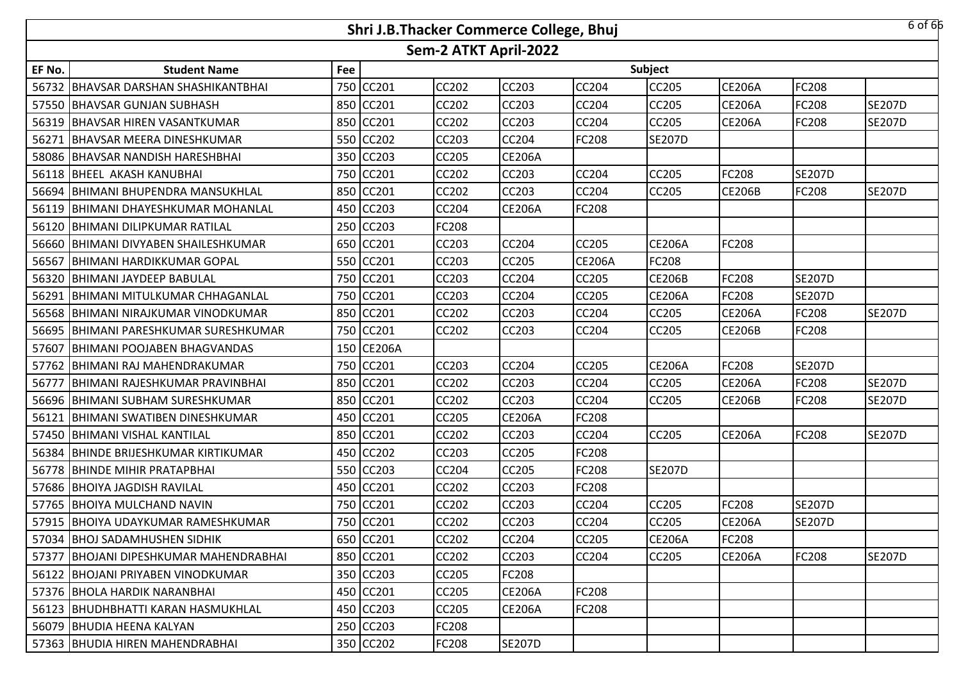|        |                                          |     | Shri J.B.Thacker Commerce College, Bhuj |                       |               |               |               |               |               | 6 of 66       |
|--------|------------------------------------------|-----|-----------------------------------------|-----------------------|---------------|---------------|---------------|---------------|---------------|---------------|
|        |                                          |     |                                         | Sem-2 ATKT April-2022 |               |               |               |               |               |               |
| EF No. | <b>Student Name</b>                      | Fee |                                         |                       |               |               | Subject       |               |               |               |
| 56732  | BHAVSAR DARSHAN SHASHIKANTBHAI           |     | 750 CC201                               | CC202                 | CC203         | <b>CC204</b>  | CC205         | <b>CE206A</b> | FC208         |               |
|        | 57550 BHAVSAR GUNJAN SUBHASH             |     | 850 CC201                               | CC202                 | CC203         | <b>CC204</b>  | CC205         | <b>CE206A</b> | <b>FC208</b>  | <b>SE207D</b> |
| 56319  | <b>BHAVSAR HIREN VASANTKUMAR</b>         |     | 850 CC201                               | CC202                 | CC203         | CC204         | CC205         | <b>CE206A</b> | FC208         | <b>SE207D</b> |
| 56271  | <b>BHAVSAR MEERA DINESHKUMAR</b>         |     | 550 CC202                               | CC203                 | CC204         | <b>FC208</b>  | <b>SE207D</b> |               |               |               |
| 58086  | <b>BHAVSAR NANDISH HARESHBHAI</b>        |     | 350 CC203                               | CC205                 | <b>CE206A</b> |               |               |               |               |               |
|        | 56118 BHEEL AKASH KANUBHAI               |     | 750 CC201                               | CC202                 | CC203         | <b>CC204</b>  | <b>CC205</b>  | FC208         | <b>SE207D</b> |               |
| 56694  | <b>BHIMANI BHUPENDRA MANSUKHLAL</b>      |     | 850 CC201                               | CC202                 | CC203         | <b>CC204</b>  | CC205         | <b>CE206B</b> | <b>FC208</b>  | <b>SE207D</b> |
| 56119  | <b>BHIMANI DHAYESHKUMAR MOHANLAL</b>     |     | 450 CC203                               | CC204                 | <b>CE206A</b> | <b>FC208</b>  |               |               |               |               |
| 56120  | <b>BHIMANI DILIPKUMAR RATILAL</b>        |     | 250 CC203                               | FC208                 |               |               |               |               |               |               |
| 56660  | <b>BHIMANI DIVYABEN SHAILESHKUMAR</b>    |     | 650 CC201                               | CC203                 | CC204         | <b>CC205</b>  | <b>CE206A</b> | FC208         |               |               |
| 56567  | <b>BHIMANI HARDIKKUMAR GOPAL</b>         |     | 550 CC201                               | CC203                 | CC205         | <b>CE206A</b> | <b>FC208</b>  |               |               |               |
| 56320  | BHIMANI JAYDEEP BABULAL                  |     | 750 CC201                               | CC203                 | CC204         | CC205         | <b>CE206B</b> | FC208         | <b>SE207D</b> |               |
| 56291  | IBHIMANI MITULKUMAR CHHAGANLAL           |     | 750 CC201                               | CC203                 | CC204         | <b>CC205</b>  | <b>CE206A</b> | FC208         | <b>SE207D</b> |               |
| 56568  | <b>BHIMANI NIRAJKUMAR VINODKUMAR</b>     |     | 850 CC201                               | CC202                 | CC203         | CC204         | CC205         | <b>CE206A</b> | FC208         | <b>SE207D</b> |
| 56695  | <b>BHIMANI PARESHKUMAR SURESHKUMAR</b>   |     | 750 CC201                               | CC202                 | CC203         | <b>CC204</b>  | <b>CC205</b>  | <b>CE206B</b> | <b>FC208</b>  |               |
| 57607  | <b>BHIMANI POOJABEN BHAGVANDAS</b>       |     | 150 CE206A                              |                       |               |               |               |               |               |               |
| 57762  | IBHIMANI RAJ MAHENDRAKUMAR               |     | 750 CC201                               | CC203                 | CC204         | <b>CC205</b>  | <b>CE206A</b> | FC208         | <b>SE207D</b> |               |
| 56777  | BHIMANI RAJESHKUMAR PRAVINBHAI           |     | 850 CC201                               | CC202                 | CC203         | CC204         | CC205         | <b>CE206A</b> | <b>FC208</b>  | <b>SE207D</b> |
| 56696  | <b>BHIMANI SUBHAM SURESHKUMAR</b>        |     | 850 CC201                               | CC202                 | CC203         | <b>CC204</b>  | <b>CC205</b>  | <b>CE206B</b> | <b>FC208</b>  | <b>SE207D</b> |
| 56121  | BHIMANI SWATIBEN DINESHKUMAR             |     | 450 CC201                               | CC205                 | <b>CE206A</b> | <b>FC208</b>  |               |               |               |               |
| 57450  | <b>BHIMANI VISHAL KANTILAL</b>           |     | 850 CC201                               | CC202                 | CC203         | <b>CC204</b>  | CC205         | <b>CE206A</b> | <b>FC208</b>  | <b>SE207D</b> |
| 56384  | <b>BHINDE BRIJESHKUMAR KIRTIKUMAR</b>    |     | 450 CC202                               | CC203                 | CC205         | <b>FC208</b>  |               |               |               |               |
| 56778  | <b>BHINDE MIHIR PRATAPBHAI</b>           |     | 550 CC203                               | CC204                 | CC205         | <b>FC208</b>  | <b>SE207D</b> |               |               |               |
|        | 57686 BHOIYA JAGDISH RAVILAL             |     | 450 CC201                               | CC202                 | CC203         | <b>FC208</b>  |               |               |               |               |
| 57765  | <b>BHOIYA MULCHAND NAVIN</b>             |     | 750 CC201                               | CC202                 | CC203         | CC204         | CC205         | FC208         | <b>SE207D</b> |               |
|        | 57915 BHOIYA UDAYKUMAR RAMESHKUMAR       |     | 750 CC201                               | CC202                 | CC203         | <b>CC204</b>  | CC205         | <b>CE206A</b> | <b>SE207D</b> |               |
|        | 57034 BHOJ SADAMHUSHEN SIDHIK            |     | 650 CC201                               | <b>CC202</b>          | CC204         | <b>CC205</b>  | <b>CE206A</b> | FC208         |               |               |
|        | 57377   BHOJANI DIPESHKUMAR MAHENDRABHAI |     | 850 CC201                               | CC202                 | CC203         | <b>CC204</b>  | <b>CC205</b>  | <b>CE206A</b> | <b>FC208</b>  | <b>SE207D</b> |
|        | 56122   BHOJANI PRIYABEN VINODKUMAR      |     | 350 CC203                               | <b>CC205</b>          | FC208         |               |               |               |               |               |
|        | 57376 BHOLA HARDIK NARANBHAI             |     | 450 CC201                               | CC205                 | <b>CE206A</b> | <b>FC208</b>  |               |               |               |               |
|        | 56123   BHUDHBHATTI KARAN HASMUKHLAL     |     | 450 CC203                               | CC205                 | <b>CE206A</b> | <b>FC208</b>  |               |               |               |               |
|        | 56079 BHUDIA HEENA KALYAN                |     | 250 CC203                               | <b>FC208</b>          |               |               |               |               |               |               |
|        | 57363 BHUDIA HIREN MAHENDRABHAI          |     | 350 CC202                               | <b>FC208</b>          | <b>SE207D</b> |               |               |               |               |               |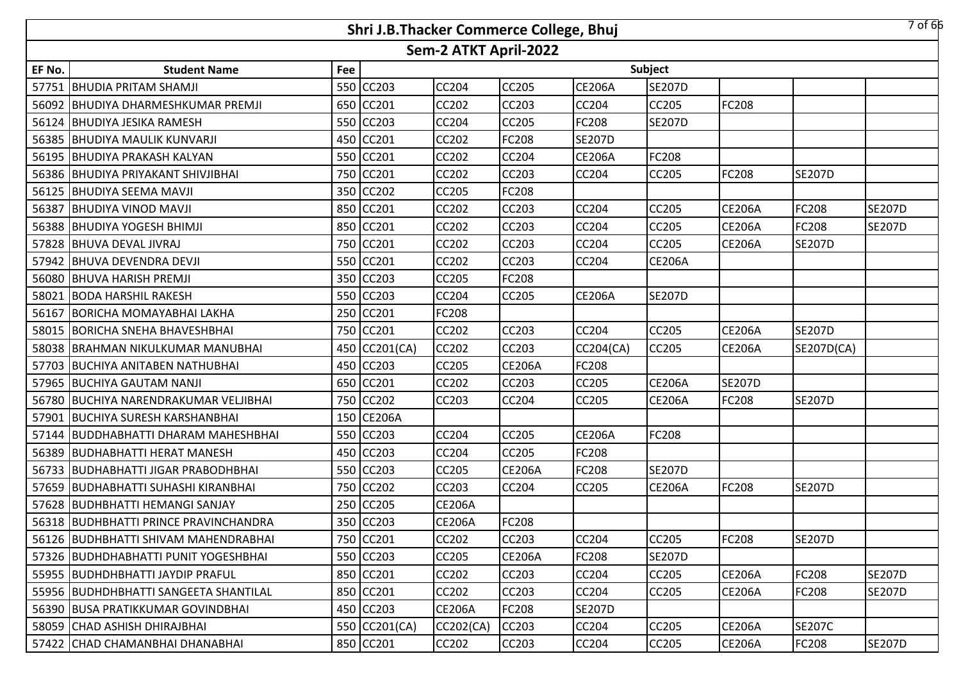|        |                                       |     | Shri J.B.Thacker Commerce College, Bhuj |                       |               |               |               |               |               | 7 of 66       |
|--------|---------------------------------------|-----|-----------------------------------------|-----------------------|---------------|---------------|---------------|---------------|---------------|---------------|
|        |                                       |     |                                         | Sem-2 ATKT April-2022 |               |               |               |               |               |               |
| EF No. | <b>Student Name</b>                   | Fee |                                         |                       |               |               | Subject       |               |               |               |
|        | 57751 BHUDIA PRITAM SHAMJI            | 550 | <b>CC203</b>                            | <b>CC204</b>          | <b>CC205</b>  | <b>CE206A</b> | <b>SE207D</b> |               |               |               |
|        | 56092 BHUDIYA DHARMESHKUMAR PREMJI    |     | 650 CC201                               | <b>CC202</b>          | <b>CC203</b>  | <b>CC204</b>  | <b>CC205</b>  | FC208         |               |               |
|        | 56124 BHUDIYA JESIKA RAMESH           |     | 550 CC203                               | <b>CC204</b>          | <b>CC205</b>  | FC208         | <b>SE207D</b> |               |               |               |
|        | 56385 BHUDIYA MAULIK KUNVARJI         |     | 450 CC201                               | <b>CC202</b>          | <b>FC208</b>  | <b>SE207D</b> |               |               |               |               |
|        | 56195 BHUDIYA PRAKASH KALYAN          |     | 550 CC201                               | <b>CC202</b>          | <b>CC204</b>  | <b>CE206A</b> | FC208         |               |               |               |
|        | 56386 BHUDIYA PRIYAKANT SHIVJIBHAI    |     | 750 CC201                               | <b>CC202</b>          | <b>CC203</b>  | <b>CC204</b>  | <b>CC205</b>  | <b>FC208</b>  | <b>SE207D</b> |               |
|        | 56125 BHUDIYA SEEMA MAVJI             | 350 | <b>CC202</b>                            | <b>CC205</b>          | <b>FC208</b>  |               |               |               |               |               |
| 56387  | <b>BHUDIYA VINOD MAVJI</b>            | 850 | <b>CC201</b>                            | <b>CC202</b>          | <b>CC203</b>  | <b>CC204</b>  | <b>CC205</b>  | <b>CE206A</b> | <b>FC208</b>  | <b>SE207D</b> |
|        | 56388 BHUDIYA YOGESH BHIMJI           | 850 | CC201                                   | <b>CC202</b>          | <b>CC203</b>  | CC204         | CC205         | <b>CE206A</b> | <b>FC208</b>  | <b>SE207D</b> |
|        | 57828 BHUVA DEVAL JIVRAJ              | 750 | CC201                                   | CC202                 | <b>CC203</b>  | CC204         | CC205         | <b>CE206A</b> | <b>SE207D</b> |               |
|        | 57942 BHUVA DEVENDRA DEVJI            | 550 | CC201                                   | <b>CC202</b>          | <b>CC203</b>  | <b>CC204</b>  | <b>CE206A</b> |               |               |               |
|        | 56080 BHUVA HARISH PREMJI             | 350 | CC203                                   | CC205                 | <b>FC208</b>  |               |               |               |               |               |
|        | 58021 BODA HARSHIL RAKESH             |     | 550 CC203                               | <b>CC204</b>          | <b>CC205</b>  | <b>CE206A</b> | <b>SE207D</b> |               |               |               |
| 56167  | <b>BORICHA MOMAYABHAI LAKHA</b>       |     | 250 CC201                               | FC208                 |               |               |               |               |               |               |
|        | 58015 BORICHA SNEHA BHAVESHBHAI       |     | 750 CC201                               | <b>CC202</b>          | <b>CC203</b>  | <b>CC204</b>  | CC205         | <b>CE206A</b> | <b>SE207D</b> |               |
|        | 58038 BRAHMAN NIKULKUMAR MANUBHAI     |     | 450 CC201(CA)                           | <b>CC202</b>          | <b>CC203</b>  | CC204(CA)     | CC205         | <b>CE206A</b> | SE207D(CA)    |               |
|        | 57703 BUCHIYA ANITABEN NATHUBHAI      |     | 450 CC203                               | <b>CC205</b>          | <b>CE206A</b> | <b>FC208</b>  |               |               |               |               |
|        | 57965 BUCHIYA GAUTAM NANJI            |     | 650 CC201                               | <b>CC202</b>          | <b>CC203</b>  | CC205         | <b>CE206A</b> | <b>SE207D</b> |               |               |
|        | 56780 BUCHIYA NARENDRAKUMAR VELJIBHAI | 750 | CC202                                   | CC203                 | <b>CC204</b>  | <b>CC205</b>  | <b>CE206A</b> | FC208         | <b>SE207D</b> |               |
|        | 57901 BUCHIYA SURESH KARSHANBHAI      | 150 | <b>CE206A</b>                           |                       |               |               |               |               |               |               |
|        | 57144 BUDDHABHATTI DHARAM MAHESHBHAI  | 550 | <b>CC203</b>                            | <b>CC204</b>          | <b>CC205</b>  | <b>CE206A</b> | <b>FC208</b>  |               |               |               |
|        | 56389 BUDHABHATTI HERAT MANESH        | 450 | <b>CC203</b>                            | <b>CC204</b>          | <b>CC205</b>  | FC208         |               |               |               |               |
|        | 56733 BUDHABHATTI JIGAR PRABODHBHAI   | 550 | CC203                                   | CC205                 | <b>CE206A</b> | FC208         | <b>SE207D</b> |               |               |               |
|        | 57659 BUDHABHATTI SUHASHI KIRANBHAI   | 750 | <b>CC202</b>                            | <b>CC203</b>          | <b>CC204</b>  | <b>CC205</b>  | <b>CE206A</b> | FC208         | <b>SE207D</b> |               |
|        | 57628 BUDHBHATTI HEMANGI SANJAY       | 250 | CC205                                   | <b>CE206A</b>         |               |               |               |               |               |               |
|        | 56318 BUDHBHATTI PRINCE PRAVINCHANDRA |     | 350 CC203                               | <b>CE206A</b>         | <b>FC208</b>  |               |               |               |               |               |
|        | 56126 BUDHBHATTI SHIVAM MAHENDRABHAI  |     | 750 CC201                               | <b>CC202</b>          | <b>CC203</b>  | <b>CC204</b>  | CC205         | FC208         | <b>SE207D</b> |               |
|        | 57326 BUDHDHABHATTI PUNIT YOGESHBHAI  |     | 550 CC203                               | <b>CC205</b>          | <b>CE206A</b> | <b>FC208</b>  | <b>SE207D</b> |               |               |               |
|        | 55955 BUDHDHBHATTI JAYDIP PRAFUL      |     | 850 CC201                               | <b>CC202</b>          | <b>CC203</b>  | CC204         | CC205         | <b>CE206A</b> | <b>FC208</b>  | <b>SE207D</b> |
|        | 55956 BUDHDHBHATTI SANGEETA SHANTILAL |     | 850 CC201                               | CC202                 | <b>CC203</b>  | <b>CC204</b>  | CC205         | <b>CE206A</b> | <b>FC208</b>  | <b>SE207D</b> |
|        | 56390 BUSA PRATIKKUMAR GOVINDBHAI     |     | 450 CC203                               | <b>CE206A</b>         | <b>FC208</b>  | <b>SE207D</b> |               |               |               |               |
|        | 58059 CHAD ASHISH DHIRAJBHAI          |     | 550 CC201(CA)                           | CC202(CA)             | <b>CC203</b>  | <b>CC204</b>  | CC205         | <b>CE206A</b> | <b>SE207C</b> |               |
|        | 57422 CHAD CHAMANBHAI DHANABHAI       |     | 850 CC201                               | CC202                 | CC203         | CC204         | CC205         | <b>CE206A</b> | <b>FC208</b>  | <b>SE207D</b> |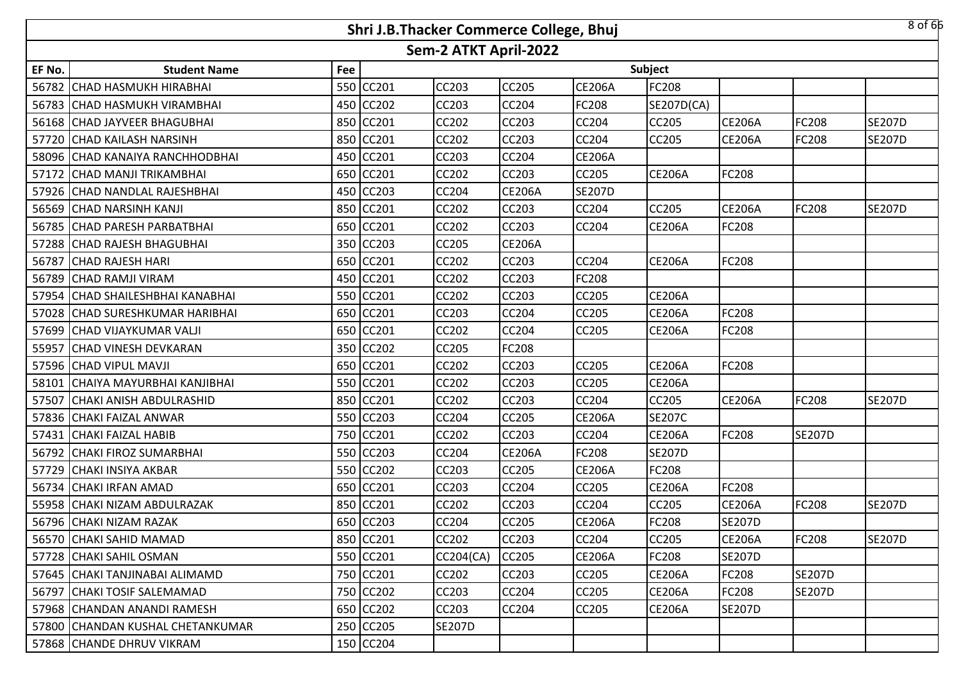|        | $8$ of 66<br>Shri J.B.Thacker Commerce College, Bhuj |     |           |                       |               |               |               |               |               |               |  |  |
|--------|------------------------------------------------------|-----|-----------|-----------------------|---------------|---------------|---------------|---------------|---------------|---------------|--|--|
|        |                                                      |     |           | Sem-2 ATKT April-2022 |               |               |               |               |               |               |  |  |
| EF No. | <b>Student Name</b>                                  | Fee |           |                       |               |               | Subject       |               |               |               |  |  |
|        | 56782 CHAD HASMUKH HIRABHAI                          |     | 550 CC201 | <b>CC203</b>          | <b>CC205</b>  | <b>CE206A</b> | FC208         |               |               |               |  |  |
|        | 56783 CHAD HASMUKH VIRAMBHAI                         |     | 450 CC202 | <b>CC203</b>          | <b>CC204</b>  | <b>FC208</b>  | SE207D(CA)    |               |               |               |  |  |
|        | 56168 CHAD JAYVEER BHAGUBHAI                         |     | 850 CC201 | CC202                 | CC203         | CC204         | CC205         | <b>CE206A</b> | FC208         | <b>SE207D</b> |  |  |
|        | 57720 CHAD KAILASH NARSINH                           |     | 850 CC201 | CC202                 | <b>CC203</b>  | CC204         | CC205         | <b>CE206A</b> | <b>FC208</b>  | <b>SE207D</b> |  |  |
|        | 58096 CHAD KANAIYA RANCHHODBHAI                      |     | 450 CC201 | CC203                 | <b>CC204</b>  | <b>CE206A</b> |               |               |               |               |  |  |
|        | 57172 CHAD MANJI TRIKAMBHAI                          |     | 650 CC201 | CC202                 | CC203         | CC205         | <b>CE206A</b> | FC208         |               |               |  |  |
|        | 57926 CHAD NANDLAL RAJESHBHAI                        |     | 450 CC203 | CC204                 | <b>CE206A</b> | <b>SE207D</b> |               |               |               |               |  |  |
|        | 56569 CHAD NARSINH KANJI                             |     | 850 CC201 | CC202                 | CC203         | <b>CC204</b>  | CC205         | <b>CE206A</b> | <b>FC208</b>  | <b>SE207D</b> |  |  |
|        | 56785 CHAD PARESH PARBATBHAI                         |     | 650 CC201 | CC202                 | CC203         | CC204         | <b>CE206A</b> | FC208         |               |               |  |  |
|        | 57288 CHAD RAJESH BHAGUBHAI                          |     | 350 CC203 | CC205                 | <b>CE206A</b> |               |               |               |               |               |  |  |
|        | 56787 CHAD RAJESH HARI                               |     | 650 CC201 | <b>CC202</b>          | <b>CC203</b>  | CC204         | <b>CE206A</b> | FC208         |               |               |  |  |
|        | 56789 CHAD RAMJI VIRAM                               |     | 450 CC201 | CC202                 | CC203         | FC208         |               |               |               |               |  |  |
|        | 57954 CHAD SHAILESHBHAI KANABHAI                     |     | 550 CC201 | <b>CC202</b>          | <b>CC203</b>  | CC205         | <b>CE206A</b> |               |               |               |  |  |
|        | 57028 CHAD SURESHKUMAR HARIBHAI                      |     | 650 CC201 | CC203                 | CC204         | <b>CC205</b>  | <b>CE206A</b> | FC208         |               |               |  |  |
|        | 57699 CHAD VIJAYKUMAR VALJI                          |     | 650 CC201 | <b>CC202</b>          | <b>CC204</b>  | <b>CC205</b>  | <b>CE206A</b> | FC208         |               |               |  |  |
| 55957  | <b>CHAD VINESH DEVKARAN</b>                          |     | 350 CC202 | CC205                 | <b>FC208</b>  |               |               |               |               |               |  |  |
|        | 57596 CHAD VIPUL MAVJI                               |     | 650 CC201 | CC202                 | <b>CC203</b>  | CC205         | <b>CE206A</b> | FC208         |               |               |  |  |
|        | 58101 CHAIYA MAYURBHAI KANJIBHAI                     |     | 550 CC201 | CC202                 | CC203         | CC205         | <b>CE206A</b> |               |               |               |  |  |
| 57507  | <b>CHAKI ANISH ABDULRASHID</b>                       |     | 850 CC201 | CC202                 | CC203         | CC204         | CC205         | <b>CE206A</b> | <b>FC208</b>  | <b>SE207D</b> |  |  |
|        | 57836 CHAKI FAIZAL ANWAR                             |     | 550 CC203 | CC204                 | CC205         | <b>CE206A</b> | <b>SE207C</b> |               |               |               |  |  |
|        | 57431 CHAKI FAIZAL HABIB                             |     | 750 CC201 | CC202                 | CC203         | CC204         | <b>CE206A</b> | FC208         | <b>SE207D</b> |               |  |  |
|        | 56792 CHAKI FIROZ SUMARBHAI                          |     | 550 CC203 | <b>CC204</b>          | <b>CE206A</b> | FC208         | <b>SE207D</b> |               |               |               |  |  |
|        | 57729 CHAKI INSIYA AKBAR                             |     | 550 CC202 | CC203                 | CC205         | <b>CE206A</b> | FC208         |               |               |               |  |  |
|        | 56734 CHAKI IRFAN AMAD                               |     | 650 CC201 | CC203                 | <b>CC204</b>  | CC205         | <b>CE206A</b> | FC208         |               |               |  |  |
|        | 55958 CHAKI NIZAM ABDULRAZAK                         |     | 850 CC201 | CC202                 | CC203         | CC204         | CC205         | <b>CE206A</b> | FC208         | <b>SE207D</b> |  |  |
|        | 56796 CHAKI NIZAM RAZAK                              |     | 650 CC203 | <b>CC204</b>          | <b>CC205</b>  | <b>CE206A</b> | <b>FC208</b>  | <b>SE207D</b> |               |               |  |  |
|        | 56570 CHAKI SAHID MAMAD                              |     | 850 CC201 | CC202                 | <b>CC203</b>  | <b>CC204</b>  | CC205         | <b>CE206A</b> | <b>FC208</b>  | <b>SE207D</b> |  |  |
|        | 57728 CHAKI SAHIL OSMAN                              |     | 550 CC201 | CC204(CA)             | <b>CC205</b>  | <b>CE206A</b> | <b>FC208</b>  | <b>SE207D</b> |               |               |  |  |
|        | 57645 CHAKI TANJINABAI ALIMAMD                       |     | 750 CC201 | CC202                 | <b>CC203</b>  | CC205         | <b>CE206A</b> | FC208         | <b>SE207D</b> |               |  |  |
|        | 56797 CHAKI TOSIF SALEMAMAD                          |     | 750 CC202 | CC203                 | <b>CC204</b>  | CC205         | <b>CE206A</b> | FC208         | <b>SE207D</b> |               |  |  |
|        | 57968 CHANDAN ANANDI RAMESH                          |     | 650 CC202 | CC203                 | <b>CC204</b>  | CC205         | <b>CE206A</b> | <b>SE207D</b> |               |               |  |  |
|        | 57800 CHANDAN KUSHAL CHETANKUMAR                     |     | 250 CC205 | <b>SE207D</b>         |               |               |               |               |               |               |  |  |
|        | 57868 CHANDE DHRUV VIKRAM                            |     | 150 CC204 |                       |               |               |               |               |               |               |  |  |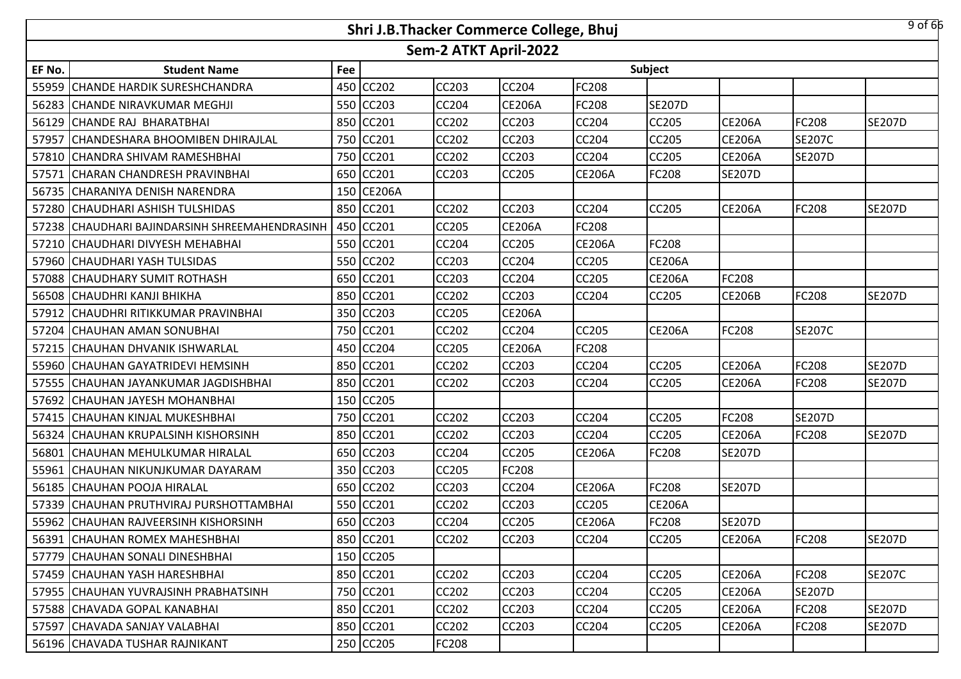|        |                                                |     | Shri J.B.Thacker Commerce College, Bhuj |                       |               |               |               |               |               | $9$ of 66     |
|--------|------------------------------------------------|-----|-----------------------------------------|-----------------------|---------------|---------------|---------------|---------------|---------------|---------------|
|        |                                                |     |                                         | Sem-2 ATKT April-2022 |               |               |               |               |               |               |
| EF No. | <b>Student Name</b>                            | Fee |                                         |                       |               |               | Subject       |               |               |               |
|        | 55959 CHANDE HARDIK SURESHCHANDRA              | 450 | <b>CC202</b>                            | <b>CC203</b>          | <b>CC204</b>  | FC208         |               |               |               |               |
|        | 56283 CHANDE NIRAVKUMAR MEGHJI                 |     | 550 CC203                               | <b>CC204</b>          | <b>CE206A</b> | FC208         | <b>SE207D</b> |               |               |               |
|        | 56129 CHANDE RAJ BHARATBHAI                    |     | 850 CC201                               | <b>CC202</b>          | <b>CC203</b>  | CC204         | CC205         | <b>CE206A</b> | FC208         | <b>SE207D</b> |
|        | 57957 CHANDESHARA BHOOMIBEN DHIRAJLAL          |     | 750 CC201                               | <b>CC202</b>          | <b>CC203</b>  | <b>CC204</b>  | CC205         | <b>CE206A</b> | <b>SE207C</b> |               |
|        | 57810 CHANDRA SHIVAM RAMESHBHAI                |     | 750 CC201                               | <b>CC202</b>          | <b>CC203</b>  | CC204         | CC205         | <b>CE206A</b> | <b>SE207D</b> |               |
|        | 57571 CHARAN CHANDRESH PRAVINBHAI              |     | 650 CC201                               | CC203                 | <b>CC205</b>  | <b>CE206A</b> | <b>FC208</b>  | <b>SE207D</b> |               |               |
|        | 56735 CHARANIYA DENISH NARENDRA                |     | 150 CE206A                              |                       |               |               |               |               |               |               |
|        | 57280 CHAUDHARI ASHISH TULSHIDAS               | 850 | CC201                                   | <b>CC202</b>          | <b>CC203</b>  | <b>CC204</b>  | <b>CC205</b>  | <b>CE206A</b> | <b>FC208</b>  | <b>SE207D</b> |
|        | 57238 CHAUDHARI BAJINDARSINH SHREEMAHENDRASINH | 450 | CC201                                   | <b>CC205</b>          | <b>CE206A</b> | FC208         |               |               |               |               |
|        | 57210 CHAUDHARI DIVYESH MEHABHAI               | 550 | CC201                                   | CC204                 | <b>CC205</b>  | <b>CE206A</b> | FC208         |               |               |               |
|        | 57960 CHAUDHARI YASH TULSIDAS                  | 550 | CC202                                   | <b>CC203</b>          | <b>CC204</b>  | <b>CC205</b>  | <b>CE206A</b> |               |               |               |
|        | 57088 CHAUDHARY SUMIT ROTHASH                  | 650 | CC201                                   | CC203                 | <b>CC204</b>  | CC205         | <b>CE206A</b> | FC208         |               |               |
|        | 56508 CHAUDHRI KANJI BHIKHA                    |     | 850 CC201                               | <b>CC202</b>          | <b>CC203</b>  | <b>CC204</b>  | CC205         | <b>CE206B</b> | <b>FC208</b>  | <b>SE207D</b> |
|        | 57912 CHAUDHRI RITIKKUMAR PRAVINBHAI           |     | 350 CC203                               | <b>CC205</b>          | <b>CE206A</b> |               |               |               |               |               |
|        | 57204 CHAUHAN AMAN SONUBHAI                    |     | 750 CC201                               | <b>CC202</b>          | <b>CC204</b>  | <b>CC205</b>  | <b>CE206A</b> | FC208         | <b>SE207C</b> |               |
|        | 57215 CHAUHAN DHVANIK ISHWARLAL                |     | 450 CC204                               | <b>CC205</b>          | <b>CE206A</b> | FC208         |               |               |               |               |
|        | 55960 CHAUHAN GAYATRIDEVI HEMSINH              |     | 850 CC201                               | <b>CC202</b>          | <b>CC203</b>  | <b>CC204</b>  | <b>CC205</b>  | <b>CE206A</b> | <b>FC208</b>  | <b>SE207D</b> |
|        | 57555 CHAUHAN JAYANKUMAR JAGDISHBHAI           | 850 | CC201                                   | <b>CC202</b>          | <b>CC203</b>  | CC204         | CC205         | <b>CE206A</b> | FC208         | <b>SE207D</b> |
|        | 57692 CHAUHAN JAYESH MOHANBHAI                 | 150 | CC205                                   |                       |               |               |               |               |               |               |
|        | 57415 CHAUHAN KINJAL MUKESHBHAI                | 750 | CC201                                   | <b>CC202</b>          | <b>CC203</b>  | <b>CC204</b>  | CC205         | FC208         | <b>SE207D</b> |               |
|        | 56324 CHAUHAN KRUPALSINH KISHORSINH            | 850 | CC201                                   | CC202                 | <b>CC203</b>  | <b>CC204</b>  | CC205         | <b>CE206A</b> | <b>FC208</b>  | <b>SE207D</b> |
|        | 56801 CHAUHAN MEHULKUMAR HIRALAL               | 650 | <b>CC203</b>                            | <b>CC204</b>          | <b>CC205</b>  | <b>CE206A</b> | FC208         | <b>SE207D</b> |               |               |
| 55961  | <b>CHAUHAN NIKUNJKUMAR DAYARAM</b>             | 350 | CC203                                   | CC205                 | <b>FC208</b>  |               |               |               |               |               |
|        | 56185 CHAUHAN POOJA HIRALAL                    | 650 | <b>CC202</b>                            | <b>CC203</b>          | <b>CC204</b>  | <b>CE206A</b> | FC208         | <b>SE207D</b> |               |               |
|        | 57339 CHAUHAN PRUTHVIRAJ PURSHOTTAMBHAI        | 550 | CC201                                   | <b>CC202</b>          | <b>CC203</b>  | CC205         | <b>CE206A</b> |               |               |               |
|        | 55962 CHAUHAN RAJVEERSINH KISHORSINH           |     | 650 CC203                               | <b>CC204</b>          | <b>CC205</b>  | <b>CE206A</b> | FC208         | <b>SE207D</b> |               |               |
|        | 56391 CHAUHAN ROMEX MAHESHBHAI                 |     | 850 CC201                               | <b>CC202</b>          | <b>CC203</b>  | <b>CC204</b>  | CC205         | <b>CE206A</b> | <b>FC208</b>  | <b>SE207D</b> |
|        | 57779 CHAUHAN SONALI DINESHBHAI                |     | 150 CC205                               |                       |               |               |               |               |               |               |
|        | 57459 CHAUHAN YASH HARESHBHAI                  |     | 850 CC201                               | <b>CC202</b>          | <b>CC203</b>  | CC204         | <b>CC205</b>  | <b>CE206A</b> | <b>FC208</b>  | <b>SE207C</b> |
|        | 57955 CHAUHAN YUVRAJSINH PRABHATSINH           |     | 750 CC201                               | CC202                 | <b>CC203</b>  | <b>CC204</b>  | CC205         | <b>CE206A</b> | <b>SE207D</b> |               |
|        | 57588 CHAVADA GOPAL KANABHAI                   |     | 850 CC201                               | CC202                 | CC203         | CC204         | CC205         | <b>CE206A</b> | <b>FC208</b>  | <b>SE207D</b> |
|        | 57597 CHAVADA SANJAY VALABHAI                  |     | 850 CC201                               | CC202                 | CC203         | <b>CC204</b>  | CC205         | <b>CE206A</b> | <b>FC208</b>  | <b>SE207D</b> |
|        | 56196 CHAVADA TUSHAR RAJNIKANT                 |     | 250 CC205                               | <b>FC208</b>          |               |               |               |               |               |               |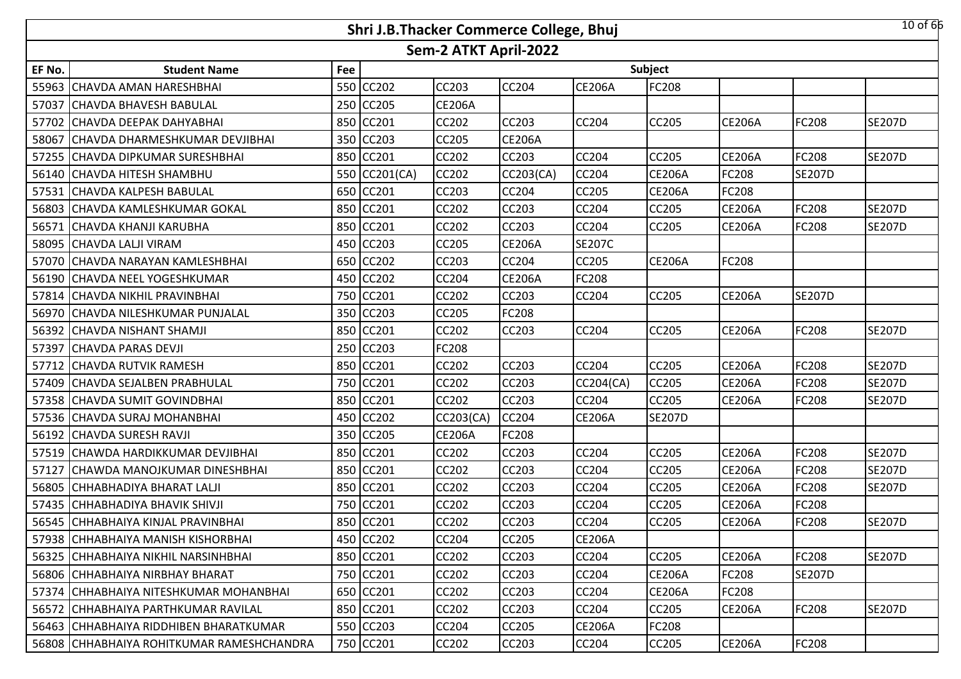|        |                                           |     | Shri J.B.Thacker Commerce College, Bhuj |                       |               |               |               |               |               | $10$ of $66$  |
|--------|-------------------------------------------|-----|-----------------------------------------|-----------------------|---------------|---------------|---------------|---------------|---------------|---------------|
|        |                                           |     |                                         | Sem-2 ATKT April-2022 |               |               |               |               |               |               |
| EF No. | <b>Student Name</b>                       | Fee |                                         |                       |               |               | Subject       |               |               |               |
|        | 55963 CHAVDA AMAN HARESHBHAI              | 550 | CC202                                   | <b>CC203</b>          | <b>CC204</b>  | <b>CE206A</b> | FC208         |               |               |               |
|        | 57037 CHAVDA BHAVESH BABULAL              | 250 | <b>CC205</b>                            | <b>CE206A</b>         |               |               |               |               |               |               |
|        | 57702 CHAVDA DEEPAK DAHYABHAI             |     | 850 CC201                               | <b>CC202</b>          | <b>CC203</b>  | <b>CC204</b>  | CC205         | <b>CE206A</b> | <b>FC208</b>  | <b>SE207D</b> |
|        | 58067 CHAVDA DHARMESHKUMAR DEVJIBHAI      |     | 350 CC203                               | <b>CC205</b>          | <b>CE206A</b> |               |               |               |               |               |
|        | 57255 CHAVDA DIPKUMAR SURESHBHAI          |     | 850 CC201                               | <b>CC202</b>          | <b>CC203</b>  | <b>CC204</b>  | CC205         | <b>CE206A</b> | <b>FC208</b>  | <b>SE207D</b> |
|        | 56140 CHAVDA HITESH SHAMBHU               |     | 550 CC201(CA)                           | <b>CC202</b>          | CC203(CA)     | <b>CC204</b>  | <b>CE206A</b> | FC208         | <b>SE207D</b> |               |
|        | 57531 CHAVDA KALPESH BABULAL              | 650 | CC201                                   | CC203                 | <b>CC204</b>  | <b>CC205</b>  | <b>CE206A</b> | FC208         |               |               |
|        | 56803 CHAVDA KAMLESHKUMAR GOKAL           | 850 | CC201                                   | CC202                 | <b>CC203</b>  | <b>CC204</b>  | CC205         | <b>CE206A</b> | <b>FC208</b>  | <b>SE207D</b> |
|        | 56571 CHAVDA KHANJI KARUBHA               |     | 850 CC201                               | <b>CC202</b>          | <b>CC203</b>  | <b>CC204</b>  | CC205         | <b>CE206A</b> | <b>FC208</b>  | <b>SE207D</b> |
|        | 58095 CHAVDA LALJI VIRAM                  | 450 | <b>CC203</b>                            | <b>CC205</b>          | <b>CE206A</b> | <b>SE207C</b> |               |               |               |               |
|        | 57070 CHAVDA NARAYAN KAMLESHBHAI          | 650 | <b>CC202</b>                            | CC203                 | <b>CC204</b>  | <b>CC205</b>  | <b>CE206A</b> | FC208         |               |               |
|        | 56190 CHAVDA NEEL YOGESHKUMAR             | 450 | CC202                                   | CC204                 | <b>CE206A</b> | <b>FC208</b>  |               |               |               |               |
|        | 57814 CHAVDA NIKHIL PRAVINBHAI            | 750 | CC201                                   | <b>CC202</b>          | <b>CC203</b>  | <b>CC204</b>  | <b>CC205</b>  | <b>CE206A</b> | <b>SE207D</b> |               |
|        | 56970 CHAVDA NILESHKUMAR PUNJALAL         | 350 | CC203                                   | CC205                 | <b>FC208</b>  |               |               |               |               |               |
|        | 56392 CHAVDA NISHANT SHAMJI               |     | 850 CC201                               | <b>CC202</b>          | <b>CC203</b>  | <b>CC204</b>  | CC205         | <b>CE206A</b> | <b>FC208</b>  | <b>SE207D</b> |
|        | 57397 CHAVDA PARAS DEVJI                  |     | 250 CC203                               | FC208                 |               |               |               |               |               |               |
|        | 57712 CHAVDA RUTVIK RAMESH                |     | 850 CC201                               | <b>CC202</b>          | <b>CC203</b>  | <b>CC204</b>  | CC205         | <b>CE206A</b> | <b>FC208</b>  | <b>SE207D</b> |
|        | 57409 CHAVDA SEJALBEN PRABHULAL           |     | 750 CC201                               | <b>CC202</b>          | <b>CC203</b>  | CC204(CA)     | CC205         | <b>CE206A</b> | FC208         | <b>SE207D</b> |
|        | 57358 CHAVDA SUMIT GOVINDBHAI             |     | 850 CC201                               | <b>CC202</b>          | <b>CC203</b>  | <b>CC204</b>  | CC205         | <b>CE206A</b> | <b>FC208</b>  | <b>SE207D</b> |
|        | 57536 CHAVDA SURAJ MOHANBHAI              |     | 450 CC202                               | CC203(CA)             | <b>CC204</b>  | <b>CE206A</b> | <b>SE207D</b> |               |               |               |
|        | 56192 CHAVDA SURESH RAVJI                 | 350 | <b>CC205</b>                            | <b>CE206A</b>         | <b>FC208</b>  |               |               |               |               |               |
|        | 57519 CHAWDA HARDIKKUMAR DEVJIBHAI        | 850 | <b>CC201</b>                            | <b>CC202</b>          | <b>CC203</b>  | <b>CC204</b>  | CC205         | <b>CE206A</b> | <b>FC208</b>  | <b>SE207D</b> |
| 57127  | CHAWDA MANOJKUMAR DINESHBHAI              | 850 | CC201                                   | CC202                 | <b>CC203</b>  | <b>CC204</b>  | CC205         | <b>CE206A</b> | <b>FC208</b>  | <b>SE207D</b> |
|        | 56805 CHHABHADIYA BHARAT LALJI            | 850 | CC201                                   | <b>CC202</b>          | <b>CC203</b>  | <b>CC204</b>  | CC205         | <b>CE206A</b> | <b>FC208</b>  | <b>SE207D</b> |
|        | 57435 CHHABHADIYA BHAVIK SHIVJI           | 750 | CC201                                   | CC202                 | <b>CC203</b>  | CC204         | CC205         | <b>CE206A</b> | FC208         |               |
|        | 56545 CHHABHAIYA KINJAL PRAVINBHAI        |     | 850 CC201                               | <b>CC202</b>          | <b>CC203</b>  | CC204         | CC205         | <b>CE206A</b> | <b>FC208</b>  | <b>SE207D</b> |
|        | 57938 CHHABHAIYA MANISH KISHORBHAI        |     | 450 CC202                               | CC204                 | <b>CC205</b>  | <b>CE206A</b> |               |               |               |               |
|        | 56325 CHHABHAIYA NIKHIL NARSINHBHAI       |     | 850 CC201                               | CC202                 | <b>CC203</b>  | <b>CC204</b>  | <b>CC205</b>  | <b>CE206A</b> | <b>FC208</b>  | <b>SE207D</b> |
|        | 56806 CHHABHAIYA NIRBHAY BHARAT           |     | 750 CC201                               | <b>CC202</b>          | <b>CC203</b>  | CC204         | <b>CE206A</b> | FC208         | <b>SE207D</b> |               |
|        | 57374 CHHABHAIYA NITESHKUMAR MOHANBHAI    |     | 650 CC201                               | CC202                 | <b>CC203</b>  | <b>CC204</b>  | <b>CE206A</b> | FC208         |               |               |
|        | 56572 CHHABHAIYA PARTHKUMAR RAVILAL       |     | 850 CC201                               | CC202                 | CC203         | CC204         | CC205         | <b>CE206A</b> | <b>FC208</b>  | <b>SE207D</b> |
|        | 56463 CHHABHAIYA RIDDHIBEN BHARATKUMAR    |     | 550 CC203                               | CC204                 | <b>CC205</b>  | <b>CE206A</b> | FC208         |               |               |               |
|        | 56808 CHHABHAIYA ROHITKUMAR RAMESHCHANDRA |     | 750 CC201                               | CC202                 | <b>CC203</b>  | CC204         | CC205         | <b>CE206A</b> | <b>FC208</b>  |               |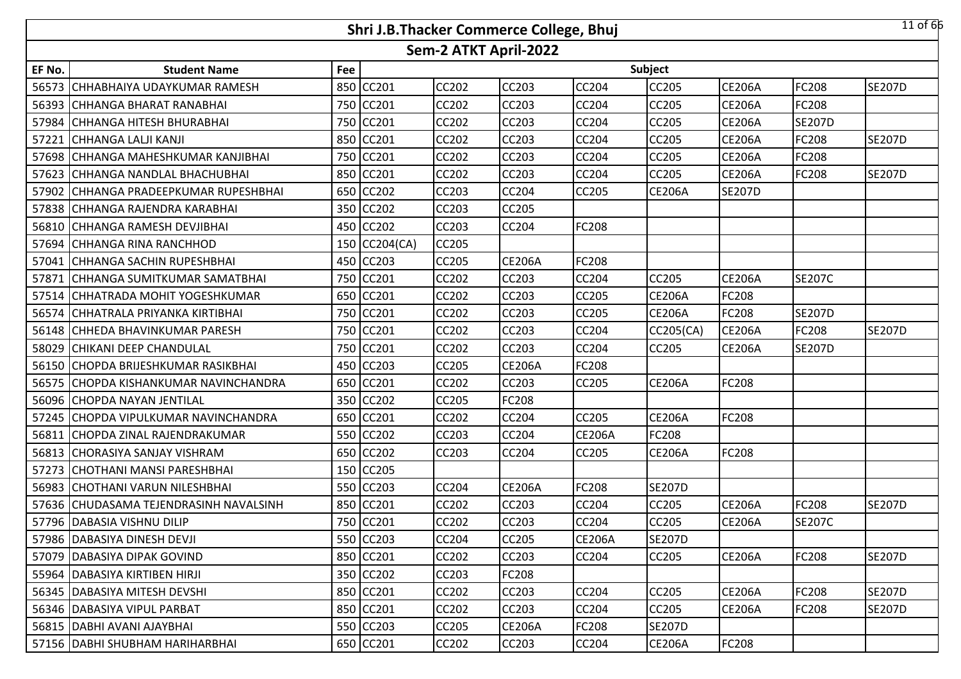|        |                                        |     | Shri J.B.Thacker Commerce College, Bhuj |                       |               |               |               |               |               | $11$ of $66$  |
|--------|----------------------------------------|-----|-----------------------------------------|-----------------------|---------------|---------------|---------------|---------------|---------------|---------------|
|        |                                        |     |                                         | Sem-2 ATKT April-2022 |               |               |               |               |               |               |
| EF No. | <b>Student Name</b>                    | Fee |                                         |                       |               |               | Subject       |               |               |               |
|        | 56573 CHHABHAIYA UDAYKUMAR RAMESH      | 850 | CC201                                   | <b>CC202</b>          | <b>CC203</b>  | <b>CC204</b>  | CC205         | <b>CE206A</b> | <b>FC208</b>  | <b>SE207D</b> |
|        | 56393 CHHANGA BHARAT RANABHAI          | 750 | <b>CC201</b>                            | <b>CC202</b>          | <b>CC203</b>  | CC204         | CC205         | CE206A        | <b>FC208</b>  |               |
|        | 57984 CHHANGA HITESH BHURABHAI         |     | 750 CC201                               | <b>CC202</b>          | <b>CC203</b>  | CC204         | CC205         | <b>CE206A</b> | <b>SE207D</b> |               |
|        | 57221 CHHANGA LALJI KANJI              |     | 850 CC201                               | <b>CC202</b>          | <b>CC203</b>  | <b>CC204</b>  | CC205         | <b>CE206A</b> | <b>FC208</b>  | <b>SE207D</b> |
|        | 57698 CHHANGA MAHESHKUMAR KANJIBHAI    |     | 750 CC201                               | <b>CC202</b>          | <b>CC203</b>  | CC204         | CC205         | <b>CE206A</b> | FC208         |               |
|        | 57623 CHHANGA NANDLAL BHACHUBHAI       |     | 850 CC201                               | <b>CC202</b>          | <b>CC203</b>  | <b>CC204</b>  | CC205         | <b>CE206A</b> | <b>FC208</b>  | <b>SE207D</b> |
|        | 57902 CHHANGA PRADEEPKUMAR RUPESHBHAI  | 650 | <b>CC202</b>                            | CC203                 | <b>CC204</b>  | <b>CC205</b>  | <b>CE206A</b> | <b>SE207D</b> |               |               |
|        | 57838 CHHANGA RAJENDRA KARABHAI        | 350 | <b>CC202</b>                            | CC203                 | <b>CC205</b>  |               |               |               |               |               |
|        | 56810 CHHANGA RAMESH DEVJIBHAI         |     | 450 CC202                               | <b>CC203</b>          | <b>CC204</b>  | <b>FC208</b>  |               |               |               |               |
|        | 57694 CHHANGA RINA RANCHHOD            |     | 150 CC204(CA)                           | <b>CC205</b>          |               |               |               |               |               |               |
|        | 57041 CHHANGA SACHIN RUPESHBHAI        |     | 450 CC203                               | <b>CC205</b>          | <b>CE206A</b> | <b>FC208</b>  |               |               |               |               |
|        | 57871 CHHANGA SUMITKUMAR SAMATBHAI     | 750 | CC201                                   | CC202                 | <b>CC203</b>  | CC204         | CC205         | <b>CE206A</b> | <b>SE207C</b> |               |
|        | 57514 CHHATRADA MOHIT YOGESHKUMAR      | 650 | <b>CC201</b>                            | <b>CC202</b>          | <b>CC203</b>  | CC205         | <b>CE206A</b> | FC208         |               |               |
|        | 56574 CHHATRALA PRIYANKA KIRTIBHAI     | 750 | CC201                                   | CC202                 | <b>CC203</b>  | CC205         | <b>CE206A</b> | FC208         | <b>SE207D</b> |               |
|        | 56148 CHHEDA BHAVINKUMAR PARESH        |     | 750 CC201                               | <b>CC202</b>          | <b>CC203</b>  | CC204         | CC205(CA)     | <b>CE206A</b> | <b>FC208</b>  | <b>SE207D</b> |
|        | 58029 CHIKANI DEEP CHANDULAL           |     | 750 CC201                               | <b>CC202</b>          | <b>CC203</b>  | CC204         | CC205         | <b>CE206A</b> | <b>SE207D</b> |               |
|        | 56150 CHOPDA BRIJESHKUMAR RASIKBHAI    |     | 450 CC203                               | <b>CC205</b>          | <b>CE206A</b> | FC208         |               |               |               |               |
|        | 56575 ICHOPDA KISHANKUMAR NAVINCHANDRA |     | 650 CC201                               | <b>CC202</b>          | <b>CC203</b>  | <b>CC205</b>  | <b>CE206A</b> | FC208         |               |               |
|        | 56096 CHOPDA NAYAN JENTILAL            |     | 350 CC202                               | <b>CC205</b>          | <b>FC208</b>  |               |               |               |               |               |
|        | 57245 CHOPDA VIPULKUMAR NAVINCHANDRA   | 650 | CC201                                   | <b>CC202</b>          | <b>CC204</b>  | <b>CC205</b>  | <b>CE206A</b> | FC208         |               |               |
|        | 56811 CHOPDA ZINAL RAJENDRAKUMAR       | 550 | CC202                                   | CC203                 | <b>CC204</b>  | <b>CE206A</b> | FC208         |               |               |               |
|        | 56813 CHORASIYA SANJAY VISHRAM         | 650 | <b>CC202</b>                            | <b>CC203</b>          | <b>CC204</b>  | <b>CC205</b>  | <b>CE206A</b> | FC208         |               |               |
|        | 57273 CHOTHANI MANSI PARESHBHAI        | 150 | CC205                                   |                       |               |               |               |               |               |               |
|        | 56983 CHOTHANI VARUN NILESHBHAI        | 550 | <b>CC203</b>                            | <b>CC204</b>          | <b>CE206A</b> | <b>FC208</b>  | <b>SE207D</b> |               |               |               |
|        | 57636 CHUDASAMA TEJENDRASINH NAVALSINH | 850 | CC201                                   | CC202                 | <b>CC203</b>  | CC204         | CC205         | <b>CE206A</b> | FC208         | <b>SE207D</b> |
|        | 57796 DABASIA VISHNU DILIP             |     | 750 CC201                               | <b>CC202</b>          | <b>CC203</b>  | CC204         | CC205         | <b>CE206A</b> | <b>SE207C</b> |               |
|        | 57986 DABASIYA DINESH DEVJI            |     | 550 CC203                               | CC204                 | <b>CC205</b>  | <b>CE206A</b> | <b>SE207D</b> |               |               |               |
|        | 57079 DABASIYA DIPAK GOVIND            |     | 850 CC201                               | CC202                 | <b>CC203</b>  | <b>CC204</b>  | <b>CC205</b>  | <b>CE206A</b> | <b>FC208</b>  | <b>SE207D</b> |
|        | 55964 DABASIYA KIRTIBEN HIRJI          |     | 350 CC202                               | CC203                 | <b>FC208</b>  |               |               |               |               |               |
|        | 56345   DABASIYA MITESH DEVSHI         |     | 850 CC201                               | CC202                 | <b>CC203</b>  | <b>CC204</b>  | CC205         | <b>CE206A</b> | <b>FC208</b>  | <b>SE207D</b> |
|        | 56346   DABASIYA VIPUL PARBAT          |     | 850 CC201                               | CC202                 | <b>CC203</b>  | CC204         | CC205         | <b>CE206A</b> | <b>FC208</b>  | <b>SE207D</b> |
|        | 56815 DABHI AVANI AJAYBHAI             |     | 550 CC203                               | CC205                 | <b>CE206A</b> | <b>FC208</b>  | <b>SE207D</b> |               |               |               |
|        | 57156   DABHI SHUBHAM HARIHARBHAI      |     | 650 CC201                               | CC202                 | CC203         | <b>CC204</b>  | <b>CE206A</b> | FC208         |               |               |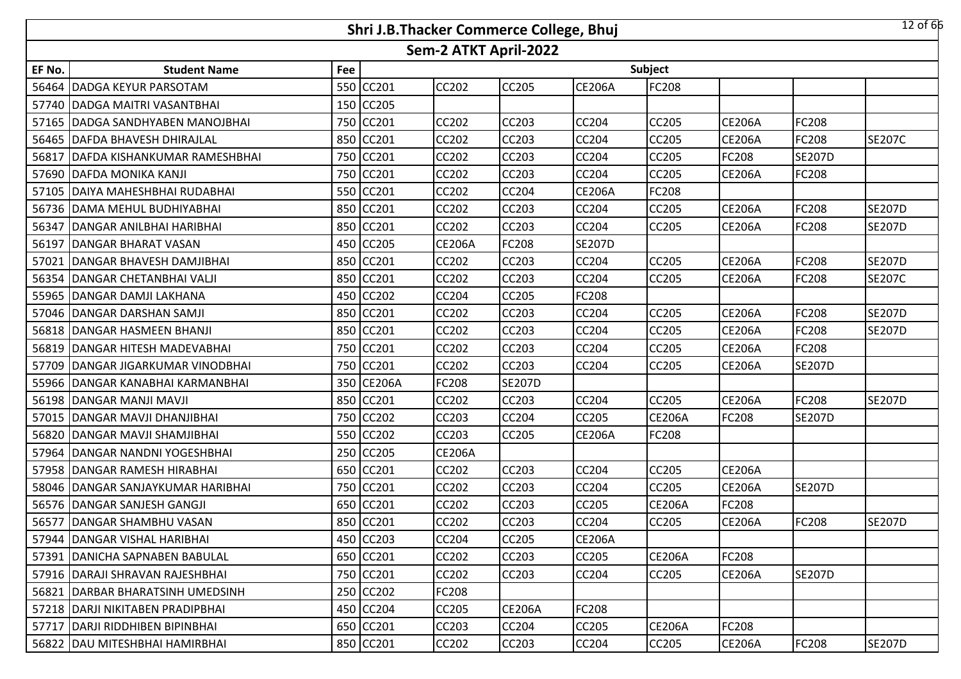|        |                                      |     | Shri J.B.Thacker Commerce College, Bhuj |                       |               |               |               |               |               | $12$ of 66    |
|--------|--------------------------------------|-----|-----------------------------------------|-----------------------|---------------|---------------|---------------|---------------|---------------|---------------|
|        |                                      |     |                                         | Sem-2 ATKT April-2022 |               |               |               |               |               |               |
| EF No. | <b>Student Name</b>                  | Fee |                                         |                       |               |               | Subject       |               |               |               |
|        | 56464 DADGA KEYUR PARSOTAM           | 550 | CC201                                   | <b>CC202</b>          | <b>CC205</b>  | <b>CE206A</b> | FC208         |               |               |               |
|        | 57740 DADGA MAITRI VASANTBHAI        | 150 | <b>CC205</b>                            |                       |               |               |               |               |               |               |
|        | 57165   DADGA SANDHYABEN MANOJBHAI   |     | 750 CC201                               | <b>CC202</b>          | <b>CC203</b>  | CC204         | CC205         | <b>CE206A</b> | FC208         |               |
|        | 56465   DAFDA BHAVESH DHIRAJLAL      |     | 850 CC201                               | <b>CC202</b>          | <b>CC203</b>  | <b>CC204</b>  | CC205         | <b>CE206A</b> | <b>FC208</b>  | <b>SE207C</b> |
| 56817  | <b>IDAFDA KISHANKUMAR RAMESHBHAI</b> |     | 750 CC201                               | <b>CC202</b>          | <b>CC203</b>  | CC204         | CC205         | FC208         | <b>SE207D</b> |               |
|        | 57690 DAFDA MONIKA KANJI             |     | 750 CC201                               | <b>CC202</b>          | <b>CC203</b>  | <b>CC204</b>  | CC205         | <b>CE206A</b> | <b>FC208</b>  |               |
|        | 57105   DAIYA MAHESHBHAI RUDABHAI    |     | 550 CC201                               | <b>CC202</b>          | <b>CC204</b>  | <b>CE206A</b> | FC208         |               |               |               |
|        | 56736 DAMA MEHUL BUDHIYABHAI         | 850 | CC201                                   | CC202                 | <b>CC203</b>  | <b>CC204</b>  | CC205         | <b>CE206A</b> | <b>FC208</b>  | <b>SE207D</b> |
|        | 56347 DANGAR ANILBHAI HARIBHAI       |     | 850 CC201                               | <b>CC202</b>          | <b>CC203</b>  | <b>CC204</b>  | CC205         | <b>CE206A</b> | <b>FC208</b>  | <b>SE207D</b> |
|        | 56197 DANGAR BHARAT VASAN            | 450 | <b>CC205</b>                            | <b>CE206A</b>         | <b>FC208</b>  | <b>SE207D</b> |               |               |               |               |
| 57021  | DANGAR BHAVESH DAMJIBHAI             | 850 | CC201                                   | CC202                 | <b>CC203</b>  | CC204         | <b>CC205</b>  | <b>CE206A</b> | <b>FC208</b>  | <b>SE207D</b> |
|        | 56354 DANGAR CHETANBHAI VALJI        | 850 | CC201                                   | CC202                 | <b>CC203</b>  | CC204         | CC205         | <b>CE206A</b> | FC208         | <b>SE207C</b> |
|        | 55965 DANGAR DAMJI LAKHANA           | 450 | <b>CC202</b>                            | <b>CC204</b>          | <b>CC205</b>  | FC208         |               |               |               |               |
|        | 57046 DANGAR DARSHAN SAMJI           | 850 | CC201                                   | CC202                 | <b>CC203</b>  | CC204         | CC205         | <b>CE206A</b> | FC208         | <b>SE207D</b> |
|        | 56818 DANGAR HASMEEN BHANJI          |     | 850 CC201                               | <b>CC202</b>          | <b>CC203</b>  | CC204         | CC205         | <b>CE206A</b> | <b>FC208</b>  | <b>SE207D</b> |
|        | 56819 DANGAR HITESH MADEVABHAI       |     | 750 CC201                               | <b>CC202</b>          | <b>CC203</b>  | CC204         | CC205         | <b>CE206A</b> | FC208         |               |
|        | 57709 DANGAR JIGARKUMAR VINODBHAI    |     | 750 CC201                               | <b>CC202</b>          | <b>CC203</b>  | <b>CC204</b>  | CC205         | <b>CE206A</b> | <b>SE207D</b> |               |
|        | 55966 DANGAR KANABHAI KARMANBHAI     |     | 350 CE206A                              | FC208                 | <b>SE207D</b> |               |               |               |               |               |
|        | 56198   DANGAR MANJI MAVJI           |     | 850 CC201                               | CC202                 | <b>CC203</b>  | <b>CC204</b>  | <b>CC205</b>  | <b>CE206A</b> | <b>FC208</b>  | <b>SE207D</b> |
|        | 57015 DANGAR MAVJI DHANJIBHAI        |     | 750 CC202                               | <b>CC203</b>          | <b>CC204</b>  | <b>CC205</b>  | <b>CE206A</b> | FC208         | <b>SE207D</b> |               |
|        | 56820 DANGAR MAVJI SHAMJIBHAI        | 550 | CC202                                   | CC203                 | <b>CC205</b>  | <b>CE206A</b> | <b>FC208</b>  |               |               |               |
|        | 57964 DANGAR NANDNI YOGESHBHAI       | 250 | <b>CC205</b>                            | <b>CE206A</b>         |               |               |               |               |               |               |
|        | 57958 DANGAR RAMESH HIRABHAI         | 650 | CC201                                   | CC202                 | <b>CC203</b>  | <b>CC204</b>  | CC205         | <b>CE206A</b> |               |               |
|        | 58046   DANGAR SANJAYKUMAR HARIBHAI  | 750 | CC201                                   | <b>CC202</b>          | <b>CC203</b>  | <b>CC204</b>  | CC205         | <b>CE206A</b> | <b>SE207D</b> |               |
|        | 56576   DANGAR SANJESH GANGJI        | 650 | CC201                                   | CC202                 | <b>CC203</b>  | CC205         | <b>CE206A</b> | FC208         |               |               |
|        | 56577 DANGAR SHAMBHU VASAN           |     | 850 CC201                               | <b>CC202</b>          | <b>CC203</b>  | CC204         | CC205         | <b>CE206A</b> | <b>FC208</b>  | <b>SE207D</b> |
|        | 57944 DANGAR VISHAL HARIBHAI         |     | 450 CC203                               | CC204                 | <b>CC205</b>  | <b>CE206A</b> |               |               |               |               |
|        | 57391 DANICHA SAPNABEN BABULAL       |     | 650 CC201                               | CC202                 | <b>CC203</b>  | <b>CC205</b>  | <b>CE206A</b> | FC208         |               |               |
|        | 57916   DARAJI SHRAVAN RAJESHBHAI    |     | 750 CC201                               | <b>CC202</b>          | <b>CC203</b>  | CC204         | CC205         | <b>CE206A</b> | <b>SE207D</b> |               |
|        | 56821 DARBAR BHARATSINH UMEDSINH     |     | 250 CC202                               | FC208                 |               |               |               |               |               |               |
|        | 57218 DARJI NIKITABEN PRADIPBHAI     |     | 450 CC204                               | <b>CC205</b>          | <b>CE206A</b> | FC208         |               |               |               |               |
|        | 57717 DARJI RIDDHIBEN BIPINBHAI      |     | 650 CC201                               | CC203                 | <b>CC204</b>  | <b>CC205</b>  | <b>CE206A</b> | FC208         |               |               |
|        | 56822   DAU MITESHBHAI HAMIRBHAI     |     | 850 CC201                               | CC202                 | <b>CC203</b>  | <b>CC204</b>  | CC205         | <b>CE206A</b> | <b>FC208</b>  | <b>SE207D</b> |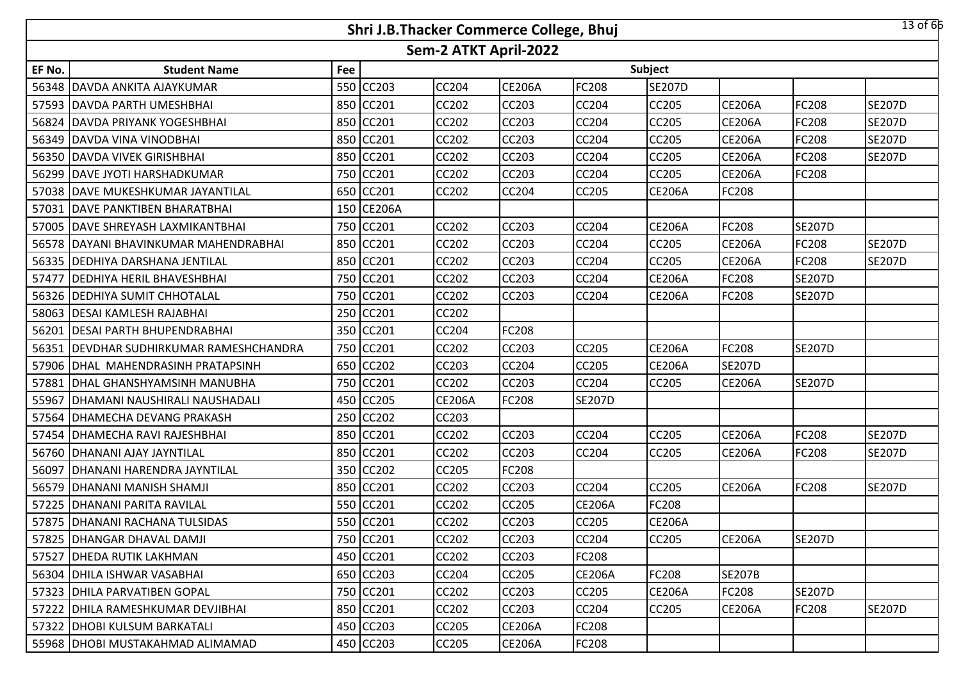|        |                                          |     | Shri J.B.Thacker Commerce College, Bhuj |                       |               |               |               |               |               | $13$ of 66    |
|--------|------------------------------------------|-----|-----------------------------------------|-----------------------|---------------|---------------|---------------|---------------|---------------|---------------|
|        |                                          |     |                                         | Sem-2 ATKT April-2022 |               |               |               |               |               |               |
| EF No. | <b>Student Name</b>                      | Fee |                                         |                       |               |               | Subject       |               |               |               |
|        | 56348 DAVDA ANKITA AJAYKUMAR             |     | 550 CC203                               | <b>CC204</b>          | <b>CE206A</b> | <b>FC208</b>  | <b>SE207D</b> |               |               |               |
|        | 57593 DAVDA PARTH UMESHBHAI              |     | 850 CC201                               | <b>CC202</b>          | <b>CC203</b>  | <b>CC204</b>  | <b>CC205</b>  | <b>CE206A</b> | FC208         | <b>SE207D</b> |
|        | 56824 DAVDA PRIYANK YOGESHBHAI           |     | 850 CC201                               | CC202                 | CC203         | CC204         | CC205         | <b>CE206A</b> | FC208         | <b>SE207D</b> |
|        | 56349 DAVDA VINA VINODBHAI               |     | 850 CC201                               | <b>CC202</b>          | <b>CC203</b>  | <b>CC204</b>  | CC205         | <b>CE206A</b> | FC208         | <b>SE207D</b> |
|        | 56350 DAVDA VIVEK GIRISHBHAI             |     | 850 CC201                               | CC202                 | CC203         | CC204         | CC205         | <b>CE206A</b> | FC208         | <b>SE207D</b> |
|        | 56299   DAVE JYOTI HARSHADKUMAR          |     | 750 CC201                               | <b>CC202</b>          | <b>CC203</b>  | CC204         | CC205         | <b>CE206A</b> | <b>FC208</b>  |               |
| 57038  | DAVE MUKESHKUMAR JAYANTILAL              |     | 650 CC201                               | <b>CC202</b>          | CC204         | CC205         | <b>CE206A</b> | FC208         |               |               |
|        | 57031 DAVE PANKTIBEN BHARATBHAI          |     | 150 CE206A                              |                       |               |               |               |               |               |               |
| 57005  | DAVE SHREYASH LAXMIKANTBHAI              |     | 750 CC201                               | CC202                 | <b>CC203</b>  | CC204         | <b>CE206A</b> | FC208         | <b>SE207D</b> |               |
| 56578  | IDAYANI BHAVINKUMAR MAHENDRABHAI         |     | 850 CC201                               | CC202                 | CC203         | CC204         | CC205         | <b>CE206A</b> | FC208         | <b>SE207D</b> |
|        | 56335   DEDHIYA DARSHANA JENTILAL        |     | 850 CC201                               | CC202                 | CC203         | CC204         | CC205         | <b>CE206A</b> | <b>FC208</b>  | <b>SE207D</b> |
| 57477  | <b>DEDHIYA HERIL BHAVESHBHAI</b>         |     | 750 CC201                               | CC202                 | CC203         | CC204         | <b>CE206A</b> | FC208         | <b>SE207D</b> |               |
|        | 56326   DEDHIYA SUMIT CHHOTALAL          |     | 750 CC201                               | CC202                 | <b>CC203</b>  | CC204         | <b>CE206A</b> | FC208         | <b>SE207D</b> |               |
| 58063  | <b>DESAI KAMLESH RAJABHAI</b>            |     | 250 CC201                               | CC202                 |               |               |               |               |               |               |
|        | 56201   DESAI PARTH BHUPENDRABHAI        |     | 350 CC201                               | <b>CC204</b>          | <b>FC208</b>  |               |               |               |               |               |
| 56351  | <b>DEVDHAR SUDHIRKUMAR RAMESHCHANDRA</b> |     | 750 CC201                               | CC202                 | CC203         | CC205         | <b>CE206A</b> | FC208         | <b>SE207D</b> |               |
|        | 57906   DHAL MAHENDRASINH PRATAPSINH     |     | 650 CC202                               | <b>CC203</b>          | <b>CC204</b>  | <b>CC205</b>  | <b>CE206A</b> | <b>SE207D</b> |               |               |
| 57881  | <b>IDHAL GHANSHYAMSINH MANUBHA</b>       |     | 750 CC201                               | CC202                 | <b>CC203</b>  | CC204         | CC205         | <b>CE206A</b> | <b>SE207D</b> |               |
| 55967  | DHAMANI NAUSHIRALI NAUSHADALI            |     | 450 CC205                               | <b>CE206A</b>         | <b>FC208</b>  | <b>SE207D</b> |               |               |               |               |
|        | 57564   DHAMECHA DEVANG PRAKASH          |     | 250 CC202                               | CC203                 |               |               |               |               |               |               |
|        | 57454   DHAMECHA RAVI RAJESHBHAI         |     | 850 CC201                               | CC202                 | <b>CC203</b>  | CC204         | <b>CC205</b>  | <b>CE206A</b> | <b>FC208</b>  | <b>SE207D</b> |
|        | 56760   DHANANI AJAY JAYNTILAL           |     | 850 CC201                               | CC202                 | CC203         | CC204         | <b>CC205</b>  | <b>CE206A</b> | FC208         | <b>SE207D</b> |
| 56097  | DHANANI HARENDRA JAYNTILAL               |     | 350 CC202                               | CC205                 | <b>FC208</b>  |               |               |               |               |               |
|        | 56579   DHANANI MANISH SHAMJI            |     | 850 CC201                               | CC202                 | CC203         | CC204         | CC205         | <b>CE206A</b> | FC208         | <b>SE207D</b> |
| 57225  | <b>IDHANANI PARITA RAVILAL</b>           |     | 550 CC201                               | CC202                 | CC205         | <b>CE206A</b> | FC208         |               |               |               |
|        | 57875   DHANANI RACHANA TULSIDAS         |     | 550 CC201                               | <b>CC202</b>          | CC203         | CC205         | <b>CE206A</b> |               |               |               |
|        | 57825   DHANGAR DHAVAL DAMJI             |     | 750 CC201                               | <b>CC202</b>          | <b>CC203</b>  | CC204         | <b>CC205</b>  | <b>CE206A</b> | <b>SE207D</b> |               |
|        | 57527   DHEDA RUTIK LAKHMAN              |     | 450 CC201                               | <b>CC202</b>          | <b>CC203</b>  | FC208         |               |               |               |               |
|        | 56304   DHILA ISHWAR VASABHAI            |     | 650 CC203                               | <b>CC204</b>          | <b>CC205</b>  | <b>CE206A</b> | FC208         | <b>SE207B</b> |               |               |
|        | 57323   DHILA PARVATIBEN GOPAL           |     | 750 CC201                               | CC202                 | <b>CC203</b>  | <b>CC205</b>  | <b>CE206A</b> | <b>FC208</b>  | <b>SE207D</b> |               |
|        | 57222   DHILA RAMESHKUMAR DEVJIBHAI      |     | 850 CC201                               | <b>CC202</b>          | CC203         | CC204         | CC205         | <b>CE206A</b> | <b>FC208</b>  | <b>SE207D</b> |
|        | 57322   DHOBI KULSUM BARKATALI           |     | 450 CC203                               | <b>CC205</b>          | <b>CE206A</b> | <b>FC208</b>  |               |               |               |               |
|        | 55968   DHOBI MUSTAKAHMAD ALIMAMAD       |     | 450 CC203                               | CC205                 | <b>CE206A</b> | <b>FC208</b>  |               |               |               |               |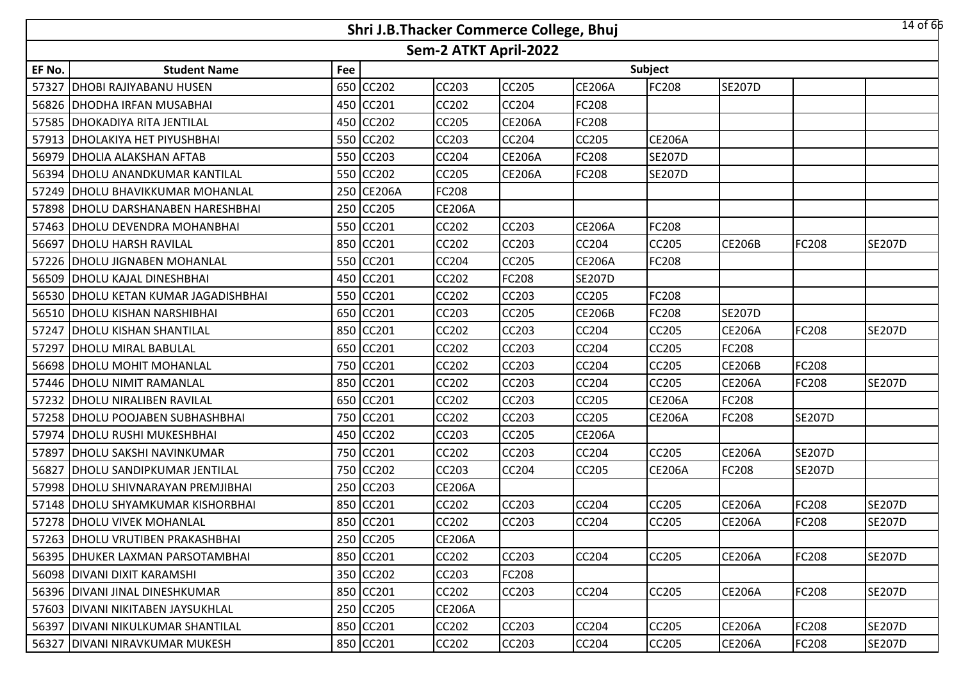|        |                                      |     | Shri J.B.Thacker Commerce College, Bhuj |                       |               |               |               |               |               | 14 of 66      |
|--------|--------------------------------------|-----|-----------------------------------------|-----------------------|---------------|---------------|---------------|---------------|---------------|---------------|
|        |                                      |     |                                         | Sem-2 ATKT April-2022 |               |               |               |               |               |               |
| EF No. | <b>Student Name</b>                  | Fee |                                         |                       |               |               | Subject       |               |               |               |
| 57327  | <b>DHOBI RAJIYABANU HUSEN</b>        | 650 | CC202                                   | <b>CC203</b>          | <b>CC205</b>  | <b>CE206A</b> | FC208         | <b>SE207D</b> |               |               |
|        | 56826 DHODHA IRFAN MUSABHAI          |     | 450 CC201                               | <b>CC202</b>          | <b>CC204</b>  | FC208         |               |               |               |               |
|        | 57585 DHOKADIYA RITA JENTILAL        |     | 450 CC202                               | <b>CC205</b>          | <b>CE206A</b> | FC208         |               |               |               |               |
|        | 57913   DHOLAKIYA HET PIYUSHBHAI     |     | 550 CC202                               | <b>CC203</b>          | <b>CC204</b>  | <b>CC205</b>  | <b>CE206A</b> |               |               |               |
|        | 56979 DHOLIA ALAKSHAN AFTAB          |     | 550 CC203                               | <b>CC204</b>          | <b>CE206A</b> | <b>FC208</b>  | <b>SE207D</b> |               |               |               |
|        | 56394 DHOLU ANANDKUMAR KANTILAL      |     | 550 CC202                               | <b>CC205</b>          | <b>CE206A</b> | <b>FC208</b>  | <b>SE207D</b> |               |               |               |
|        | 57249 DHOLU BHAVIKKUMAR MOHANLAL     | 250 | <b>CE206A</b>                           | FC208                 |               |               |               |               |               |               |
|        | 57898   DHOLU DARSHANABEN HARESHBHAI | 250 | <b>CC205</b>                            | <b>CE206A</b>         |               |               |               |               |               |               |
|        | 57463 DHOLU DEVENDRA MOHANBHAI       | 550 | CC201                                   | <b>CC202</b>          | <b>CC203</b>  | <b>CE206A</b> | FC208         |               |               |               |
|        | 56697 DHOLU HARSH RAVILAL            | 850 | CC201                                   | CC202                 | <b>CC203</b>  | CC204         | CC205         | <b>CE206B</b> | FC208         | <b>SE207D</b> |
|        | 57226 DHOLU JIGNABEN MOHANLAL        | 550 | CC201                                   | <b>CC204</b>          | <b>CC205</b>  | <b>CE206A</b> | FC208         |               |               |               |
|        | 56509 DHOLU KAJAL DINESHBHAI         | 450 | CC201                                   | CC202                 | <b>FC208</b>  | <b>SE207D</b> |               |               |               |               |
|        | 56530 DHOLU KETAN KUMAR JAGADISHBHAI | 550 | CC201                                   | <b>CC202</b>          | <b>CC203</b>  | CC205         | FC208         |               |               |               |
|        | 56510 DHOLU KISHAN NARSHIBHAI        |     | 650 CC201                               | CC203                 | <b>CC205</b>  | <b>CE206B</b> | FC208         | <b>SE207D</b> |               |               |
|        | 57247   DHOLU KISHAN SHANTILAL       |     | 850 CC201                               | <b>CC202</b>          | <b>CC203</b>  | <b>CC204</b>  | CC205         | <b>CE206A</b> | <b>FC208</b>  | <b>SE207D</b> |
|        | 57297 DHOLU MIRAL BABULAL            |     | 650 CC201                               | <b>CC202</b>          | <b>CC203</b>  | CC204         | CC205         | FC208         |               |               |
|        | 56698 DHOLU MOHIT MOHANLAL           |     | 750 CC201                               | <b>CC202</b>          | <b>CC203</b>  | <b>CC204</b>  | CC205         | <b>CE206B</b> | <b>FC208</b>  |               |
|        | 57446 DHOLU NIMIT RAMANLAL           |     | 850 CC201                               | CC202                 | <b>CC203</b>  | CC204         | CC205         | <b>CE206A</b> | FC208         | <b>SE207D</b> |
|        | 57232   DHOLU NIRALIBEN RAVILAL      | 650 | CC201                                   | CC202                 | <b>CC203</b>  | <b>CC205</b>  | <b>CE206A</b> | FC208         |               |               |
|        | 57258 DHOLU POOJABEN SUBHASHBHAI     | 750 | <b>CC201</b>                            | CC202                 | <b>CC203</b>  | CC205         | <b>CE206A</b> | FC208         | <b>SE207D</b> |               |
|        | 57974 DHOLU RUSHI MUKESHBHAI         | 450 | CC202                                   | CC203                 | <b>CC205</b>  | <b>CE206A</b> |               |               |               |               |
| 57897  | <b>DHOLU SAKSHI NAVINKUMAR</b>       | 750 | <b>CC201</b>                            | <b>CC202</b>          | <b>CC203</b>  | <b>CC204</b>  | CC205         | <b>CE206A</b> | <b>SE207D</b> |               |
| 56827  | <b>DHOLU SANDIPKUMAR JENTILAL</b>    | 750 | CC202                                   | CC203                 | <b>CC204</b>  | <b>CC205</b>  | <b>CE206A</b> | FC208         | <b>SE207D</b> |               |
|        | 57998   DHOLU SHIVNARAYAN PREMJIBHAI | 250 | <b>CC203</b>                            | <b>CE206A</b>         |               |               |               |               |               |               |
|        | 57148   DHOLU SHYAMKUMAR KISHORBHAI  | 850 | CC201                                   | CC202                 | <b>CC203</b>  | CC204         | CC205         | <b>CE206A</b> | <b>FC208</b>  | <b>SE207D</b> |
|        | 57278 DHOLU VIVEK MOHANLAL           |     | 850 CC201                               | <b>CC202</b>          | <b>CC203</b>  | <b>CC204</b>  | CC205         | <b>CE206A</b> | <b>FC208</b>  | <b>SE207D</b> |
|        | 57263   DHOLU VRUTIBEN PRAKASHBHAI   |     | 250 CC205                               | <b>CE206A</b>         |               |               |               |               |               |               |
|        | 56395   DHUKER LAXMAN PARSOTAMBHAI   |     | 850 CC201                               | CC202                 | <b>CC203</b>  | <b>CC204</b>  | <b>CC205</b>  | <b>CE206A</b> | <b>FC208</b>  | <b>SE207D</b> |
|        | 56098 IDIVANI DIXIT KARAMSHI         |     | 350 CC202                               | CC203                 | <b>FC208</b>  |               |               |               |               |               |
|        | 56396 DIVANI JINAL DINESHKUMAR       |     | 850 CC201                               | CC202                 | <b>CC203</b>  | <b>CC204</b>  | <b>CC205</b>  | <b>CE206A</b> | <b>FC208</b>  | <b>SE207D</b> |
|        | 57603 DIVANI NIKITABEN JAYSUKHLAL    |     | 250 CC205                               | <b>CE206A</b>         |               |               |               |               |               |               |
|        | 56397   DIVANI NIKULKUMAR SHANTILAL  |     | 850 CC201                               | CC202                 | <b>CC203</b>  | <b>CC204</b>  | CC205         | <b>CE206A</b> | <b>FC208</b>  | <b>SE207D</b> |
|        | 56327 DIVANI NIRAVKUMAR MUKESH       |     | 850 CC201                               | CC202                 | <b>CC203</b>  | CC204         | CC205         | <b>CE206A</b> | <b>FC208</b>  | <b>SE207D</b> |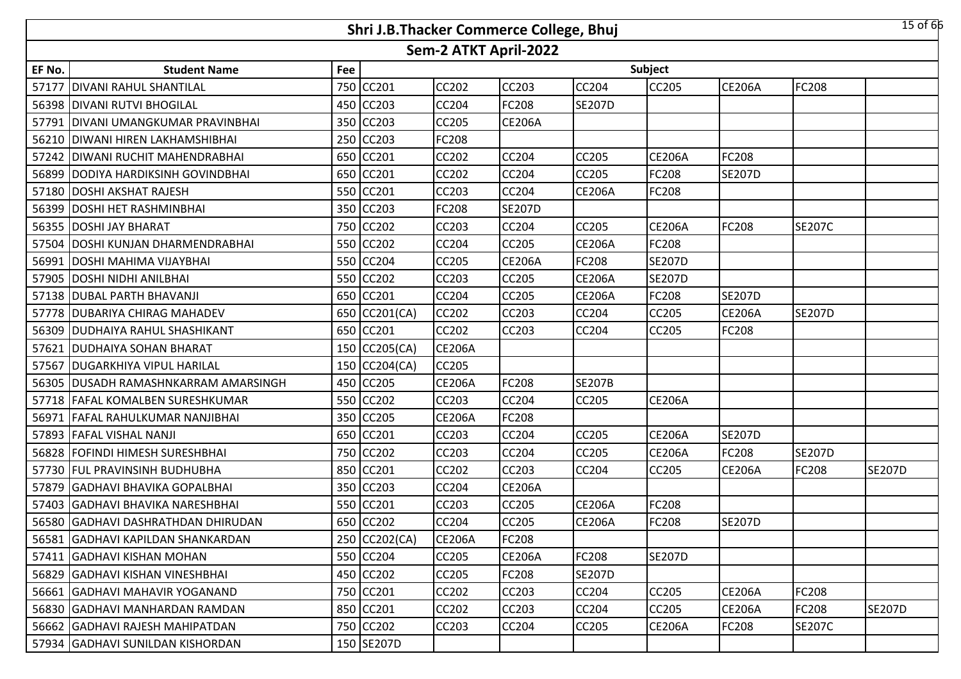|        |                                     |     | Shri J.B.Thacker Commerce College, Bhuj |                       |               |               |               |               |               | $15$ of 66    |
|--------|-------------------------------------|-----|-----------------------------------------|-----------------------|---------------|---------------|---------------|---------------|---------------|---------------|
|        |                                     |     |                                         | Sem-2 ATKT April-2022 |               |               |               |               |               |               |
| EF No. | <b>Student Name</b>                 | Fee |                                         |                       |               |               | Subject       |               |               |               |
| 57177  | <b>DIVANI RAHUL SHANTILAL</b>       | 750 | CC201                                   | CC202                 | CC203         | <b>CC204</b>  | CC205         | <b>CE206A</b> | <b>FC208</b>  |               |
|        | 56398 DIVANI RUTVI BHOGILAL         | 450 | <b>CC203</b>                            | CC204                 | FC208         | <b>SE207D</b> |               |               |               |               |
| 57791  | <b>DIVANI UMANGKUMAR PRAVINBHAI</b> | 350 | <b>CC203</b>                            | CC205                 | <b>CE206A</b> |               |               |               |               |               |
|        | 56210 DIWANI HIREN LAKHAMSHIBHAI    |     | 250 CC203                               | FC208                 |               |               |               |               |               |               |
| 57242  | IDIWANI RUCHIT MAHENDRABHAI         |     | 650 CC201                               | CC202                 | CC204         | CC205         | <b>CE206A</b> | FC208         |               |               |
|        | 56899 DODIYA HARDIKSINH GOVINDBHAI  | 650 | CC201                                   | <b>CC202</b>          | <b>CC204</b>  | <b>CC205</b>  | FC208         | <b>SE207D</b> |               |               |
| 57180  | <b>DOSHI AKSHAT RAJESH</b>          | 550 | CC201                                   | CC203                 | CC204         | <b>CE206A</b> | FC208         |               |               |               |
| 56399  | <b>DOSHI HET RASHMINBHAI</b>        | 350 | <b>CC203</b>                            | FC208                 | <b>SE207D</b> |               |               |               |               |               |
| 56355  | <b>DOSHI JAY BHARAT</b>             | 750 | <b>CC202</b>                            | CC203                 | <b>CC204</b>  | <b>CC205</b>  | <b>CE206A</b> | FC208         | <b>SE207C</b> |               |
| 57504  | DOSHI KUNJAN DHARMENDRABHAI         | 550 | <b>CC202</b>                            | CC204                 | <b>CC205</b>  | <b>CE206A</b> | FC208         |               |               |               |
| 56991  | <b>DOSHI MAHIMA VIJAYBHAI</b>       | 550 | <b>CC204</b>                            | CC205                 | <b>CE206A</b> | FC208         | <b>SE207D</b> |               |               |               |
| 57905  | <b>DOSHI NIDHI ANILBHAI</b>         | 550 | <b>CC202</b>                            | CC203                 | CC205         | <b>CE206A</b> | <b>SE207D</b> |               |               |               |
|        | 57138 DUBAL PARTH BHAVANJI          | 650 | <b>CC201</b>                            | CC204                 | CC205         | <b>CE206A</b> | FC208         | <b>SE207D</b> |               |               |
|        | 57778 DUBARIYA CHIRAG MAHADEV       | 650 | CC201(CA)                               | CC202                 | CC203         | CC204         | CC205         | <b>CE206A</b> | <b>SE207D</b> |               |
|        | 56309 DUDHAIYA RAHUL SHASHIKANT     | 650 | CC201                                   | CC202                 | <b>CC203</b>  | <b>CC204</b>  | CC205         | FC208         |               |               |
| 57621  | <b>DUDHAIYA SOHAN BHARAT</b>        |     | 150 CC205(CA)                           | <b>CE206A</b>         |               |               |               |               |               |               |
|        | 57567   DUGARKHIYA VIPUL HARILAL    |     | 150 CC204(CA)                           | <b>CC205</b>          |               |               |               |               |               |               |
| 56305  | IDUSADH RAMASHNKARRAM AMARSINGH     |     | 450 CC205                               | <b>CE206A</b>         | FC208         | <b>SE207B</b> |               |               |               |               |
|        | 57718 FAFAL KOMALBEN SURESHKUMAR    | 550 | <b>CC202</b>                            | CC203                 | <b>CC204</b>  | <b>CC205</b>  | <b>CE206A</b> |               |               |               |
| 56971  | <b>FAFAL RAHULKUMAR NANJIBHAI</b>   | 350 | <b>CC205</b>                            | <b>CE206A</b>         | FC208         |               |               |               |               |               |
|        | 57893 FAFAL VISHAL NANJI            | 650 | <b>CC201</b>                            | CC203                 | <b>CC204</b>  | <b>CC205</b>  | <b>CE206A</b> | <b>SE207D</b> |               |               |
| 56828  | FOFINDI HIMESH SURESHBHAI           | 750 | <b>CC202</b>                            | CC203                 | <b>CC204</b>  | <b>CC205</b>  | <b>CE206A</b> | FC208         | <b>SE207D</b> |               |
| 57730  | <b>FUL PRAVINSINH BUDHUBHA</b>      | 850 | <b>CC201</b>                            | CC202                 | CC203         | CC204         | CC205         | <b>CE206A</b> | <b>FC208</b>  | <b>SE207D</b> |
| 57879  | <b>GADHAVI BHAVIKA GOPALBHAI</b>    | 350 | <b>CC203</b>                            | CC204                 | <b>CE206A</b> |               |               |               |               |               |
| 57403  | GADHAVI BHAVIKA NARESHBHAI          | 550 | CC201                                   | CC203                 | CC205         | <b>CE206A</b> | FC208         |               |               |               |
|        | 56580 GADHAVI DASHRATHDAN DHIRUDAN  |     | 650 CC202                               | CC204                 | CC205         | <b>CE206A</b> | FC208         | <b>SE207D</b> |               |               |
|        | 56581 GADHAVI KAPILDAN SHANKARDAN   |     | 250 CC202(CA)                           | <b>CE206A</b>         | FC208         |               |               |               |               |               |
|        | 57411 GADHAVI KISHAN MOHAN          |     | 550 CC204                               | <b>CC205</b>          | <b>CE206A</b> | <b>FC208</b>  | <b>SE207D</b> |               |               |               |
|        | 56829 GADHAVI KISHAN VINESHBHAI     |     | 450 CC202                               | CC205                 | FC208         | <b>SE207D</b> |               |               |               |               |
|        | 56661 GADHAVI MAHAVIR YOGANAND      |     | 750 CC201                               | CC202                 | <b>CC203</b>  | <b>CC204</b>  | <b>CC205</b>  | <b>CE206A</b> | <b>FC208</b>  |               |
|        | 56830 GADHAVI MANHARDAN RAMDAN      |     | 850 CC201                               | <b>CC202</b>          | CC203         | CC204         | CC205         | <b>CE206A</b> | <b>FC208</b>  | <b>SE207D</b> |
|        | 56662 GADHAVI RAJESH MAHIPATDAN     |     | 750 CC202                               | CC203                 | CC204         | <b>CC205</b>  | <b>CE206A</b> | FC208         | <b>SE207C</b> |               |
|        | 57934 GADHAVI SUNILDAN KISHORDAN    |     | 150 SE207D                              |                       |               |               |               |               |               |               |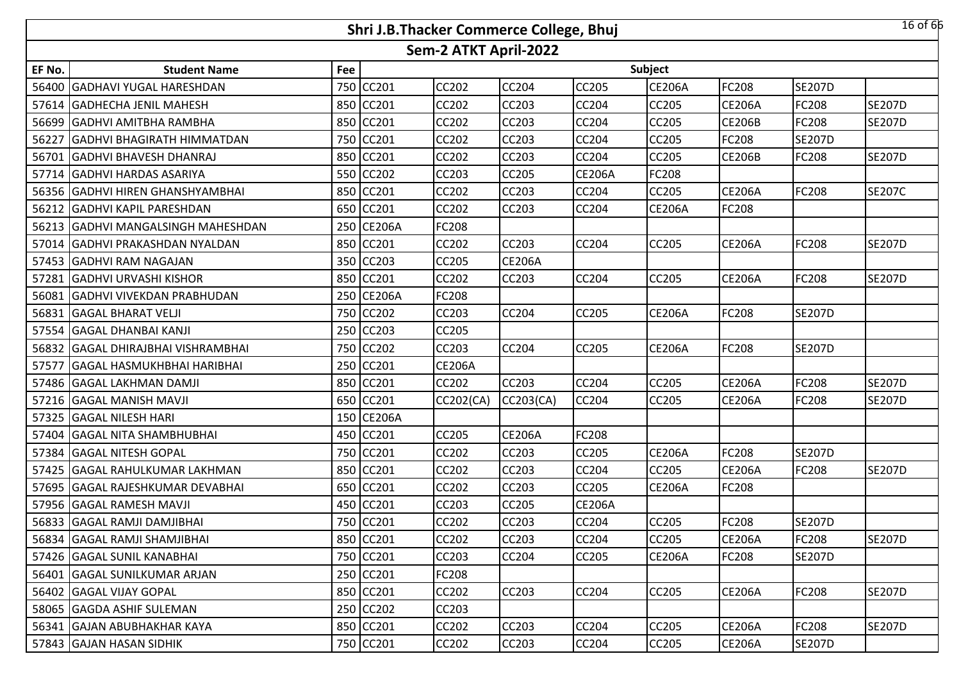|        |                                    |     | Shri J.B.Thacker Commerce College, Bhuj |                       |               |               |               |               |               | 16 of 66      |
|--------|------------------------------------|-----|-----------------------------------------|-----------------------|---------------|---------------|---------------|---------------|---------------|---------------|
|        |                                    |     |                                         | Sem-2 ATKT April-2022 |               |               |               |               |               |               |
| EF No. | <b>Student Name</b>                | Fee |                                         |                       |               |               | Subject       |               |               |               |
| 56400  | <b>GADHAVI YUGAL HARESHDAN</b>     | 750 | CC201                                   | <b>CC202</b>          | <b>CC204</b>  | <b>CC205</b>  | <b>CE206A</b> | FC208         | <b>SE207D</b> |               |
|        | 57614 GADHECHA JENIL MAHESH        | 850 | CC201                                   | <b>CC202</b>          | <b>CC203</b>  | CC204         | CC205         | <b>CE206A</b> | <b>FC208</b>  | <b>SE207D</b> |
|        | 56699 GADHVI AMITBHA RAMBHA        |     | 850 CC201                               | <b>CC202</b>          | <b>CC203</b>  | CC204         | CC205         | <b>CE206B</b> | FC208         | <b>SE207D</b> |
|        | 56227 GADHVI BHAGIRATH HIMMATDAN   |     | 750 CC201                               | <b>CC202</b>          | <b>CC203</b>  | <b>CC204</b>  | CC205         | FC208         | <b>SE207D</b> |               |
|        | 56701 GADHVI BHAVESH DHANRAJ       |     | 850 CC201                               | <b>CC202</b>          | <b>CC203</b>  | CC204         | CC205         | <b>CE206B</b> | FC208         | <b>SE207D</b> |
|        | 57714 GADHVI HARDAS ASARIYA        |     | 550 CC202                               | <b>CC203</b>          | <b>CC205</b>  | <b>CE206A</b> | FC208         |               |               |               |
|        | 56356 GADHVI HIREN GHANSHYAMBHAI   |     | 850 CC201                               | <b>CC202</b>          | <b>CC203</b>  | CC204         | CC205         | <b>CE206A</b> | <b>FC208</b>  | <b>SE207C</b> |
|        | 56212 GADHVI KAPIL PARESHDAN       | 650 | CC201                                   | <b>CC202</b>          | <b>CC203</b>  | <b>CC204</b>  | <b>CE206A</b> | FC208         |               |               |
|        | 56213 GADHVI MANGALSINGH MAHESHDAN | 250 | <b>CE206A</b>                           | FC208                 |               |               |               |               |               |               |
|        | 57014 GADHVI PRAKASHDAN NYALDAN    | 850 | CC201                                   | <b>CC202</b>          | <b>CC203</b>  | <b>CC204</b>  | <b>CC205</b>  | <b>CE206A</b> | <b>FC208</b>  | <b>SE207D</b> |
|        | 57453 GADHVI RAM NAGAJAN           | 350 | <b>CC203</b>                            | <b>CC205</b>          | <b>CE206A</b> |               |               |               |               |               |
| 57281  | <b>GADHVI URVASHI KISHOR</b>       | 850 | CC201                                   | CC202                 | <b>CC203</b>  | <b>CC204</b>  | CC205         | <b>CE206A</b> | <b>FC208</b>  | <b>SE207D</b> |
|        | 56081 GADHVI VIVEKDAN PRABHUDAN    | 250 | <b>CE206A</b>                           | FC208                 |               |               |               |               |               |               |
|        | 56831 GAGAL BHARAT VELJI           | 750 | CC202                                   | CC203                 | <b>CC204</b>  | CC205         | <b>CE206A</b> | FC208         | <b>SE207D</b> |               |
|        | 57554 GAGAL DHANBAI KANJI          |     | 250 CC203                               | <b>CC205</b>          |               |               |               |               |               |               |
|        | 56832 GAGAL DHIRAJBHAI VISHRAMBHAI |     | 750 CC202                               | CC203                 | <b>CC204</b>  | <b>CC205</b>  | <b>CE206A</b> | FC208         | <b>SE207D</b> |               |
|        | 57577 GAGAL HASMUKHBHAI HARIBHAI   |     | 250 CC201                               | <b>CE206A</b>         |               |               |               |               |               |               |
|        | 57486 GAGAL LAKHMAN DAMJI          |     | 850 CC201                               | <b>CC202</b>          | <b>CC203</b>  | <b>CC204</b>  | CC205         | <b>CE206A</b> | FC208         | <b>SE207D</b> |
|        | 57216 GAGAL MANISH MAVJI           |     | 650 CC201                               | CC202(CA)             | CC203(CA)     | CC204         | CC205         | <b>CE206A</b> | <b>FC208</b>  | <b>SE207D</b> |
|        | 57325 GAGAL NILESH HARI            |     | 150 CE206A                              |                       |               |               |               |               |               |               |
|        | 57404 GAGAL NITA SHAMBHUBHAI       | 450 | <b>CC201</b>                            | <b>CC205</b>          | <b>CE206A</b> | <b>FC208</b>  |               |               |               |               |
| 57384  | <b>GAGAL NITESH GOPAL</b>          | 750 | CC201                                   | <b>CC202</b>          | <b>CC203</b>  | CC205         | <b>CE206A</b> | FC208         | <b>SE207D</b> |               |
| 57425  | <b>GAGAL RAHULKUMAR LAKHMAN</b>    | 850 | CC201                                   | CC202                 | <b>CC203</b>  | CC204         | CC205         | <b>CE206A</b> | <b>FC208</b>  | <b>SE207D</b> |
|        | 57695 GAGAL RAJESHKUMAR DEVABHAI   | 650 | <b>CC201</b>                            | <b>CC202</b>          | <b>CC203</b>  | <b>CC205</b>  | <b>CE206A</b> | FC208         |               |               |
|        | 57956 GAGAL RAMESH MAVJI           | 450 | CC201                                   | CC203                 | <b>CC205</b>  | <b>CE206A</b> |               |               |               |               |
|        | 56833 GAGAL RAMJI DAMJIBHAI        |     | 750 CC201                               | <b>CC202</b>          | <b>CC203</b>  | <b>CC204</b>  | CC205         | FC208         | <b>SE207D</b> |               |
|        | 56834 GAGAL RAMJI SHAMJIBHAI       |     | 850 CC201                               | <b>CC202</b>          | <b>CC203</b>  | <b>CC204</b>  | CC205         | <b>CE206A</b> | <b>FC208</b>  | <b>SE207D</b> |
|        | 57426 GAGAL SUNIL KANABHAI         |     | 750 CC201                               | CC203                 | <b>CC204</b>  | <b>CC205</b>  | <b>CE206A</b> | FC208         | <b>SE207D</b> |               |
|        | 56401 GAGAL SUNILKUMAR ARJAN       |     | 250 CC201                               | FC208                 |               |               |               |               |               |               |
|        | 56402 GAGAL VIJAY GOPAL            |     | 850 CC201                               | CC202                 | <b>CC203</b>  | <b>CC204</b>  | <b>CC205</b>  | <b>CE206A</b> | <b>FC208</b>  | <b>SE207D</b> |
|        | 58065 GAGDA ASHIF SULEMAN          |     | 250 CC202                               | CC203                 |               |               |               |               |               |               |
|        | 56341 GAJAN ABUBHAKHAR KAYA        |     | 850 CC201                               | CC202                 | <b>CC203</b>  | <b>CC204</b>  | CC205         | <b>CE206A</b> | <b>FC208</b>  | <b>SE207D</b> |
|        | 57843 GAJAN HASAN SIDHIK           |     | 750 CC201                               | CC202                 | <b>CC203</b>  | <b>CC204</b>  | CC205         | <b>CE206A</b> | <b>SE207D</b> |               |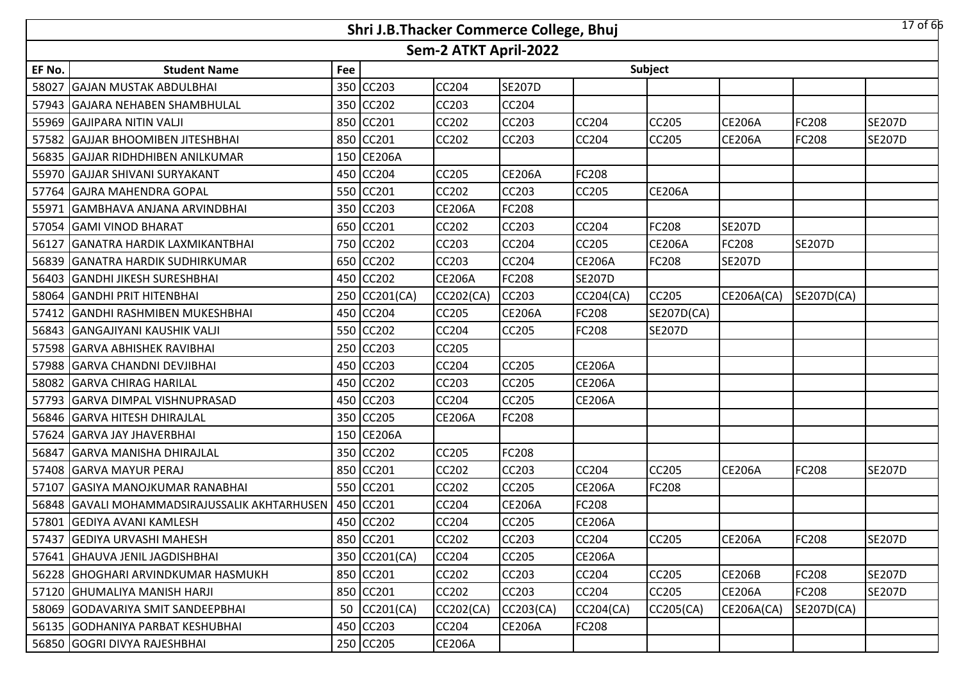|        | $17$ of 66<br>Shri J.B.Thacker Commerce College, Bhuj |     |               |                       |               |                  |                  |               |               |               |  |  |
|--------|-------------------------------------------------------|-----|---------------|-----------------------|---------------|------------------|------------------|---------------|---------------|---------------|--|--|
|        |                                                       |     |               | Sem-2 ATKT April-2022 |               |                  |                  |               |               |               |  |  |
| EF No. | <b>Student Name</b>                                   | Fee |               |                       |               |                  | Subject          |               |               |               |  |  |
| 58027  | <b>GAJAN MUSTAK ABDULBHAI</b>                         | 350 | <b>CC203</b>  | <b>CC204</b>          | <b>SE207D</b> |                  |                  |               |               |               |  |  |
|        | 57943   GAJARA NEHABEN SHAMBHULAL                     | 350 | <b>CC202</b>  | <b>CC203</b>          | <b>CC204</b>  |                  |                  |               |               |               |  |  |
|        | 55969 GAJIPARA NITIN VALJI                            | 850 | CC201         | CC202                 | CC203         | CC204            | CC205            | <b>CE206A</b> | FC208         | <b>SE207D</b> |  |  |
|        | 57582 GAJJAR BHOOMIBEN JITESHBHAI                     | 850 | CC201         | <b>CC202</b>          | CC203         | <b>CC204</b>     | CC205            | <b>CE206A</b> | <b>FC208</b>  | <b>SE207D</b> |  |  |
|        | 56835 GAJJAR RIDHDHIBEN ANILKUMAR                     | 150 | <b>CE206A</b> |                       |               |                  |                  |               |               |               |  |  |
|        | 55970 GAJJAR SHIVANI SURYAKANT                        | 450 | <b>CC204</b>  | CC205                 | <b>CE206A</b> | <b>FC208</b>     |                  |               |               |               |  |  |
| 57764  | <b>GAJRA MAHENDRA GOPAL</b>                           | 550 | CC201         | CC202                 | CC203         | <b>CC205</b>     | <b>CE206A</b>    |               |               |               |  |  |
| 55971  | <b>GAMBHAVA ANJANA ARVINDBHAI</b>                     | 350 | <b>CC203</b>  | <b>CE206A</b>         | FC208         |                  |                  |               |               |               |  |  |
|        | 57054 GAMI VINOD BHARAT                               | 650 | <b>CC201</b>  | CC202                 | CC203         | <b>CC204</b>     | FC208            | <b>SE207D</b> |               |               |  |  |
| 56127  | <b>GANATRA HARDIK LAXMIKANTBHAI</b>                   | 750 | <b>CC202</b>  | CC203                 | CC204         | CC205            | <b>CE206A</b>    | FC208         | <b>SE207D</b> |               |  |  |
| 56839  | <b>GANATRA HARDIK SUDHIRKUMAR</b>                     | 650 | <b>CC202</b>  | CC203                 | CC204         | <b>CE206A</b>    | FC208            | <b>SE207D</b> |               |               |  |  |
| 56403  | <b>GANDHI JIKESH SURESHBHAI</b>                       | 450 | <b>CC202</b>  | <b>CE206A</b>         | FC208         | <b>SE207D</b>    |                  |               |               |               |  |  |
|        | 58064 GANDHI PRIT HITENBHAI                           |     | 250 CC201(CA) | CC202(CA)             | CC203         | <b>CC204(CA)</b> | <b>CC205</b>     | CE206A(CA)    | SE207D(CA)    |               |  |  |
| 57412  | <b>GANDHI RASHMIBEN MUKESHBHAI</b>                    |     | 450 CC204     | CC205                 | <b>CE206A</b> | FC208            | SE207D(CA)       |               |               |               |  |  |
|        | 56843 GANGAJIYANI KAUSHIK VALJI                       |     | 550 CC202     | <b>CC204</b>          | <b>CC205</b>  | <b>FC208</b>     | <b>SE207D</b>    |               |               |               |  |  |
| 57598  | <b>GARVA ABHISHEK RAVIBHAI</b>                        | 250 | CC203         | CC205                 |               |                  |                  |               |               |               |  |  |
| 57988  | <b>GARVA CHANDNI DEVJIBHAI</b>                        | 450 | <b>CC203</b>  | CC204                 | <b>CC205</b>  | <b>CE206A</b>    |                  |               |               |               |  |  |
| 58082  | <b>GARVA CHIRAG HARILAL</b>                           | 450 | <b>CC202</b>  | CC203                 | <b>CC205</b>  | <b>CE206A</b>    |                  |               |               |               |  |  |
|        | 57793 GARVA DIMPAL VISHNUPRASAD                       | 450 | <b>CC203</b>  | CC204                 | <b>CC205</b>  | <b>CE206A</b>    |                  |               |               |               |  |  |
|        | 56846 GARVA HITESH DHIRAJLAL                          | 350 | <b>CC205</b>  | <b>CE206A</b>         | FC208         |                  |                  |               |               |               |  |  |
| 57624  | <b>GARVA JAY JHAVERBHAI</b>                           | 150 | <b>CE206A</b> |                       |               |                  |                  |               |               |               |  |  |
| 56847  | <b>GARVA MANISHA DHIRAJLAL</b>                        | 350 | <b>CC202</b>  | CC205                 | FC208         |                  |                  |               |               |               |  |  |
| 57408  | <b>GARVA MAYUR PERAJ</b>                              | 850 | CC201         | CC202                 | CC203         | CC204            | CC205            | <b>CE206A</b> | <b>FC208</b>  | <b>SE207D</b> |  |  |
| 57107  | <b>GASIYA MANOJKUMAR RANABHAI</b>                     | 550 | <b>CC201</b>  | CC202                 | CC205         | <b>CE206A</b>    | FC208            |               |               |               |  |  |
|        | 56848 GAVALI MOHAMMADSIRAJUSSALIK AKHTARHUSEN         | 450 | CC201         | CC204                 | <b>CE206A</b> | FC208            |                  |               |               |               |  |  |
|        | 57801 GEDIYA AVANI KAMLESH                            |     | 450 CC202     | <b>CC204</b>          | CC205         | <b>CE206A</b>    |                  |               |               |               |  |  |
|        | 57437 GEDIYA URVASHI MAHESH                           |     | 850 CC201     | <b>CC202</b>          | <b>CC203</b>  | CC204            | CC205            | <b>CE206A</b> | <b>FC208</b>  | <b>SE207D</b> |  |  |
|        | 57641 GHAUVA JENIL JAGDISHBHAI                        |     | 350 CC201(CA) | CC204                 | CC205         | <b>CE206A</b>    |                  |               |               |               |  |  |
|        | 56228 GHOGHARI ARVINDKUMAR HASMUKH                    |     | 850 CC201     | <b>CC202</b>          | CC203         | CC204            | CC205            | <b>CE206B</b> | <b>FC208</b>  | <b>SE207D</b> |  |  |
|        | 57120 GHUMALIYA MANISH HARJI                          | 850 | CC201         | <b>CC202</b>          | CC203         | CC204            | CC205            | <b>CE206A</b> | <b>FC208</b>  | <b>SE207D</b> |  |  |
|        | 58069 GODAVARIYA SMIT SANDEEPBHAI                     | 50  | CC201(CA)     | <b>CC202(CA)</b>      | CC203(CA)     | <b>CC204(CA)</b> | <b>CC205(CA)</b> | CE206A(CA)    | SE207D(CA)    |               |  |  |
|        | 56135 GODHANIYA PARBAT KESHUBHAI                      |     | 450 CC203     | CC204                 | <b>CE206A</b> | <b>FC208</b>     |                  |               |               |               |  |  |
|        | 56850 GOGRI DIVYA RAJESHBHAI                          |     | 250 CC205     | <b>CE206A</b>         |               |                  |                  |               |               |               |  |  |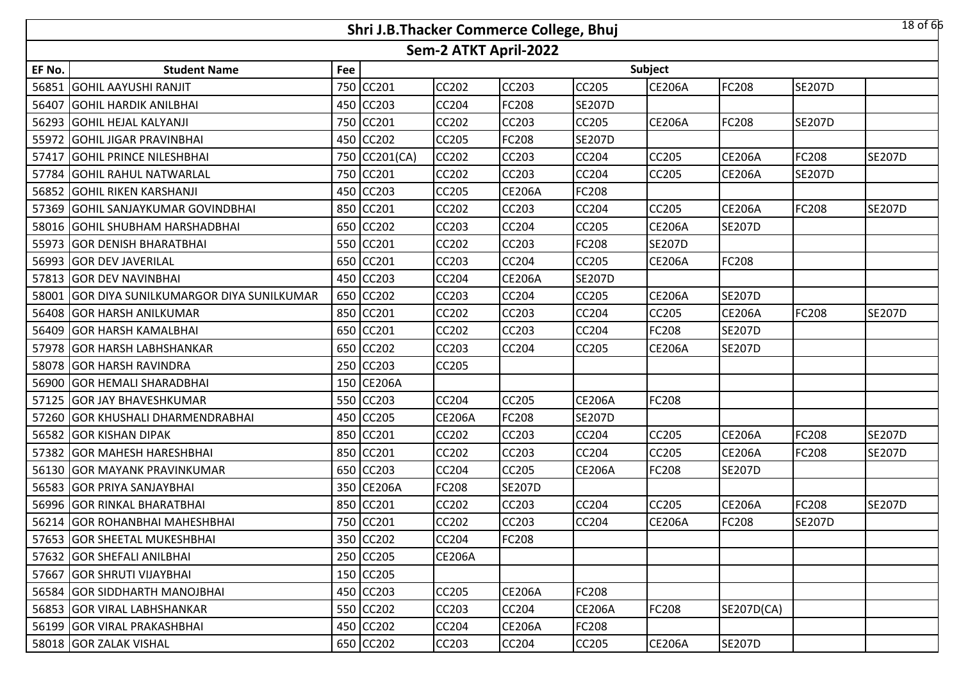|        |                                              |     | Shri J.B.Thacker Commerce College, Bhuj |                       |               |               |               |               |               | $18$ of $66$  |
|--------|----------------------------------------------|-----|-----------------------------------------|-----------------------|---------------|---------------|---------------|---------------|---------------|---------------|
|        |                                              |     |                                         | Sem-2 ATKT April-2022 |               |               |               |               |               |               |
| EF No. | <b>Student Name</b>                          | Fee |                                         |                       |               |               | Subject       |               |               |               |
|        | 56851 GOHIL AAYUSHI RANJIT                   |     | 750 CC201                               | <b>CC202</b>          | <b>CC203</b>  | <b>CC205</b>  | <b>CE206A</b> | FC208         | <b>SE207D</b> |               |
|        | 56407 GOHIL HARDIK ANILBHAI                  | 450 | <b>CC203</b>                            | <b>CC204</b>          | <b>FC208</b>  | <b>SE207D</b> |               |               |               |               |
|        | 56293 GOHIL HEJAL KALYANJI                   |     | 750 CC201                               | <b>CC202</b>          | <b>CC203</b>  | <b>CC205</b>  | <b>CE206A</b> | FC208         | <b>SE207D</b> |               |
|        | 55972 GOHIL JIGAR PRAVINBHAI                 |     | 450 CC202                               | <b>CC205</b>          | <b>FC208</b>  | <b>SE207D</b> |               |               |               |               |
| 57417  | <b>GOHIL PRINCE NILESHBHAI</b>               |     | 750 CC201(CA)                           | <b>CC202</b>          | <b>CC203</b>  | CC204         | CC205         | <b>CE206A</b> | <b>FC208</b>  | <b>SE207D</b> |
|        | 57784 GOHIL RAHUL NATWARLAL                  | 750 | CC201                                   | <b>CC202</b>          | <b>CC203</b>  | <b>CC204</b>  | <b>CC205</b>  | <b>CE206A</b> | <b>SE207D</b> |               |
|        | 56852 GOHIL RIKEN KARSHANJI                  | 450 | <b>CC203</b>                            | <b>CC205</b>          | <b>CE206A</b> | FC208         |               |               |               |               |
|        | 57369 GOHIL SANJAYKUMAR GOVINDBHAI           | 850 | CC201                                   | CC202                 | <b>CC203</b>  | <b>CC204</b>  | CC205         | <b>CE206A</b> | <b>FC208</b>  | <b>SE207D</b> |
|        | 58016 GOHIL SHUBHAM HARSHADBHAI              | 650 | CC202                                   | <b>CC203</b>          | <b>CC204</b>  | <b>CC205</b>  | <b>CE206A</b> | <b>SE207D</b> |               |               |
|        | 55973 GOR DENISH BHARATBHAI                  | 550 | CC201                                   | CC202                 | <b>CC203</b>  | FC208         | <b>SE207D</b> |               |               |               |
|        | 56993 GOR DEV JAVERILAL                      | 650 | CC201                                   | <b>CC203</b>          | <b>CC204</b>  | <b>CC205</b>  | <b>CE206A</b> | FC208         |               |               |
|        | 57813 GOR DEV NAVINBHAI                      | 450 | <b>CC203</b>                            | CC204                 | <b>CE206A</b> | <b>SE207D</b> |               |               |               |               |
|        | 58001 GOR DIYA SUNILKUMARGOR DIYA SUNILKUMAR |     | 650 CC202                               | <b>CC203</b>          | <b>CC204</b>  | <b>CC205</b>  | <b>CE206A</b> | <b>SE207D</b> |               |               |
|        | 56408 GOR HARSH ANILKUMAR                    |     | 850 CC201                               | CC202                 | <b>CC203</b>  | CC204         | CC205         | <b>CE206A</b> | FC208         | <b>SE207D</b> |
|        | 56409 GOR HARSH KAMALBHAI                    |     | 650 CC201                               | <b>CC202</b>          | <b>CC203</b>  | <b>CC204</b>  | FC208         | <b>SE207D</b> |               |               |
|        | 57978 GOR HARSH LABHSHANKAR                  |     | 650 CC202                               | <b>CC203</b>          | <b>CC204</b>  | <b>CC205</b>  | <b>CE206A</b> | <b>SE207D</b> |               |               |
|        | 58078 GOR HARSH RAVINDRA                     |     | 250 CC203                               | <b>CC205</b>          |               |               |               |               |               |               |
|        | 56900 GOR HEMALI SHARADBHAI                  |     | 150 CE206A                              |                       |               |               |               |               |               |               |
|        | 57125 GOR JAY BHAVESHKUMAR                   |     | 550 CC203                               | <b>CC204</b>          | <b>CC205</b>  | <b>CE206A</b> | <b>FC208</b>  |               |               |               |
|        | 57260 GOR KHUSHALI DHARMENDRABHAI            | 450 | <b>CC205</b>                            | <b>CE206A</b>         | <b>FC208</b>  | <b>SE207D</b> |               |               |               |               |
|        | 56582 GOR KISHAN DIPAK                       | 850 | CC201                                   | CC202                 | <b>CC203</b>  | CC204         | <b>CC205</b>  | <b>CE206A</b> | <b>FC208</b>  | <b>SE207D</b> |
|        | 57382 GOR MAHESH HARESHBHAI                  | 850 | <b>CC201</b>                            | <b>CC202</b>          | <b>CC203</b>  | <b>CC204</b>  | CC205         | <b>CE206A</b> | <b>FC208</b>  | <b>SE207D</b> |
|        | 56130 GOR MAYANK PRAVINKUMAR                 | 650 | CC203                                   | CC204                 | <b>CC205</b>  | <b>CE206A</b> | FC208         | <b>SE207D</b> |               |               |
|        | 56583 GOR PRIYA SANJAYBHAI                   |     | 350 CE206A                              | FC208                 | <b>SE207D</b> |               |               |               |               |               |
|        | 56996 GOR RINKAL BHARATBHAI                  |     | 850 CC201                               | CC202                 | <b>CC203</b>  | CC204         | CC205         | <b>CE206A</b> | FC208         | <b>SE207D</b> |
|        | 56214 GOR ROHANBHAI MAHESHBHAI               |     | 750 CC201                               | <b>CC202</b>          | <b>CC203</b>  | <b>CC204</b>  | <b>CE206A</b> | FC208         | <b>SE207D</b> |               |
|        | 57653 GOR SHEETAL MUKESHBHAI                 |     | 350 CC202                               | <b>CC204</b>          | <b>FC208</b>  |               |               |               |               |               |
|        | 57632 GOR SHEFALI ANILBHAI                   |     | 250 CC205                               | <b>CE206A</b>         |               |               |               |               |               |               |
|        | 57667 GOR SHRUTI VIJAYBHAI                   |     | 150 CC205                               |                       |               |               |               |               |               |               |
|        | 56584 GOR SIDDHARTH MANOJBHAI                |     | 450 CC203                               | <b>CC205</b>          | <b>CE206A</b> | <b>FC208</b>  |               |               |               |               |
|        | 56853 GOR VIRAL LABHSHANKAR                  |     | 550 CC202                               | CC203                 | <b>CC204</b>  | <b>CE206A</b> | FC208         | SE207D(CA)    |               |               |
|        | 56199 GOR VIRAL PRAKASHBHAI                  |     | 450 CC202                               | CC204                 | <b>CE206A</b> | <b>FC208</b>  |               |               |               |               |
|        | 58018 GOR ZALAK VISHAL                       |     | 650 CC202                               | CC203                 | CC204         | <b>CC205</b>  | <b>CE206A</b> | <b>SE207D</b> |               |               |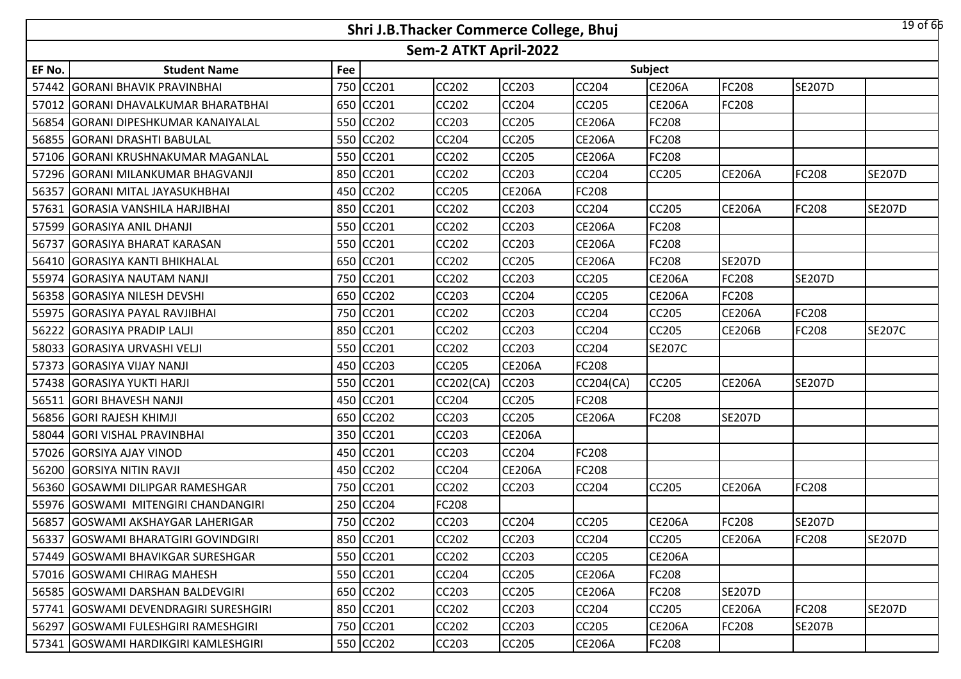|        |                                       |     | Shri J.B.Thacker Commerce College, Bhuj |                       |               |               |               |               |               | $19$ of 66    |
|--------|---------------------------------------|-----|-----------------------------------------|-----------------------|---------------|---------------|---------------|---------------|---------------|---------------|
|        |                                       |     |                                         | Sem-2 ATKT April-2022 |               |               |               |               |               |               |
| EF No. | <b>Student Name</b>                   | Fee |                                         |                       |               |               | Subject       |               |               |               |
|        | 57442 GORANI BHAVIK PRAVINBHAI        | 750 | <b>CC201</b>                            | <b>CC202</b>          | <b>CC203</b>  | CC204         | <b>CE206A</b> | FC208         | <b>SE207D</b> |               |
|        | 57012 GORANI DHAVALKUMAR BHARATBHAI   |     | 650 CC201                               | <b>CC202</b>          | <b>CC204</b>  | <b>CC205</b>  | <b>CE206A</b> | FC208         |               |               |
|        | 56854 GORANI DIPESHKUMAR KANAIYALAL   |     | 550 CC202                               | CC203                 | <b>CC205</b>  | <b>CE206A</b> | FC208         |               |               |               |
|        | 56855 GORANI DRASHTI BABULAL          |     | 550 CC202                               | <b>CC204</b>          | <b>CC205</b>  | <b>CE206A</b> | FC208         |               |               |               |
|        | 57106 GORANI KRUSHNAKUMAR MAGANLAL    |     | 550 CC201                               | <b>CC202</b>          | <b>CC205</b>  | <b>CE206A</b> | FC208         |               |               |               |
|        | 57296 GORANI MILANKUMAR BHAGVANJI     |     | 850 CC201                               | <b>CC202</b>          | <b>CC203</b>  | <b>CC204</b>  | <b>CC205</b>  | <b>CE206A</b> | <b>FC208</b>  | <b>SE207D</b> |
|        | 56357 GORANI MITAL JAYASUKHBHAI       |     | 450 CC202                               | <b>CC205</b>          | <b>CE206A</b> | FC208         |               |               |               |               |
|        | 57631 GORASIA VANSHILA HARJIBHAI      | 850 | <b>CC201</b>                            | CC202                 | <b>CC203</b>  | <b>CC204</b>  | CC205         | <b>CE206A</b> | <b>FC208</b>  | <b>SE207D</b> |
|        | 57599 GORASIYA ANIL DHANJI            | 550 | CC201                                   | <b>CC202</b>          | <b>CC203</b>  | <b>CE206A</b> | FC208         |               |               |               |
|        | 56737 GORASIYA BHARAT KARASAN         | 550 | CC201                                   | CC202                 | <b>CC203</b>  | <b>CE206A</b> | FC208         |               |               |               |
|        | 56410 GORASIYA KANTI BHIKHALAL        | 650 | CC201                                   | <b>CC202</b>          | <b>CC205</b>  | <b>CE206A</b> | FC208         | <b>SE207D</b> |               |               |
|        | 55974 GORASIYA NAUTAM NANJI           | 750 | CC201                                   | CC202                 | <b>CC203</b>  | CC205         | <b>CE206A</b> | FC208         | <b>SE207D</b> |               |
|        | 56358 GORASIYA NILESH DEVSHI          |     | 650 CC202                               | <b>CC203</b>          | <b>CC204</b>  | CC205         | <b>CE206A</b> | FC208         |               |               |
|        | 55975 GORASIYA PAYAL RAVJIBHAI        |     | 750 CC201                               | <b>CC202</b>          | <b>CC203</b>  | CC204         | CC205         | <b>CE206A</b> | FC208         |               |
|        | 56222 GORASIYA PRADIP LALJI           |     | 850 CC201                               | <b>CC202</b>          | <b>CC203</b>  | <b>CC204</b>  | <b>CC205</b>  | <b>CE206B</b> | <b>FC208</b>  | <b>SE207C</b> |
|        | 58033 GORASIYA URVASHI VELJI          |     | 550 CC201                               | <b>CC202</b>          | <b>CC203</b>  | CC204         | <b>SE207C</b> |               |               |               |
|        | 57373 GORASIYA VIJAY NANJI            | 450 | <b>CC203</b>                            | <b>CC205</b>          | <b>CE206A</b> | <b>FC208</b>  |               |               |               |               |
|        | 57438 GORASIYA YUKTI HARJI            |     | 550 CC201                               | CC202(CA)             | <b>CC203</b>  | CC204(CA)     | CC205         | <b>CE206A</b> | <b>SE207D</b> |               |
| 56511  | <b>GORI BHAVESH NANJI</b>             | 450 | CC201                                   | CC204                 | <b>CC205</b>  | <b>FC208</b>  |               |               |               |               |
|        | 56856 GORI RAJESH KHIMJI              | 650 | <b>CC202</b>                            | CC203                 | <b>CC205</b>  | <b>CE206A</b> | FC208         | <b>SE207D</b> |               |               |
|        | 58044 GORI VISHAL PRAVINBHAI          | 350 | CC201                                   | CC203                 | <b>CE206A</b> |               |               |               |               |               |
|        | 57026 GORSIYA AJAY VINOD              | 450 | <b>CC201</b>                            | <b>CC203</b>          | <b>CC204</b>  | <b>FC208</b>  |               |               |               |               |
|        | 56200 GORSIYA NITIN RAVJI             | 450 | CC202                                   | CC204                 | <b>CE206A</b> | <b>FC208</b>  |               |               |               |               |
|        | 56360 GOSAWMI DILIPGAR RAMESHGAR      | 750 | CC201                                   | <b>CC202</b>          | <b>CC203</b>  | CC204         | CC205         | <b>CE206A</b> | <b>FC208</b>  |               |
|        | 55976 GOSWAMI MITENGIRI CHANDANGIRI   | 250 | CC204                                   | FC208                 |               |               |               |               |               |               |
|        | 56857 GOSWAMI AKSHAYGAR LAHERIGAR     |     | 750 CC202                               | <b>CC203</b>          | <b>CC204</b>  | <b>CC205</b>  | <b>CE206A</b> | FC208         | <b>SE207D</b> |               |
|        | 56337 GOSWAMI BHARATGIRI GOVINDGIRI   |     | 850 CC201                               | CC202                 | <b>CC203</b>  | <b>CC204</b>  | CC205         | <b>CE206A</b> | <b>FC208</b>  | <b>SE207D</b> |
|        | 57449 GOSWAMI BHAVIKGAR SURESHGAR     |     | 550 CC201                               | CC202                 | <b>CC203</b>  | CC205         | <b>CE206A</b> |               |               |               |
|        | 57016 IGOSWAMI CHIRAG MAHESH          |     | 550 CC201                               | <b>CC204</b>          | <b>CC205</b>  | <b>CE206A</b> | FC208         |               |               |               |
|        | 56585 GOSWAMI DARSHAN BALDEVGIRI      |     | 650 CC202                               | CC203                 | <b>CC205</b>  | <b>CE206A</b> | FC208         | <b>SE207D</b> |               |               |
|        | 57741 GOSWAMI DEVENDRAGIRI SURESHGIRI |     | 850 CC201                               | CC202                 | CC203         | CC204         | CC205         | <b>CE206A</b> | <b>FC208</b>  | <b>SE207D</b> |
|        | 56297 GOSWAMI FULESHGIRI RAMESHGIRI   |     | 750 CC201                               | CC202                 | <b>CC203</b>  | <b>CC205</b>  | <b>CE206A</b> | FC208         | <b>SE207B</b> |               |
|        | 57341 GOSWAMI HARDIKGIRI KAMLESHGIRI  |     | 550 CC202                               | CC203                 | <b>CC205</b>  | <b>CE206A</b> | FC208         |               |               |               |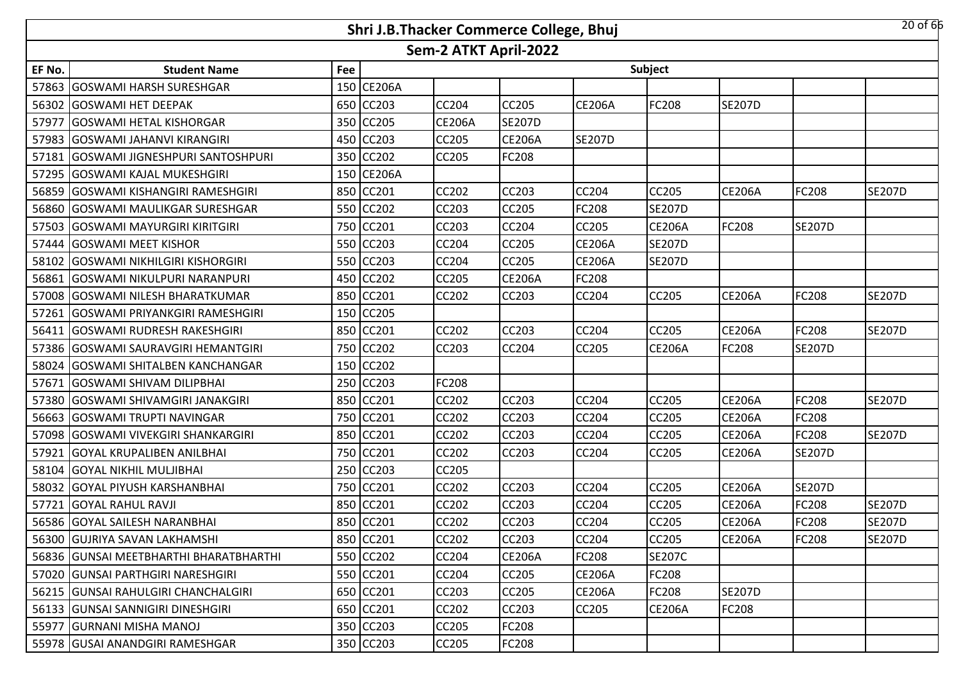|        |                                        |     |               |                       | Shri J.B.Thacker Commerce College, Bhuj |               |               |               |               | $20$ of 66    |
|--------|----------------------------------------|-----|---------------|-----------------------|-----------------------------------------|---------------|---------------|---------------|---------------|---------------|
|        |                                        |     |               | Sem-2 ATKT April-2022 |                                         |               |               |               |               |               |
| EF No. | <b>Student Name</b>                    | Fee |               |                       |                                         |               | Subject       |               |               |               |
| 57863  | <b>GOSWAMI HARSH SURESHGAR</b>         |     | 150 CE206A    |                       |                                         |               |               |               |               |               |
| 56302  | <b>GOSWAMI HET DEEPAK</b>              | 650 | <b>CC203</b>  | <b>CC204</b>          | <b>CC205</b>                            | <b>CE206A</b> | FC208         | <b>SE207D</b> |               |               |
| 57977  | <b>GOSWAMI HETAL KISHORGAR</b>         | 350 | <b>CC205</b>  | <b>CE206A</b>         | <b>SE207D</b>                           |               |               |               |               |               |
| 57983  | <b>GOSWAMI JAHANVI KIRANGIRI</b>       | 450 | <b>CC203</b>  | CC205                 | <b>CE206A</b>                           | <b>SE207D</b> |               |               |               |               |
| 57181  | <b>GOSWAMI JIGNESHPURI SANTOSHPURI</b> | 350 | <b>CC202</b>  | CC205                 | FC208                                   |               |               |               |               |               |
| 57295  | <b>GOSWAMI KAJAL MUKESHGIRI</b>        | 150 | <b>CE206A</b> |                       |                                         |               |               |               |               |               |
| 56859  | <b>GOSWAMI KISHANGIRI RAMESHGIRI</b>   | 850 | <b>CC201</b>  | CC202                 | CC203                                   | <b>CC204</b>  | CC205         | <b>CE206A</b> | <b>FC208</b>  | <b>SE207D</b> |
| 56860  | <b>IGOSWAMI MAULIKGAR SURESHGAR</b>    | 550 | <b>CC202</b>  | CC203                 | CC205                                   | FC208         | <b>SE207D</b> |               |               |               |
| 57503  | <b>GOSWAMI MAYURGIRI KIRITGIRI</b>     | 750 | CC201         | CC203                 | CC204                                   | CC205         | <b>CE206A</b> | FC208         | <b>SE207D</b> |               |
| 57444  | <b>GOSWAMI MEET KISHOR</b>             | 550 | <b>CC203</b>  | CC204                 | CC205                                   | <b>CE206A</b> | <b>SE207D</b> |               |               |               |
| 58102  | <b>GOSWAMI NIKHILGIRI KISHORGIRI</b>   | 550 | <b>CC203</b>  | CC204                 | <b>CC205</b>                            | <b>CE206A</b> | <b>SE207D</b> |               |               |               |
| 56861  | GOSWAMI NIKULPURI NARANPURI            |     | 450 CC202     | CC205                 | <b>CE206A</b>                           | FC208         |               |               |               |               |
| 57008  | <b>GOSWAMI NILESH BHARATKUMAR</b>      | 850 | CC201         | <b>CC202</b>          | <b>CC203</b>                            | <b>CC204</b>  | <b>CC205</b>  | <b>CE206A</b> | <b>FC208</b>  | <b>SE207D</b> |
| 57261  | <b>GOSWAMI PRIYANKGIRI RAMESHGIRI</b>  |     | 150 CC205     |                       |                                         |               |               |               |               |               |
| 56411  | <b>GOSWAMI RUDRESH RAKESHGIRI</b>      | 850 | CC201         | <b>CC202</b>          | <b>CC203</b>                            | <b>CC204</b>  | CC205         | <b>CE206A</b> | <b>FC208</b>  | <b>SE207D</b> |
| 57386  | <b>GOSWAMI SAURAVGIRI HEMANTGIRI</b>   | 750 | <b>CC202</b>  | CC203                 | CC204                                   | CC205         | <b>CE206A</b> | FC208         | <b>SE207D</b> |               |
| 58024  | <b>GOSWAMI SHITALBEN KANCHANGAR</b>    | 150 | <b>CC202</b>  |                       |                                         |               |               |               |               |               |
| 57671  | <b>GOSWAMI SHIVAM DILIPBHAI</b>        | 250 | <b>CC203</b>  | FC208                 |                                         |               |               |               |               |               |
| 57380  | GOSWAMI SHIVAMGIRI JANAKGIRI           | 850 | CC201         | CC202                 | <b>CC203</b>                            | CC204         | CC205         | <b>CE206A</b> | <b>FC208</b>  | <b>SE207D</b> |
| 56663  | <b>GOSWAMI TRUPTI NAVINGAR</b>         | 750 | CC201         | CC202                 | CC203                                   | CC204         | CC205         | <b>CE206A</b> | <b>FC208</b>  |               |
| 57098  | <b>GOSWAMI VIVEKGIRI SHANKARGIRI</b>   | 850 | <b>CC201</b>  | CC202                 | CC203                                   | CC204         | CC205         | <b>CE206A</b> | FC208         | <b>SE207D</b> |
| 57921  | <b>GOYAL KRUPALIBEN ANILBHAI</b>       | 750 | <b>CC201</b>  | CC202                 | <b>CC203</b>                            | <b>CC204</b>  | CC205         | <b>CE206A</b> | <b>SE207D</b> |               |
| 58104  | <b>GOYAL NIKHIL MULJIBHAI</b>          | 250 | <b>CC203</b>  | CC205                 |                                         |               |               |               |               |               |
|        | 58032 GOYAL PIYUSH KARSHANBHAI         | 750 | CC201         | <b>CC202</b>          | <b>CC203</b>                            | <b>CC204</b>  | CC205         | <b>CE206A</b> | <b>SE207D</b> |               |
| 57721  | <b>GOYAL RAHUL RAVJI</b>               |     | 850 CC201     | CC202                 | CC203                                   | CC204         | CC205         | <b>CE206A</b> | FC208         | <b>SE207D</b> |
|        | 56586 GOYAL SAILESH NARANBHAI          |     | 850 CC201     | <b>CC202</b>          | <b>CC203</b>                            | <b>CC204</b>  | CC205         | <b>CE206A</b> | <b>FC208</b>  | <b>SE207D</b> |
|        | 56300 GUJRIYA SAVAN LAKHAMSHI          |     | 850 CC201     | <b>CC202</b>          | CC203                                   | <b>CC204</b>  | <b>CC205</b>  | <b>CE206A</b> | <b>FC208</b>  | <b>SE207D</b> |
|        | 56836 GUNSAI MEETBHARTHI BHARATBHARTHI |     | 550 CC202     | CC204                 | <b>CE206A</b>                           | <b>FC208</b>  | <b>SE207C</b> |               |               |               |
|        | 57020 GUNSAI PARTHGIRI NARESHGIRI      | 550 | CC201         | CC204                 | CC205                                   | <b>CE206A</b> | FC208         |               |               |               |
|        | 56215 GUNSAI RAHULGIRI CHANCHALGIRI    | 650 | CC201         | CC203                 | <b>CC205</b>                            | <b>CE206A</b> | FC208         | <b>SE207D</b> |               |               |
|        | 56133 GUNSAI SANNIGIRI DINESHGIRI      |     | 650 CC201     | CC202                 | CC203                                   | <b>CC205</b>  | <b>CE206A</b> | FC208         |               |               |
|        | 55977 GURNANI MISHA MANOJ              | 350 | <b>CC203</b>  | CC205                 | FC208                                   |               |               |               |               |               |
|        | 55978 GUSAI ANANDGIRI RAMESHGAR        |     | 350 CC203     | <b>CC205</b>          | FC208                                   |               |               |               |               |               |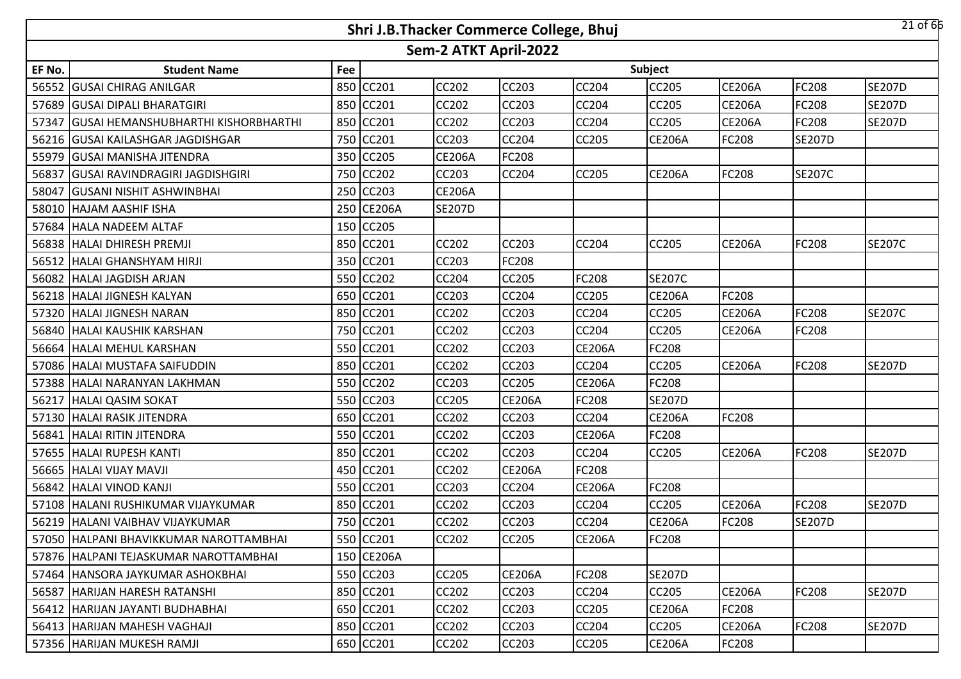|        |                                            |     | Shri J.B.Thacker Commerce College, Bhuj |                       |               |               |               |               |               | $21$ of 66    |
|--------|--------------------------------------------|-----|-----------------------------------------|-----------------------|---------------|---------------|---------------|---------------|---------------|---------------|
|        |                                            |     |                                         | Sem-2 ATKT April-2022 |               |               |               |               |               |               |
| EF No. | <b>Student Name</b>                        | Fee |                                         |                       |               |               | Subject       |               |               |               |
| 56552  | <b>GUSAI CHIRAG ANILGAR</b>                |     | 850 CC201                               | <b>CC202</b>          | <b>CC203</b>  | CC204         | CC205         | <b>CE206A</b> | FC208         | <b>SE207D</b> |
|        | 57689 GUSAI DIPALI BHARATGIRI              |     | 850 CC201                               | CC202                 | CC203         | CC204         | CC205         | <b>CE206A</b> | FC208         | <b>SE207D</b> |
| 57347  | <b>GUSAI HEMANSHUBHARTHI KISHORBHARTHI</b> |     | 850 CC201                               | CC202                 | CC203         | CC204         | CC205         | <b>CE206A</b> | FC208         | <b>SE207D</b> |
|        | 56216 GUSAI KAILASHGAR JAGDISHGAR          |     | 750 CC201                               | <b>CC203</b>          | <b>CC204</b>  | <b>CC205</b>  | <b>CE206A</b> | FC208         | <b>SE207D</b> |               |
|        | 55979 GUSAI MANISHA JITENDRA               |     | 350 CC205                               | <b>CE206A</b>         | <b>FC208</b>  |               |               |               |               |               |
|        | 56837 GUSAI RAVINDRAGIRI JAGDISHGIRI       |     | 750 CC202                               | <b>CC203</b>          | <b>CC204</b>  | <b>CC205</b>  | <b>CE206A</b> | FC208         | <b>SE207C</b> |               |
| 58047  | <b>GUSANI NISHIT ASHWINBHAI</b>            |     | 250 CC203                               | <b>CE206A</b>         |               |               |               |               |               |               |
|        | 58010 HAJAM AASHIF ISHA                    |     | 250 CE206A                              | <b>SE207D</b>         |               |               |               |               |               |               |
|        | 57684 HALA NADEEM ALTAF                    |     | 150 CC205                               |                       |               |               |               |               |               |               |
|        | 56838 HALAI DHIRESH PREMJI                 |     | 850 CC201                               | CC202                 | <b>CC203</b>  | CC204         | <b>CC205</b>  | <b>CE206A</b> | <b>FC208</b>  | <b>SE207C</b> |
| 56512  | <b>HALAI GHANSHYAM HIRJI</b>               |     | 350 CC201                               | CC203                 | <b>FC208</b>  |               |               |               |               |               |
| 56082  | <b>HALAI JAGDISH ARJAN</b>                 |     | 550 CC202                               | CC204                 | <b>CC205</b>  | <b>FC208</b>  | <b>SE207C</b> |               |               |               |
|        | 56218 HALAI JIGNESH KALYAN                 |     | 650 CC201                               | CC203                 | <b>CC204</b>  | CC205         | <b>CE206A</b> | FC208         |               |               |
|        | 57320 HALAI JIGNESH NARAN                  |     | 850 CC201                               | CC202                 | CC203         | CC204         | CC205         | <b>CE206A</b> | FC208         | <b>SE207C</b> |
|        | 56840 HALAI KAUSHIK KARSHAN                |     | 750 CC201                               | <b>CC202</b>          | <b>CC203</b>  | CC204         | CC205         | <b>CE206A</b> | FC208         |               |
|        | 56664 HALAI MEHUL KARSHAN                  |     | 550 CC201                               | CC202                 | CC203         | <b>CE206A</b> | FC208         |               |               |               |
|        | 57086 HALAI MUSTAFA SAIFUDDIN              |     | 850 CC201                               | <b>CC202</b>          | <b>CC203</b>  | CC204         | CC205         | <b>CE206A</b> | FC208         | <b>SE207D</b> |
|        | 57388 HALAI NARANYAN LAKHMAN               |     | 550 CC202                               | <b>CC203</b>          | <b>CC205</b>  | <b>CE206A</b> | FC208         |               |               |               |
|        | 56217 HALAI QASIM SOKAT                    |     | 550 CC203                               | <b>CC205</b>          | <b>CE206A</b> | <b>FC208</b>  | <b>SE207D</b> |               |               |               |
|        | 57130 HALAI RASIK JITENDRA                 |     | 650 CC201                               | CC202                 | <b>CC203</b>  | CC204         | <b>CE206A</b> | FC208         |               |               |
|        | 56841 HALAI RITIN JITENDRA                 |     | 550 CC201                               | CC202                 | <b>CC203</b>  | <b>CE206A</b> | FC208         |               |               |               |
|        | 57655 HALAI RUPESH KANTI                   |     | 850 CC201                               | CC202                 | CC203         | CC204         | CC205         | <b>CE206A</b> | <b>FC208</b>  | <b>SE207D</b> |
| 56665  | <b>HALAI VIJAY MAVJI</b>                   |     | 450 CC201                               | CC202                 | <b>CE206A</b> | <b>FC208</b>  |               |               |               |               |
|        | 56842 HALAI VINOD KANJI                    |     | 550 CC201                               | CC203                 | <b>CC204</b>  | <b>CE206A</b> | FC208         |               |               |               |
|        | 57108 HALANI RUSHIKUMAR VIJAYKUMAR         |     | 850 CC201                               | CC202                 | CC203         | CC204         | CC205         | <b>CE206A</b> | FC208         | <b>SE207D</b> |
|        | 56219 HALANI VAIBHAV VIJAYKUMAR            |     | 750 CC201                               | CC202                 | CC203         | CC204         | <b>CE206A</b> | FC208         | <b>SE207D</b> |               |
|        | 57050 HALPANI BHAVIKKUMAR NAROTTAMBHAI     |     | 550 CC201                               | <b>CC202</b>          | <b>CC205</b>  | <b>CE206A</b> | FC208         |               |               |               |
|        | 57876 HALPANI TEJASKUMAR NAROTTAMBHAI      |     | 150 CE206A                              |                       |               |               |               |               |               |               |
|        | 57464   HANSORA JAYKUMAR ASHOKBHAI         |     | 550 CC203                               | <b>CC205</b>          | <b>CE206A</b> | FC208         | <b>SE207D</b> |               |               |               |
|        | 56587 HARIJAN HARESH RATANSHI              |     | 850 CC201                               | <b>CC202</b>          | <b>CC203</b>  | <b>CC204</b>  | CC205         | <b>CE206A</b> | <b>FC208</b>  | <b>SE207D</b> |
|        | 56412   HARIJAN JAYANTI BUDHABHAI          |     | 650 CC201                               | <b>CC202</b>          | CC203         | CC205         | <b>CE206A</b> | FC208         |               |               |
|        | 56413 HARIJAN MAHESH VAGHAJI               |     | 850 CC201                               | <b>CC202</b>          | CC203         | <b>CC204</b>  | CC205         | <b>CE206A</b> | <b>FC208</b>  | <b>SE207D</b> |
|        | 57356 HARIJAN MUKESH RAMJI                 |     | 650 CC201                               | CC202                 | CC203         | CC205         | <b>CE206A</b> | FC208         |               |               |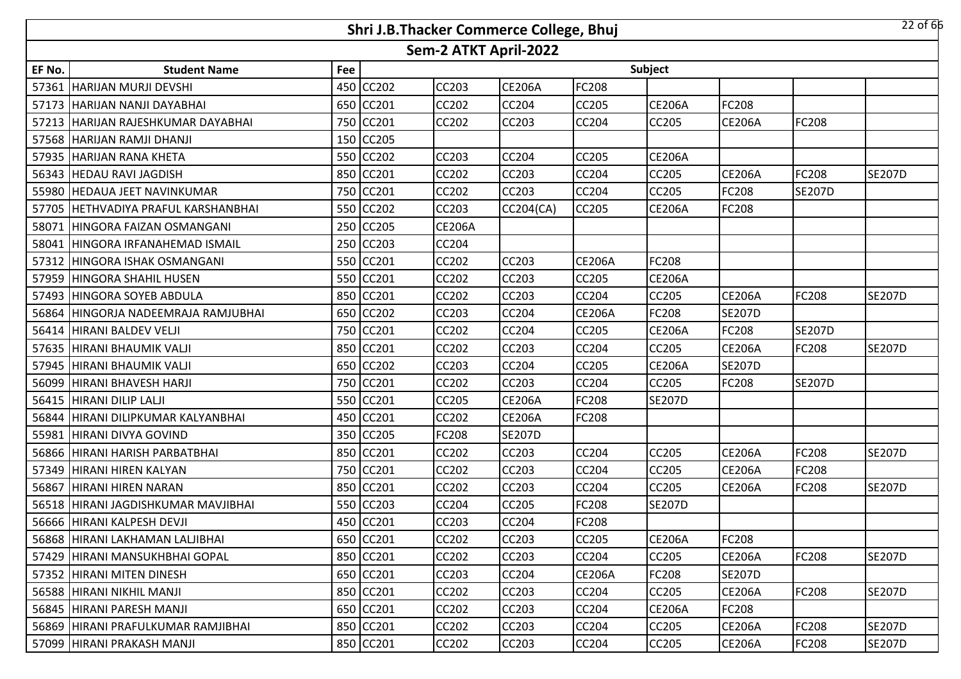|        |                                       |     | Shri J.B.Thacker Commerce College, Bhuj |                       |               |               |               |               |               | $22$ of 66    |
|--------|---------------------------------------|-----|-----------------------------------------|-----------------------|---------------|---------------|---------------|---------------|---------------|---------------|
|        |                                       |     |                                         | Sem-2 ATKT April-2022 |               |               |               |               |               |               |
| EF No. | <b>Student Name</b>                   | Fee |                                         |                       |               |               | Subject       |               |               |               |
| 57361  | HARIJAN MURJI DEVSHI                  | 450 | <b>CC202</b>                            | <b>CC203</b>          | <b>CE206A</b> | FC208         |               |               |               |               |
|        | 57173 HARIJAN NANJI DAYABHAI          |     | 650 CC201                               | <b>CC202</b>          | <b>CC204</b>  | <b>CC205</b>  | <b>CE206A</b> | FC208         |               |               |
|        | 57213 HARIJAN RAJESHKUMAR DAYABHAI    |     | 750 CC201                               | <b>CC202</b>          | <b>CC203</b>  | CC204         | CC205         | <b>CE206A</b> | FC208         |               |
|        | 57568 HARIJAN RAMJI DHANJI            |     | 150 CC205                               |                       |               |               |               |               |               |               |
|        | 57935 HARIJAN RANA KHETA              |     | 550 CC202                               | <b>CC203</b>          | <b>CC204</b>  | <b>CC205</b>  | <b>CE206A</b> |               |               |               |
|        | 56343 HEDAU RAVI JAGDISH              |     | 850 CC201                               | <b>CC202</b>          | <b>CC203</b>  | <b>CC204</b>  | CC205         | <b>CE206A</b> | <b>FC208</b>  | <b>SE207D</b> |
|        | 55980 HEDAUA JEET NAVINKUMAR          |     | 750 CC201                               | <b>CC202</b>          | <b>CC203</b>  | <b>CC204</b>  | CC205         | FC208         | <b>SE207D</b> |               |
|        | 57705   HETHVADIYA PRAFUL KARSHANBHAI | 550 | <b>CC202</b>                            | <b>CC203</b>          | CC204(CA)     | <b>CC205</b>  | <b>CE206A</b> | FC208         |               |               |
|        | 58071 HINGORA FAIZAN OSMANGANI        | 250 | <b>CC205</b>                            | <b>CE206A</b>         |               |               |               |               |               |               |
| 58041  | <b>HINGORA IRFANAHEMAD ISMAIL</b>     | 250 | CC203                                   | CC204                 |               |               |               |               |               |               |
|        | 57312 HINGORA ISHAK OSMANGANI         | 550 | <b>CC201</b>                            | <b>CC202</b>          | <b>CC203</b>  | <b>CE206A</b> | FC208         |               |               |               |
| 57959  | <b>HINGORA SHAHIL HUSEN</b>           | 550 | CC201                                   | CC202                 | <b>CC203</b>  | CC205         | <b>CE206A</b> |               |               |               |
|        | 57493 HINGORA SOYEB ABDULA            |     | 850 CC201                               | <b>CC202</b>          | <b>CC203</b>  | CC204         | CC205         | <b>CE206A</b> | <b>FC208</b>  | <b>SE207D</b> |
|        | 56864 HINGORJA NADEEMRAJA RAMJUBHAI   |     | 650 CC202                               | CC203                 | <b>CC204</b>  | <b>CE206A</b> | FC208         | <b>SE207D</b> |               |               |
|        | 56414 HIRANI BALDEV VELJI             |     | 750 CC201                               | <b>CC202</b>          | <b>CC204</b>  | <b>CC205</b>  | <b>CE206A</b> | FC208         | <b>SE207D</b> |               |
|        | 57635 HIRANI BHAUMIK VALJI            |     | 850 CC201                               | <b>CC202</b>          | <b>CC203</b>  | CC204         | CC205         | <b>CE206A</b> | <b>FC208</b>  | <b>SE207D</b> |
|        | 57945 HIRANI BHAUMIK VALJI            |     | 650 CC202                               | <b>CC203</b>          | <b>CC204</b>  | <b>CC205</b>  | <b>CE206A</b> | <b>SE207D</b> |               |               |
|        | 56099 HIRANI BHAVESH HARJI            |     | 750 CC201                               | <b>CC202</b>          | <b>CC203</b>  | CC204         | CC205         | FC208         | <b>SE207D</b> |               |
|        | 56415 HIRANI DILIP LALJI              | 550 | CC201                                   | <b>CC205</b>          | <b>CE206A</b> | <b>FC208</b>  | <b>SE207D</b> |               |               |               |
|        | 56844 HIRANI DILIPKUMAR KALYANBHAI    | 450 | <b>CC201</b>                            | <b>CC202</b>          | <b>CE206A</b> | <b>FC208</b>  |               |               |               |               |
|        | 55981 HIRANI DIVYA GOVIND             | 350 | <b>CC205</b>                            | FC208                 | <b>SE207D</b> |               |               |               |               |               |
|        | 56866 HIRANI HARISH PARBATBHAI        | 850 | <b>CC201</b>                            | <b>CC202</b>          | <b>CC203</b>  | <b>CC204</b>  | CC205         | <b>CE206A</b> | <b>FC208</b>  | <b>SE207D</b> |
| 57349  | <b>HIRANI HIREN KALYAN</b>            | 750 | CC201                                   | CC202                 | <b>CC203</b>  | CC204         | CC205         | <b>CE206A</b> | FC208         |               |
|        | 56867 HIRANI HIREN NARAN              |     | 850 CC201                               | <b>CC202</b>          | <b>CC203</b>  | CC204         | CC205         | <b>CE206A</b> | <b>FC208</b>  | <b>SE207D</b> |
|        | 56518 HIRANI JAGDISHKUMAR MAVJIBHAI   | 550 | <b>CC203</b>                            | CC204                 | <b>CC205</b>  | FC208         | <b>SE207D</b> |               |               |               |
|        | 56666 HIRANI KALPESH DEVJI            |     | 450 CC201                               | <b>CC203</b>          | <b>CC204</b>  | <b>FC208</b>  |               |               |               |               |
|        | 56868 HIRANI LAKHAMAN LALJIBHAI       |     | 650 CC201                               | <b>CC202</b>          | <b>CC203</b>  | <b>CC205</b>  | <b>CE206A</b> | FC208         |               |               |
|        | 57429   HIRANI MANSUKHBHAI GOPAL      |     | 850 CC201                               | CC202                 | <b>CC203</b>  | <b>CC204</b>  | CC205         | <b>CE206A</b> | <b>FC208</b>  | <b>SE207D</b> |
|        | 57352 HIRANI MITEN DINESH             |     | 650 CC201                               | CC203                 | <b>CC204</b>  | <b>CE206A</b> | FC208         | <b>SE207D</b> |               |               |
|        | 56588 HIRANI NIKHIL MANJI             |     | 850 CC201                               | CC202                 | <b>CC203</b>  | <b>CC204</b>  | CC205         | <b>CE206A</b> | <b>FC208</b>  | <b>SE207D</b> |
|        | 56845 HIRANI PARESH MANJI             |     | 650 CC201                               | CC202                 | <b>CC203</b>  | CC204         | <b>CE206A</b> | FC208         |               |               |
|        | 56869 HIRANI PRAFULKUMAR RAMJIBHAI    |     | 850 CC201                               | CC202                 | CC203         | <b>CC204</b>  | CC205         | <b>CE206A</b> | <b>FC208</b>  | <b>SE207D</b> |
|        | 57099 HIRANI PRAKASH MANJI            |     | 850 CC201                               | CC202                 | CC203         | CC204         | CC205         | <b>CE206A</b> | <b>FC208</b>  | <b>SE207D</b> |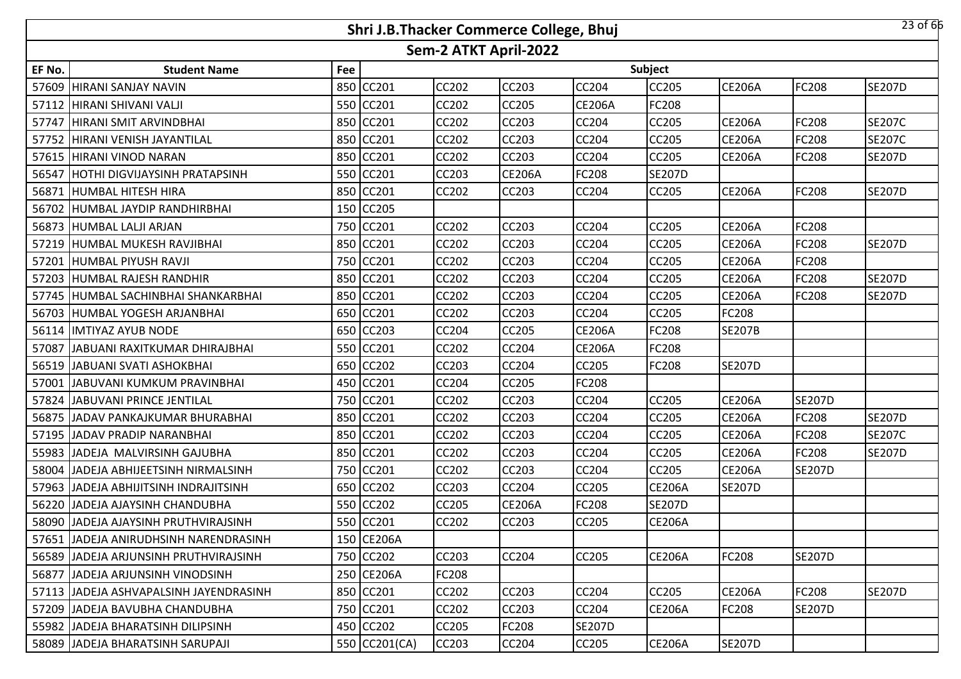|        |                                         |     | Shri J.B.Thacker Commerce College, Bhuj |                       |               |               |               |               |               | $23$ of 66    |
|--------|-----------------------------------------|-----|-----------------------------------------|-----------------------|---------------|---------------|---------------|---------------|---------------|---------------|
|        |                                         |     |                                         | Sem-2 ATKT April-2022 |               |               |               |               |               |               |
| EF No. | <b>Student Name</b>                     | Fee |                                         |                       |               |               | Subject       |               |               |               |
| 57609  | HIRANI SANJAY NAVIN                     | 850 | CC201                                   | <b>CC202</b>          | <b>CC203</b>  | <b>CC204</b>  | CC205         | <b>CE206A</b> | <b>FC208</b>  | <b>SE207D</b> |
|        | 57112 HIRANI SHIVANI VALJI              |     | 550 CC201                               | <b>CC202</b>          | <b>CC205</b>  | <b>CE206A</b> | FC208         |               |               |               |
|        | 57747 HIRANI SMIT ARVINDBHAI            |     | 850 CC201                               | <b>CC202</b>          | <b>CC203</b>  | CC204         | CC205         | <b>CE206A</b> | FC208         | <b>SE207C</b> |
|        | 57752 HIRANI VENISH JAYANTILAL          |     | 850 CC201                               | <b>CC202</b>          | <b>CC203</b>  | <b>CC204</b>  | CC205         | <b>CE206A</b> | <b>FC208</b>  | <b>SE207C</b> |
|        | 57615 HIRANI VINOD NARAN                |     | 850 CC201                               | <b>CC202</b>          | <b>CC203</b>  | CC204         | CC205         | <b>CE206A</b> | <b>FC208</b>  | <b>SE207D</b> |
|        | 56547 HOTHI DIGVIJAYSINH PRATAPSINH     |     | 550 CC201                               | CC203                 | <b>CE206A</b> | <b>FC208</b>  | <b>SE207D</b> |               |               |               |
|        | 56871 HUMBAL HITESH HIRA                | 850 | CC201                                   | <b>CC202</b>          | <b>CC203</b>  | CC204         | CC205         | <b>CE206A</b> | <b>FC208</b>  | <b>SE207D</b> |
|        | 56702 HUMBAL JAYDIP RANDHIRBHAI         | 150 | <b>CC205</b>                            |                       |               |               |               |               |               |               |
|        | 56873 HUMBAL LALJI ARJAN                | 750 | CC201                                   | <b>CC202</b>          | <b>CC203</b>  | CC204         | CC205         | <b>CE206A</b> | <b>FC208</b>  |               |
|        | 57219 HUMBAL MUKESH RAVJIBHAI           | 850 | CC201                                   | CC202                 | <b>CC203</b>  | CC204         | CC205         | <b>CE206A</b> | <b>FC208</b>  | <b>SE207D</b> |
| 57201  | <b>HUMBAL PIYUSH RAVJI</b>              | 750 | CC201                                   | <b>CC202</b>          | <b>CC203</b>  | CC204         | CC205         | <b>CE206A</b> | <b>FC208</b>  |               |
| 57203  | HUMBAL RAJESH RANDHIR                   | 850 | CC201                                   | CC202                 | <b>CC203</b>  | CC204         | CC205         | <b>CE206A</b> | FC208         | <b>SE207D</b> |
|        | 57745   HUMBAL SACHINBHAI SHANKARBHAI   | 850 | CC201                                   | <b>CC202</b>          | <b>CC203</b>  | CC204         | CC205         | <b>CE206A</b> | <b>FC208</b>  | <b>SE207D</b> |
|        | 56703 HUMBAL YOGESH ARJANBHAI           | 650 | CC201                                   | <b>CC202</b>          | <b>CC203</b>  | CC204         | CC205         | FC208         |               |               |
|        | 56114  IMTIYAZ AYUB NODE                |     | 650 CC203                               | <b>CC204</b>          | <b>CC205</b>  | <b>CE206A</b> | FC208         | <b>SE207B</b> |               |               |
| 57087  | <b>JABUANI RAXITKUMAR DHIRAJBHAI</b>    |     | 550 CC201                               | <b>CC202</b>          | <b>CC204</b>  | <b>CE206A</b> | FC208         |               |               |               |
|        | 56519 JABUANI SVATI ASHOKBHAI           | 650 | <b>CC202</b>                            | <b>CC203</b>          | <b>CC204</b>  | <b>CC205</b>  | <b>FC208</b>  | <b>SE207D</b> |               |               |
|        | 57001 JABUVANI KUMKUM PRAVINBHAI        | 450 | CC201                                   | CC204                 | <b>CC205</b>  | FC208         |               |               |               |               |
|        | 57824 JJABUVANI PRINCE JENTILAL         | 750 | CC201                                   | <b>CC202</b>          | <b>CC203</b>  | <b>CC204</b>  | CC205         | <b>CE206A</b> | <b>SE207D</b> |               |
|        | 56875 JJADAV PANKAJKUMAR BHURABHAI      | 850 | <b>CC201</b>                            | <b>CC202</b>          | <b>CC203</b>  | CC204         | CC205         | <b>CE206A</b> | <b>FC208</b>  | <b>SE207D</b> |
|        | 57195 JJADAV PRADIP NARANBHAI           | 850 | CC201                                   | CC202                 | <b>CC203</b>  | CC204         | CC205         | <b>CE206A</b> | <b>FC208</b>  | <b>SE207C</b> |
|        | 55983 JADEJA MALVIRSINH GAJUBHA         | 850 | CC201                                   | <b>CC202</b>          | <b>CC203</b>  | <b>CC204</b>  | CC205         | <b>CE206A</b> | <b>FC208</b>  | <b>SE207D</b> |
| 58004  | JADEJA ABHIJEETSINH NIRMALSINH          | 750 | CC201                                   | CC202                 | <b>CC203</b>  | CC204         | CC205         | <b>CE206A</b> | <b>SE207D</b> |               |
|        | 57963 JADEJA ABHIJITSINH INDRAJITSINH   | 650 | <b>CC202</b>                            | <b>CC203</b>          | <b>CC204</b>  | <b>CC205</b>  | <b>CE206A</b> | <b>SE207D</b> |               |               |
|        | 56220 JJADEJA AJAYSINH CHANDUBHA        | 550 | CC202                                   | <b>CC205</b>          | <b>CE206A</b> | FC208         | <b>SE207D</b> |               |               |               |
|        | 58090 JJADEJA AJAYSINH PRUTHVIRAJSINH   |     | 550 CC201                               | <b>CC202</b>          | <b>CC203</b>  | <b>CC205</b>  | <b>CE206A</b> |               |               |               |
|        | 57651 JJADEJA ANIRUDHSINH NARENDRASINH  |     | 150 CE206A                              |                       |               |               |               |               |               |               |
|        | 56589 JJADEJA ARJUNSINH PRUTHVIRAJSINH  |     | 750 CC202                               | CC203                 | <b>CC204</b>  | <b>CC205</b>  | <b>CE206A</b> | FC208         | <b>SE207D</b> |               |
|        | 56877 JJADEJA ARJUNSINH VINODSINH       |     | 250 CE206A                              | FC208                 |               |               |               |               |               |               |
|        | 57113 JJADEJA ASHVAPALSINH JAYENDRASINH |     | 850 CC201                               | <b>CC202</b>          | <b>CC203</b>  | <b>CC204</b>  | CC205         | <b>CE206A</b> | <b>FC208</b>  | <b>SE207D</b> |
|        | 57209 JJADEJA BAVUBHA CHANDUBHA         |     | 750 CC201                               | CC202                 | <b>CC203</b>  | <b>CC204</b>  | <b>CE206A</b> | FC208         | <b>SE207D</b> |               |
|        | 55982 JJADEJA BHARATSINH DILIPSINH      |     | 450 CC202                               | <b>CC205</b>          | <b>FC208</b>  | <b>SE207D</b> |               |               |               |               |
|        | 58089 JADEJA BHARATSINH SARUPAJI        |     | 550 CC201(CA)                           | CC203                 | CC204         | <b>CC205</b>  | <b>CE206A</b> | <b>SE207D</b> |               |               |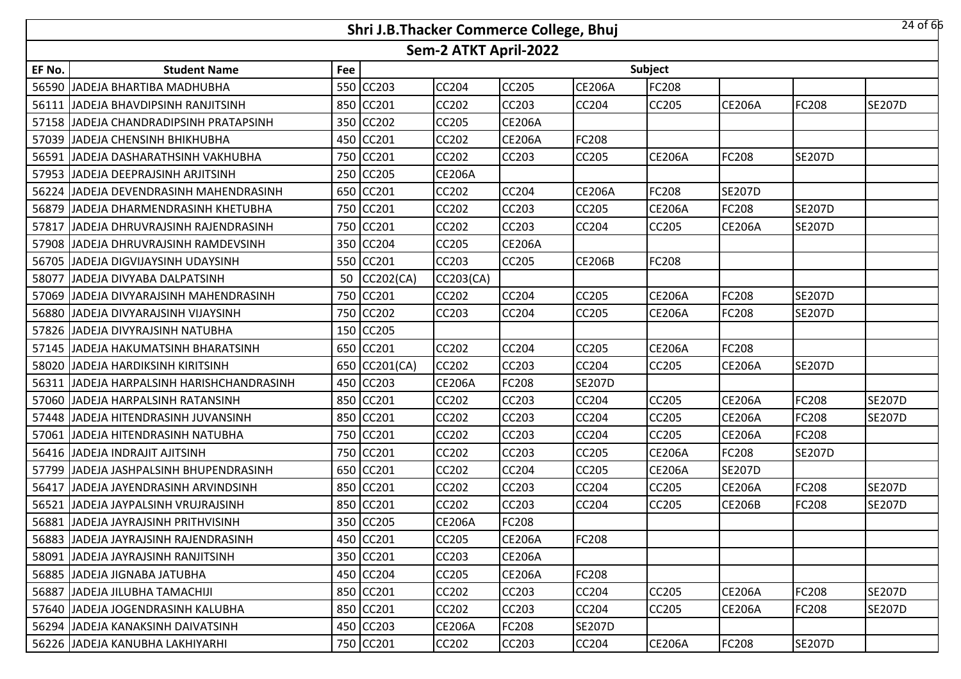|        |                                          |     | Shri J.B.Thacker Commerce College, Bhuj |                       |               |               |                |               |               | 24 of 66      |
|--------|------------------------------------------|-----|-----------------------------------------|-----------------------|---------------|---------------|----------------|---------------|---------------|---------------|
|        |                                          |     |                                         | Sem-2 ATKT April-2022 |               |               |                |               |               |               |
| EF No. | <b>Student Name</b>                      | Fee |                                         |                       |               |               | <b>Subject</b> |               |               |               |
| 56590  | JADEJA BHARTIBA MADHUBHA                 |     | 550 CC203                               | CC204                 | <b>CC205</b>  | <b>CE206A</b> | FC208          |               |               |               |
| 56111  | JADEJA BHAVDIPSINH RANJITSINH            |     | 850 CC201                               | <b>CC202</b>          | CC203         | CC204         | <b>CC205</b>   | <b>CE206A</b> | FC208         | <b>SE207D</b> |
| 57158  | <b>JJADEJA CHANDRADIPSINH PRATAPSINH</b> |     | 350 CC202                               | <b>CC205</b>          | <b>CE206A</b> |               |                |               |               |               |
| 57039  | JADEJA CHENSINH BHIKHUBHA                |     | 450 CC201                               | <b>CC202</b>          | <b>CE206A</b> | FC208         |                |               |               |               |
| 56591  | JADEJA DASHARATHSINH VAKHUBHA            |     | 750 CC201                               | <b>CC202</b>          | <b>CC203</b>  | CC205         | <b>CE206A</b>  | FC208         | <b>SE207D</b> |               |
|        | 57953 JJADEJA DEEPRAJSINH ARJITSINH      |     | 250 CC205                               | <b>CE206A</b>         |               |               |                |               |               |               |
| 56224  | JADEJA DEVENDRASINH MAHENDRASINH         |     | 650 CC201                               | <b>CC202</b>          | <b>CC204</b>  | <b>CE206A</b> | FC208          | <b>SE207D</b> |               |               |
| 56879  | JADEJA DHARMENDRASINH KHETUBHA           |     | 750 CC201                               | <b>CC202</b>          | <b>CC203</b>  | CC205         | <b>CE206A</b>  | FC208         | <b>SE207D</b> |               |
| 57817  | JADEJA DHRUVRAJSINH RAJENDRASINH         |     | 750 CC201                               | <b>CC202</b>          | CC203         | CC204         | CC205          | <b>CE206A</b> | <b>SE207D</b> |               |
| 57908  | JADEJA DHRUVRAJSINH RAMDEVSINH           |     | 350 CC204                               | CC205                 | <b>CE206A</b> |               |                |               |               |               |
| 56705  | JADEJA DIGVIJAYSINH UDAYSINH             |     | 550 CC201                               | <b>CC203</b>          | CC205         | <b>CE206B</b> | FC208          |               |               |               |
| 58077  | JADEJA DIVYABA DALPATSINH                | 50  | CC202(CA)                               | CC203(CA)             |               |               |                |               |               |               |
| 57069  | JADEJA DIVYARAJSINH MAHENDRASINH         |     | 750 CC201                               | <b>CC202</b>          | <b>CC204</b>  | CC205         | <b>CE206A</b>  | FC208         | <b>SE207D</b> |               |
| 56880  | JADEJA DIVYARAJSINH VIJAYSINH            |     | 750 CC202                               | CC203                 | CC204         | CC205         | <b>CE206A</b>  | FC208         | <b>SE207D</b> |               |
| 57826  | JADEJA DIVYRAJSINH NATUBHA               |     | 150 CC205                               |                       |               |               |                |               |               |               |
| 57145  | JADEJA HAKUMATSINH BHARATSINH            |     | 650 CC201                               | <b>CC202</b>          | <b>CC204</b>  | CC205         | <b>CE206A</b>  | FC208         |               |               |
| 58020  | JADEJA HARDIKSINH KIRITSINH              |     | 650 CC201(CA)                           | <b>CC202</b>          | <b>CC203</b>  | CC204         | <b>CC205</b>   | <b>CE206A</b> | <b>SE207D</b> |               |
| 56311  | JADEJA HARPALSINH HARISHCHANDRASINH      |     | 450 CC203                               | <b>CE206A</b>         | <b>FC208</b>  | <b>SE207D</b> |                |               |               |               |
| 57060  | JADEJA HARPALSINH RATANSINH              |     | 850 CC201                               | <b>CC202</b>          | <b>CC203</b>  | CC204         | <b>CC205</b>   | <b>CE206A</b> | <b>FC208</b>  | <b>SE207D</b> |
| 57448  | JADEJA HITENDRASINH JUVANSINH            |     | 850 CC201                               | <b>CC202</b>          | CC203         | CC204         | CC205          | <b>CE206A</b> | FC208         | <b>SE207D</b> |
| 57061  | JADEJA HITENDRASINH NATUBHA              |     | 750 CC201                               | <b>CC202</b>          | <b>CC203</b>  | CC204         | <b>CC205</b>   | <b>CE206A</b> | FC208         |               |
| 56416  | JADEJA INDRAJIT AJITSINH                 |     | 750 CC201                               | <b>CC202</b>          | CC203         | CC205         | <b>CE206A</b>  | FC208         | <b>SE207D</b> |               |
| 57799  | JADEJA JASHPALSINH BHUPENDRASINH         |     | 650 CC201                               | CC202                 | CC204         | CC205         | <b>CE206A</b>  | <b>SE207D</b> |               |               |
| 56417  | JADEJA JAYENDRASINH ARVINDSINH           |     | 850 CC201                               | CC202                 | CC203         | CC204         | <b>CC205</b>   | <b>CE206A</b> | <b>FC208</b>  | <b>SE207D</b> |
| 56521  | JADEJA JAYPALSINH VRUJRAJSINH            |     | 850 CC201                               | CC202                 | CC203         | CC204         | CC205          | <b>CE206B</b> | FC208         | <b>SE207D</b> |
|        | 56881 JADEJA JAYRAJSINH PRITHVISINH      |     | 350 CC205                               | <b>CE206A</b>         | FC208         |               |                |               |               |               |
|        | 56883 JADEJA JAYRAJSINH RAJENDRASINH     |     | 450 CC201                               | <b>CC205</b>          | <b>CE206A</b> | FC208         |                |               |               |               |
|        | 58091 JJADEJA JAYRAJSINH RANJITSINH      |     | 350 CC201                               | <b>CC203</b>          | <b>CE206A</b> |               |                |               |               |               |
|        | 56885 JJADEJA JIGNABA JATUBHA            |     | 450 CC204                               | <b>CC205</b>          | <b>CE206A</b> | FC208         |                |               |               |               |
|        | 56887 JJADEJA JILUBHA TAMACHIJI          |     | 850 CC201                               | <b>CC202</b>          | <b>CC203</b>  | CC204         | <b>CC205</b>   | <b>CE206A</b> | <b>FC208</b>  | <b>SE207D</b> |
|        | 57640 JJADEJA JOGENDRASINH KALUBHA       |     | 850 CC201                               | CC202                 | CC203         | CC204         | CC205          | <b>CE206A</b> | FC208         | <b>SE207D</b> |
|        | 56294 JJADEJA KANAKSINH DAIVATSINH       |     | 450 CC203                               | <b>CE206A</b>         | <b>FC208</b>  | <b>SE207D</b> |                |               |               |               |
|        | 56226 JADEJA KANUBHA LAKHIYARHI          |     | 750 CC201                               | CC202                 | CC203         | CC204         | <b>CE206A</b>  | FC208         | <b>SE207D</b> |               |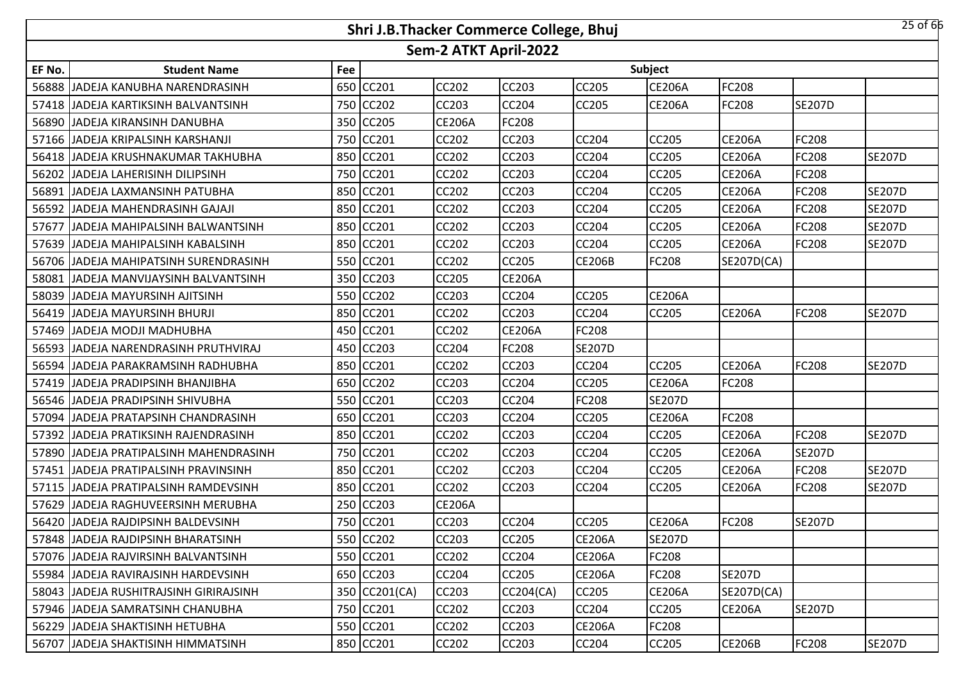|        |                                         |     | Shri J.B.Thacker Commerce College, Bhuj |                       |               |               |               |               |               | $25$ of 66    |
|--------|-----------------------------------------|-----|-----------------------------------------|-----------------------|---------------|---------------|---------------|---------------|---------------|---------------|
|        |                                         |     |                                         | Sem-2 ATKT April-2022 |               |               |               |               |               |               |
| EF No. | <b>Student Name</b>                     | Fee |                                         |                       |               |               | Subject       |               |               |               |
| 56888  | JJADEJA KANUBHA NARENDRASINH            | 650 | <b>CC201</b>                            | <b>CC202</b>          | <b>CC203</b>  | <b>CC205</b>  | <b>CE206A</b> | FC208         |               |               |
|        | 57418 JJADEJA KARTIKSINH BALVANTSINH    | 750 | <b>CC202</b>                            | <b>CC203</b>          | <b>CC204</b>  | <b>CC205</b>  | <b>CE206A</b> | FC208         | <b>SE207D</b> |               |
| 56890  | JADEJA KIRANSINH DANUBHA                | 350 | <b>CC205</b>                            | <b>CE206A</b>         | FC208         |               |               |               |               |               |
| 57166  | JADEJA KRIPALSINH KARSHANJI             | 750 | <b>CC201</b>                            | CC202                 | <b>CC203</b>  | <b>CC204</b>  | CC205         | <b>CE206A</b> | <b>FC208</b>  |               |
| 56418  | JADEJA KRUSHNAKUMAR TAKHUBHA            | 850 | <b>CC201</b>                            | CC202                 | CC203         | CC204         | CC205         | <b>CE206A</b> | <b>FC208</b>  | <b>SE207D</b> |
| 56202  | JADEJA LAHERISINH DILIPSINH             | 750 | <b>CC201</b>                            | CC202                 | <b>CC203</b>  | CC204         | CC205         | <b>CE206A</b> | <b>FC208</b>  |               |
| 56891  | JADEJA LAXMANSINH PATUBHA               | 850 | CC201                                   | CC202                 | CC203         | CC204         | CC205         | <b>CE206A</b> | <b>FC208</b>  | <b>SE207D</b> |
| 56592  | JADEJA MAHENDRASINH GAJAJI              | 850 | CC201                                   | CC202                 | <b>CC203</b>  | CC204         | CC205         | <b>CE206A</b> | <b>FC208</b>  | <b>SE207D</b> |
| 57677  | JADEJA MAHIPALSINH BALWANTSINH          | 850 | CC201                                   | CC202                 | CC203         | CC204         | CC205         | <b>CE206A</b> | <b>FC208</b>  | <b>SE207D</b> |
| 57639  | JADEJA MAHIPALSINH KABALSINH            | 850 | CC201                                   | CC202                 | CC203         | CC204         | CC205         | <b>CE206A</b> | FC208         | <b>SE207D</b> |
|        | 56706 JJADEJA MAHIPATSINH SURENDRASINH  | 550 | <b>CC201</b>                            | CC202                 | <b>CC205</b>  | <b>CE206B</b> | FC208         | SE207D(CA)    |               |               |
| 58081  | JADEJA MANVIJAYSINH BALVANTSINH         | 350 | <b>CC203</b>                            | CC205                 | <b>CE206A</b> |               |               |               |               |               |
|        | 58039 JJADEJA MAYURSINH AJITSINH        | 550 | <b>CC202</b>                            | <b>CC203</b>          | <b>CC204</b>  | <b>CC205</b>  | <b>CE206A</b> |               |               |               |
| 56419  | JADEJA MAYURSINH BHURJI                 | 850 | CC201                                   | CC202                 | CC203         | CC204         | CC205         | <b>CE206A</b> | <b>FC208</b>  | <b>SE207D</b> |
| 57469  | JADEJA MODJI MADHUBHA                   | 450 | CC201                                   | <b>CC202</b>          | <b>CE206A</b> | <b>FC208</b>  |               |               |               |               |
| 56593  | JADEJA NARENDRASINH PRUTHVIRAJ          | 450 | <b>CC203</b>                            | CC204                 | FC208         | <b>SE207D</b> |               |               |               |               |
| 56594  | JADEJA PARAKRAMSINH RADHUBHA            | 850 | <b>CC201</b>                            | CC202                 | <b>CC203</b>  | <b>CC204</b>  | CC205         | <b>CE206A</b> | <b>FC208</b>  | <b>SE207D</b> |
| 57419  | JADEJA PRADIPSINH BHANJIBHA             | 650 | <b>CC202</b>                            | CC203                 | CC204         | CC205         | <b>CE206A</b> | FC208         |               |               |
| 56546  | JADEJA PRADIPSINH SHIVUBHA              | 550 | CC201                                   | CC203                 | CC204         | FC208         | <b>SE207D</b> |               |               |               |
| 57094  | JADEJA PRATAPSINH CHANDRASINH           | 650 | CC201                                   | CC203                 | CC204         | CC205         | <b>CE206A</b> | FC208         |               |               |
| 57392  | JADEJA PRATIKSINH RAJENDRASINH          | 850 | CC201                                   | CC202                 | CC203         | CC204         | CC205         | <b>CE206A</b> | FC208         | <b>SE207D</b> |
| 57890  | JADEJA PRATIPALSINH MAHENDRASINH        | 750 | CC201                                   | CC202                 | <b>CC203</b>  | CC204         | CC205         | <b>CE206A</b> | <b>SE207D</b> |               |
| 57451  | JADEJA PRATIPALSINH PRAVINSINH          | 850 | CC201                                   | CC202                 | CC203         | CC204         | CC205         | <b>CE206A</b> | FC208         | <b>SE207D</b> |
|        | 57115 JADEJA PRATIPALSINH RAMDEVSINH    | 850 | CC201                                   | <b>CC202</b>          | <b>CC203</b>  | CC204         | CC205         | <b>CE206A</b> | <b>FC208</b>  | <b>SE207D</b> |
| 57629  | JADEJA RAGHUVEERSINH MERUBHA            | 250 | <b>CC203</b>                            | <b>CE206A</b>         |               |               |               |               |               |               |
|        | 56420 JADEJA RAJDIPSINH BALDEVSINH      |     | 750 CC201                               | <b>CC203</b>          | <b>CC204</b>  | <b>CC205</b>  | <b>CE206A</b> | FC208         | <b>SE207D</b> |               |
|        | 57848 JADEJA RAJDIPSINH BHARATSINH      |     | 550 CC202                               | CC203                 | CC205         | <b>CE206A</b> | <b>SE207D</b> |               |               |               |
|        | 57076 JADEJA RAJVIRSINH BALVANTSINH     |     | 550 CC201                               | CC202                 | <b>CC204</b>  | <b>CE206A</b> | FC208         |               |               |               |
|        | 55984 JJADEJA RAVIRAJSINH HARDEVSINH    |     | 650 CC203                               | CC204                 | <b>CC205</b>  | <b>CE206A</b> | FC208         | <b>SE207D</b> |               |               |
|        | 58043 JJADEJA RUSHITRAJSINH GIRIRAJSINH |     | 350 CC201(CA)                           | CC203                 | CC204(CA)     | <b>CC205</b>  | <b>CE206A</b> | SE207D(CA)    |               |               |
|        | 57946 JADEJA SAMRATSINH CHANUBHA        |     | 750 CC201                               | CC202                 | CC203         | CC204         | CC205         | <b>CE206A</b> | <b>SE207D</b> |               |
|        | 56229 JJADEJA SHAKTISINH HETUBHA        | 550 | CC201                                   | CC202                 | <b>CC203</b>  | <b>CE206A</b> | FC208         |               |               |               |
|        | 56707 JADEJA SHAKTISINH HIMMATSINH      |     | 850 CC201                               | <b>CC202</b>          | CC203         | <b>CC204</b>  | CC205         | <b>CE206B</b> | <b>FC208</b>  | <b>SE207D</b> |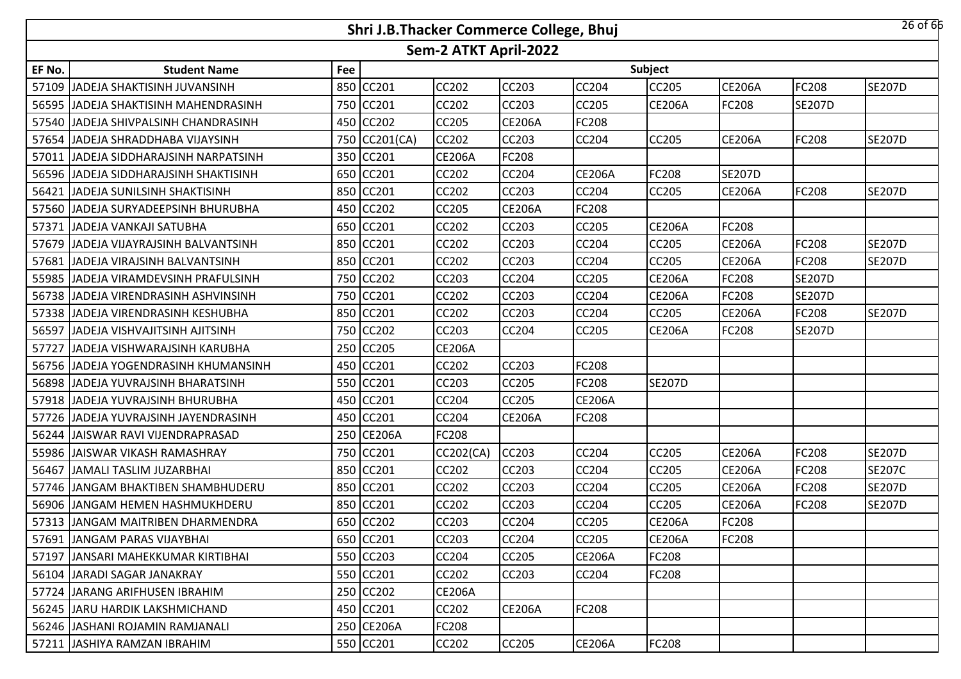|        |                                        |     | Shri J.B.Thacker Commerce College, Bhuj |                       |               |               |               |               |               | $26$ of $66$  |
|--------|----------------------------------------|-----|-----------------------------------------|-----------------------|---------------|---------------|---------------|---------------|---------------|---------------|
|        |                                        |     |                                         | Sem-2 ATKT April-2022 |               |               |               |               |               |               |
| EF No. | <b>Student Name</b>                    | Fee |                                         |                       |               |               | Subject       |               |               |               |
| 57109  | JADEJA SHAKTISINH JUVANSINH            | 850 | <b>CC201</b>                            | CC202                 | CC203         | CC204         | CC205         | <b>CE206A</b> | <b>FC208</b>  | <b>SE207D</b> |
|        | 56595 JJADEJA SHAKTISINH MAHENDRASINH  | 750 | <b>CC201</b>                            | <b>CC202</b>          | <b>CC203</b>  | <b>CC205</b>  | <b>CE206A</b> | FC208         | <b>SE207D</b> |               |
| 57540  | JADEJA SHIVPALSINH CHANDRASINH         | 450 | CC202                                   | CC205                 | <b>CE206A</b> | FC208         |               |               |               |               |
|        | 57654 JJADEJA SHRADDHABA VIJAYSINH     | 750 | CC201(CA)                               | <b>CC202</b>          | CC203         | <b>CC204</b>  | <b>CC205</b>  | <b>CE206A</b> | <b>FC208</b>  | <b>SE207D</b> |
| 57011  | JADEJA SIDDHARAJSINH NARPATSINH        | 350 | <b>CC201</b>                            | <b>CE206A</b>         | FC208         |               |               |               |               |               |
|        | 56596 JJADEJA SIDDHARAJSINH SHAKTISINH | 650 | CC201                                   | <b>CC202</b>          | <b>CC204</b>  | <b>CE206A</b> | FC208         | <b>SE207D</b> |               |               |
| 56421  | JADEJA SUNILSINH SHAKTISINH            | 850 | <b>CC201</b>                            | CC202                 | <b>CC203</b>  | CC204         | CC205         | <b>CE206A</b> | <b>FC208</b>  | <b>SE207D</b> |
| 57560  | JADEJA SURYADEEPSINH BHURUBHA          | 450 | <b>CC202</b>                            | CC205                 | <b>CE206A</b> | <b>FC208</b>  |               |               |               |               |
| 57371  | JADEJA VANKAJI SATUBHA                 | 650 | <b>CC201</b>                            | CC202                 | CC203         | CC205         | <b>CE206A</b> | FC208         |               |               |
| 57679  | JADEJA VIJAYRAJSINH BALVANTSINH        | 850 | CC201                                   | CC202                 | CC203         | CC204         | CC205         | <b>CE206A</b> | <b>FC208</b>  | <b>SE207D</b> |
| 57681  | JADEJA VIRAJSINH BALVANTSINH           | 850 | CC201                                   | CC202                 | CC203         | CC204         | CC205         | <b>CE206A</b> | <b>FC208</b>  | <b>SE207D</b> |
| 55985  | JADEJA VIRAMDEVSINH PRAFULSINH         | 750 | CC202                                   | CC203                 | CC204         | CC205         | <b>CE206A</b> | FC208         | <b>SE207D</b> |               |
|        | 56738 JJADEJA VIRENDRASINH ASHVINSINH  | 750 | CC201                                   | CC202                 | <b>CC203</b>  | CC204         | <b>CE206A</b> | FC208         | <b>SE207D</b> |               |
| 57338  | JADEJA VIRENDRASINH KESHUBHA           | 850 | <b>CC201</b>                            | CC202                 | CC203         | CC204         | CC205         | <b>CE206A</b> | <b>FC208</b>  | <b>SE207D</b> |
| 56597  | <b>JADEJA VISHVAJITSINH AJITSINH</b>   | 750 | <b>CC202</b>                            | <b>CC203</b>          | <b>CC204</b>  | <b>CC205</b>  | <b>CE206A</b> | FC208         | <b>SE207D</b> |               |
| 57727  | JADEJA VISHWARAJSINH KARUBHA           | 250 | <b>CC205</b>                            | <b>CE206A</b>         |               |               |               |               |               |               |
|        | 56756 JJADEJA YOGENDRASINH KHUMANSINH  | 450 | <b>CC201</b>                            | <b>CC202</b>          | CC203         | <b>FC208</b>  |               |               |               |               |
| 56898  | JADEJA YUVRAJSINH BHARATSINH           | 550 | <b>CC201</b>                            | CC203                 | CC205         | FC208         | <b>SE207D</b> |               |               |               |
| 57918  | JADEJA YUVRAJSINH BHURUBHA             | 450 | <b>CC201</b>                            | CC204                 | <b>CC205</b>  | <b>CE206A</b> |               |               |               |               |
| 57726  | JADEJA YUVRAJSINH JAYENDRASINH         | 450 | <b>CC201</b>                            | CC204                 | <b>CE206A</b> | FC208         |               |               |               |               |
| 56244  | JAISWAR RAVI VIJENDRAPRASAD            | 250 | <b>CE206A</b>                           | FC208                 |               |               |               |               |               |               |
| 55986  | JAISWAR VIKASH RAMASHRAY               | 750 | CC201                                   | CC202(CA)             | CC203         | <b>CC204</b>  | CC205         | <b>CE206A</b> | <b>FC208</b>  | <b>SE207D</b> |
| 56467  | JAMALI TASLIM JUZARBHAI                | 850 | CC201                                   | CC202                 | CC203         | CC204         | CC205         | <b>CE206A</b> | FC208         | <b>SE207C</b> |
|        | 57746 JANGAM BHAKTIBEN SHAMBHUDERU     | 850 | CC201                                   | CC202                 | <b>CC203</b>  | CC204         | CC205         | <b>CE206A</b> | <b>FC208</b>  | <b>SE207D</b> |
| 56906  | JANGAM HEMEN HASHMUKHDERU              | 850 | CC201                                   | CC202                 | CC203         | CC204         | CC205         | <b>CE206A</b> | FC208         | <b>SE207D</b> |
|        | 57313 JJANGAM MAITRIBEN DHARMENDRA     |     | 650 CC202                               | <b>CC203</b>          | CC204         | CC205         | <b>CE206A</b> | FC208         |               |               |
|        | 57691 JANGAM PARAS VIJAYBHAI           |     | 650 CC201                               | CC203                 | <b>CC204</b>  | <b>CC205</b>  | <b>CE206A</b> | FC208         |               |               |
|        | 57197 JJANSARI MAHEKKUMAR KIRTIBHAI    |     | 550 CC203                               | CC204                 | <b>CC205</b>  | <b>CE206A</b> | FC208         |               |               |               |
|        | 56104 JJARADI SAGAR JANAKRAY           |     | 550 CC201                               | <b>CC202</b>          | CC203         | <b>CC204</b>  | FC208         |               |               |               |
|        | 57724 JJARANG ARIFHUSEN IBRAHIM        |     | 250 CC202                               | <b>CE206A</b>         |               |               |               |               |               |               |
|        | 56245 JJARU HARDIK LAKSHMICHAND        |     | 450 CC201                               | <b>CC202</b>          | <b>CE206A</b> | <b>FC208</b>  |               |               |               |               |
|        | 56246 JJASHANI ROJAMIN RAMJANALI       |     | 250 CE206A                              | FC208                 |               |               |               |               |               |               |
|        | 57211 JASHIYA RAMZAN IBRAHIM           |     | 550 CC201                               | CC202                 | <b>CC205</b>  | <b>CE206A</b> | FC208         |               |               |               |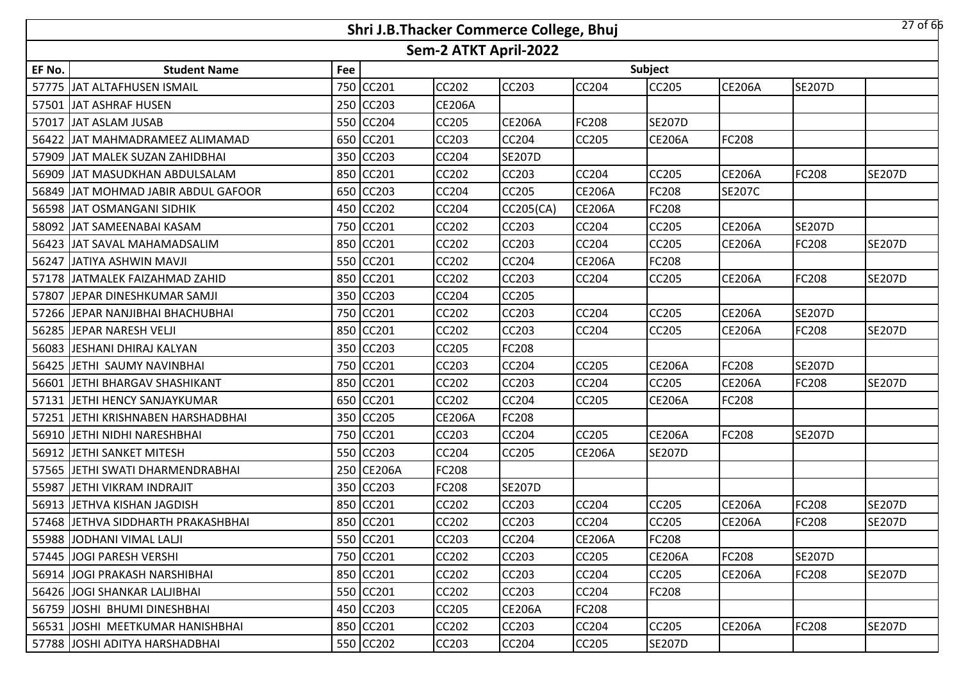|        |                                     |     | Shri J.B.Thacker Commerce College, Bhuj |                       |               |               |               |               |               | $27$ of 66    |
|--------|-------------------------------------|-----|-----------------------------------------|-----------------------|---------------|---------------|---------------|---------------|---------------|---------------|
|        |                                     |     |                                         | Sem-2 ATKT April-2022 |               |               |               |               |               |               |
| EF No. | <b>Student Name</b>                 | Fee |                                         |                       |               |               | Subject       |               |               |               |
|        | 57775 JJAT ALTAFHUSEN ISMAIL        | 750 | <b>CC201</b>                            | <b>CC202</b>          | <b>CC203</b>  | <b>CC204</b>  | CC205         | <b>CE206A</b> | <b>SE207D</b> |               |
|        | 57501 JAT ASHRAF HUSEN              |     | 250 CC203                               | <b>CE206A</b>         |               |               |               |               |               |               |
| 57017  | JAT ASLAM JUSAB                     |     | 550 CC204                               | <b>CC205</b>          | <b>CE206A</b> | FC208         | <b>SE207D</b> |               |               |               |
|        | 56422 JJAT MAHMADRAMEEZ ALIMAMAD    |     | 650 CC201                               | <b>CC203</b>          | <b>CC204</b>  | <b>CC205</b>  | <b>CE206A</b> | FC208         |               |               |
|        | 57909 JJAT MALEK SUZAN ZAHIDBHAI    |     | 350 CC203                               | <b>CC204</b>          | <b>SE207D</b> |               |               |               |               |               |
|        | 56909 JJAT MASUDKHAN ABDULSALAM     |     | 850 CC201                               | <b>CC202</b>          | <b>CC203</b>  | <b>CC204</b>  | CC205         | <b>CE206A</b> | <b>FC208</b>  | <b>SE207D</b> |
|        | 56849 JAT MOHMAD JABIR ABDUL GAFOOR | 650 | <b>CC203</b>                            | CC204                 | <b>CC205</b>  | <b>CE206A</b> | FC208         | <b>SE207C</b> |               |               |
|        | 56598 JAT OSMANGANI SIDHIK          | 450 | <b>CC202</b>                            | CC204                 | CC205(CA)     | <b>CE206A</b> | FC208         |               |               |               |
|        | 58092 JAT SAMEENABAI KASAM          | 750 | CC201                                   | <b>CC202</b>          | <b>CC203</b>  | CC204         | CC205         | <b>CE206A</b> | <b>SE207D</b> |               |
|        | 56423 JJAT SAVAL MAHAMADSALIM       | 850 | CC201                                   | CC202                 | <b>CC203</b>  | CC204         | CC205         | <b>CE206A</b> | FC208         | <b>SE207D</b> |
|        | 56247 JATIYA ASHWIN MAVJI           | 550 | <b>CC201</b>                            | <b>CC202</b>          | <b>CC204</b>  | <b>CE206A</b> | FC208         |               |               |               |
|        | 57178 JJATMALEK FAIZAHMAD ZAHID     | 850 | CC201                                   | CC202                 | <b>CC203</b>  | CC204         | CC205         | <b>CE206A</b> | FC208         | <b>SE207D</b> |
|        | 57807 JEPAR DINESHKUMAR SAMJI       |     | 350 CC203                               | <b>CC204</b>          | <b>CC205</b>  |               |               |               |               |               |
|        | 57266 JEPAR NANJIBHAI BHACHUBHAI    |     | 750 CC201                               | <b>CC202</b>          | <b>CC203</b>  | CC204         | CC205         | <b>CE206A</b> | <b>SE207D</b> |               |
|        | 56285 JEPAR NARESH VELJI            |     | 850 CC201                               | <b>CC202</b>          | <b>CC203</b>  | <b>CC204</b>  | <b>CC205</b>  | <b>CE206A</b> | <b>FC208</b>  | <b>SE207D</b> |
|        | 56083 JESHANI DHIRAJ KALYAN         |     | 350 CC203                               | <b>CC205</b>          | <b>FC208</b>  |               |               |               |               |               |
|        | 56425 JETHI SAUMY NAVINBHAI         |     | 750 CC201                               | <b>CC203</b>          | <b>CC204</b>  | <b>CC205</b>  | <b>CE206A</b> | FC208         | <b>SE207D</b> |               |
|        | 56601 JETHI BHARGAV SHASHIKANT      |     | 850 CC201                               | <b>CC202</b>          | <b>CC203</b>  | <b>CC204</b>  | CC205         | <b>CE206A</b> | <b>FC208</b>  | <b>SE207D</b> |
|        | 57131 JETHI HENCY SANJAYKUMAR       | 650 | <b>CC201</b>                            | <b>CC202</b>          | <b>CC204</b>  | <b>CC205</b>  | <b>CE206A</b> | FC208         |               |               |
|        | 57251 JETHI KRISHNABEN HARSHADBHAI  | 350 | <b>CC205</b>                            | <b>CE206A</b>         | <b>FC208</b>  |               |               |               |               |               |
|        | 56910 JETHI NIDHI NARESHBHAI        | 750 | CC201                                   | CC203                 | <b>CC204</b>  | <b>CC205</b>  | <b>CE206A</b> | FC208         | <b>SE207D</b> |               |
|        | 56912 JETHI SANKET MITESH           | 550 | <b>CC203</b>                            | <b>CC204</b>          | <b>CC205</b>  | <b>CE206A</b> | <b>SE207D</b> |               |               |               |
|        | 57565 JETHI SWATI DHARMENDRABHAI    | 250 | <b>CE206A</b>                           | FC208                 |               |               |               |               |               |               |
| 55987  | <b>JETHI VIKRAM INDRAJIT</b>        |     | 350 CC203                               | FC208                 | <b>SE207D</b> |               |               |               |               |               |
|        | 56913 JETHVA KISHAN JAGDISH         | 850 | CC201                                   | CC202                 | <b>CC203</b>  | CC204         | CC205         | <b>CE206A</b> | <b>FC208</b>  | <b>SE207D</b> |
|        | 57468 JIETHVA SIDDHARTH PRAKASHBHAI |     | 850 CC201                               | <b>CC202</b>          | <b>CC203</b>  | <b>CC204</b>  | CC205         | <b>CE206A</b> | <b>FC208</b>  | <b>SE207D</b> |
|        | 55988 JODHANI VIMAL LALJI           |     | 550 CC201                               | CC203                 | <b>CC204</b>  | <b>CE206A</b> | FC208         |               |               |               |
|        | 57445 JJOGI PARESH VERSHI           |     | 750 CC201                               | CC202                 | <b>CC203</b>  | <b>CC205</b>  | <b>CE206A</b> | FC208         | <b>SE207D</b> |               |
|        | 56914 JOGI PRAKASH NARSHIBHAI       |     | 850 CC201                               | <b>CC202</b>          | <b>CC203</b>  | <b>CC204</b>  | <b>CC205</b>  | <b>CE206A</b> | <b>FC208</b>  | <b>SE207D</b> |
|        | 56426 JJOGI SHANKAR LALJIBHAI       |     | 550 CC201                               | CC202                 | <b>CC203</b>  | <b>CC204</b>  | FC208         |               |               |               |
|        | 56759 JJOSHI BHUMI DINESHBHAI       |     | 450 CC203                               | <b>CC205</b>          | <b>CE206A</b> | <b>FC208</b>  |               |               |               |               |
|        | 56531 JJOSHI MEETKUMAR HANISHBHAI   |     | 850 CC201                               | CC202                 | CC203         | <b>CC204</b>  | CC205         | <b>CE206A</b> | <b>FC208</b>  | <b>SE207D</b> |
|        | 57788 JJOSHI ADITYA HARSHADBHAI     |     | 550 CC202                               | CC203                 | <b>CC204</b>  | <b>CC205</b>  | <b>SE207D</b> |               |               |               |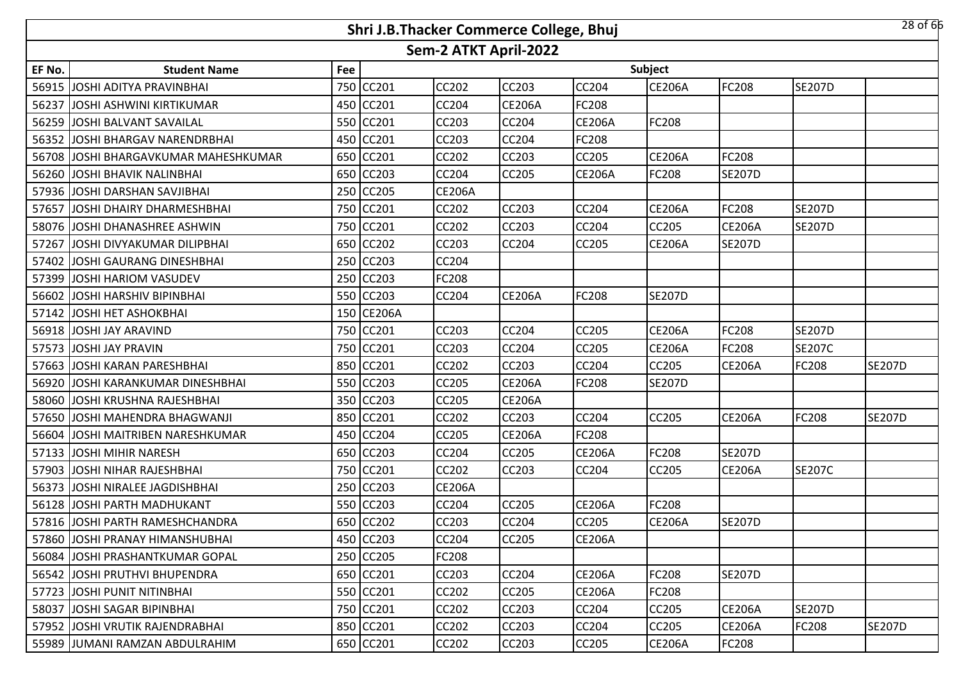|        |                                       |     | Shri J.B.Thacker Commerce College, Bhuj |                       |               |               |               |               |               | $28$ of 66    |
|--------|---------------------------------------|-----|-----------------------------------------|-----------------------|---------------|---------------|---------------|---------------|---------------|---------------|
|        |                                       |     |                                         | Sem-2 ATKT April-2022 |               |               |               |               |               |               |
| EF No. | <b>Student Name</b>                   | Fee |                                         |                       |               |               | Subject       |               |               |               |
| 56915  | <b>JJOSHI ADITYA PRAVINBHAI</b>       | 750 | CC201                                   | <b>CC202</b>          | <b>CC203</b>  | CC204         | <b>CE206A</b> | FC208         | <b>SE207D</b> |               |
| 56237  | JOSHI ASHWINI KIRTIKUMAR              | 450 | CC201                                   | <b>CC204</b>          | <b>CE206A</b> | FC208         |               |               |               |               |
|        | 56259 JJOSHI BALVANT SAVAILAL         |     | 550 CC201                               | CC203                 | <b>CC204</b>  | <b>CE206A</b> | FC208         |               |               |               |
|        | 56352 JJOSHI BHARGAV NARENDRBHAI      |     | 450 CC201                               | <b>CC203</b>          | <b>CC204</b>  | FC208         |               |               |               |               |
|        | 56708 JJOSHI BHARGAVKUMAR MAHESHKUMAR |     | 650 CC201                               | <b>CC202</b>          | <b>CC203</b>  | CC205         | <b>CE206A</b> | FC208         |               |               |
|        | 56260 JJOSHI BHAVIK NALINBHAI         |     | 650 CC203                               | <b>CC204</b>          | <b>CC205</b>  | <b>CE206A</b> | FC208         | <b>SE207D</b> |               |               |
| 57936  | IJOSHI DARSHAN SAVJIBHAI              |     | 250 CC205                               | <b>CE206A</b>         |               |               |               |               |               |               |
| 57657  | JOSHI DHAIRY DHARMESHBHAI             | 750 | CC201                                   | <b>CC202</b>          | <b>CC203</b>  | <b>CC204</b>  | <b>CE206A</b> | FC208         | <b>SE207D</b> |               |
|        | 58076 JOSHI DHANASHREE ASHWIN         |     | 750 CC201                               | <b>CC202</b>          | <b>CC203</b>  | <b>CC204</b>  | CC205         | <b>CE206A</b> | <b>SE207D</b> |               |
| 57267  | JOSHI DIVYAKUMAR DILIPBHAI            | 650 | <b>CC202</b>                            | <b>CC203</b>          | <b>CC204</b>  | <b>CC205</b>  | <b>CE206A</b> | <b>SE207D</b> |               |               |
| 57402  | JOSHI GAURANG DINESHBHAI              |     | 250 CC203                               | <b>CC204</b>          |               |               |               |               |               |               |
| 57399  | JOSHI HARIOM VASUDEV                  | 250 | CC203                                   | FC208                 |               |               |               |               |               |               |
|        | 56602 JOSHI HARSHIV BIPINBHAI         |     | 550 CC203                               | <b>CC204</b>          | <b>CE206A</b> | FC208         | <b>SE207D</b> |               |               |               |
|        | 57142 JJOSHI HET ASHOKBHAI            | 150 | <b>CE206A</b>                           |                       |               |               |               |               |               |               |
|        | 56918 JOSHI JAY ARAVIND               |     | 750 CC201                               | <b>CC203</b>          | <b>CC204</b>  | <b>CC205</b>  | <b>CE206A</b> | FC208         | <b>SE207D</b> |               |
| 57573  | JOSHI JAY PRAVIN                      |     | 750 CC201                               | CC203                 | <b>CC204</b>  | CC205         | <b>CE206A</b> | FC208         | <b>SE207C</b> |               |
|        | 57663 JOSHI KARAN PARESHBHAI          |     | 850 CC201                               | <b>CC202</b>          | <b>CC203</b>  | <b>CC204</b>  | CC205         | <b>CE206A</b> | <b>FC208</b>  | <b>SE207D</b> |
|        | 56920 JJOSHI KARANKUMAR DINESHBHAI    |     | 550 CC203                               | <b>CC205</b>          | <b>CE206A</b> | FC208         | <b>SE207D</b> |               |               |               |
|        | 58060 JOSHI KRUSHNA RAJESHBHAI        |     | 350 CC203                               | <b>CC205</b>          | <b>CE206A</b> |               |               |               |               |               |
|        | 57650 JJOSHI MAHENDRA BHAGWANJI       |     | 850 CC201                               | <b>CC202</b>          | <b>CC203</b>  | <b>CC204</b>  | <b>CC205</b>  | <b>CE206A</b> | <b>FC208</b>  | <b>SE207D</b> |
| 56604  | JOSHI MAITRIBEN NARESHKUMAR           | 450 | CC204                                   | <b>CC205</b>          | <b>CE206A</b> | <b>FC208</b>  |               |               |               |               |
|        | 57133 JOSHI MIHIR NARESH              | 650 | <b>CC203</b>                            | CC204                 | <b>CC205</b>  | <b>CE206A</b> | FC208         | <b>SE207D</b> |               |               |
| 57903  | JOSHI NIHAR RAJESHBHAI                | 750 | CC201                                   | CC202                 | <b>CC203</b>  | <b>CC204</b>  | CC205         | <b>CE206A</b> | <b>SE207C</b> |               |
|        | 56373 JOSHI NIRALEE JAGDISHBHAI       | 250 | <b>CC203</b>                            | <b>CE206A</b>         |               |               |               |               |               |               |
|        | 56128 JJOSHI PARTH MADHUKANT          | 550 | CC203                                   | CC204                 | <b>CC205</b>  | <b>CE206A</b> | FC208         |               |               |               |
|        | 57816 JOSHI PARTH RAMESHCHANDRA       |     | 650 CC202                               | <b>CC203</b>          | <b>CC204</b>  | CC205         | <b>CE206A</b> | <b>SE207D</b> |               |               |
|        | 57860 JJOSHI PRANAY HIMANSHUBHAI      |     | 450 CC203                               | CC204                 | <b>CC205</b>  | <b>CE206A</b> |               |               |               |               |
|        | 56084 JJOSHI PRASHANTKUMAR GOPAL      |     | 250 CC205                               | FC208                 |               |               |               |               |               |               |
|        | 56542 JJOSHI PRUTHVI BHUPENDRA        |     | 650 CC201                               | CC203                 | <b>CC204</b>  | <b>CE206A</b> | FC208         | <b>SE207D</b> |               |               |
|        | 57723 JJOSHI PUNIT NITINBHAI          |     | 550 CC201                               | CC202                 | <b>CC205</b>  | <b>CE206A</b> | FC208         |               |               |               |
|        | 58037 JOSHI SAGAR BIPINBHAI           |     | 750 CC201                               | CC202                 | <b>CC203</b>  | CC204         | CC205         | <b>CE206A</b> | <b>SE207D</b> |               |
|        | 57952 JJOSHI VRUTIK RAJENDRABHAI      |     | 850 CC201                               | CC202                 | CC203         | <b>CC204</b>  | CC205         | <b>CE206A</b> | <b>FC208</b>  | <b>SE207D</b> |
|        | 55989 JJUMANI RAMZAN ABDULRAHIM       |     | 650 CC201                               | CC202                 | <b>CC203</b>  | <b>CC205</b>  | <b>CE206A</b> | FC208         |               |               |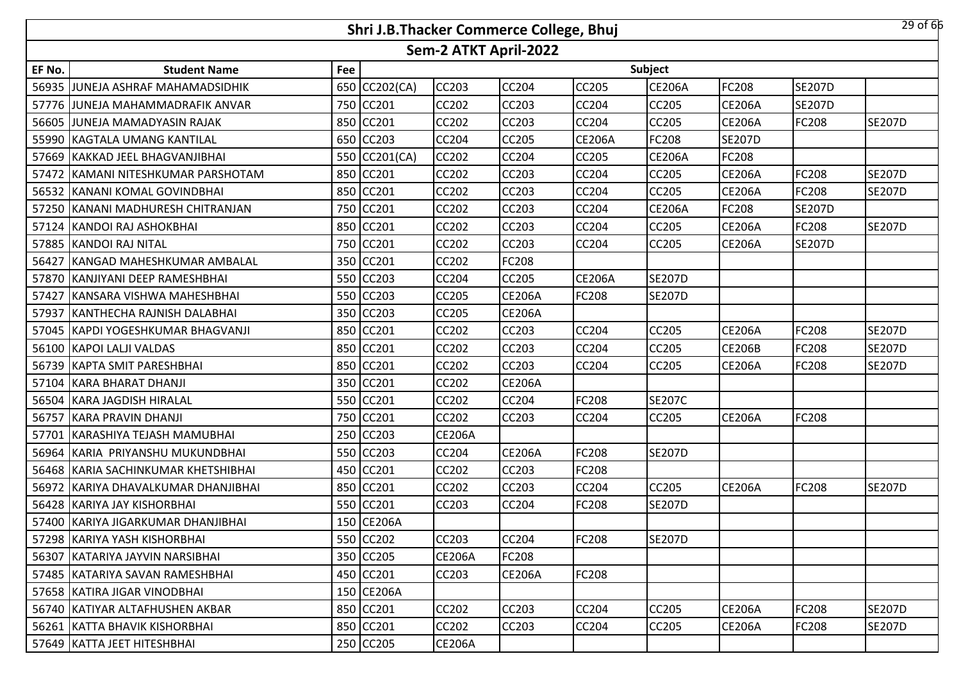|        |                                      |     | Shri J.B.Thacker Commerce College, Bhuj |                       |               |               |                |               |               | $29$ of 66    |
|--------|--------------------------------------|-----|-----------------------------------------|-----------------------|---------------|---------------|----------------|---------------|---------------|---------------|
|        |                                      |     |                                         | Sem-2 ATKT April-2022 |               |               |                |               |               |               |
| EF No. | <b>Student Name</b>                  | Fee |                                         |                       |               |               | <b>Subject</b> |               |               |               |
| 56935  | <b>JUNEJA ASHRAF MAHAMADSIDHIK</b>   |     | 650 CC202(CA)                           | CC203                 | <b>CC204</b>  | CC205         | <b>CE206A</b>  | FC208         | <b>SE207D</b> |               |
|        | 57776 JJUNEJA MAHAMMADRAFIK ANVAR    |     | 750 CC201                               | <b>CC202</b>          | <b>CC203</b>  | <b>CC204</b>  | CC205          | <b>CE206A</b> | <b>SE207D</b> |               |
| 56605  | JUNEJA MAMADYASIN RAJAK              |     | 850 CC201                               | CC202                 | CC203         | CC204         | CC205          | <b>CE206A</b> | FC208         | <b>SE207D</b> |
|        | 55990 KAGTALA UMANG KANTILAL         |     | 650 CC203                               | <b>CC204</b>          | <b>CC205</b>  | <b>CE206A</b> | FC208          | <b>SE207D</b> |               |               |
| 57669  | KAKKAD JEEL BHAGVANJIBHAI            |     | 550 CC201(CA)                           | CC202                 | CC204         | CC205         | <b>CE206A</b>  | FC208         |               |               |
| 57472  | <b>KAMANI NITESHKUMAR PARSHOTAM</b>  |     | 850 CC201                               | CC202                 | <b>CC203</b>  | CC204         | CC205          | <b>CE206A</b> | <b>FC208</b>  | <b>SE207D</b> |
| 56532  | <b>KANANI KOMAL GOVINDBHAI</b>       |     | 850 CC201                               | CC202                 | CC203         | <b>CC204</b>  | CC205          | <b>CE206A</b> | FC208         | <b>SE207D</b> |
|        | 57250 KANANI MADHURESH CHITRANJAN    |     | 750 CC201                               | CC202                 | CC203         | CC204         | <b>CE206A</b>  | FC208         | <b>SE207D</b> |               |
| 57124  | <b>KANDOI RAJ ASHOKBHAI</b>          |     | 850 CC201                               | CC202                 | CC203         | CC204         | CC205          | <b>CE206A</b> | FC208         | <b>SE207D</b> |
| 57885  | KANDOI RAJ NITAL                     |     | 750 CC201                               | CC202                 | CC203         | CC204         | CC205          | <b>CE206A</b> | <b>SE207D</b> |               |
| 56427  | KANGAD MAHESHKUMAR AMBALAL           |     | 350 CC201                               | CC202                 | <b>FC208</b>  |               |                |               |               |               |
| 57870  | KANJIYANI DEEP RAMESHBHAI            |     | 550 CC203                               | CC204                 | CC205         | <b>CE206A</b> | <b>SE207D</b>  |               |               |               |
| 57427  | IKANSARA VISHWA MAHESHBHAI           |     | 550 CC203                               | CC205                 | <b>CE206A</b> | FC208         | <b>SE207D</b>  |               |               |               |
| 57937  | KANTHECHA RAJNISH DALABHAI           |     | 350 CC203                               | CC205                 | <b>CE206A</b> |               |                |               |               |               |
| 57045  | KAPDI YOGESHKUMAR BHAGVANJI          |     | 850 CC201                               | <b>CC202</b>          | <b>CC203</b>  | <b>CC204</b>  | CC205          | CE206A        | FC208         | <b>SE207D</b> |
|        | 56100 KAPOI LALJI VALDAS             |     | 850 CC201                               | CC202                 | CC203         | CC204         | CC205          | <b>CE206B</b> | FC208         | <b>SE207D</b> |
|        | 56739 KAPTA SMIT PARESHBHAI          |     | 850 CC201                               | <b>CC202</b>          | <b>CC203</b>  | CC204         | CC205          | <b>CE206A</b> | FC208         | <b>SE207D</b> |
| 57104  | KARA BHARAT DHANJI                   |     | 350 CC201                               | CC202                 | <b>CE206A</b> |               |                |               |               |               |
| 56504  | <b>KARA JAGDISH HIRALAL</b>          |     | 550 CC201                               | CC202                 | <b>CC204</b>  | FC208         | <b>SE207C</b>  |               |               |               |
| 56757  | <b>KARA PRAVIN DHANJI</b>            |     | 750 CC201                               | CC202                 | CC203         | CC204         | CC205          | <b>CE206A</b> | FC208         |               |
| 57701  | KARASHIYA TEJASH MAMUBHAI            |     | 250 CC203                               | <b>CE206A</b>         |               |               |                |               |               |               |
| 56964  | KARIA PRIYANSHU MUKUNDBHAI           |     | 550 CC203                               | CC204                 | <b>CE206A</b> | FC208         | <b>SE207D</b>  |               |               |               |
| 56468  | KARIA SACHINKUMAR KHETSHIBHAI        | 450 | CC201                                   | CC202                 | CC203         | FC208         |                |               |               |               |
| 56972  | <b>KARIYA DHAVALKUMAR DHANJIBHAI</b> |     | 850 CC201                               | CC202                 | CC203         | CC204         | CC205          | <b>CE206A</b> | FC208         | <b>SE207D</b> |
| 56428  | KARIYA JAY KISHORBHAI                |     | 550 CC201                               | CC203                 | CC204         | FC208         | <b>SE207D</b>  |               |               |               |
|        | 57400 KARIYA JIGARKUMAR DHANJIBHAI   |     | 150 CE206A                              |                       |               |               |                |               |               |               |
|        | 57298 KARIYA YASH KISHORBHAI         |     | 550 CC202                               | <b>CC203</b>          | <b>CC204</b>  | <b>FC208</b>  | <b>SE207D</b>  |               |               |               |
|        | 56307 KATARIYA JAYVIN NARSIBHAI      |     | 350 CC205                               | <b>CE206A</b>         | <b>FC208</b>  |               |                |               |               |               |
|        | 57485 KATARIYA SAVAN RAMESHBHAI      |     | 450 CC201                               | CC203                 | <b>CE206A</b> | FC208         |                |               |               |               |
|        | 57658 KATIRA JIGAR VINODBHAI         |     | 150 CE206A                              |                       |               |               |                |               |               |               |
|        | 56740 KATIYAR ALTAFHUSHEN AKBAR      |     | 850 CC201                               | CC202                 | CC203         | CC204         | CC205          | <b>CE206A</b> | FC208         | <b>SE207D</b> |
|        | 56261 KATTA BHAVIK KISHORBHAI        |     | 850 CC201                               | CC202                 | CC203         | CC204         | CC205          | <b>CE206A</b> | <b>FC208</b>  | <b>SE207D</b> |
|        | 57649 KATTA JEET HITESHBHAI          |     | 250 CC205                               | <b>CE206A</b>         |               |               |                |               |               |               |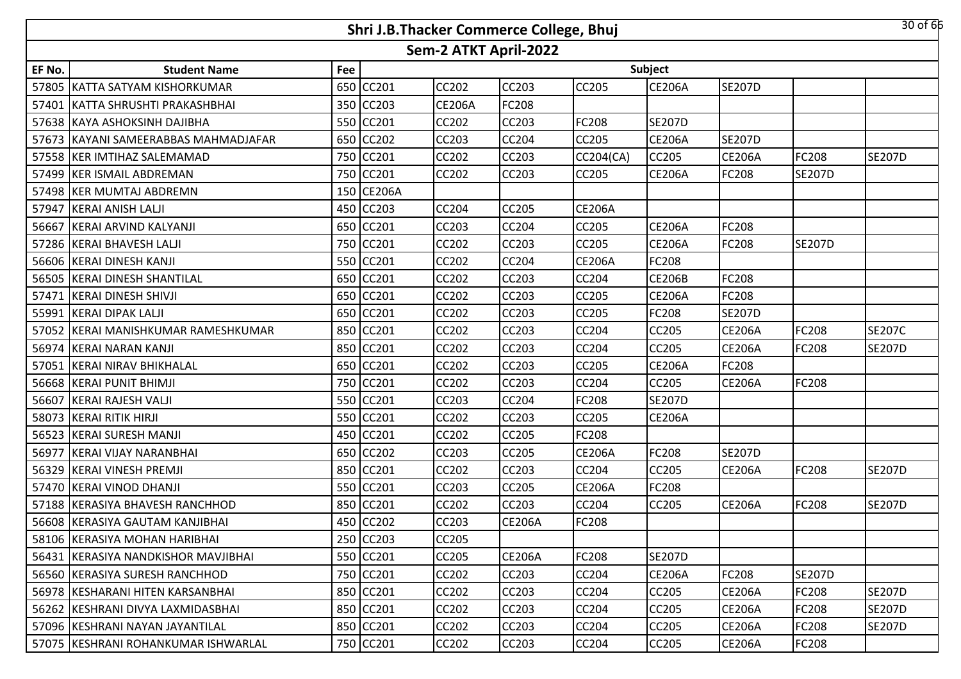|        |                                     |     | Shri J.B.Thacker Commerce College, Bhuj |                       |               |               |               |               |               | 30 of 66      |
|--------|-------------------------------------|-----|-----------------------------------------|-----------------------|---------------|---------------|---------------|---------------|---------------|---------------|
|        |                                     |     |                                         | Sem-2 ATKT April-2022 |               |               |               |               |               |               |
| EF No. | <b>Student Name</b>                 | Fee |                                         |                       |               |               | Subject       |               |               |               |
| 57805  | <b>IKATTA SATYAM KISHORKUMAR</b>    |     | 650 CC201                               | <b>CC202</b>          | <b>CC203</b>  | CC205         | <b>CE206A</b> | <b>SE207D</b> |               |               |
| 57401  | KATTA SHRUSHTI PRAKASHBHAI          |     | 350 CC203                               | <b>CE206A</b>         | FC208         |               |               |               |               |               |
|        | 57638 KAYA ASHOKSINH DAJIBHA        |     | 550 CC201                               | <b>CC202</b>          | CC203         | FC208         | <b>SE207D</b> |               |               |               |
| 57673  | IKAYANI SAMEERABBAS MAHMADJAFAR     |     | 650 CC202                               | <b>CC203</b>          | <b>CC204</b>  | CC205         | <b>CE206A</b> | <b>SE207D</b> |               |               |
|        | 57558 KER IMTIHAZ SALEMAMAD         |     | 750 CC201                               | CC202                 | CC203         | CC204(CA)     | <b>CC205</b>  | <b>CE206A</b> | FC208         | <b>SE207D</b> |
|        | 57499 KER ISMAIL ABDREMAN           |     | 750 CC201                               | <b>CC202</b>          | <b>CC203</b>  | CC205         | <b>CE206A</b> | FC208         | <b>SE207D</b> |               |
|        | 57498 KER MUMTAJ ABDREMN            |     | 150 CE206A                              |                       |               |               |               |               |               |               |
|        | 57947 KERAI ANISH LALJI             |     | 450 CC203                               | <b>CC204</b>          | <b>CC205</b>  | <b>CE206A</b> |               |               |               |               |
| 56667  | KERAI ARVIND KALYANJI               |     | 650 CC201                               | CC203                 | <b>CC204</b>  | CC205         | <b>CE206A</b> | FC208         |               |               |
| 57286  | <b>KERAI BHAVESH LALJI</b>          |     | 750 CC201                               | CC202                 | CC203         | CC205         | <b>CE206A</b> | FC208         | <b>SE207D</b> |               |
| 56606  | <b>KERAI DINESH KANJI</b>           |     | 550 CC201                               | CC202                 | <b>CC204</b>  | <b>CE206A</b> | FC208         |               |               |               |
| 56505  | <b>KERAI DINESH SHANTILAL</b>       |     | 650 CC201                               | CC202                 | CC203         | CC204         | <b>CE206B</b> | FC208         |               |               |
| 57471  | <b>KERAI DINESH SHIVJI</b>          |     | 650 CC201                               | CC202                 | CC203         | CC205         | <b>CE206A</b> | FC208         |               |               |
| 55991  | <b>KERAI DIPAK LALJI</b>            |     | 650 CC201                               | CC202                 | CC203         | CC205         | FC208         | <b>SE207D</b> |               |               |
|        | 57052 KERAI MANISHKUMAR RAMESHKUMAR |     | 850 CC201                               | <b>CC202</b>          | <b>CC203</b>  | CC204         | CC205         | <b>CE206A</b> | <b>FC208</b>  | <b>SE207C</b> |
| 56974  | KERAI NARAN KANJI                   |     | 850 CC201                               | CC202                 | CC203         | CC204         | CC205         | <b>CE206A</b> | FC208         | <b>SE207D</b> |
|        | 57051 KERAI NIRAV BHIKHALAL         |     | 650 CC201                               | <b>CC202</b>          | <b>CC203</b>  | CC205         | <b>CE206A</b> | FC208         |               |               |
|        | 56668 KERAI PUNIT BHIMJI            |     | 750 CC201                               | CC202                 | CC203         | CC204         | <b>CC205</b>  | <b>CE206A</b> | FC208         |               |
| 56607  | <b>KERAI RAJESH VALJI</b>           |     | 550 CC201                               | CC203                 | <b>CC204</b>  | FC208         | <b>SE207D</b> |               |               |               |
|        | 58073 KERAI RITIK HIRJI             |     | 550 CC201                               | CC202                 | CC203         | CC205         | <b>CE206A</b> |               |               |               |
|        | 56523 KERAI SURESH MANJI            |     | 450 CC201                               | CC202                 | <b>CC205</b>  | FC208         |               |               |               |               |
| 56977  | <b>KERAI VIJAY NARANBHAI</b>        |     | 650 CC202                               | <b>CC203</b>          | <b>CC205</b>  | <b>CE206A</b> | FC208         | <b>SE207D</b> |               |               |
| 56329  | <b>KERAI VINESH PREMJI</b>          |     | 850 CC201                               | CC202                 | CC203         | CC204         | CC205         | <b>CE206A</b> | FC208         | <b>SE207D</b> |
|        | 57470 KERAI VINOD DHANJI            |     | 550 CC201                               | <b>CC203</b>          | CC205         | <b>CE206A</b> | FC208         |               |               |               |
| 57188  | <b>KERASIYA BHAVESH RANCHHOD</b>    |     | 850 CC201                               | CC202                 | CC203         | CC204         | CC205         | <b>CE206A</b> | FC208         | <b>SE207D</b> |
|        | 56608 KERASIYA GAUTAM KANJIBHAI     |     | 450 CC202                               | CC203                 | <b>CE206A</b> | <b>FC208</b>  |               |               |               |               |
|        | 58106 KERASIYA MOHAN HARIBHAI       |     | 250 CC203                               | <b>CC205</b>          |               |               |               |               |               |               |
|        | 56431 KERASIYA NANDKISHOR MAVJIBHAI |     | 550 CC201                               | CC205                 | <b>CE206A</b> | FC208         | <b>SE207D</b> |               |               |               |
|        | 56560 KERASIYA SURESH RANCHHOD      |     | 750 CC201                               | CC202                 | <b>CC203</b>  | CC204         | <b>CE206A</b> | FC208         | <b>SE207D</b> |               |
|        | 56978 KESHARANI HITEN KARSANBHAI    |     | 850 CC201                               | CC202                 | CC203         | CC204         | CC205         | <b>CE206A</b> | <b>FC208</b>  | <b>SE207D</b> |
|        | 56262 KESHRANI DIVYA LAXMIDASBHAI   |     | 850 CC201                               | CC202                 | CC203         | CC204         | CC205         | <b>CE206A</b> | <b>FC208</b>  | <b>SE207D</b> |
|        | 57096 KESHRANI NAYAN JAYANTILAL     |     | 850 CC201                               | CC202                 | CC203         | CC204         | CC205         | <b>CE206A</b> | <b>FC208</b>  | <b>SE207D</b> |
|        | 57075 KESHRANI ROHANKUMAR ISHWARLAL |     | 750 CC201                               | <b>CC202</b>          | <b>CC203</b>  | CC204         | CC205         | <b>CE206A</b> | <b>FC208</b>  |               |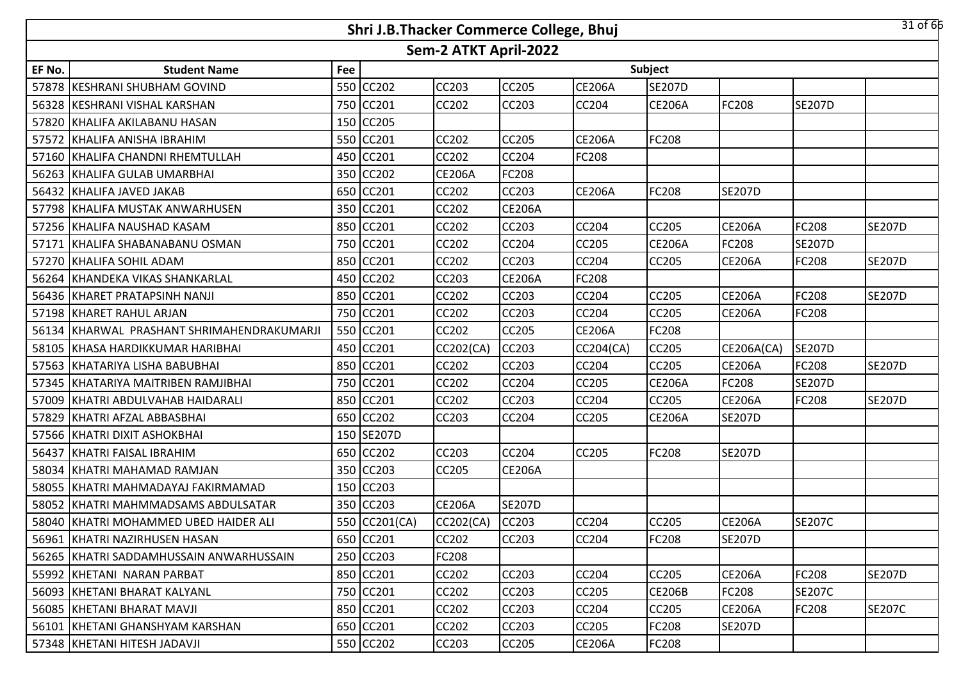|        |                                            |     | Shri J.B.Thacker Commerce College, Bhuj |                       |               |               |               |               |               | 31 of 66      |
|--------|--------------------------------------------|-----|-----------------------------------------|-----------------------|---------------|---------------|---------------|---------------|---------------|---------------|
|        |                                            |     |                                         | Sem-2 ATKT April-2022 |               |               |               |               |               |               |
| EF No. | <b>Student Name</b>                        | Fee |                                         |                       |               |               | Subject       |               |               |               |
|        | 57878 KESHRANI SHUBHAM GOVIND              |     | 550 CC202                               | <b>CC203</b>          | <b>CC205</b>  | <b>CE206A</b> | <b>SE207D</b> |               |               |               |
|        | 56328 KESHRANI VISHAL KARSHAN              |     | 750 CC201                               | <b>CC202</b>          | <b>CC203</b>  | <b>CC204</b>  | <b>CE206A</b> | FC208         | <b>SE207D</b> |               |
|        | 57820 KHALIFA AKILABANU HASAN              |     | 150 CC205                               |                       |               |               |               |               |               |               |
|        | 57572 KHALIFA ANISHA IBRAHIM               |     | 550 CC201                               | <b>CC202</b>          | <b>CC205</b>  | <b>CE206A</b> | FC208         |               |               |               |
|        | 57160 KHALIFA CHANDNI RHEMTULLAH           |     | 450 CC201                               | <b>CC202</b>          | CC204         | <b>FC208</b>  |               |               |               |               |
|        | 56263 KHALIFA GULAB UMARBHAI               |     | 350 CC202                               | <b>CE206A</b>         | <b>FC208</b>  |               |               |               |               |               |
|        | 56432 KHALIFA JAVED JAKAB                  |     | 650 CC201                               | CC202                 | CC203         | <b>CE206A</b> | FC208         | <b>SE207D</b> |               |               |
|        | 57798 KHALIFA MUSTAK ANWARHUSEN            |     | 350 CC201                               | <b>CC202</b>          | <b>CE206A</b> |               |               |               |               |               |
|        | 57256 KHALIFA NAUSHAD KASAM                |     | 850 CC201                               | CC202                 | CC203         | <b>CC204</b>  | <b>CC205</b>  | <b>CE206A</b> | <b>FC208</b>  | <b>SE207D</b> |
|        | 57171 KHALIFA SHABANABANU OSMAN            |     | 750 CC201                               | CC202                 | <b>CC204</b>  | CC205         | <b>CE206A</b> | FC208         | <b>SE207D</b> |               |
|        | 57270 KHALIFA SOHIL ADAM                   |     | 850 CC201                               | CC202                 | CC203         | CC204         | <b>CC205</b>  | <b>CE206A</b> | FC208         | <b>SE207D</b> |
|        | 56264 KHANDEKA VIKAS SHANKARLAL            |     | 450 CC202                               | CC203                 | <b>CE206A</b> | FC208         |               |               |               |               |
|        | 56436 KHARET PRATAPSINH NANJI              |     | 850 CC201                               | CC202                 | CC203         | CC204         | CC205         | <b>CE206A</b> | FC208         | <b>SE207D</b> |
|        | 57198 KHARET RAHUL ARJAN                   |     | 750 CC201                               | CC202                 | CC203         | CC204         | CC205         | <b>CE206A</b> | FC208         |               |
|        | 56134 KHARWAL PRASHANT SHRIMAHENDRAKUMARJI |     | 550 CC201                               | CC202                 | <b>CC205</b>  | <b>CE206A</b> | FC208         |               |               |               |
|        | 58105 KHASA HARDIKKUMAR HARIBHAI           |     | 450 CC201                               | CC202(CA)             | CC203         | CC204(CA)     | CC205         | CE206A(CA)    | <b>SE207D</b> |               |
|        | 57563 KHATARIYA LISHA BABUBHAI             |     | 850 CC201                               | <b>CC202</b>          | <b>CC203</b>  | CC204         | CC205         | <b>CE206A</b> | FC208         | <b>SE207D</b> |
|        | 57345 KHATARIYA MAITRIBEN RAMJIBHAI        |     | 750 CC201                               | <b>CC202</b>          | CC204         | CC205         | <b>CE206A</b> | FC208         | <b>SE207D</b> |               |
|        | 57009 KHATRI ABDULVAHAB HAIDARALI          |     | 850 CC201                               | <b>CC202</b>          | <b>CC203</b>  | <b>CC204</b>  | <b>CC205</b>  | <b>CE206A</b> | <b>FC208</b>  | <b>SE207D</b> |
|        | 57829 KHATRI AFZAL ABBASBHAI               |     | 650 CC202                               | <b>CC203</b>          | <b>CC204</b>  | CC205         | <b>CE206A</b> | <b>SE207D</b> |               |               |
|        | 57566 KHATRI DIXIT ASHOKBHAI               |     | 150 SE207D                              |                       |               |               |               |               |               |               |
|        | 56437 KHATRI FAISAL IBRAHIM                |     | 650 CC202                               | CC203                 | <b>CC204</b>  | <b>CC205</b>  | <b>FC208</b>  | <b>SE207D</b> |               |               |
|        | 58034 KHATRI MAHAMAD RAMJAN                |     | 350 CC203                               | <b>CC205</b>          | <b>CE206A</b> |               |               |               |               |               |
|        | 58055 KHATRI MAHMADAYAJ FAKIRMAMAD         |     | 150 CC203                               |                       |               |               |               |               |               |               |
|        | 58052 KHATRI MAHMMADSAMS ABDULSATAR        |     | 350 CC203                               | <b>CE206A</b>         | <b>SE207D</b> |               |               |               |               |               |
|        | 58040 KHATRI MOHAMMED UBED HAIDER ALI      |     | 550 CC201(CA)                           | CC202(CA)             | <b>CC203</b>  | CC204         | CC205         | <b>CE206A</b> | <b>SE207C</b> |               |
|        | 56961 KHATRI NAZIRHUSEN HASAN              |     | 650 CC201                               | <b>CC202</b>          | <b>CC203</b>  | CC204         | FC208         | <b>SE207D</b> |               |               |
|        | 56265   KHATRI SADDAMHUSSAIN ANWARHUSSAIN  |     | 250 CC203                               | <b>FC208</b>          |               |               |               |               |               |               |
|        | 55992 KHETANI NARAN PARBAT                 |     | 850 CC201                               | <b>CC202</b>          | <b>CC203</b>  | <b>CC204</b>  | <b>CC205</b>  | <b>CE206A</b> | FC208         | <b>SE207D</b> |
|        | 56093   KHETANI BHARAT KALYANL             |     | 750 CC201                               | <b>CC202</b>          | <b>CC203</b>  | <b>CC205</b>  | <b>CE206B</b> | FC208         | <b>SE207C</b> |               |
|        | 56085 KHETANI BHARAT MAVJI                 |     | 850 CC201                               | <b>CC202</b>          | CC203         | CC204         | CC205         | <b>CE206A</b> | <b>FC208</b>  | <b>SE207C</b> |
|        | 56101 KHETANI GHANSHYAM KARSHAN            |     | 650 CC201                               | <b>CC202</b>          | <b>CC203</b>  | <b>CC205</b>  | FC208         | <b>SE207D</b> |               |               |
|        | 57348 KHETANI HITESH JADAVJI               |     | 550 CC202                               | CC203                 | <b>CC205</b>  | <b>CE206A</b> | FC208         |               |               |               |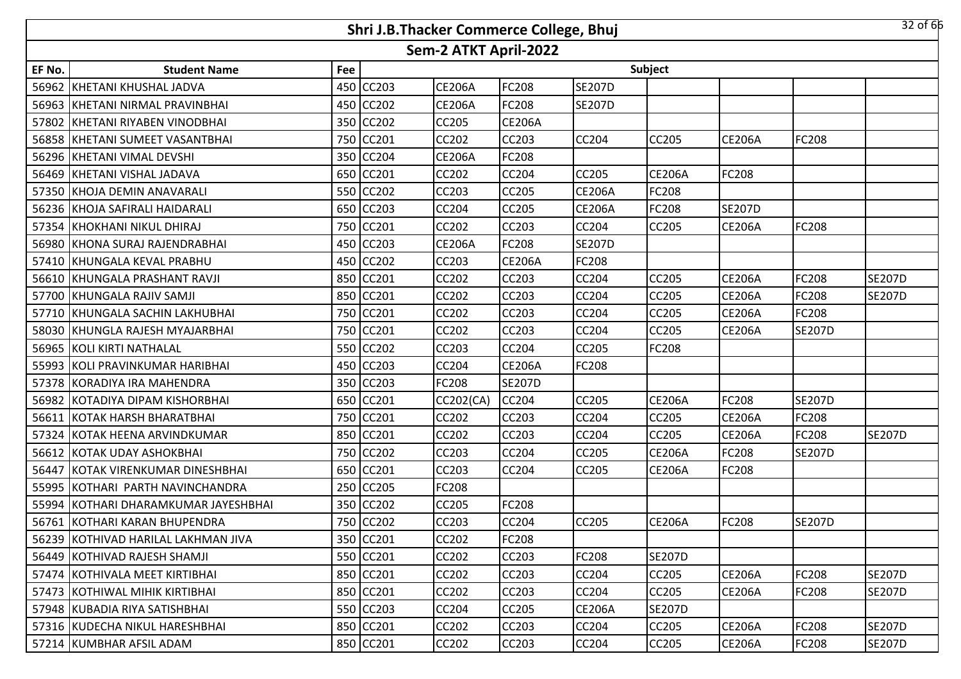|        | 32 of 66<br>Shri J.B.Thacker Commerce College, Bhuj<br>Sem-2 ATKT April-2022 |     |           |               |               |               |               |               |               |               |  |
|--------|------------------------------------------------------------------------------|-----|-----------|---------------|---------------|---------------|---------------|---------------|---------------|---------------|--|
|        |                                                                              |     |           |               |               |               |               |               |               |               |  |
| EF No. | <b>Student Name</b>                                                          | Fee |           |               |               |               | Subject       |               |               |               |  |
|        | 56962 KHETANI KHUSHAL JADVA                                                  |     | 450 CC203 | <b>CE206A</b> | <b>FC208</b>  | <b>SE207D</b> |               |               |               |               |  |
|        | 56963 KHETANI NIRMAL PRAVINBHAI                                              |     | 450 CC202 | <b>CE206A</b> | <b>FC208</b>  | <b>SE207D</b> |               |               |               |               |  |
|        | 57802 KHETANI RIYABEN VINODBHAI                                              |     | 350 CC202 | CC205         | <b>CE206A</b> |               |               |               |               |               |  |
|        | 56858 KHETANI SUMEET VASANTBHAI                                              |     | 750 CC201 | <b>CC202</b>  | <b>CC203</b>  | <b>CC204</b>  | CC205         | <b>CE206A</b> | FC208         |               |  |
|        | 56296 KHETANI VIMAL DEVSHI                                                   |     | 350 CC204 | <b>CE206A</b> | <b>FC208</b>  |               |               |               |               |               |  |
|        | 56469 KHETANI VISHAL JADAVA                                                  |     | 650 CC201 | CC202         | <b>CC204</b>  | <b>CC205</b>  | <b>CE206A</b> | FC208         |               |               |  |
|        | 57350 KHOJA DEMIN ANAVARALI                                                  |     | 550 CC202 | CC203         | <b>CC205</b>  | <b>CE206A</b> | FC208         |               |               |               |  |
|        | 56236 KHOJA SAFIRALI HAIDARALI                                               |     | 650 CC203 | CC204         | <b>CC205</b>  | <b>CE206A</b> | FC208         | <b>SE207D</b> |               |               |  |
|        | 57354 KHOKHANI NIKUL DHIRAJ                                                  |     | 750 CC201 | CC202         | <b>CC203</b>  | CC204         | <b>CC205</b>  | <b>CE206A</b> | <b>FC208</b>  |               |  |
|        | 56980 KHONA SURAJ RAJENDRABHAI                                               |     | 450 CC203 | <b>CE206A</b> | <b>FC208</b>  | <b>SE207D</b> |               |               |               |               |  |
|        | 57410 KHUNGALA KEVAL PRABHU                                                  |     | 450 CC202 | CC203         | <b>CE206A</b> | <b>FC208</b>  |               |               |               |               |  |
|        | 56610 KHUNGALA PRASHANT RAVJI                                                |     | 850 CC201 | CC202         | CC203         | CC204         | CC205         | <b>CE206A</b> | FC208         | <b>SE207D</b> |  |
|        | 57700 KHUNGALA RAJIV SAMJI                                                   |     | 850 CC201 | CC202         | CC203         | CC204         | CC205         | <b>CE206A</b> | FC208         | <b>SE207D</b> |  |
|        | 57710 KHUNGALA SACHIN LAKHUBHAI                                              |     | 750 CC201 | CC202         | CC203         | CC204         | CC205         | <b>CE206A</b> | FC208         |               |  |
|        | 58030 KHUNGLA RAJESH MYAJARBHAI                                              |     | 750 CC201 | <b>CC202</b>  | <b>CC203</b>  | CC204         | CC205         | <b>CE206A</b> | <b>SE207D</b> |               |  |
|        | 56965 KOLI KIRTI NATHALAL                                                    |     | 550 CC202 | CC203         | <b>CC204</b>  | CC205         | FC208         |               |               |               |  |
|        | 55993 KOLI PRAVINKUMAR HARIBHAI                                              |     | 450 CC203 | <b>CC204</b>  | <b>CE206A</b> | <b>FC208</b>  |               |               |               |               |  |
|        | 57378 KORADIYA IRA MAHENDRA                                                  |     | 350 CC203 | <b>FC208</b>  | <b>SE207D</b> |               |               |               |               |               |  |
|        | 56982 KOTADIYA DIPAM KISHORBHAI                                              |     | 650 CC201 | CC202(CA)     | <b>CC204</b>  | <b>CC205</b>  | <b>CE206A</b> | FC208         | <b>SE207D</b> |               |  |
|        | 56611 KOTAK HARSH BHARATBHAI                                                 |     | 750 CC201 | CC202         | <b>CC203</b>  | CC204         | CC205         | <b>CE206A</b> | <b>FC208</b>  |               |  |
|        | 57324 KOTAK HEENA ARVINDKUMAR                                                |     | 850 CC201 | CC202         | <b>CC203</b>  | CC204         | CC205         | <b>CE206A</b> | <b>FC208</b>  | <b>SE207D</b> |  |
|        | 56612 KOTAK UDAY ASHOKBHAI                                                   |     | 750 CC202 | CC203         | <b>CC204</b>  | CC205         | <b>CE206A</b> | FC208         | <b>SE207D</b> |               |  |
| 56447  | KOTAK VIRENKUMAR DINESHBHAI                                                  |     | 650 CC201 | CC203         | <b>CC204</b>  | CC205         | <b>CE206A</b> | FC208         |               |               |  |
|        | 55995 KOTHARI PARTH NAVINCHANDRA                                             |     | 250 CC205 | FC208         |               |               |               |               |               |               |  |
|        | 55994 KOTHARI DHARAMKUMAR JAYESHBHAI                                         |     | 350 CC202 | CC205         | FC208         |               |               |               |               |               |  |
|        | 56761 KOTHARI KARAN BHUPENDRA                                                |     | 750 CC202 | <b>CC203</b>  | <b>CC204</b>  | CC205         | <b>CE206A</b> | FC208         | <b>SE207D</b> |               |  |
|        | 56239 KOTHIVAD HARILAL LAKHMAN JIVA                                          |     | 350 CC201 | <b>CC202</b>  | <b>FC208</b>  |               |               |               |               |               |  |
|        | 56449 KOTHIVAD RAJESH SHAMJI                                                 |     | 550 CC201 | <b>CC202</b>  | <b>CC203</b>  | <b>FC208</b>  | <b>SE207D</b> |               |               |               |  |
|        | 57474 IKOTHIVALA MEET KIRTIBHAI                                              |     | 850 CC201 | <b>CC202</b>  | <b>CC203</b>  | <b>CC204</b>  | CC205         | <b>CE206A</b> | FC208         | <b>SE207D</b> |  |
|        | 57473 KOTHIWAL MIHIK KIRTIBHAI                                               |     | 850 CC201 | CC202         | CC203         | <b>CC204</b>  | CC205         | <b>CE206A</b> | <b>FC208</b>  | <b>SE207D</b> |  |
|        | 57948 KUBADIA RIYA SATISHBHAI                                                |     | 550 CC203 | <b>CC204</b>  | <b>CC205</b>  | <b>CE206A</b> | <b>SE207D</b> |               |               |               |  |
|        | 57316 KUDECHA NIKUL HARESHBHAI                                               |     | 850 CC201 | <b>CC202</b>  | CC203         | <b>CC204</b>  | CC205         | <b>CE206A</b> | <b>FC208</b>  | <b>SE207D</b> |  |
|        | 57214 KUMBHAR AFSIL ADAM                                                     |     | 850 CC201 | CC202         | CC203         | <b>CC204</b>  | CC205         | <b>CE206A</b> | <b>FC208</b>  | <b>SE207D</b> |  |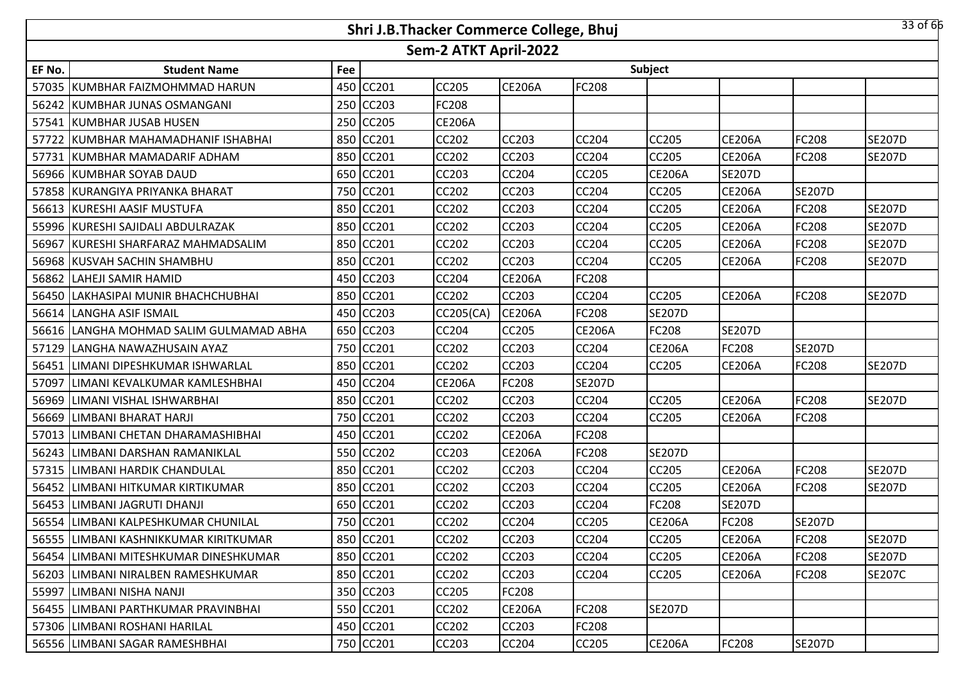|        |                                         |     | Shri J.B.Thacker Commerce College, Bhuj |                       |               |               |               |               |               | 33 of 66      |
|--------|-----------------------------------------|-----|-----------------------------------------|-----------------------|---------------|---------------|---------------|---------------|---------------|---------------|
|        |                                         |     |                                         | Sem-2 ATKT April-2022 |               |               |               |               |               |               |
| EF No. | <b>Student Name</b>                     | Fee |                                         |                       |               |               | Subject       |               |               |               |
|        | 57035 KUMBHAR FAIZMOHMMAD HARUN         |     | 450 CC201                               | <b>CC205</b>          | <b>CE206A</b> | <b>FC208</b>  |               |               |               |               |
|        | 56242 KUMBHAR JUNAS OSMANGANI           | 250 | <b>CC203</b>                            | <b>FC208</b>          |               |               |               |               |               |               |
|        | 57541 KUMBHAR JUSAB HUSEN               | 250 | <b>CC205</b>                            | <b>CE206A</b>         |               |               |               |               |               |               |
|        | 57722 KUMBHAR MAHAMADHANIF ISHABHAI     | 850 | CC201                                   | <b>CC202</b>          | <b>CC203</b>  | <b>CC204</b>  | CC205         | <b>CE206A</b> | <b>FC208</b>  | <b>SE207D</b> |
|        | 57731 KUMBHAR MAMADARIF ADHAM           | 850 | <b>CC201</b>                            | <b>CC202</b>          | <b>CC203</b>  | CC204         | CC205         | <b>CE206A</b> | <b>FC208</b>  | <b>SE207D</b> |
|        | 56966 KUMBHAR SOYAB DAUD                | 650 | CC201                                   | CC203                 | <b>CC204</b>  | <b>CC205</b>  | <b>CE206A</b> | <b>SE207D</b> |               |               |
|        | 57858 KURANGIYA PRIYANKA BHARAT         | 750 | <b>CC201</b>                            | <b>CC202</b>          | <b>CC203</b>  | <b>CC204</b>  | CC205         | <b>CE206A</b> | <b>SE207D</b> |               |
|        | 56613 KURESHI AASIF MUSTUFA             | 850 | CC201                                   | <b>CC202</b>          | <b>CC203</b>  | <b>CC204</b>  | CC205         | <b>CE206A</b> | FC208         | <b>SE207D</b> |
|        | 55996 KURESHI SAJIDALI ABDULRAZAK       | 850 | <b>CC201</b>                            | <b>CC202</b>          | <b>CC203</b>  | CC204         | CC205         | <b>CE206A</b> | <b>FC208</b>  | <b>SE207D</b> |
|        | 56967 KURESHI SHARFARAZ MAHMADSALIM     | 850 | <b>CC201</b>                            | <b>CC202</b>          | <b>CC203</b>  | CC204         | CC205         | <b>CE206A</b> | FC208         | <b>SE207D</b> |
|        | 56968 KUSVAH SACHIN SHAMBHU             |     | 850 CC201                               | <b>CC202</b>          | <b>CC203</b>  | <b>CC204</b>  | CC205         | <b>CE206A</b> | <b>FC208</b>  | <b>SE207D</b> |
|        | 56862 LAHEJI SAMIR HAMID                |     | 450 CC203                               | <b>CC204</b>          | <b>CE206A</b> | FC208         |               |               |               |               |
|        | 56450 LAKHASIPAI MUNIR BHACHCHUBHAI     |     | 850 CC201                               | <b>CC202</b>          | <b>CC203</b>  | <b>CC204</b>  | <b>CC205</b>  | <b>CE206A</b> | <b>FC208</b>  | <b>SE207D</b> |
|        | 56614 LANGHA ASIF ISMAIL                |     | 450 CC203                               | <b>CC205(CA)</b>      | <b>CE206A</b> | FC208         | <b>SE207D</b> |               |               |               |
|        | 56616 LANGHA MOHMAD SALIM GULMAMAD ABHA |     | 650 CC203                               | <b>CC204</b>          | <b>CC205</b>  | <b>CE206A</b> | FC208         | <b>SE207D</b> |               |               |
|        | 57129 LANGHA NAWAZHUSAIN AYAZ           |     | 750 CC201                               | <b>CC202</b>          | <b>CC203</b>  | CC204         | <b>CE206A</b> | FC208         | <b>SE207D</b> |               |
|        | 56451 LIMANI DIPESHKUMAR ISHWARLAL      | 850 | CC201                                   | <b>CC202</b>          | <b>CC203</b>  | <b>CC204</b>  | CC205         | <b>CE206A</b> | <b>FC208</b>  | <b>SE207D</b> |
| 57097  | LIMANI KEVALKUMAR KAMLESHBHAI           | 450 | <b>CC204</b>                            | <b>CE206A</b>         | <b>FC208</b>  | <b>SE207D</b> |               |               |               |               |
| 56969  | LIMANI VISHAL ISHWARBHAI                | 850 | CC201                                   | CC202                 | <b>CC203</b>  | <b>CC204</b>  | CC205         | <b>CE206A</b> | <b>FC208</b>  | <b>SE207D</b> |
|        | 56669 LIMBANI BHARAT HARJI              | 750 | CC201                                   | <b>CC202</b>          | <b>CC203</b>  | CC204         | CC205         | <b>CE206A</b> | FC208         |               |
| 57013  | LIMBANI CHETAN DHARAMASHIBHAI           | 450 | CC201                                   | CC202                 | <b>CE206A</b> | FC208         |               |               |               |               |
|        | 56243 LIMBANI DARSHAN RAMANIKLAL        |     | 550 CC202                               | <b>CC203</b>          | <b>CE206A</b> | FC208         | <b>SE207D</b> |               |               |               |
| 57315  | <b>LIMBANI HARDIK CHANDULAL</b>         |     | 850 CC201                               | CC202                 | <b>CC203</b>  | CC204         | CC205         | <b>CE206A</b> | FC208         | <b>SE207D</b> |
|        | 56452 LIMBANI HITKUMAR KIRTIKUMAR       |     | 850 CC201                               | <b>CC202</b>          | <b>CC203</b>  | <b>CC204</b>  | CC205         | <b>CE206A</b> | <b>FC208</b>  | <b>SE207D</b> |
|        | 56453 LIMBANI JAGRUTI DHANJI            |     | 650 CC201                               | CC202                 | <b>CC203</b>  | CC204         | FC208         | <b>SE207D</b> |               |               |
|        | 56554 LIMBANI KALPESHKUMAR CHUNILAL     |     | 750 CC201                               | <b>CC202</b>          | <b>CC204</b>  | <b>CC205</b>  | <b>CE206A</b> | <b>FC208</b>  | <b>SE207D</b> |               |
|        | 56555 LIMBANI KASHNIKKUMAR KIRITKUMAR   |     | 850 CC201                               | <b>CC202</b>          | <b>CC203</b>  | CC204         | CC205         | <b>CE206A</b> | <b>FC208</b>  | <b>SE207D</b> |
|        | 56454 LIMBANI MITESHKUMAR DINESHKUMAR   |     | 850 CC201                               | <b>CC202</b>          | <b>CC203</b>  | <b>CC204</b>  | CC205         | <b>CE206A</b> | <b>FC208</b>  | <b>SE207D</b> |
|        | 56203   LIMBANI NIRALBEN RAMESHKUMAR    |     | 850 CC201                               | <b>CC202</b>          | <b>CC203</b>  | <b>CC204</b>  | CC205         | <b>CE206A</b> | <b>FC208</b>  | <b>SE207C</b> |
|        | 55997 LIMBANI NISHA NANJI               | 350 | <b>CC203</b>                            | <b>CC205</b>          | <b>FC208</b>  |               |               |               |               |               |
|        | 56455 LIMBANI PARTHKUMAR PRAVINBHAI     |     | 550 CC201                               | CC202                 | <b>CE206A</b> | <b>FC208</b>  | <b>SE207D</b> |               |               |               |
|        | 57306 LIMBANI ROSHANI HARILAL           |     | 450 CC201                               | CC202                 | <b>CC203</b>  | <b>FC208</b>  |               |               |               |               |
|        | 56556 LIMBANI SAGAR RAMESHBHAI          |     | 750 CC201                               | CC203                 | <b>CC204</b>  | CC205         | <b>CE206A</b> | FC208         | <b>SE207D</b> |               |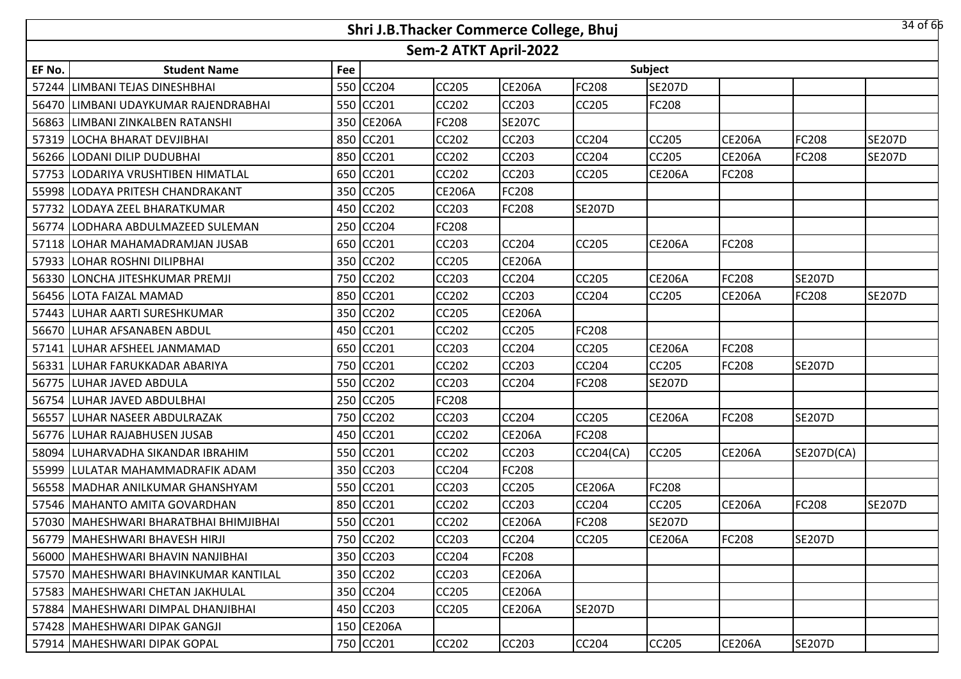|        |                                          |     | Shri J.B.Thacker Commerce College, Bhuj |                       |               |                  |               |               |               | 34 of 66      |
|--------|------------------------------------------|-----|-----------------------------------------|-----------------------|---------------|------------------|---------------|---------------|---------------|---------------|
|        |                                          |     |                                         | Sem-2 ATKT April-2022 |               |                  |               |               |               |               |
| EF No. | <b>Student Name</b>                      | Fee |                                         |                       |               |                  | Subject       |               |               |               |
|        | 57244 LIMBANI TEJAS DINESHBHAI           | 550 | <b>CC204</b>                            | <b>CC205</b>          | <b>CE206A</b> | <b>FC208</b>     | <b>SE207D</b> |               |               |               |
|        | 56470 LIMBANI UDAYKUMAR RAJENDRABHAI     |     | 550 CC201                               | <b>CC202</b>          | <b>CC203</b>  | <b>CC205</b>     | FC208         |               |               |               |
|        | 56863 LIMBANI ZINKALBEN RATANSHI         |     | 350 CE206A                              | FC208                 | <b>SE207C</b> |                  |               |               |               |               |
|        | 57319 LOCHA BHARAT DEVJIBHAI             |     | 850 CC201                               | <b>CC202</b>          | <b>CC203</b>  | <b>CC204</b>     | CC205         | <b>CE206A</b> | <b>FC208</b>  | <b>SE207D</b> |
|        | 56266 LODANI DILIP DUDUBHAI              |     | 850 CC201                               | <b>CC202</b>          | <b>CC203</b>  | <b>CC204</b>     | CC205         | <b>CE206A</b> | <b>FC208</b>  | <b>SE207D</b> |
|        | 57753 LODARIYA VRUSHTIBEN HIMATLAL       |     | 650 CC201                               | <b>CC202</b>          | <b>CC203</b>  | <b>CC205</b>     | <b>CE206A</b> | <b>FC208</b>  |               |               |
|        | 55998 LODAYA PRITESH CHANDRAKANT         | 350 | <b>CC205</b>                            | <b>CE206A</b>         | <b>FC208</b>  |                  |               |               |               |               |
|        | 57732 LODAYA ZEEL BHARATKUMAR            | 450 | <b>CC202</b>                            | CC203                 | <b>FC208</b>  | <b>SE207D</b>    |               |               |               |               |
| 56774  | LODHARA ABDULMAZEED SULEMAN              | 250 | CC204                                   | FC208                 |               |                  |               |               |               |               |
|        | 57118 LOHAR MAHAMADRAMJAN JUSAB          | 650 | CC201                                   | <b>CC203</b>          | <b>CC204</b>  | <b>CC205</b>     | <b>CE206A</b> | FC208         |               |               |
|        | 57933 LOHAR ROSHNI DILIPBHAI             | 350 | CC202                                   | <b>CC205</b>          | <b>CE206A</b> |                  |               |               |               |               |
|        | 56330 LONCHA JITESHKUMAR PREMJI          | 750 | CC202                                   | CC203                 | <b>CC204</b>  | CC205            | <b>CE206A</b> | FC208         | <b>SE207D</b> |               |
|        | 56456 LOTA FAIZAL MAMAD                  |     | 850 CC201                               | <b>CC202</b>          | <b>CC203</b>  | CC204            | CC205         | <b>CE206A</b> | <b>FC208</b>  | <b>SE207D</b> |
|        | 57443 ILUHAR AARTI SURESHKUMAR           |     | 350 CC202                               | <b>CC205</b>          | <b>CE206A</b> |                  |               |               |               |               |
|        | 56670 LUHAR AFSANABEN ABDUL              |     | 450 CC201                               | <b>CC202</b>          | <b>CC205</b>  | FC208            |               |               |               |               |
|        | 57141 LUHAR AFSHEEL JANMAMAD             |     | 650 CC201                               | CC203                 | <b>CC204</b>  | CC205            | <b>CE206A</b> | FC208         |               |               |
|        | 56331 LUHAR FARUKKADAR ABARIYA           |     | 750 CC201                               | <b>CC202</b>          | <b>CC203</b>  | <b>CC204</b>     | <b>CC205</b>  | FC208         | <b>SE207D</b> |               |
|        | 56775 LUHAR JAVED ABDULA                 |     | 550 CC202                               | <b>CC203</b>          | <b>CC204</b>  | <b>FC208</b>     | <b>SE207D</b> |               |               |               |
|        | 56754 LUHAR JAVED ABDULBHAI              | 250 | CC205                                   | FC208                 |               |                  |               |               |               |               |
|        | 56557 LUHAR NASEER ABDULRAZAK            | 750 | <b>CC202</b>                            | CC203                 | <b>CC204</b>  | <b>CC205</b>     | <b>CE206A</b> | FC208         | <b>SE207D</b> |               |
|        | 56776 LUHAR RAJABHUSEN JUSAB             | 450 | CC201                                   | CC202                 | <b>CE206A</b> | <b>FC208</b>     |               |               |               |               |
|        | 58094 LUHARVADHA SIKANDAR IBRAHIM        | 550 | <b>CC201</b>                            | <b>CC202</b>          | <b>CC203</b>  | <b>CC204(CA)</b> | <b>CC205</b>  | <b>CE206A</b> | SE207D(CA)    |               |
| 55999  | LULATAR MAHAMMADRAFIK ADAM               | 350 | CC203                                   | CC204                 | <b>FC208</b>  |                  |               |               |               |               |
|        | 56558   MADHAR ANILKUMAR GHANSHYAM       | 550 | CC201                                   | <b>CC203</b>          | <b>CC205</b>  | <b>CE206A</b>    | FC208         |               |               |               |
|        | 57546   MAHANTO AMITA GOVARDHAN          | 850 | CC201                                   | CC202                 | <b>CC203</b>  | CC204            | CC205         | <b>CE206A</b> | FC208         | <b>SE207D</b> |
|        | 57030   MAHESHWARI BHARATBHAI BHIMJIBHAI |     | 550 CC201                               | <b>CC202</b>          | <b>CE206A</b> | <b>FC208</b>     | <b>SE207D</b> |               |               |               |
|        | 56779 MAHESHWARI BHAVESH HIRJI           |     | 750 CC202                               | CC203                 | <b>CC204</b>  | <b>CC205</b>     | <b>CE206A</b> | FC208         | <b>SE207D</b> |               |
|        | 56000   MAHESHWARI BHAVIN NANJIBHAI      |     | 350 CC203                               | CC204                 | <b>FC208</b>  |                  |               |               |               |               |
|        | 57570   MAHESHWARI BHAVINKUMAR KANTILAL  |     | 350 CC202                               | CC203                 | <b>CE206A</b> |                  |               |               |               |               |
|        | 57583   MAHESHWARI CHETAN JAKHULAL       |     | 350 CC204                               | <b>CC205</b>          | <b>CE206A</b> |                  |               |               |               |               |
|        | 57884   MAHESHWARI DIMPAL DHANJIBHAI     |     | 450 CC203                               | <b>CC205</b>          | <b>CE206A</b> | <b>SE207D</b>    |               |               |               |               |
|        | 57428   MAHESHWARI DIPAK GANGJI          |     | 150 CE206A                              |                       |               |                  |               |               |               |               |
|        | 57914   MAHESHWARI DIPAK GOPAL           |     | 750 CC201                               | CC202                 | <b>CC203</b>  | CC204            | CC205         | <b>CE206A</b> | <b>SE207D</b> |               |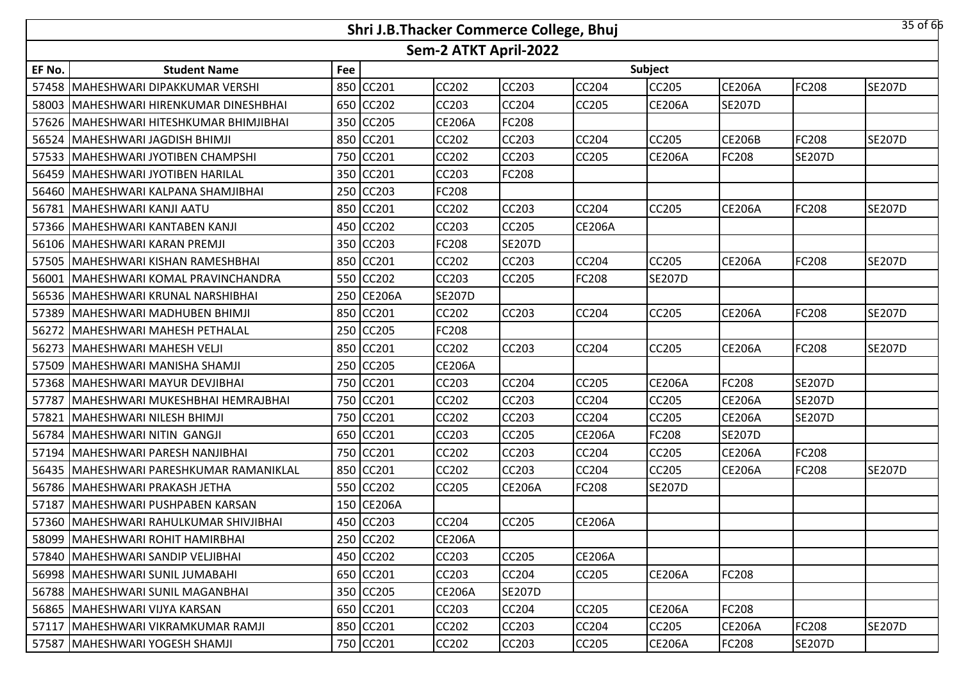|        |                                        |     | Shri J.B.Thacker Commerce College, Bhuj |                       |               |               |                |               |               | 35 of 66      |
|--------|----------------------------------------|-----|-----------------------------------------|-----------------------|---------------|---------------|----------------|---------------|---------------|---------------|
|        |                                        |     |                                         | Sem-2 ATKT April-2022 |               |               |                |               |               |               |
| EF No. | <b>Student Name</b>                    | Fee |                                         |                       |               |               | <b>Subject</b> |               |               |               |
| 57458  | MAHESHWARI DIPAKKUMAR VERSHI           |     | 850 CC201                               | CC202                 | <b>CC203</b>  | CC204         | CC205          | <b>CE206A</b> | FC208         | <b>SE207D</b> |
| 58003  | MAHESHWARI HIRENKUMAR DINESHBHAI       |     | 650 CC202                               | <b>CC203</b>          | CC204         | CC205         | <b>CE206A</b>  | <b>SE207D</b> |               |               |
| 57626  | MAHESHWARI HITESHKUMAR BHIMJIBHAI      |     | 350 CC205                               | <b>CE206A</b>         | FC208         |               |                |               |               |               |
| 56524  | MAHESHWARI JAGDISH BHIMJI              |     | 850 CC201                               | <b>CC202</b>          | <b>CC203</b>  | CC204         | <b>CC205</b>   | <b>CE206B</b> | FC208         | <b>SE207D</b> |
| 57533  | MAHESHWARI JYOTIBEN CHAMPSHI           |     | 750 CC201                               | <b>CC202</b>          | CC203         | CC205         | <b>CE206A</b>  | FC208         | <b>SE207D</b> |               |
|        | 56459   MAHESHWARI JYOTIBEN HARILAL    |     | 350 CC201                               | <b>CC203</b>          | <b>FC208</b>  |               |                |               |               |               |
| 56460  | MAHESHWARI KALPANA SHAMJIBHAI          |     | 250 CC203                               | <b>FC208</b>          |               |               |                |               |               |               |
| 56781  | MAHESHWARI KANJI AATU                  |     | 850 CC201                               | <b>CC202</b>          | <b>CC203</b>  | CC204         | <b>CC205</b>   | <b>CE206A</b> | <b>FC208</b>  | <b>SE207D</b> |
| 57366  | MAHESHWARI KANTABEN KANJI              |     | 450 CC202                               | <b>CC203</b>          | CC205         | <b>CE206A</b> |                |               |               |               |
| 56106  | MAHESHWARI KARAN PREMJI                |     | 350 CC203                               | <b>FC208</b>          | <b>SE207D</b> |               |                |               |               |               |
| 57505  | MAHESHWARI KISHAN RAMESHBHAI           |     | 850 CC201                               | <b>CC202</b>          | CC203         | CC204         | <b>CC205</b>   | <b>CE206A</b> | FC208         | <b>SE207D</b> |
| 56001  | MAHESHWARI KOMAL PRAVINCHANDRA         |     | 550 CC202                               | CC203                 | CC205         | FC208         | <b>SE207D</b>  |               |               |               |
|        | 56536   MAHESHWARI KRUNAL NARSHIBHAI   |     | 250 CE206A                              | <b>SE207D</b>         |               |               |                |               |               |               |
| 57389  | MAHESHWARI MADHUBEN BHIMJI             |     | 850 CC201                               | CC202                 | <b>CC203</b>  | CC204         | CC205          | <b>CE206A</b> | FC208         | <b>SE207D</b> |
| 56272  | MAHESHWARI MAHESH PETHALAL             |     | 250 CC205                               | <b>FC208</b>          |               |               |                |               |               |               |
| 56273  | MAHESHWARI MAHESH VELJI                |     | 850 CC201                               | <b>CC202</b>          | <b>CC203</b>  | CC204         | <b>CC205</b>   | <b>CE206A</b> | FC208         | <b>SE207D</b> |
| 57509  | MAHESHWARI MANISHA SHAMJI              |     | 250 CC205                               | <b>CE206A</b>         |               |               |                |               |               |               |
| 57368  | MAHESHWARI MAYUR DEVJIBHAI             |     | 750 CC201                               | <b>CC203</b>          | <b>CC204</b>  | CC205         | <b>CE206A</b>  | FC208         | <b>SE207D</b> |               |
| 57787  | lMAHESHWARI MUKESHBHAI HEMRAJBHAI      |     | 750 CC201                               | <b>CC202</b>          | <b>CC203</b>  | CC204         | <b>CC205</b>   | <b>CE206A</b> | <b>SE207D</b> |               |
| 57821  | MAHESHWARI NILESH BHIMJI               |     | 750 CC201                               | <b>CC202</b>          | CC203         | CC204         | CC205          | <b>CE206A</b> | <b>SE207D</b> |               |
| 56784  | MAHESHWARI NITIN GANGJI                |     | 650 CC201                               | <b>CC203</b>          | <b>CC205</b>  | <b>CE206A</b> | <b>FC208</b>   | <b>SE207D</b> |               |               |
| 57194  | MAHESHWARI PARESH NANJIBHAI            |     | 750 CC201                               | <b>CC202</b>          | CC203         | CC204         | <b>CC205</b>   | <b>CE206A</b> | FC208         |               |
| 56435  | MAHESHWARI PARESHKUMAR RAMANIKLAL      |     | 850 CC201                               | CC202                 | CC203         | CC204         | CC205          | <b>CE206A</b> | FC208         | <b>SE207D</b> |
| 56786  | MAHESHWARI PRAKASH JETHA               |     | 550 CC202                               | CC205                 | <b>CE206A</b> | FC208         | <b>SE207D</b>  |               |               |               |
| 57187  | MAHESHWARI PUSHPABEN KARSAN            |     | 150 CE206A                              |                       |               |               |                |               |               |               |
|        | 57360 MAHESHWARI RAHULKUMAR SHIVJIBHAI |     | 450 CC203                               | <b>CC204</b>          | <b>CC205</b>  | <b>CE206A</b> |                |               |               |               |
|        | 58099   MAHESHWARI ROHIT HAMIRBHAI     |     | 250 CC202                               | <b>CE206A</b>         |               |               |                |               |               |               |
|        | 57840   MAHESHWARI SANDIP VELJIBHAI    |     | 450 CC202                               | <b>CC203</b>          | <b>CC205</b>  | <b>CE206A</b> |                |               |               |               |
|        | 56998   MAHESHWARI SUNIL JUMABAHI      |     | 650 CC201                               | <b>CC203</b>          | CC204         | CC205         | <b>CE206A</b>  | FC208         |               |               |
|        | 56788   MAHESHWARI SUNIL MAGANBHAI     |     | 350 CC205                               | <b>CE206A</b>         | <b>SE207D</b> |               |                |               |               |               |
|        | 56865   MAHESHWARI VIJYA KARSAN        |     | 650 CC201                               | CC203                 | CC204         | CC205         | <b>CE206A</b>  | FC208         |               |               |
|        | 57117   MAHESHWARI VIKRAMKUMAR RAMJI   |     | 850 CC201                               | <b>CC202</b>          | CC203         | CC204         | <b>CC205</b>   | <b>CE206A</b> | FC208         | <b>SE207D</b> |
|        | 57587   MAHESHWARI YOGESH SHAMJI       |     | 750 CC201                               | CC202                 | CC203         | CC205         | <b>CE206A</b>  | FC208         | <b>SE207D</b> |               |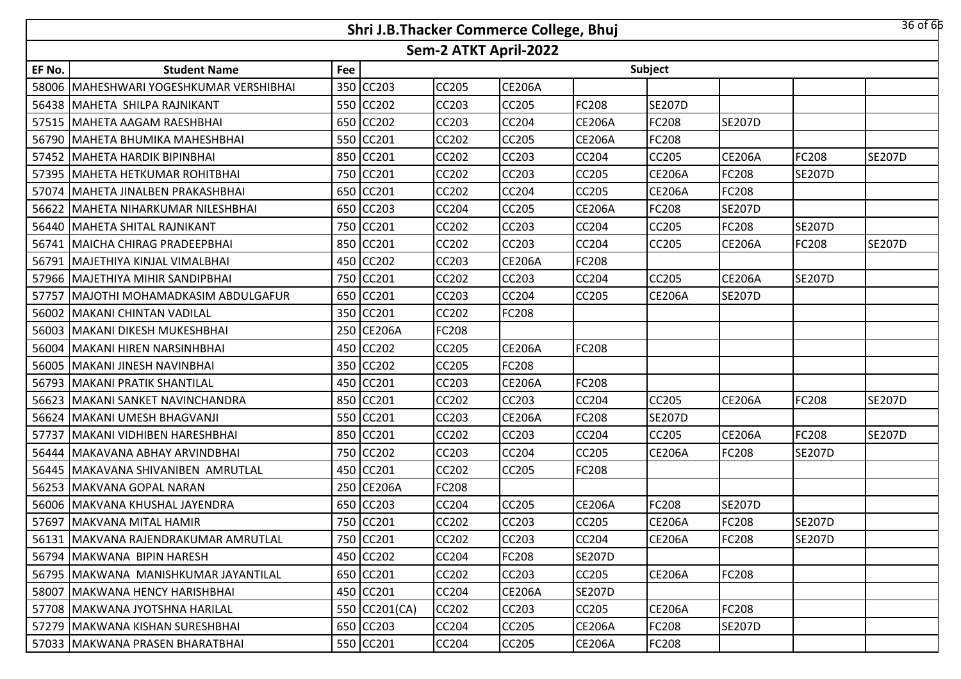|        |                                      |     | Shri J.B.Thacker Commerce College, Bhuj |                       |               |               |               |               |               | 36 of 66      |
|--------|--------------------------------------|-----|-----------------------------------------|-----------------------|---------------|---------------|---------------|---------------|---------------|---------------|
|        |                                      |     |                                         | Sem-2 ATKT April-2022 |               |               |               |               |               |               |
| EF No. | <b>Student Name</b>                  | Fee |                                         |                       |               |               | Subject       |               |               |               |
| 58006  | MAHESHWARI YOGESHKUMAR VERSHIBHAI    |     | 350 CC203                               | CC205                 | <b>CE206A</b> |               |               |               |               |               |
|        | 56438   MAHETA SHILPA RAJNIKANT      |     | 550 CC202                               | CC203                 | CC205         | FC208         | <b>SE207D</b> |               |               |               |
| 57515  | MAHETA AAGAM RAESHBHAI               |     | 650 CC202                               | <b>CC203</b>          | CC204         | <b>CE206A</b> | FC208         | <b>SE207D</b> |               |               |
|        | 56790 MAHETA BHUMIKA MAHESHBHAI      |     | 550 CC201                               | <b>CC202</b>          | <b>CC205</b>  | <b>CE206A</b> | FC208         |               |               |               |
| 57452  | MAHETA HARDIK BIPINBHAI              |     | 850 CC201                               | <b>CC202</b>          | CC203         | CC204         | CC205         | <b>CE206A</b> | FC208         | <b>SE207D</b> |
|        | 57395 IMAHETA HETKUMAR ROHITBHAI     |     | 750 CC201                               | <b>CC202</b>          | CC203         | CC205         | <b>CE206A</b> | FC208         | <b>SE207D</b> |               |
| 57074  | MAHETA JINALBEN PRAKASHBHAI          |     | 650 CC201                               | <b>CC202</b>          | CC204         | CC205         | <b>CE206A</b> | FC208         |               |               |
| 56622  | MAHETA NIHARKUMAR NILESHBHAI         |     | 650 CC203                               | <b>CC204</b>          | <b>CC205</b>  | <b>CE206A</b> | <b>FC208</b>  | <b>SE207D</b> |               |               |
|        | 56440 MAHETA SHITAL RAJNIKANT        |     | 750 CC201                               | <b>CC202</b>          | CC203         | CC204         | <b>CC205</b>  | FC208         | <b>SE207D</b> |               |
|        | 56741 MAICHA CHIRAG PRADEEPBHAI      |     | 850 CC201                               | CC202                 | <b>CC203</b>  | CC204         | <b>CC205</b>  | <b>CE206A</b> | <b>FC208</b>  | <b>SE207D</b> |
| 56791  | MAJETHIYA KINJAL VIMALBHAI           |     | 450 CC202                               | CC203                 | <b>CE206A</b> | FC208         |               |               |               |               |
| 57966  | MAJETHIYA MIHIR SANDIPBHAI           |     | 750 CC201                               | CC202                 | CC203         | CC204         | <b>CC205</b>  | <b>CE206A</b> | <b>SE207D</b> |               |
| 57757  | MAJOTHI MOHAMADKASIM ABDULGAFUR      |     | 650 CC201                               | CC203                 | CC204         | CC205         | <b>CE206A</b> | <b>SE207D</b> |               |               |
| 56002  | MAKANI CHINTAN VADILAL               |     | 350 CC201                               | CC202                 | FC208         |               |               |               |               |               |
|        | 56003   MAKANI DIKESH MUKESHBHAI     |     | 250 CE206A                              | <b>FC208</b>          |               |               |               |               |               |               |
| 56004  | MAKANI HIREN NARSINHBHAI             |     | 450 CC202                               | <b>CC205</b>          | <b>CE206A</b> | FC208         |               |               |               |               |
| 56005  | MAKANI JINESH NAVINBHAI              |     | 350 CC202                               | <b>CC205</b>          | FC208         |               |               |               |               |               |
| 56793  | <b>MAKANI PRATIK SHANTILAL</b>       |     | 450 CC201                               | <b>CC203</b>          | <b>CE206A</b> | FC208         |               |               |               |               |
| 56623  | <b>MAKANI SANKET NAVINCHANDRA</b>    |     | 850 CC201                               | <b>CC202</b>          | <b>CC203</b>  | CC204         | <b>CC205</b>  | <b>CE206A</b> | <b>FC208</b>  | <b>SE207D</b> |
| 56624  | MAKANI UMESH BHAGVANJI               |     | 550 CC201                               | <b>CC203</b>          | <b>CE206A</b> | FC208         | <b>SE207D</b> |               |               |               |
| 57737  | MAKANI VIDHIBEN HARESHBHAI           |     | 850 CC201                               | CC202                 | <b>CC203</b>  | CC204         | <b>CC205</b>  | <b>CE206A</b> | FC208         | <b>SE207D</b> |
| 56444  | MAKAVANA ABHAY ARVINDBHAI            |     | 750 CC202                               | <b>CC203</b>          | <b>CC204</b>  | CC205         | <b>CE206A</b> | FC208         | <b>SE207D</b> |               |
| 56445  | MAKAVANA SHIVANIBEN AMRUTLAL         |     | 450 CC201                               | CC202                 | CC205         | FC208         |               |               |               |               |
|        | 56253 MAKVANA GOPAL NARAN            |     | 250 CE206A                              | <b>FC208</b>          |               |               |               |               |               |               |
|        | 56006   MAKVANA KHUSHAL JAYENDRA     |     | 650 CC203                               | CC204                 | CC205         | <b>CE206A</b> | FC208         | <b>SE207D</b> |               |               |
|        | 57697 MAKVANA MITAL HAMIR            |     | 750 CC201                               | CC202                 | CC203         | CC205         | <b>CE206A</b> | FC208         | <b>SE207D</b> |               |
|        | 56131 MAKVANA RAJENDRAKUMAR AMRUTLAL |     | 750 CC201                               | <b>CC202</b>          | CC203         | CC204         | <b>CE206A</b> | FC208         | <b>SE207D</b> |               |
|        | 56794 MAKWANA BIPIN HARESH           |     | 450 CC202                               | <b>CC204</b>          | <b>FC208</b>  | <b>SE207D</b> |               |               |               |               |
|        | 56795 MAKWANA MANISHKUMAR JAYANTILAL |     | 650 CC201                               | <b>CC202</b>          | CC203         | CC205         | <b>CE206A</b> | FC208         |               |               |
|        | 58007 MAKWANA HENCY HARISHBHAI       |     | 450 CC201                               | <b>CC204</b>          | <b>CE206A</b> | <b>SE207D</b> |               |               |               |               |
|        | 57708   MAKWANA JYOTSHNA HARILAL     |     | 550 CC201(CA)                           | <b>CC202</b>          | CC203         | CC205         | <b>CE206A</b> | FC208         |               |               |
|        | 57279   MAKWANA KISHAN SURESHBHAI    |     | 650 CC203                               | CC204                 | <b>CC205</b>  | <b>CE206A</b> | <b>FC208</b>  | <b>SE207D</b> |               |               |
|        | 57033   MAKWANA PRASEN BHARATBHAI    |     | 550 CC201                               | CC204                 | CC205         | <b>CE206A</b> | <b>FC208</b>  |               |               |               |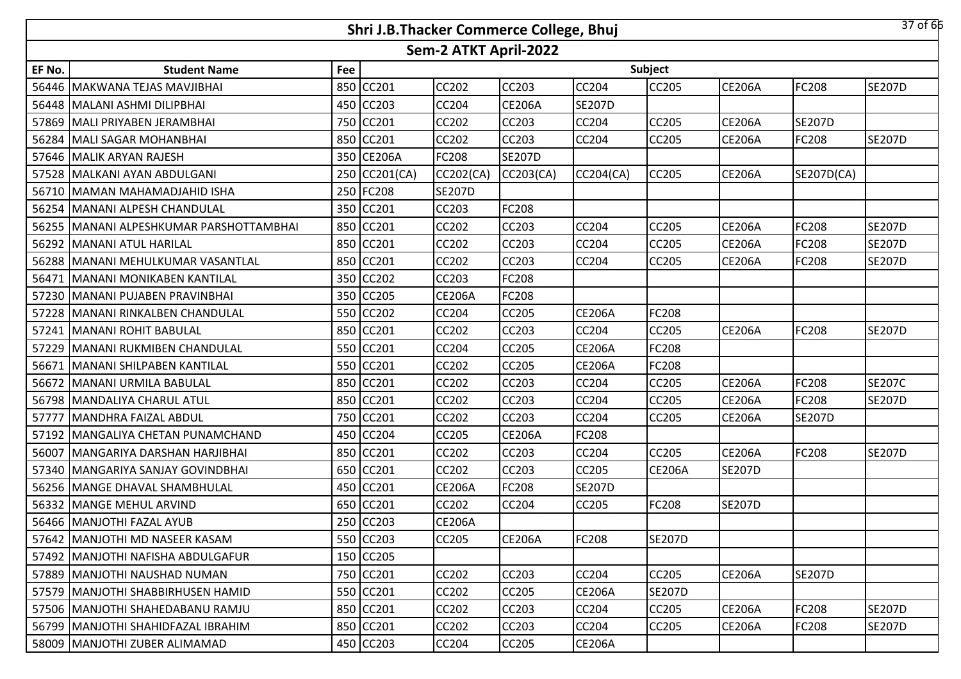|        |                                         |     | Shri J.B.Thacker Commerce College, Bhuj |                       |               |               |               |               |               | 37 of 66      |
|--------|-----------------------------------------|-----|-----------------------------------------|-----------------------|---------------|---------------|---------------|---------------|---------------|---------------|
|        |                                         |     |                                         | Sem-2 ATKT April-2022 |               |               |               |               |               |               |
| EF No. | <b>Student Name</b>                     | Fee |                                         |                       |               |               | Subject       |               |               |               |
|        | 56446 MAKWANA TEJAS MAVJIBHAI           | 850 | CC201                                   | <b>CC202</b>          | <b>CC203</b>  | <b>CC204</b>  | CC205         | <b>CE206A</b> | <b>FC208</b>  | <b>SE207D</b> |
|        | 56448 MALANI ASHMI DILIPBHAI            |     | 450 CC203                               | <b>CC204</b>          | <b>CE206A</b> | <b>SE207D</b> |               |               |               |               |
|        | 57869 MALI PRIYABEN JERAMBHAI           |     | 750 CC201                               | CC202                 | <b>CC203</b>  | CC204         | CC205         | <b>CE206A</b> | <b>SE207D</b> |               |
|        | 56284 MALI SAGAR MOHANBHAI              |     | 850 CC201                               | <b>CC202</b>          | <b>CC203</b>  | <b>CC204</b>  | <b>CC205</b>  | <b>CE206A</b> | <b>FC208</b>  | <b>SE207D</b> |
|        | 57646 MALIK ARYAN RAJESH                |     | 350 CE206A                              | FC208                 | <b>SE207D</b> |               |               |               |               |               |
|        | 57528 MALKANI AYAN ABDULGANI            | 250 | CC201(CA)                               | CC202(CA)             | CC203(CA)     | CC204(CA)     | <b>CC205</b>  | <b>CE206A</b> | SE207D(CA)    |               |
|        | 56710   MAMAN MAHAMADJAHID ISHA         | 250 | <b>FC208</b>                            | <b>SE207D</b>         |               |               |               |               |               |               |
| 56254  | MANANI ALPESH CHANDULAL                 | 350 | CC201                                   | CC203                 | <b>FC208</b>  |               |               |               |               |               |
|        | 56255 MANANI ALPESHKUMAR PARSHOTTAMBHAI | 850 | CC201                                   | <b>CC202</b>          | <b>CC203</b>  | CC204         | CC205         | <b>CE206A</b> | <b>FC208</b>  | <b>SE207D</b> |
|        | 56292 MANANI ATUL HARILAL               | 850 | CC201                                   | CC202                 | <b>CC203</b>  | <b>CC204</b>  | CC205         | <b>CE206A</b> | FC208         | <b>SE207D</b> |
|        | 56288   MANANI MEHULKUMAR VASANTLAL     | 850 | CC201                                   | <b>CC202</b>          | <b>CC203</b>  | <b>CC204</b>  | CC205         | <b>CE206A</b> | <b>FC208</b>  | <b>SE207D</b> |
| 56471  | <b>IMANANI MONIKABEN KANTILAL</b>       | 350 | CC202                                   | CC203                 | <b>FC208</b>  |               |               |               |               |               |
|        | 57230 MANANI PUJABEN PRAVINBHAI         | 350 | <b>CC205</b>                            | <b>CE206A</b>         | <b>FC208</b>  |               |               |               |               |               |
| 57228  | MANANI RINKALBEN CHANDULAL              |     | 550 CC202                               | <b>CC204</b>          | <b>CC205</b>  | <b>CE206A</b> | FC208         |               |               |               |
|        | 57241 MANANI ROHIT BABULAL              |     | 850 CC201                               | <b>CC202</b>          | <b>CC203</b>  | <b>CC204</b>  | <b>CC205</b>  | <b>CE206A</b> | <b>FC208</b>  | <b>SE207D</b> |
| 57229  | MANANI RUKMIBEN CHANDULAL               |     | 550 CC201                               | <b>CC204</b>          | <b>CC205</b>  | <b>CE206A</b> | FC208         |               |               |               |
| 56671  | <b>MANANI SHILPABEN KANTILAL</b>        |     | 550 CC201                               | <b>CC202</b>          | <b>CC205</b>  | <b>CE206A</b> | FC208         |               |               |               |
|        | 56672   MANANI URMILA BABULAL           | 850 | CC201                                   | <b>CC202</b>          | <b>CC203</b>  | CC204         | CC205         | <b>CE206A</b> | <b>FC208</b>  | <b>SE207C</b> |
|        | 56798 MANDALIYA CHARUL ATUL             | 850 | CC201                                   | CC202                 | <b>CC203</b>  | <b>CC204</b>  | CC205         | <b>CE206A</b> | <b>FC208</b>  | <b>SE207D</b> |
| 57777  | MANDHRA FAIZAL ABDUL                    | 750 | <b>CC201</b>                            | CC202                 | <b>CC203</b>  | CC204         | CC205         | <b>CE206A</b> | <b>SE207D</b> |               |
|        | 57192 MANGALIYA CHETAN PUNAMCHAND       | 450 | CC204                                   | CC205                 | <b>CE206A</b> | FC208         |               |               |               |               |
| 56007  | MANGARIYA DARSHAN HARJIBHAI             | 850 | CC201                                   | <b>CC202</b>          | <b>CC203</b>  | CC204         | <b>CC205</b>  | <b>CE206A</b> | <b>FC208</b>  | <b>SE207D</b> |
| 57340  | MANGARIYA SANJAY GOVINDBHAI             | 650 | CC201                                   | CC202                 | <b>CC203</b>  | <b>CC205</b>  | <b>CE206A</b> | <b>SE207D</b> |               |               |
|        | 56256 MANGE DHAVAL SHAMBHULAL           | 450 | CC201                                   | <b>CE206A</b>         | <b>FC208</b>  | <b>SE207D</b> |               |               |               |               |
|        | 56332 MANGE MEHUL ARVIND                | 650 | CC201                                   | CC202                 | <b>CC204</b>  | CC205         | FC208         | <b>SE207D</b> |               |               |
|        | 56466   MANJOTHI FAZAL AYUB             |     | 250 CC203                               | <b>CE206A</b>         |               |               |               |               |               |               |
|        | 57642 MANJOTHI MD NASEER KASAM          |     | 550 CC203                               | <b>CC205</b>          | <b>CE206A</b> | FC208         | <b>SE207D</b> |               |               |               |
|        | 57492   MANJOTHI NAFISHA ABDULGAFUR     |     | 150 CC205                               |                       |               |               |               |               |               |               |
|        | 57889   MANJOTHI NAUSHAD NUMAN          |     | 750 CC201                               | <b>CC202</b>          | <b>CC203</b>  | CC204         | CC205         | <b>CE206A</b> | <b>SE207D</b> |               |
|        | 57579   MANJOTHI SHABBIRHUSEN HAMID     |     | 550 CC201                               | <b>CC202</b>          | <b>CC205</b>  | <b>CE206A</b> | <b>SE207D</b> |               |               |               |
|        | 57506 MANJOTHI SHAHEDABANU RAMJU        |     | 850 CC201                               | CC202                 | <b>CC203</b>  | CC204         | CC205         | <b>CE206A</b> | <b>FC208</b>  | <b>SE207D</b> |
|        | 56799 MANJOTHI SHAHIDFAZAL IBRAHIM      |     | 850 CC201                               | CC202                 | <b>CC203</b>  | <b>CC204</b>  | CC205         | <b>CE206A</b> | <b>FC208</b>  | <b>SE207D</b> |
|        | 58009 MANJOTHI ZUBER ALIMAMAD           |     | 450 CC203                               | CC204                 | <b>CC205</b>  | <b>CE206A</b> |               |               |               |               |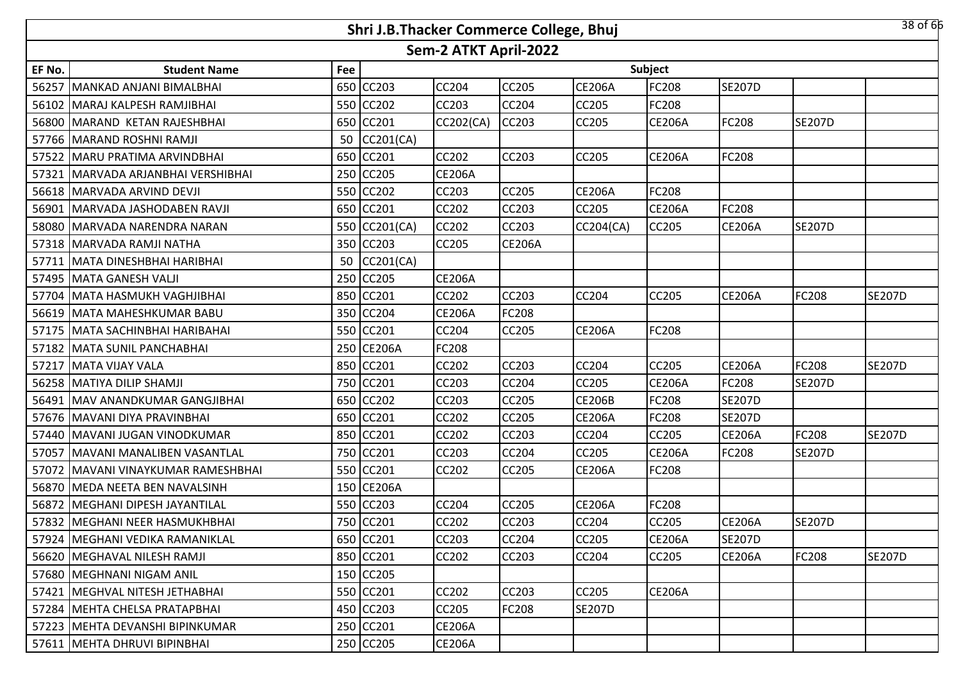|        |                                   |     | Shri J.B.Thacker Commerce College, Bhuj |                       |               |                  |               |               |               | $38$ of 66    |
|--------|-----------------------------------|-----|-----------------------------------------|-----------------------|---------------|------------------|---------------|---------------|---------------|---------------|
|        |                                   |     |                                         | Sem-2 ATKT April-2022 |               |                  |               |               |               |               |
| EF No. | <b>Student Name</b>               | Fee |                                         |                       |               |                  | Subject       |               |               |               |
| 56257  | MANKAD ANJANI BIMALBHAI           |     | 650 CC203                               | CC204                 | CC205         | <b>CE206A</b>    | FC208         | <b>SE207D</b> |               |               |
|        | 56102   MARAJ KALPESH RAMJIBHAI   |     | 550 CC202                               | CC203                 | <b>CC204</b>  | <b>CC205</b>     | <b>FC208</b>  |               |               |               |
|        | 56800 MARAND KETAN RAJESHBHAI     |     | 650 CC201                               | CC202(CA)             | CC203         | <b>CC205</b>     | <b>CE206A</b> | FC208         | <b>SE207D</b> |               |
| 57766  | MARAND ROSHNI RAMJI               | 50  | CC201(CA)                               |                       |               |                  |               |               |               |               |
| 57522  | MARU PRATIMA ARVINDBHAI           |     | 650 CC201                               | CC202                 | CC203         | <b>CC205</b>     | <b>CE206A</b> | FC208         |               |               |
| 57321  | MARVADA ARJANBHAI VERSHIBHAI      |     | 250 CC205                               | <b>CE206A</b>         |               |                  |               |               |               |               |
|        | 56618 MARVADA ARVIND DEVJI        |     | 550 CC202                               | CC203                 | CC205         | <b>CE206A</b>    | FC208         |               |               |               |
| 56901  | MARVADA JASHODABEN RAVJI          |     | 650 CC201                               | CC202                 | CC203         | CC205            | <b>CE206A</b> | FC208         |               |               |
|        | 58080 MARVADA NARENDRA NARAN      |     | 550 CC201(CA)                           | <b>CC202</b>          | CC203         | <b>CC204(CA)</b> | CC205         | <b>CE206A</b> | <b>SE207D</b> |               |
| 57318  | MARVADA RAMJI NATHA               |     | 350 CC203                               | CC205                 | <b>CE206A</b> |                  |               |               |               |               |
| 57711  | MATA DINESHBHAI HARIBHAI          | 50  | CC201(CA)                               |                       |               |                  |               |               |               |               |
| 57495  | MATA GANESH VALJI                 |     | 250 CC205                               | <b>CE206A</b>         |               |                  |               |               |               |               |
|        | 57704 MATA HASMUKH VAGHJIBHAI     |     | 850 CC201                               | CC202                 | CC203         | <b>CC204</b>     | <b>CC205</b>  | <b>CE206A</b> | <b>FC208</b>  | <b>SE207D</b> |
| 56619  | MATA MAHESHKUMAR BABU             |     | 350 CC204                               | <b>CE206A</b>         | FC208         |                  |               |               |               |               |
|        | 57175   MATA SACHINBHAI HARIBAHAI |     | 550 CC201                               | CC204                 | CC205         | <b>CE206A</b>    | <b>FC208</b>  |               |               |               |
| 57182  | MATA SUNIL PANCHABHAI             |     | 250 CE206A                              | FC208                 |               |                  |               |               |               |               |
| 57217  | MATA VIJAY VALA                   |     | 850 CC201                               | CC202                 | <b>CC203</b>  | <b>CC204</b>     | <b>CC205</b>  | <b>CE206A</b> | <b>FC208</b>  | <b>SE207D</b> |
| 56258  | MATIYA DILIP SHAMJI               |     | 750 CC201                               | CC203                 | CC204         | CC205            | <b>CE206A</b> | FC208         | <b>SE207D</b> |               |
| 56491  | MAV ANANDKUMAR GANGJIBHAI         |     | 650 CC202                               | CC203                 | CC205         | <b>CE206B</b>    | FC208         | <b>SE207D</b> |               |               |
|        | 57676 MAVANI DIYA PRAVINBHAI      |     | 650 CC201                               | CC202                 | CC205         | <b>CE206A</b>    | FC208         | <b>SE207D</b> |               |               |
| 57440  | MAVANI JUGAN VINODKUMAR           |     | 850 CC201                               | CC202                 | CC203         | CC204            | CC205         | <b>CE206A</b> | FC208         | <b>SE207D</b> |
| 57057  | MAVANI MANALIBEN VASANTLAL        |     | 750 CC201                               | CC203                 | CC204         | <b>CC205</b>     | <b>CE206A</b> | FC208         | <b>SE207D</b> |               |
| 57072  | MAVANI VINAYKUMAR RAMESHBHAI      |     | 550 CC201                               | CC202                 | CC205         | <b>CE206A</b>    | FC208         |               |               |               |
|        | 56870 MEDA NEETA BEN NAVALSINH    |     | 150 CE206A                              |                       |               |                  |               |               |               |               |
| 56872  | MEGHANI DIPESH JAYANTILAL         |     | 550 CC203                               | CC204                 | CC205         | <b>CE206A</b>    | FC208         |               |               |               |
|        | 57832   MEGHANI NEER HASMUKHBHAI  |     | 750 CC201                               | CC202                 | CC203         | <b>CC204</b>     | <b>CC205</b>  | <b>CE206A</b> | <b>SE207D</b> |               |
|        | 57924 MEGHANI VEDIKA RAMANIKLAL   |     | 650 CC201                               | CC203                 | CC204         | <b>CC205</b>     | <b>CE206A</b> | <b>SE207D</b> |               |               |
|        | 56620   MEGHAVAL NILESH RAMJI     |     | 850 CC201                               | CC202                 | CC203         | <b>CC204</b>     | <b>CC205</b>  | <b>CE206A</b> | <b>FC208</b>  | <b>SE207D</b> |
|        | 57680   MEGHNANI NIGAM ANIL       |     | 150 CC205                               |                       |               |                  |               |               |               |               |
| 57421  | MEGHVAL NITESH JETHABHAI          |     | 550 CC201                               | CC202                 | CC203         | <b>CC205</b>     | <b>CE206A</b> |               |               |               |
|        | 57284   MEHTA CHELSA PRATAPBHAI   |     | 450 CC203                               | CC205                 | FC208         | <b>SE207D</b>    |               |               |               |               |
|        | 57223   MEHTA DEVANSHI BIPINKUMAR |     | 250 CC201                               | <b>CE206A</b>         |               |                  |               |               |               |               |
|        | 57611   MEHTA DHRUVI BIPINBHAI    |     | 250 CC205                               | <b>CE206A</b>         |               |                  |               |               |               |               |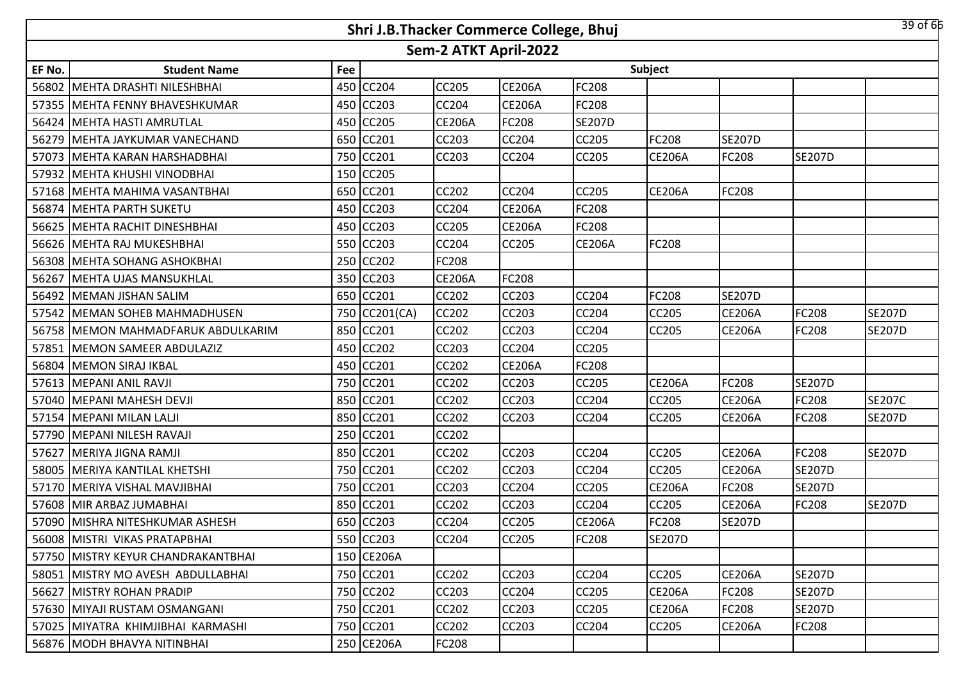|        |                                      |     |               |                       | Shri J.B.Thacker Commerce College, Bhuj |               |               |               |               | 39 of 66      |
|--------|--------------------------------------|-----|---------------|-----------------------|-----------------------------------------|---------------|---------------|---------------|---------------|---------------|
|        |                                      |     |               | Sem-2 ATKT April-2022 |                                         |               |               |               |               |               |
| EF No. | <b>Student Name</b>                  | Fee |               |                       |                                         |               | Subject       |               |               |               |
|        | 56802   MEHTA DRASHTI NILESHBHAI     | 450 | <b>CC204</b>  | <b>CC205</b>          | <b>CE206A</b>                           | FC208         |               |               |               |               |
|        | 57355   MEHTA FENNY BHAVESHKUMAR     | 450 | <b>CC203</b>  | <b>CC204</b>          | <b>CE206A</b>                           | <b>FC208</b>  |               |               |               |               |
| 56424  | <b>MEHTA HASTI AMRUTLAL</b>          | 450 | <b>CC205</b>  | <b>CE206A</b>         | FC208                                   | <b>SE207D</b> |               |               |               |               |
|        | 56279 MEHTA JAYKUMAR VANECHAND       | 650 | CC201         | <b>CC203</b>          | <b>CC204</b>                            | <b>CC205</b>  | FC208         | <b>SE207D</b> |               |               |
|        | 57073 MEHTA KARAN HARSHADBHAI        | 750 | CC201         | CC203                 | <b>CC204</b>                            | CC205         | <b>CE206A</b> | FC208         | <b>SE207D</b> |               |
|        | 57932 MEHTA KHUSHI VINODBHAI         | 150 | <b>CC205</b>  |                       |                                         |               |               |               |               |               |
| 57168  | MEHTA MAHIMA VASANTBHAI              | 650 | CC201         | CC202                 | CC204                                   | <b>CC205</b>  | <b>CE206A</b> | FC208         |               |               |
| 56874  | <b>MEHTA PARTH SUKETU</b>            | 450 | <b>CC203</b>  | CC204                 | <b>CE206A</b>                           | FC208         |               |               |               |               |
|        | 56625 MEHTA RACHIT DINESHBHAI        | 450 | <b>CC203</b>  | CC205                 | <b>CE206A</b>                           | FC208         |               |               |               |               |
|        | 56626 MEHTA RAJ MUKESHBHAI           | 550 | <b>CC203</b>  | CC204                 | CC205                                   | <b>CE206A</b> | FC208         |               |               |               |
|        | 56308 MEHTA SOHANG ASHOKBHAI         | 250 | <b>CC202</b>  | FC208                 |                                         |               |               |               |               |               |
| 56267  | <b>MEHTA UJAS MANSUKHLAL</b>         | 350 | <b>CC203</b>  | <b>CE206A</b>         | FC208                                   |               |               |               |               |               |
|        | 56492 MEMAN JISHAN SALIM             |     | 650 CC201     | <b>CC202</b>          | <b>CC203</b>                            | <b>CC204</b>  | FC208         | <b>SE207D</b> |               |               |
|        | 57542 MEMAN SOHEB MAHMADHUSEN        |     | 750 CC201(CA) | CC202                 | CC203                                   | CC204         | CC205         | <b>CE206A</b> | FC208         | <b>SE207D</b> |
|        | 56758   MEMON MAHMADFARUK ABDULKARIM |     | 850 CC201     | CC202                 | <b>CC203</b>                            | <b>CC204</b>  | <b>CC205</b>  | <b>CE206A</b> | <b>FC208</b>  | <b>SE207D</b> |
|        | 57851   MEMON SAMEER ABDULAZIZ       | 450 | <b>CC202</b>  | CC203                 | CC204                                   | CC205         |               |               |               |               |
|        | 56804 MEMON SIRAJ IKBAL              | 450 | CC201         | CC202                 | <b>CE206A</b>                           | <b>FC208</b>  |               |               |               |               |
|        | 57613 MEPANI ANIL RAVJI              | 750 | CC201         | CC202                 | CC203                                   | CC205         | <b>CE206A</b> | FC208         | <b>SE207D</b> |               |
|        | 57040 MEPANI MAHESH DEVJI            | 850 | CC201         | CC202                 | <b>CC203</b>                            | <b>CC204</b>  | CC205         | <b>CE206A</b> | <b>FC208</b>  | <b>SE207C</b> |
|        | 57154   MEPANI MILAN LALJI           | 850 | CC201         | CC202                 | <b>CC203</b>                            | CC204         | CC205         | <b>CE206A</b> | <b>FC208</b>  | <b>SE207D</b> |
|        | 57790 MEPANI NILESH RAVAJI           | 250 | CC201         | CC202                 |                                         |               |               |               |               |               |
| 57627  | MERIYA JIGNA RAMJI                   | 850 | <b>CC201</b>  | CC202                 | <b>CC203</b>                            | CC204         | CC205         | <b>CE206A</b> | <b>FC208</b>  | <b>SE207D</b> |
| 58005  | <b>MERIYA KANTILAL KHETSHI</b>       | 750 | CC201         | CC202                 | CC203                                   | CC204         | CC205         | <b>CE206A</b> | <b>SE207D</b> |               |
|        | 57170 MERIYA VISHAL MAVJIBHAI        | 750 | <b>CC201</b>  | CC203                 | CC204                                   | CC205         | <b>CE206A</b> | FC208         | <b>SE207D</b> |               |
|        | 57608 MIR ARBAZ JUMABHAI             | 850 | CC201         | CC202                 | CC203                                   | CC204         | CC205         | <b>CE206A</b> | <b>FC208</b>  | <b>SE207D</b> |
|        | 57090   MISHRA NITESHKUMAR ASHESH    |     | 650 CC203     | <b>CC204</b>          | CC205                                   | <b>CE206A</b> | FC208         | <b>SE207D</b> |               |               |
|        | 56008 MISTRI VIKAS PRATAPBHAI        |     | 550 CC203     | <b>CC204</b>          | <b>CC205</b>                            | <b>FC208</b>  | <b>SE207D</b> |               |               |               |
|        | 57750 MISTRY KEYUR CHANDRAKANTBHAI   |     | 150 CE206A    |                       |                                         |               |               |               |               |               |
|        | 58051 MISTRY MO AVESH ABDULLABHAI    |     | 750 CC201     | CC202                 | CC203                                   | <b>CC204</b>  | <b>CC205</b>  | <b>CE206A</b> | <b>SE207D</b> |               |
|        | 56627 MISTRY ROHAN PRADIP            | 750 | CC202         | <b>CC203</b>          | <b>CC204</b>                            | <b>CC205</b>  | <b>CE206A</b> | FC208         | <b>SE207D</b> |               |
|        | 57630 MIYAJI RUSTAM OSMANGANI        |     | 750 CC201     | CC202                 | CC203                                   | CC205         | <b>CE206A</b> | FC208         | <b>SE207D</b> |               |
|        | 57025 MIYATRA KHIMJIBHAI KARMASHI    |     | 750 CC201     | CC202                 | CC203                                   | <b>CC204</b>  | CC205         | <b>CE206A</b> | <b>FC208</b>  |               |
|        | 56876 MODH BHAVYA NITINBHAI          |     | 250 CE206A    | FC208                 |                                         |               |               |               |               |               |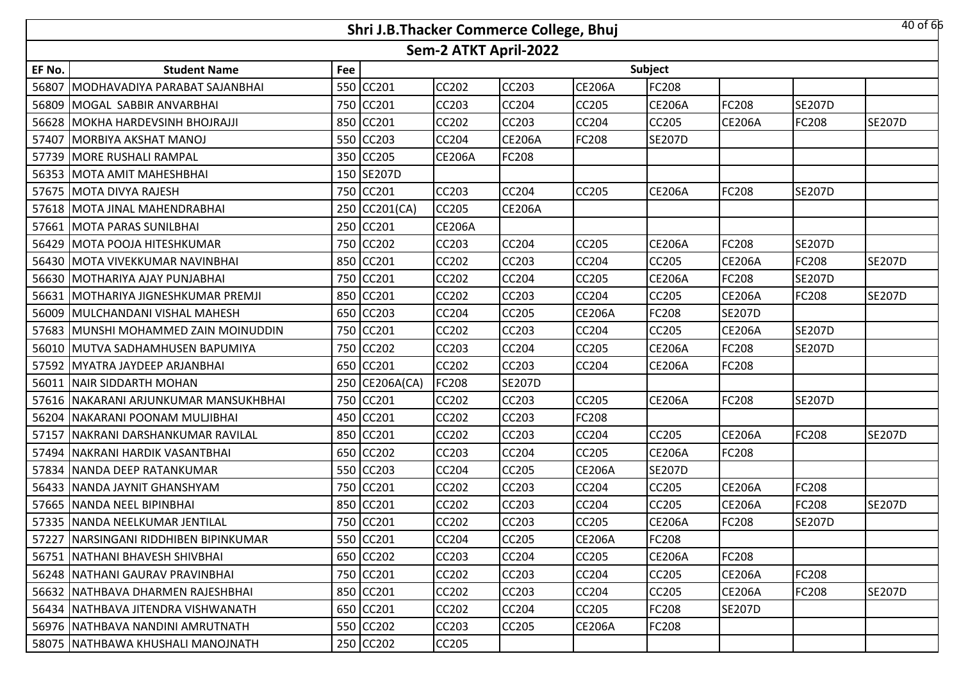|        |                                       |     | Shri J.B.Thacker Commerce College, Bhuj |                       |               |               |               |               |               | 40 of 66      |
|--------|---------------------------------------|-----|-----------------------------------------|-----------------------|---------------|---------------|---------------|---------------|---------------|---------------|
|        |                                       |     |                                         | Sem-2 ATKT April-2022 |               |               |               |               |               |               |
| EF No. | <b>Student Name</b>                   | Fee |                                         |                       |               |               | Subject       |               |               |               |
| 56807  | MODHAVADIYA PARABAT SAJANBHAI         | 550 | CC201                                   | <b>CC202</b>          | <b>CC203</b>  | <b>CE206A</b> | FC208         |               |               |               |
|        | 56809 MOGAL SABBIR ANVARBHAI          | 750 | <b>CC201</b>                            | <b>CC203</b>          | <b>CC204</b>  | CC205         | <b>CE206A</b> | FC208         | <b>SE207D</b> |               |
|        | 56628 MOKHA HARDEVSINH BHOJRAJJI      |     | 850 CC201                               | <b>CC202</b>          | <b>CC203</b>  | CC204         | CC205         | <b>CE206A</b> | <b>FC208</b>  | <b>SE207D</b> |
|        | 57407 MORBIYA AKSHAT MANOJ            |     | 550 CC203                               | <b>CC204</b>          | <b>CE206A</b> | <b>FC208</b>  | <b>SE207D</b> |               |               |               |
|        | 57739   MORE RUSHALI RAMPAL           |     | 350 CC205                               | <b>CE206A</b>         | <b>FC208</b>  |               |               |               |               |               |
|        | 56353 MOTA AMIT MAHESHBHAI            |     | 150 SE207D                              |                       |               |               |               |               |               |               |
|        | 57675 MOTA DIVYA RAJESH               |     | 750 CC201                               | <b>CC203</b>          | <b>CC204</b>  | <b>CC205</b>  | <b>CE206A</b> | FC208         | <b>SE207D</b> |               |
|        | 57618 MOTA JINAL MAHENDRABHAI         | 250 | CC201(CA)                               | <b>CC205</b>          | <b>CE206A</b> |               |               |               |               |               |
|        | 57661 MOTA PARAS SUNILBHAI            |     | 250 CC201                               | <b>CE206A</b>         |               |               |               |               |               |               |
|        | 56429 MOTA POOJA HITESHKUMAR          | 750 | <b>CC202</b>                            | <b>CC203</b>          | <b>CC204</b>  | <b>CC205</b>  | <b>CE206A</b> | FC208         | <b>SE207D</b> |               |
|        | 56430 MOTA VIVEKKUMAR NAVINBHAI       | 850 | CC201                                   | <b>CC202</b>          | <b>CC203</b>  | CC204         | CC205         | <b>CE206A</b> | <b>FC208</b>  | <b>SE207D</b> |
|        | 56630 MOTHARIYA AJAY PUNJABHAI        | 750 | CC201                                   | CC202                 | <b>CC204</b>  | CC205         | <b>CE206A</b> | FC208         | <b>SE207D</b> |               |
|        | 56631   MOTHARIYA JIGNESHKUMAR PREMJI | 850 | <b>CC201</b>                            | <b>CC202</b>          | <b>CC203</b>  | CC204         | CC205         | <b>CE206A</b> | <b>FC208</b>  | <b>SE207D</b> |
|        | 56009 MULCHANDANI VISHAL MAHESH       | 650 | CC203                                   | CC204                 | <b>CC205</b>  | <b>CE206A</b> | FC208         | <b>SE207D</b> |               |               |
|        | 57683 MUNSHI MOHAMMED ZAIN MOINUDDIN  |     | 750 CC201                               | <b>CC202</b>          | <b>CC203</b>  | CC204         | CC205         | <b>CE206A</b> | <b>SE207D</b> |               |
|        | 56010 MUTVA SADHAMHUSEN BAPUMIYA      |     | 750 CC202                               | CC203                 | <b>CC204</b>  | CC205         | <b>CE206A</b> | FC208         | <b>SE207D</b> |               |
|        | 57592 MYATRA JAYDEEP ARJANBHAI        |     | 650 CC201                               | <b>CC202</b>          | <b>CC203</b>  | <b>CC204</b>  | <b>CE206A</b> | FC208         |               |               |
| 56011  | NAIR SIDDARTH MOHAN                   |     | 250 CE206A(CA)                          | FC208                 | <b>SE207D</b> |               |               |               |               |               |
|        | 57616 NAKARANI ARJUNKUMAR MANSUKHBHAI |     | 750 CC201                               | <b>CC202</b>          | CC203         | <b>CC205</b>  | <b>CE206A</b> | FC208         | <b>SE207D</b> |               |
|        | 56204 NAKARANI POONAM MULJIBHAI       |     | 450 CC201                               | <b>CC202</b>          | <b>CC203</b>  | <b>FC208</b>  |               |               |               |               |
| 57157  | NAKRANI DARSHANKUMAR RAVILAL          | 850 | CC201                                   | <b>CC202</b>          | <b>CC203</b>  | <b>CC204</b>  | CC205         | <b>CE206A</b> | <b>FC208</b>  | <b>SE207D</b> |
| 57494  | NAKRANI HARDIK VASANTBHAI             | 650 | <b>CC202</b>                            | CC203                 | <b>CC204</b>  | CC205         | <b>CE206A</b> | FC208         |               |               |
| 57834  | NANDA DEEP RATANKUMAR                 | 550 | CC203                                   | CC204                 | <b>CC205</b>  | <b>CE206A</b> | <b>SE207D</b> |               |               |               |
|        | 56433 NANDA JAYNIT GHANSHYAM          | 750 | CC201                                   | <b>CC202</b>          | <b>CC203</b>  | <b>CC204</b>  | CC205         | <b>CE206A</b> | <b>FC208</b>  |               |
|        | 57665 NANDA NEEL BIPINBHAI            | 850 | CC201                                   | CC202                 | <b>CC203</b>  | CC204         | CC205         | <b>CE206A</b> | FC208         | <b>SE207D</b> |
|        | 57335 NANDA NEELKUMAR JENTILAL        |     | 750 CC201                               | <b>CC202</b>          | <b>CC203</b>  | CC205         | <b>CE206A</b> | FC208         | <b>SE207D</b> |               |
|        | 57227 NARSINGANI RIDDHIBEN BIPINKUMAR |     | 550 CC201                               | CC204                 | <b>CC205</b>  | <b>CE206A</b> | FC208         |               |               |               |
|        | 56751 NATHANI BHAVESH SHIVBHAI        |     | 650 CC202                               | CC203                 | <b>CC204</b>  | <b>CC205</b>  | <b>CE206A</b> | FC208         |               |               |
|        | 56248 INATHANI GAURAV PRAVINBHAI      |     | 750 CC201                               | <b>CC202</b>          | <b>CC203</b>  | CC204         | CC205         | <b>CE206A</b> | FC208         |               |
|        | 56632   NATHBAVA DHARMEN RAJESHBHAI   |     | 850 CC201                               | CC202                 | <b>CC203</b>  | <b>CC204</b>  | CC205         | <b>CE206A</b> | <b>FC208</b>  | <b>SE207D</b> |
|        | 56434   NATHBAVA JITENDRA VISHWANATH  |     | 650 CC201                               | CC202                 | <b>CC204</b>  | CC205         | FC208         | <b>SE207D</b> |               |               |
|        | 56976   NATHBAVA NANDINI AMRUTNATH    |     | 550 CC202                               | CC203                 | <b>CC205</b>  | <b>CE206A</b> | FC208         |               |               |               |
|        | 58075   NATHBAWA KHUSHALI MANOJNATH   |     | 250 CC202                               | CC205                 |               |               |               |               |               |               |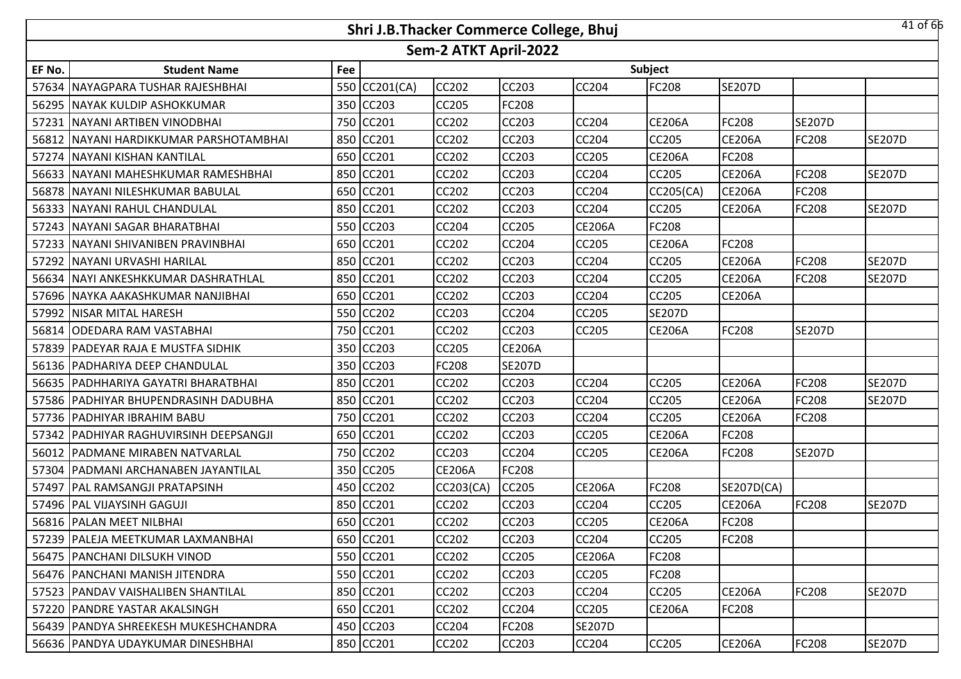|        |                                          |     | Shri J.B.Thacker Commerce College, Bhuj |                       |               |               |               |               |               | 41 of 66      |
|--------|------------------------------------------|-----|-----------------------------------------|-----------------------|---------------|---------------|---------------|---------------|---------------|---------------|
|        |                                          |     |                                         | Sem-2 ATKT April-2022 |               |               |               |               |               |               |
| EF No. | <b>Student Name</b>                      | Fee |                                         |                       |               |               | Subject       |               |               |               |
|        | 57634   NAYAGPARA TUSHAR RAJESHBHAI      |     | 550 CC201(CA)                           | <b>CC202</b>          | <b>CC203</b>  | <b>CC204</b>  | FC208         | <b>SE207D</b> |               |               |
|        | 56295   NAYAK KULDIP ASHOKKUMAR          | 350 | <b>CC203</b>                            | <b>CC205</b>          | <b>FC208</b>  |               |               |               |               |               |
| 57231  | NAYANI ARTIBEN VINODBHAI                 |     | 750 CC201                               | CC202                 | <b>CC203</b>  | <b>CC204</b>  | <b>CE206A</b> | FC208         | <b>SE207D</b> |               |
|        | 56812   NAYANI HARDIKKUMAR PARSHOTAMBHAI | 850 | CC201                                   | CC202                 | <b>CC203</b>  | <b>CC204</b>  | CC205         | <b>CE206A</b> | <b>FC208</b>  | <b>SE207D</b> |
|        | 57274 NAYANI KISHAN KANTILAL             | 650 | CC201                                   | <b>CC202</b>          | <b>CC203</b>  | CC205         | <b>CE206A</b> | FC208         |               |               |
|        | 56633 NAYANI MAHESHKUMAR RAMESHBHAI      | 850 | CC201                                   | CC202                 | <b>CC203</b>  | CC204         | CC205         | <b>CE206A</b> | FC208         | <b>SE207D</b> |
|        | 56878 NAYANI NILESHKUMAR BABULAL         | 650 | <b>CC201</b>                            | <b>CC202</b>          | <b>CC203</b>  | CC204         | CC205(CA)     | <b>CE206A</b> | <b>FC208</b>  |               |
|        | 56333   NAYANI RAHUL CHANDULAL           | 850 | CC201                                   | CC202                 | <b>CC203</b>  | <b>CC204</b>  | CC205         | <b>CE206A</b> | <b>FC208</b>  | <b>SE207D</b> |
|        | 57243 NAYANI SAGAR BHARATBHAI            | 550 | <b>CC203</b>                            | <b>CC204</b>          | <b>CC205</b>  | <b>CE206A</b> | FC208         |               |               |               |
|        | 57233   NAYANI SHIVANIBEN PRAVINBHAI     | 650 | CC201                                   | CC202                 | <b>CC204</b>  | CC205         | <b>CE206A</b> | FC208         |               |               |
|        | 57292 NAYANI URVASHI HARILAL             |     | 850 CC201                               | <b>CC202</b>          | <b>CC203</b>  | <b>CC204</b>  | CC205         | <b>CE206A</b> | <b>FC208</b>  | <b>SE207D</b> |
|        | 56634 NAYI ANKESHKKUMAR DASHRATHLAL      |     | 850 CC201                               | <b>CC202</b>          | <b>CC203</b>  | CC204         | CC205         | <b>CE206A</b> | <b>FC208</b>  | <b>SE207D</b> |
|        | 57696 INAYKA AAKASHKUMAR NANJIBHAI       |     | 650 CC201                               | <b>CC202</b>          | <b>CC203</b>  | <b>CC204</b>  | CC205         | <b>CE206A</b> |               |               |
|        | 57992 NISAR MITAL HARESH                 |     | 550 CC202                               | CC203                 | <b>CC204</b>  | <b>CC205</b>  | <b>SE207D</b> |               |               |               |
|        | 56814 ODEDARA RAM VASTABHAI              |     | 750 CC201                               | <b>CC202</b>          | <b>CC203</b>  | <b>CC205</b>  | <b>CE206A</b> | FC208         | <b>SE207D</b> |               |
|        | 57839 PADEYAR RAJA E MUSTFA SIDHIK       |     | 350 CC203                               | <b>CC205</b>          | <b>CE206A</b> |               |               |               |               |               |
|        | 56136   PADHARIYA DEEP CHANDULAL         | 350 | CC203                                   | FC208                 | <b>SE207D</b> |               |               |               |               |               |
|        | 56635   PADHHARIYA GAYATRI BHARATBHAI    | 850 | CC201                                   | CC202                 | <b>CC203</b>  | <b>CC204</b>  | <b>CC205</b>  | <b>CE206A</b> | <b>FC208</b>  | <b>SE207D</b> |
|        | 57586   PADHIYAR BHUPENDRASINH DADUBHA   | 850 | CC201                                   | CC202                 | <b>CC203</b>  | CC204         | CC205         | <b>CE206A</b> | FC208         | <b>SE207D</b> |
|        | 57736 PADHIYAR IBRAHIM BABU              | 750 | CC201                                   | CC202                 | <b>CC203</b>  | CC204         | CC205         | <b>CE206A</b> | <b>FC208</b>  |               |
|        | 57342   PADHIYAR RAGHUVIRSINH DEEPSANGJI | 650 | CC201                                   | CC202                 | <b>CC203</b>  | CC205         | <b>CE206A</b> | FC208         |               |               |
|        | 56012 PADMANE MIRABEN NATVARLAL          | 750 | <b>CC202</b>                            | <b>CC203</b>          | <b>CC204</b>  | <b>CC205</b>  | <b>CE206A</b> | FC208         | <b>SE207D</b> |               |
|        | 57304 PADMANI ARCHANABEN JAYANTILAL      |     | 350 CC205                               | <b>CE206A</b>         | <b>FC208</b>  |               |               |               |               |               |
|        | 57497   PAL RAMSANGJI PRATAPSINH         |     | 450 CC202                               | CC203(CA)             | <b>CC205</b>  | <b>CE206A</b> | FC208         | SE207D(CA)    |               |               |
|        | 57496   PAL VIJAYSINH GAGUJI             |     | 850 CC201                               | CC202                 | <b>CC203</b>  | CC204         | CC205         | <b>CE206A</b> | FC208         | <b>SE207D</b> |
|        | 56816   PALAN MEET NILBHAI               |     | 650 CC201                               | <b>CC202</b>          | <b>CC203</b>  | <b>CC205</b>  | <b>CE206A</b> | FC208         |               |               |
|        | 57239   PALEJA MEETKUMAR LAXMANBHAI      |     | 650 CC201                               | CC202                 | <b>CC203</b>  | CC204         | CC205         | FC208         |               |               |
|        | 56475 PANCHANI DILSUKH VINOD             |     | 550 CC201                               | CC202                 | <b>CC205</b>  | <b>CE206A</b> | <b>FC208</b>  |               |               |               |
|        | 56476   PANCHANI MANISH JITENDRA         |     | 550 CC201                               | CC202                 | <b>CC203</b>  | CC205         | FC208         |               |               |               |
|        | 57523   PANDAV VAISHALIBEN SHANTILAL     | 850 | CC201                                   | CC202                 | <b>CC203</b>  | <b>CC204</b>  | <b>CC205</b>  | <b>CE206A</b> | <b>FC208</b>  | <b>SE207D</b> |
|        | 57220 PANDRE YASTAR AKALSINGH            |     | 650 CC201                               | CC202                 | <b>CC204</b>  | CC205         | <b>CE206A</b> | FC208         |               |               |
|        | 56439   PANDYA SHREEKESH MUKESHCHANDRA   |     | 450 CC203                               | CC204                 | <b>FC208</b>  | <b>SE207D</b> |               |               |               |               |
|        | 56636 PANDYA UDAYKUMAR DINESHBHAI        |     | 850 CC201                               | CC202                 | <b>CC203</b>  | <b>CC204</b>  | CC205         | <b>CE206A</b> | <b>FC208</b>  | <b>SE207D</b> |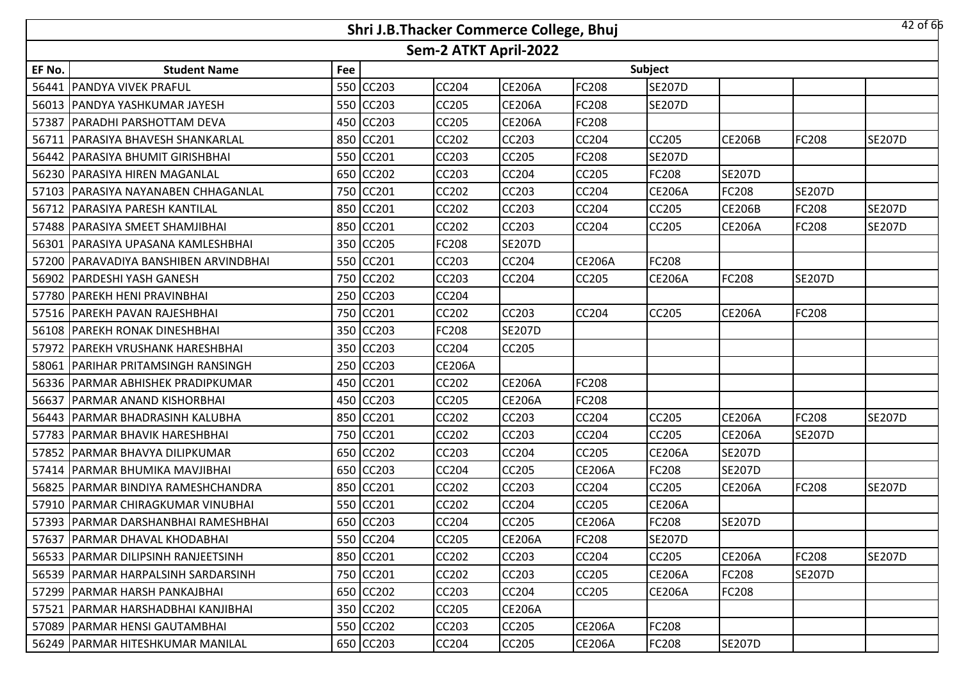|        |                                       |     | Shri J.B.Thacker Commerce College, Bhuj |                       |               |               |               |               |               | 42 of 66      |
|--------|---------------------------------------|-----|-----------------------------------------|-----------------------|---------------|---------------|---------------|---------------|---------------|---------------|
|        |                                       |     |                                         | Sem-2 ATKT April-2022 |               |               |               |               |               |               |
| EF No. | <b>Student Name</b>                   | Fee |                                         |                       |               |               | Subject       |               |               |               |
|        | 56441   PANDYA VIVEK PRAFUL           |     | 550 CC203                               | <b>CC204</b>          | <b>CE206A</b> | <b>FC208</b>  | <b>SE207D</b> |               |               |               |
|        | 56013 IPANDYA YASHKUMAR JAYESH        | 550 | <b>CC203</b>                            | <b>CC205</b>          | <b>CE206A</b> | <b>FC208</b>  | <b>SE207D</b> |               |               |               |
|        | 57387 PARADHI PARSHOTTAM DEVA         | 450 | <b>CC203</b>                            | <b>CC205</b>          | <b>CE206A</b> | <b>FC208</b>  |               |               |               |               |
| 56711  | <b>PARASIYA BHAVESH SHANKARLAL</b>    | 850 | CC201                                   | CC202                 | <b>CC203</b>  | <b>CC204</b>  | CC205         | <b>CE206B</b> | <b>FC208</b>  | <b>SE207D</b> |
|        | 56442 PARASIYA BHUMIT GIRISHBHAI      | 550 | CC201                                   | <b>CC203</b>          | <b>CC205</b>  | <b>FC208</b>  | <b>SE207D</b> |               |               |               |
|        | 56230 PARASIYA HIREN MAGANLAL         | 650 | CC202                                   | CC203                 | <b>CC204</b>  | <b>CC205</b>  | FC208         | <b>SE207D</b> |               |               |
|        | 57103   PARASIYA NAYANABEN CHHAGANLAL | 750 | <b>CC201</b>                            | <b>CC202</b>          | <b>CC203</b>  | <b>CC204</b>  | <b>CE206A</b> | FC208         | <b>SE207D</b> |               |
|        | 56712   PARASIYA PARESH KANTILAL      | 850 | CC201                                   | <b>CC202</b>          | <b>CC203</b>  | <b>CC204</b>  | CC205         | <b>CE206B</b> | FC208         | <b>SE207D</b> |
|        | 57488 PARASIYA SMEET SHAMJIBHAI       | 850 | CC201                                   | <b>CC202</b>          | <b>CC203</b>  | <b>CC204</b>  | CC205         | <b>CE206A</b> | <b>FC208</b>  | <b>SE207D</b> |
|        | 56301   PARASIYA UPASANA KAMLESHBHAI  | 350 | <b>CC205</b>                            | FC208                 | <b>SE207D</b> |               |               |               |               |               |
|        | 57200 PARAVADIYA BANSHIBEN ARVINDBHAI |     | 550 CC201                               | <b>CC203</b>          | <b>CC204</b>  | <b>CE206A</b> | FC208         |               |               |               |
|        | 56902   PARDESHI YASH GANESH          |     | 750 CC202                               | CC203                 | <b>CC204</b>  | CC205         | <b>CE206A</b> | FC208         | <b>SE207D</b> |               |
|        | 57780 IPAREKH HENI PRAVINBHAI         |     | 250 CC203                               | <b>CC204</b>          |               |               |               |               |               |               |
|        | 57516 PAREKH PAVAN RAJESHBHAI         |     | 750 CC201                               | <b>CC202</b>          | <b>CC203</b>  | <b>CC204</b>  | <b>CC205</b>  | <b>CE206A</b> | <b>FC208</b>  |               |
|        | 56108 PAREKH RONAK DINESHBHAI         |     | 350 CC203                               | <b>FC208</b>          | <b>SE207D</b> |               |               |               |               |               |
|        | 57972 PAREKH VRUSHANK HARESHBHAI      |     | 350 CC203                               | <b>CC204</b>          | <b>CC205</b>  |               |               |               |               |               |
| 58061  | <b>PARIHAR PRITAMSINGH RANSINGH</b>   | 250 | CC203                                   | <b>CE206A</b>         |               |               |               |               |               |               |
|        | 56336   PARMAR ABHISHEK PRADIPKUMAR   | 450 | CC201                                   | CC202                 | <b>CE206A</b> | <b>FC208</b>  |               |               |               |               |
| 56637  | <b>PARMAR ANAND KISHORBHAI</b>        | 450 | CC203                                   | CC205                 | <b>CE206A</b> | <b>FC208</b>  |               |               |               |               |
|        | 56443   PARMAR BHADRASINH KALUBHA     | 850 | CC201                                   | <b>CC202</b>          | <b>CC203</b>  | CC204         | CC205         | <b>CE206A</b> | <b>FC208</b>  | <b>SE207D</b> |
|        | 57783 PARMAR BHAVIK HARESHBHAI        | 750 | CC201                                   | CC202                 | <b>CC203</b>  | CC204         | CC205         | <b>CE206A</b> | <b>SE207D</b> |               |
|        | 57852 PARMAR BHAVYA DILIPKUMAR        |     | 650 CC202                               | <b>CC203</b>          | <b>CC204</b>  | <b>CC205</b>  | <b>CE206A</b> | <b>SE207D</b> |               |               |
|        | 57414   PARMAR BHUMIKA MAVJIBHAI      |     | 650 CC203                               | CC204                 | <b>CC205</b>  | <b>CE206A</b> | FC208         | <b>SE207D</b> |               |               |
|        | 56825   PARMAR BINDIYA RAMESHCHANDRA  |     | 850 CC201                               | <b>CC202</b>          | <b>CC203</b>  | <b>CC204</b>  | CC205         | <b>CE206A</b> | <b>FC208</b>  | <b>SE207D</b> |
|        | 57910 PARMAR CHIRAGKUMAR VINUBHAI     |     | 550 CC201                               | CC202                 | <b>CC204</b>  | CC205         | <b>CE206A</b> |               |               |               |
|        | 57393   PARMAR DARSHANBHAI RAMESHBHAI |     | 650 CC203                               | <b>CC204</b>          | <b>CC205</b>  | <b>CE206A</b> | <b>FC208</b>  | <b>SE207D</b> |               |               |
|        | 57637   PARMAR DHAVAL KHODABHAI       |     | 550 CC204                               | <b>CC205</b>          | <b>CE206A</b> | <b>FC208</b>  | <b>SE207D</b> |               |               |               |
|        | 56533 PARMAR DILIPSINH RANJEETSINH    |     | 850 CC201                               | <b>CC202</b>          | <b>CC203</b>  | <b>CC204</b>  | CC205         | <b>CE206A</b> | <b>FC208</b>  | <b>SE207D</b> |
|        | 56539   PARMAR HARPALSINH SARDARSINH  |     | 750 CC201                               | <b>CC202</b>          | <b>CC203</b>  | CC205         | <b>CE206A</b> | FC208         | <b>SE207D</b> |               |
|        | 57299 PARMAR HARSH PANKAJBHAI         | 650 | <b>CC202</b>                            | CC203                 | <b>CC204</b>  | <b>CC205</b>  | <b>CE206A</b> | FC208         |               |               |
|        | 57521   PARMAR HARSHADBHAI KANJIBHAI  |     | 350 CC202                               | <b>CC205</b>          | <b>CE206A</b> |               |               |               |               |               |
|        | 57089   PARMAR HENSI GAUTAMBHAI       |     | 550 CC202                               | CC203                 | <b>CC205</b>  | <b>CE206A</b> | FC208         |               |               |               |
|        | 56249 PARMAR HITESHKUMAR MANILAL      |     | 650 CC203                               | CC204                 | <b>CC205</b>  | <b>CE206A</b> | FC208         | <b>SE207D</b> |               |               |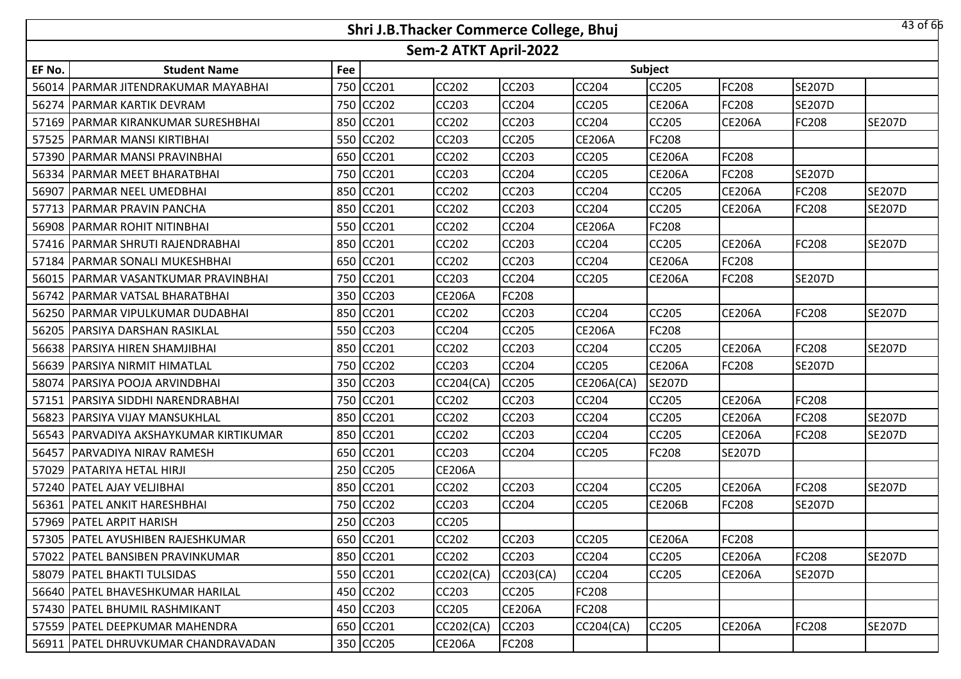|        |                                          |     | Shri J.B.Thacker Commerce College, Bhuj |                       |               |               |                |               |               | 43 of 66      |
|--------|------------------------------------------|-----|-----------------------------------------|-----------------------|---------------|---------------|----------------|---------------|---------------|---------------|
|        |                                          |     |                                         | Sem-2 ATKT April-2022 |               |               |                |               |               |               |
| EF No. | <b>Student Name</b>                      | Fee |                                         |                       |               |               | <b>Subject</b> |               |               |               |
|        | 56014 PARMAR JITENDRAKUMAR MAYABHAI      |     | 750 CC201                               | CC202                 | CC203         | CC204         | CC205          | FC208         | <b>SE207D</b> |               |
|        | 56274 PARMAR KARTIK DEVRAM               |     | 750 CC202                               | CC203                 | CC204         | CC205         | <b>CE206A</b>  | FC208         | <b>SE207D</b> |               |
|        | 57169   PARMAR KIRANKUMAR SURESHBHAI     |     | 850 CC201                               | <b>CC202</b>          | CC203         | CC204         | CC205          | <b>CE206A</b> | FC208         | <b>SE207D</b> |
|        | 57525 PARMAR MANSI KIRTIBHAI             |     | 550 CC202                               | <b>CC203</b>          | <b>CC205</b>  | <b>CE206A</b> | <b>FC208</b>   |               |               |               |
|        | 57390 PARMAR MANSI PRAVINBHAI            |     | 650 CC201                               | <b>CC202</b>          | CC203         | CC205         | <b>CE206A</b>  | FC208         |               |               |
|        | 56334 PARMAR MEET BHARATBHAI             |     | 750 CC201                               | <b>CC203</b>          | <b>CC204</b>  | CC205         | <b>CE206A</b>  | FC208         | <b>SE207D</b> |               |
|        | 56907   PARMAR NEEL UMEDBHAI             |     | 850 CC201                               | <b>CC202</b>          | CC203         | CC204         | <b>CC205</b>   | <b>CE206A</b> | FC208         | <b>SE207D</b> |
|        | 57713 PARMAR PRAVIN PANCHA               |     | 850 CC201                               | <b>CC202</b>          | <b>CC203</b>  | CC204         | <b>CC205</b>   | <b>CE206A</b> | <b>FC208</b>  | <b>SE207D</b> |
|        | 56908 PARMAR ROHIT NITINBHAI             |     | 550 CC201                               | <b>CC202</b>          | CC204         | <b>CE206A</b> | FC208          |               |               |               |
|        | 57416   PARMAR SHRUTI RAJENDRABHAI       |     | 850 CC201                               | <b>CC202</b>          | <b>CC203</b>  | CC204         | <b>CC205</b>   | <b>CE206A</b> | <b>FC208</b>  | <b>SE207D</b> |
| 57184  | <b>PARMAR SONALI MUKESHBHAI</b>          |     | 650 CC201                               | <b>CC202</b>          | CC203         | CC204         | <b>CE206A</b>  | FC208         |               |               |
| 56015  | PARMAR VASANTKUMAR PRAVINBHAI            |     | 750 CC201                               | CC203                 | CC204         | CC205         | <b>CE206A</b>  | FC208         | <b>SE207D</b> |               |
|        | 56742 PARMAR VATSAL BHARATBHAI           |     | 350 CC203                               | <b>CE206A</b>         | FC208         |               |                |               |               |               |
|        | 56250 PARMAR VIPULKUMAR DUDABHAI         |     | 850 CC201                               | CC202                 | CC203         | CC204         | CC205          | <b>CE206A</b> | FC208         | <b>SE207D</b> |
|        | 56205 PARSIYA DARSHAN RASIKLAL           |     | 550 CC203                               | CC204                 | CC205         | <b>CE206A</b> | FC208          |               |               |               |
|        | 56638 PARSIYA HIREN SHAMJIBHAI           |     | 850 CC201                               | <b>CC202</b>          | CC203         | CC204         | CC205          | <b>CE206A</b> | FC208         | <b>SE207D</b> |
|        | 56639 PARSIYA NIRMIT HIMATLAL            |     | 750 CC202                               | <b>CC203</b>          | <b>CC204</b>  | CC205         | <b>CE206A</b>  | FC208         | <b>SE207D</b> |               |
| 58074  | <b>PARSIYA POOJA ARVINDBHAI</b>          |     | 350 CC203                               | CC204(CA)             | CC205         | CE206A(CA)    | <b>SE207D</b>  |               |               |               |
|        | 57151   PARSIYA SIDDHI NARENDRABHAI      |     | 750 CC201                               | <b>CC202</b>          | <b>CC203</b>  | CC204         | <b>CC205</b>   | <b>CE206A</b> | <b>FC208</b>  |               |
|        | 56823   PARSIYA VIJAY MANSUKHLAL         |     | 850 CC201                               | <b>CC202</b>          | CC203         | CC204         | CC205          | <b>CE206A</b> | FC208         | <b>SE207D</b> |
|        | 56543   PARVADIYA AKSHAYKUMAR KIRTIKUMAR |     | 850 CC201                               | <b>CC202</b>          | <b>CC203</b>  | CC204         | <b>CC205</b>   | <b>CE206A</b> | <b>FC208</b>  | <b>SE207D</b> |
|        | 56457 PARVADIYA NIRAV RAMESH             |     | 650 CC201                               | <b>CC203</b>          | <b>CC204</b>  | CC205         | FC208          | <b>SE207D</b> |               |               |
| 57029  | <b>PATARIYA HETAL HIRJI</b>              |     | 250 CC205                               | <b>CE206A</b>         |               |               |                |               |               |               |
|        | 57240 PATEL AJAY VELJIBHAI               |     | 850 CC201                               | CC202                 | CC203         | CC204         | <b>CC205</b>   | <b>CE206A</b> | FC208         | <b>SE207D</b> |
|        | 56361 PATEL ANKIT HARESHBHAI             |     | 750 CC202                               | CC203                 | CC204         | CC205         | <b>CE206B</b>  | FC208         | <b>SE207D</b> |               |
|        | 57969 PATEL ARPIT HARISH                 |     | 250 CC203                               | CC205                 |               |               |                |               |               |               |
|        | 57305   PATEL AYUSHIBEN RAJESHKUMAR      |     | 650 CC201                               | <b>CC202</b>          | CC203         | CC205         | <b>CE206A</b>  | FC208         |               |               |
|        | 57022 PATEL BANSIBEN PRAVINKUMAR         |     | 850 CC201                               | <b>CC202</b>          | CC203         | CC204         | <b>CC205</b>   | <b>CE206A</b> | <b>FC208</b>  | <b>SE207D</b> |
|        | 58079   PATEL BHAKTI TULSIDAS            |     | 550 CC201                               | <b>CC202(CA)</b>      | CC203(CA)     | CC204         | <b>CC205</b>   | <b>CE206A</b> | <b>SE207D</b> |               |
|        | 56640   PATEL BHAVESHKUMAR HARILAL       |     | 450 CC202                               | <b>CC203</b>          | <b>CC205</b>  | FC208         |                |               |               |               |
|        | 57430   PATEL BHUMIL RASHMIKANT          |     | 450 CC203                               | <b>CC205</b>          | <b>CE206A</b> | FC208         |                |               |               |               |
|        | 57559   PATEL DEEPKUMAR MAHENDRA         |     | 650 CC201                               | CC202(CA)             | <b>CC203</b>  | CC204(CA)     | CC205          | <b>CE206A</b> | <b>FC208</b>  | <b>SE207D</b> |
|        | 56911   PATEL DHRUVKUMAR CHANDRAVADAN    |     | 350 CC205                               | <b>CE206A</b>         | <b>FC208</b>  |               |                |               |               |               |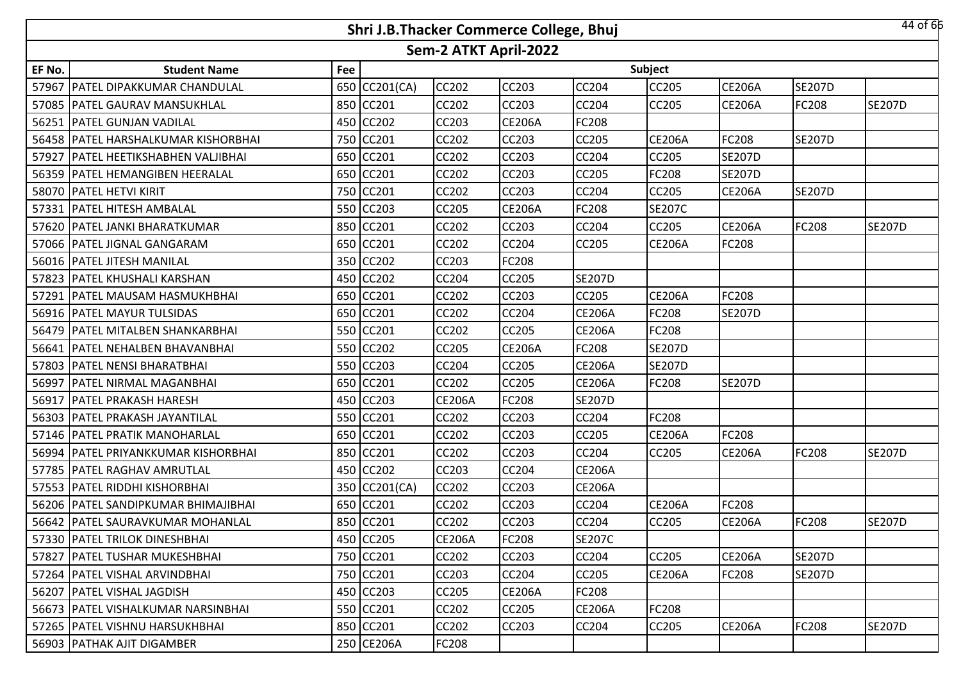|        |                                       |     | Shri J.B.Thacker Commerce College, Bhuj |                       |               |               |               |               |               | 44 of 66      |
|--------|---------------------------------------|-----|-----------------------------------------|-----------------------|---------------|---------------|---------------|---------------|---------------|---------------|
|        |                                       |     |                                         | Sem-2 ATKT April-2022 |               |               |               |               |               |               |
| EF No. | <b>Student Name</b>                   | Fee |                                         |                       |               |               | Subject       |               |               |               |
| 57967  | PATEL DIPAKKUMAR CHANDULAL            | 650 | CC201(CA)                               | <b>CC202</b>          | <b>CC203</b>  | CC204         | CC205         | <b>CE206A</b> | <b>SE207D</b> |               |
|        | 57085 PATEL GAURAV MANSUKHLAL         | 850 | <b>CC201</b>                            | <b>CC202</b>          | <b>CC203</b>  | CC204         | CC205         | <b>CE206A</b> | <b>FC208</b>  | <b>SE207D</b> |
|        | 56251   PATEL GUNJAN VADILAL          |     | 450 CC202                               | CC203                 | <b>CE206A</b> | FC208         |               |               |               |               |
|        | 56458   PATEL HARSHALKUMAR KISHORBHAI |     | 750 CC201                               | <b>CC202</b>          | <b>CC203</b>  | <b>CC205</b>  | <b>CE206A</b> | FC208         | <b>SE207D</b> |               |
| 57927  | <b>PATEL HEETIKSHABHEN VALJIBHAI</b>  |     | 650 CC201                               | <b>CC202</b>          | <b>CC203</b>  | CC204         | CC205         | <b>SE207D</b> |               |               |
|        | 56359   PATEL HEMANGIBEN HEERALAL     |     | 650 CC201                               | <b>CC202</b>          | <b>CC203</b>  | <b>CC205</b>  | FC208         | <b>SE207D</b> |               |               |
|        | 58070 PATEL HETVI KIRIT               | 750 | CC201                                   | <b>CC202</b>          | <b>CC203</b>  | CC204         | CC205         | <b>CE206A</b> | <b>SE207D</b> |               |
|        | 57331   PATEL HITESH AMBALAL          | 550 | <b>CC203</b>                            | <b>CC205</b>          | <b>CE206A</b> | <b>FC208</b>  | <b>SE207C</b> |               |               |               |
|        | 57620   PATEL JANKI BHARATKUMAR       | 850 | CC201                                   | <b>CC202</b>          | <b>CC203</b>  | <b>CC204</b>  | CC205         | <b>CE206A</b> | <b>FC208</b>  | <b>SE207D</b> |
|        | 57066   PATEL JIGNAL GANGARAM         | 650 | <b>CC201</b>                            | <b>CC202</b>          | <b>CC204</b>  | <b>CC205</b>  | <b>CE206A</b> | FC208         |               |               |
|        | 56016 PATEL JITESH MANILAL            | 350 | <b>CC202</b>                            | CC203                 | <b>FC208</b>  |               |               |               |               |               |
|        | 57823   PATEL KHUSHALI KARSHAN        | 450 | CC202                                   | CC204                 | <b>CC205</b>  | <b>SE207D</b> |               |               |               |               |
|        | 57291   PATEL MAUSAM HASMUKHBHAI      | 650 | <b>CC201</b>                            | <b>CC202</b>          | <b>CC203</b>  | CC205         | <b>CE206A</b> | FC208         |               |               |
|        | 56916   PATEL MAYUR TULSIDAS          | 650 | CC201                                   | CC202                 | <b>CC204</b>  | <b>CE206A</b> | FC208         | <b>SE207D</b> |               |               |
|        | 56479 PATEL MITALBEN SHANKARBHAI      |     | 550 CC201                               | <b>CC202</b>          | <b>CC205</b>  | <b>CE206A</b> | FC208         |               |               |               |
|        | 56641 PATEL NEHALBEN BHAVANBHAI       |     | 550 CC202                               | <b>CC205</b>          | <b>CE206A</b> | FC208         | <b>SE207D</b> |               |               |               |
|        | 57803 PATEL NENSI BHARATBHAI          |     | 550 CC203                               | <b>CC204</b>          | <b>CC205</b>  | <b>CE206A</b> | <b>SE207D</b> |               |               |               |
| 56997  | <b>PATEL NIRMAL MAGANBHAI</b>         |     | 650 CC201                               | <b>CC202</b>          | <b>CC205</b>  | <b>CE206A</b> | FC208         | <b>SE207D</b> |               |               |
|        | 56917   PATEL PRAKASH HARESH          |     | 450 CC203                               | <b>CE206A</b>         | <b>FC208</b>  | <b>SE207D</b> |               |               |               |               |
|        | 56303 PATEL PRAKASH JAYANTILAL        |     | 550 CC201                               | <b>CC202</b>          | <b>CC203</b>  | <b>CC204</b>  | FC208         |               |               |               |
|        | 57146   PATEL PRATIK MANOHARLAL       | 650 | CC201                                   | <b>CC202</b>          | <b>CC203</b>  | <b>CC205</b>  | <b>CE206A</b> | FC208         |               |               |
| 56994  | <b>PATEL PRIYANKKUMAR KISHORBHAI</b>  | 850 | CC201                                   | <b>CC202</b>          | <b>CC203</b>  | CC204         | CC205         | <b>CE206A</b> | <b>FC208</b>  | <b>SE207D</b> |
| 57785  | <b>PATEL RAGHAV AMRUTLAL</b>          | 450 | CC202                                   | CC203                 | <b>CC204</b>  | <b>CE206A</b> |               |               |               |               |
|        | 57553 PATEL RIDDHI KISHORBHAI         | 350 | CC201(CA)                               | <b>CC202</b>          | <b>CC203</b>  | <b>CE206A</b> |               |               |               |               |
|        | 56206   PATEL SANDIPKUMAR BHIMAJIBHAI | 650 | CC201                                   | CC202                 | <b>CC203</b>  | CC204         | <b>CE206A</b> | FC208         |               |               |
|        | 56642   PATEL SAURAVKUMAR MOHANLAL    |     | 850 CC201                               | <b>CC202</b>          | <b>CC203</b>  | CC204         | CC205         | <b>CE206A</b> | <b>FC208</b>  | <b>SE207D</b> |
|        | 57330 PATEL TRILOK DINESHBHAI         |     | 450 CC205                               | <b>CE206A</b>         | <b>FC208</b>  | <b>SE207C</b> |               |               |               |               |
|        | 57827 PATEL TUSHAR MUKESHBHAI         |     | 750 CC201                               | CC202                 | <b>CC203</b>  | <b>CC204</b>  | <b>CC205</b>  | <b>CE206A</b> | <b>SE207D</b> |               |
|        | 57264   PATEL VISHAL ARVINDBHAI       |     | 750 CC201                               | CC203                 | <b>CC204</b>  | <b>CC205</b>  | <b>CE206A</b> | FC208         | <b>SE207D</b> |               |
|        | 56207   PATEL VISHAL JAGDISH          |     | 450 CC203                               | <b>CC205</b>          | <b>CE206A</b> | <b>FC208</b>  |               |               |               |               |
|        | 56673   PATEL VISHALKUMAR NARSINBHAI  |     | 550 CC201                               | CC202                 | <b>CC205</b>  | <b>CE206A</b> | FC208         |               |               |               |
|        | 57265   PATEL VISHNU HARSUKHBHAI      |     | 850 CC201                               | CC202                 | CC203         | CC204         | CC205         | <b>CE206A</b> | <b>FC208</b>  | <b>SE207D</b> |
|        | 56903 PATHAK AJIT DIGAMBER            |     | 250 CE206A                              | <b>FC208</b>          |               |               |               |               |               |               |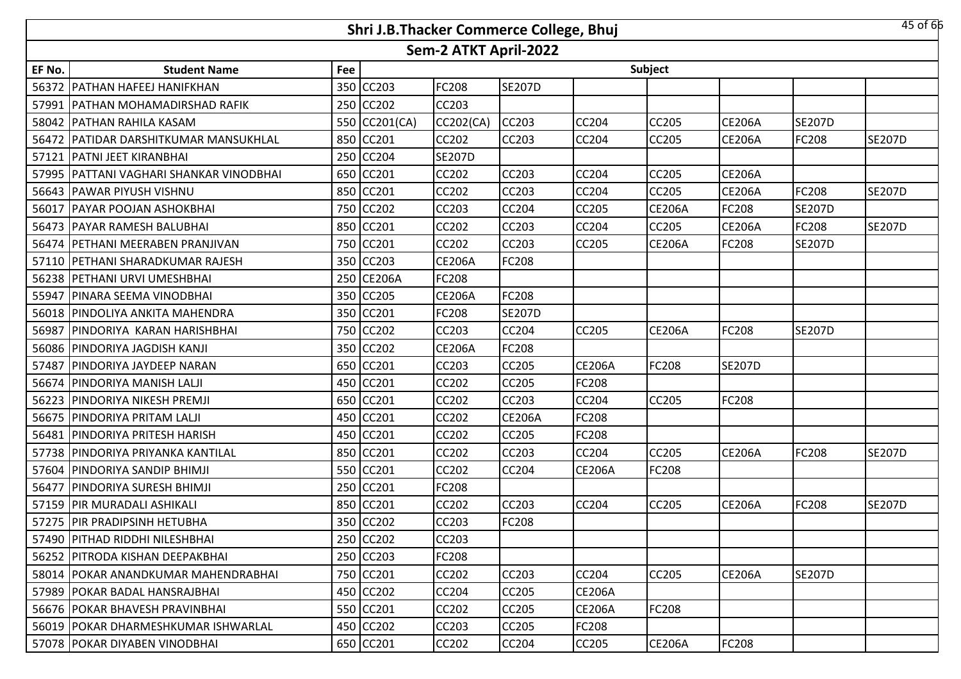|        |                                           |     |               |                       | Shri J.B.Thacker Commerce College, Bhuj |               |               |               |               | 45 of 66      |
|--------|-------------------------------------------|-----|---------------|-----------------------|-----------------------------------------|---------------|---------------|---------------|---------------|---------------|
|        |                                           |     |               | Sem-2 ATKT April-2022 |                                         |               |               |               |               |               |
| EF No. | <b>Student Name</b>                       | Fee |               |                       |                                         |               | Subject       |               |               |               |
|        | 56372 PATHAN HAFEEJ HANIFKHAN             |     | 350 CC203     | FC208                 | <b>SE207D</b>                           |               |               |               |               |               |
|        | 57991 PATHAN MOHAMADIRSHAD RAFIK          |     | 250 CC202     | CC203                 |                                         |               |               |               |               |               |
|        | 58042 PATHAN RAHILA KASAM                 |     | 550 CC201(CA) | CC202(CA)             | <b>CC203</b>                            | <b>CC204</b>  | <b>CC205</b>  | <b>CE206A</b> | <b>SE207D</b> |               |
|        | 56472   PATIDAR DARSHITKUMAR MANSUKHLAL   | 850 | <b>CC201</b>  | <b>CC202</b>          | <b>CC203</b>                            | <b>CC204</b>  | CC205         | <b>CE206A</b> | <b>FC208</b>  | <b>SE207D</b> |
|        | 57121 PATNI JEET KIRANBHAI                |     | 250 CC204     | <b>SE207D</b>         |                                         |               |               |               |               |               |
|        | 57995   PATTANI VAGHARI SHANKAR VINODBHAI | 650 | <b>CC201</b>  | <b>CC202</b>          | <b>CC203</b>                            | <b>CC204</b>  | CC205         | <b>CE206A</b> |               |               |
|        | 56643 PAWAR PIYUSH VISHNU                 | 850 | <b>CC201</b>  | <b>CC202</b>          | <b>CC203</b>                            | <b>CC204</b>  | CC205         | <b>CE206A</b> | <b>FC208</b>  | <b>SE207D</b> |
| 56017  | <b>PAYAR POOJAN ASHOKBHAI</b>             | 750 | CC202         | CC203                 | <b>CC204</b>                            | <b>CC205</b>  | <b>CE206A</b> | FC208         | <b>SE207D</b> |               |
|        | 56473 PAYAR RAMESH BALUBHAI               |     | 850 CC201     | <b>CC202</b>          | <b>CC203</b>                            | CC204         | CC205         | <b>CE206A</b> | <b>FC208</b>  | <b>SE207D</b> |
|        | 56474 PETHANI MEERABEN PRANJIVAN          |     | 750 CC201     | <b>CC202</b>          | <b>CC203</b>                            | CC205         | <b>CE206A</b> | FC208         | <b>SE207D</b> |               |
|        | 57110 PETHANI SHARADKUMAR RAJESH          |     | 350 CC203     | <b>CE206A</b>         | <b>FC208</b>                            |               |               |               |               |               |
|        | 56238 PETHANI URVI UMESHBHAI              |     | 250 CE206A    | FC208                 |                                         |               |               |               |               |               |
|        | 55947   PINARA SEEMA VINODBHAI            |     | 350 CC205     | <b>CE206A</b>         | <b>FC208</b>                            |               |               |               |               |               |
|        | 56018 PINDOLIYA ANKITA MAHENDRA           |     | 350 CC201     | FC208                 | <b>SE207D</b>                           |               |               |               |               |               |
|        | 56987 PINDORIYA KARAN HARISHBHAI          |     | 750 CC202     | CC203                 | <b>CC204</b>                            | <b>CC205</b>  | <b>CE206A</b> | FC208         | <b>SE207D</b> |               |
|        | 56086 PINDORIYA JAGDISH KANJI             |     | 350 CC202     | <b>CE206A</b>         | <b>FC208</b>                            |               |               |               |               |               |
| 57487  | <b>PINDORIYA JAYDEEP NARAN</b>            | 650 | <b>CC201</b>  | <b>CC203</b>          | <b>CC205</b>                            | <b>CE206A</b> | <b>FC208</b>  | <b>SE207D</b> |               |               |
|        | 56674 PINDORIYA MANISH LALJI              |     | 450 CC201     | <b>CC202</b>          | <b>CC205</b>                            | FC208         |               |               |               |               |
| 56223  | <b>PINDORIYA NIKESH PREMJI</b>            | 650 | CC201         | CC202                 | <b>CC203</b>                            | CC204         | <b>CC205</b>  | FC208         |               |               |
|        | 56675 PINDORIYA PRITAM LALJI              | 450 | CC201         | <b>CC202</b>          | <b>CE206A</b>                           | <b>FC208</b>  |               |               |               |               |
|        | 56481 PINDORIYA PRITESH HARISH            | 450 | CC201         | CC202                 | <b>CC205</b>                            | FC208         |               |               |               |               |
|        | 57738 PINDORIYA PRIYANKA KANTILAL         |     | 850 CC201     | <b>CC202</b>          | <b>CC203</b>                            | CC204         | CC205         | <b>CE206A</b> | <b>FC208</b>  | <b>SE207D</b> |
|        | 57604 PINDORIYA SANDIP BHIMJI             |     | 550 CC201     | CC202                 | <b>CC204</b>                            | <b>CE206A</b> | FC208         |               |               |               |
|        | 56477   PINDORIYA SURESH BHIMJI           |     | 250 CC201     | FC208                 |                                         |               |               |               |               |               |
|        | 57159 PIR MURADALI ASHIKALI               |     | 850 CC201     | CC202                 | <b>CC203</b>                            | <b>CC204</b>  | CC205         | <b>CE206A</b> | FC208         | <b>SE207D</b> |
|        | 57275 PIR PRADIPSINH HETUBHA              |     | 350 CC202     | <b>CC203</b>          | <b>FC208</b>                            |               |               |               |               |               |
|        | 57490 PITHAD RIDDHI NILESHBHAI            |     | 250 CC202     | CC203                 |                                         |               |               |               |               |               |
|        | 56252 PITRODA KISHAN DEEPAKBHAI           |     | 250 CC203     | FC208                 |                                         |               |               |               |               |               |
|        | 58014   POKAR ANANDKUMAR MAHENDRABHAI     |     | 750 CC201     | <b>CC202</b>          | <b>CC203</b>                            | <b>CC204</b>  | <b>CC205</b>  | <b>CE206A</b> | <b>SE207D</b> |               |
|        | 57989   POKAR BADAL HANSRAJBHAI           | 450 | <b>CC202</b>  | CC204                 | <b>CC205</b>                            | <b>CE206A</b> |               |               |               |               |
|        | 56676 POKAR BHAVESH PRAVINBHAI            |     | 550 CC201     | <b>CC202</b>          | <b>CC205</b>                            | <b>CE206A</b> | <b>FC208</b>  |               |               |               |
|        | 56019   POKAR DHARMESHKUMAR ISHWARLAL     |     | 450 CC202     | CC203                 | <b>CC205</b>                            | <b>FC208</b>  |               |               |               |               |
|        | 57078 POKAR DIYABEN VINODBHAI             |     | 650 CC201     | CC202                 | <b>CC204</b>                            | <b>CC205</b>  | <b>CE206A</b> | FC208         |               |               |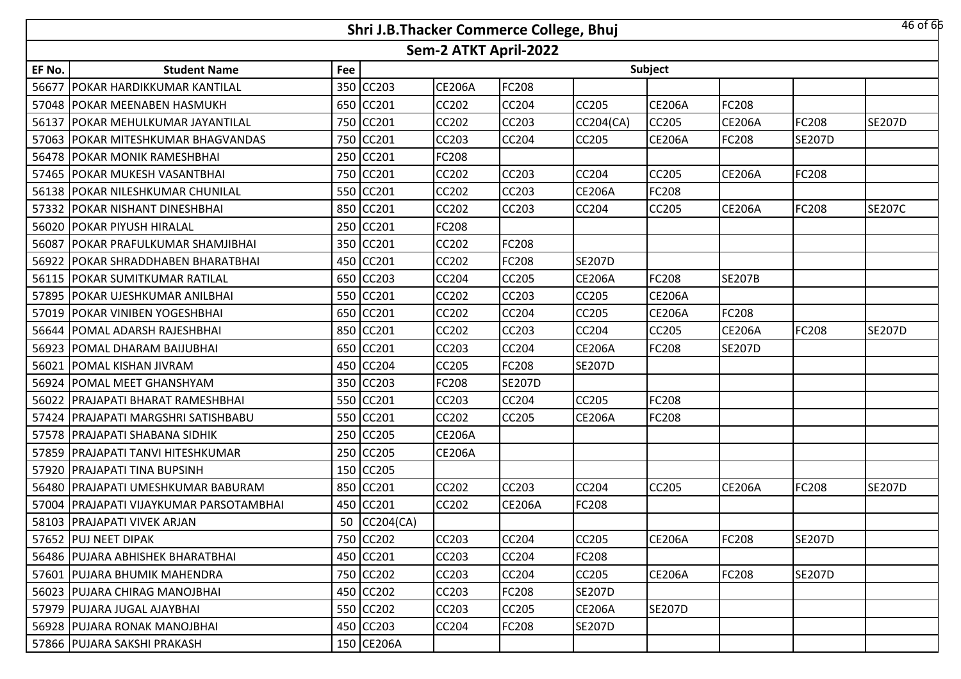|        |                                           |     | Shri J.B.Thacker Commerce College, Bhuj |                       |               |                  |               |               |               | 46 of 66      |
|--------|-------------------------------------------|-----|-----------------------------------------|-----------------------|---------------|------------------|---------------|---------------|---------------|---------------|
|        |                                           |     |                                         | Sem-2 ATKT April-2022 |               |                  |               |               |               |               |
| EF No. | <b>Student Name</b>                       | Fee |                                         |                       |               |                  | Subject       |               |               |               |
| 56677  | IPOKAR HARDIKKUMAR KANTILAL               |     | 350 CC203                               | <b>CE206A</b>         | FC208         |                  |               |               |               |               |
|        | 57048   POKAR MEENABEN HASMUKH            | 650 | CC201                                   | <b>CC202</b>          | <b>CC204</b>  | <b>CC205</b>     | <b>CE206A</b> | FC208         |               |               |
| 56137  | <b>POKAR MEHULKUMAR JAYANTILAL</b>        | 750 | CC201                                   | CC202                 | CC203         | <b>CC204(CA)</b> | CC205         | <b>CE206A</b> | <b>FC208</b>  | <b>SE207D</b> |
| 57063  | <b>POKAR MITESHKUMAR BHAGVANDAS</b>       | 750 | <b>CC201</b>                            | CC203                 | <b>CC204</b>  | <b>CC205</b>     | <b>CE206A</b> | FC208         | <b>SE207D</b> |               |
|        | 56478 POKAR MONIK RAMESHBHAI              | 250 | CC201                                   | FC208                 |               |                  |               |               |               |               |
|        | 57465 POKAR MUKESH VASANTBHAI             | 750 | <b>CC201</b>                            | CC202                 | <b>CC203</b>  | <b>CC204</b>     | CC205         | <b>CE206A</b> | <b>FC208</b>  |               |
|        | 56138 POKAR NILESHKUMAR CHUNILAL          | 550 | <b>CC201</b>                            | CC202                 | <b>CC203</b>  | <b>CE206A</b>    | FC208         |               |               |               |
| 57332  | <b>POKAR NISHANT DINESHBHAI</b>           | 850 | <b>CC201</b>                            | CC202                 | <b>CC203</b>  | <b>CC204</b>     | CC205         | <b>CE206A</b> | <b>FC208</b>  | <b>SE207C</b> |
|        | 56020 POKAR PIYUSH HIRALAL                | 250 | <b>CC201</b>                            | FC208                 |               |                  |               |               |               |               |
| 56087  | POKAR PRAFULKUMAR SHAMJIBHAI              | 350 | <b>CC201</b>                            | CC202                 | FC208         |                  |               |               |               |               |
|        | 56922 POKAR SHRADDHABEN BHARATBHAI        | 450 | CC201                                   | <b>CC202</b>          | FC208         | <b>SE207D</b>    |               |               |               |               |
|        | 56115   POKAR SUMITKUMAR RATILAL          |     | 650 CC203                               | CC204                 | CC205         | <b>CE206A</b>    | FC208         | <b>SE207B</b> |               |               |
|        | 57895 POKAR UJESHKUMAR ANILBHAI           |     | 550 CC201                               | <b>CC202</b>          | <b>CC203</b>  | <b>CC205</b>     | <b>CE206A</b> |               |               |               |
| 57019  | <b>POKAR VINIBEN YOGESHBHAI</b>           |     | 650 CC201                               | CC202                 | CC204         | CC205            | <b>CE206A</b> | FC208         |               |               |
|        | 56644   POMAL ADARSH RAJESHBHAI           |     | 850 CC201                               | <b>CC202</b>          | <b>CC203</b>  | <b>CC204</b>     | CC205         | <b>CE206A</b> | <b>FC208</b>  | <b>SE207D</b> |
|        | 56923 POMAL DHARAM BAIJUBHAI              |     | 650 CC201                               | CC203                 | CC204         | <b>CE206A</b>    | FC208         | <b>SE207D</b> |               |               |
| 56021  | <b>POMAL KISHAN JIVRAM</b>                | 450 | <b>CC204</b>                            | CC205                 | FC208         | <b>SE207D</b>    |               |               |               |               |
|        | 56924 POMAL MEET GHANSHYAM                | 350 | <b>CC203</b>                            | FC208                 | <b>SE207D</b> |                  |               |               |               |               |
| 56022  | <b>PRAJAPATI BHARAT RAMESHBHAI</b>        | 550 | CC201                                   | CC203                 | CC204         | CC205            | FC208         |               |               |               |
|        | 57424   PRAJAPATI MARGSHRI SATISHBABU     | 550 | <b>CC201</b>                            | CC202                 | <b>CC205</b>  | <b>CE206A</b>    | FC208         |               |               |               |
| 57578  | <b>PRAJAPATI SHABANA SIDHIK</b>           | 250 | <b>CC205</b>                            | <b>CE206A</b>         |               |                  |               |               |               |               |
|        | 57859 PRAJAPATI TANVI HITESHKUMAR         | 250 | <b>CC205</b>                            | <b>CE206A</b>         |               |                  |               |               |               |               |
|        | 57920 PRAJAPATI TINA BUPSINH              | 150 | <b>CC205</b>                            |                       |               |                  |               |               |               |               |
|        | 56480 PRAJAPATI UMESHKUMAR BABURAM        | 850 | CC201                                   | <b>CC202</b>          | <b>CC203</b>  | <b>CC204</b>     | <b>CC205</b>  | <b>CE206A</b> | <b>FC208</b>  | <b>SE207D</b> |
|        | 57004   PRAJAPATI VIJAYKUMAR PARSOTAMBHAI |     | 450 CC201                               | <b>CC202</b>          | <b>CE206A</b> | FC208            |               |               |               |               |
|        | 58103 PRAJAPATI VIVEK ARJAN               | 50  | CC204(CA)                               |                       |               |                  |               |               |               |               |
|        | 57652 PUJ NEET DIPAK                      |     | 750 CC202                               | CC203                 | CC204         | <b>CC205</b>     | <b>CE206A</b> | FC208         | <b>SE207D</b> |               |
|        | 56486 PUJARA ABHISHEK BHARATBHAI          |     | 450 CC201                               | CC203                 | <b>CC204</b>  | <b>FC208</b>     |               |               |               |               |
|        | 57601 PUJARA BHUMIK MAHENDRA              |     | 750 CC202                               | CC203                 | <b>CC204</b>  | CC205            | <b>CE206A</b> | FC208         | <b>SE207D</b> |               |
|        | 56023 PUJARA CHIRAG MANOJBHAI             | 450 | <b>CC202</b>                            | CC203                 | <b>FC208</b>  | <b>SE207D</b>    |               |               |               |               |
|        | 57979 PUJARA JUGAL AJAYBHAI               |     | 550 CC202                               | CC203                 | CC205         | <b>CE206A</b>    | <b>SE207D</b> |               |               |               |
|        | 56928 PUJARA RONAK MANOJBHAI              | 450 | <b>CC203</b>                            | CC204                 | FC208         | <b>SE207D</b>    |               |               |               |               |
|        | 57866 PUJARA SAKSHI PRAKASH               |     | 150 CE206A                              |                       |               |                  |               |               |               |               |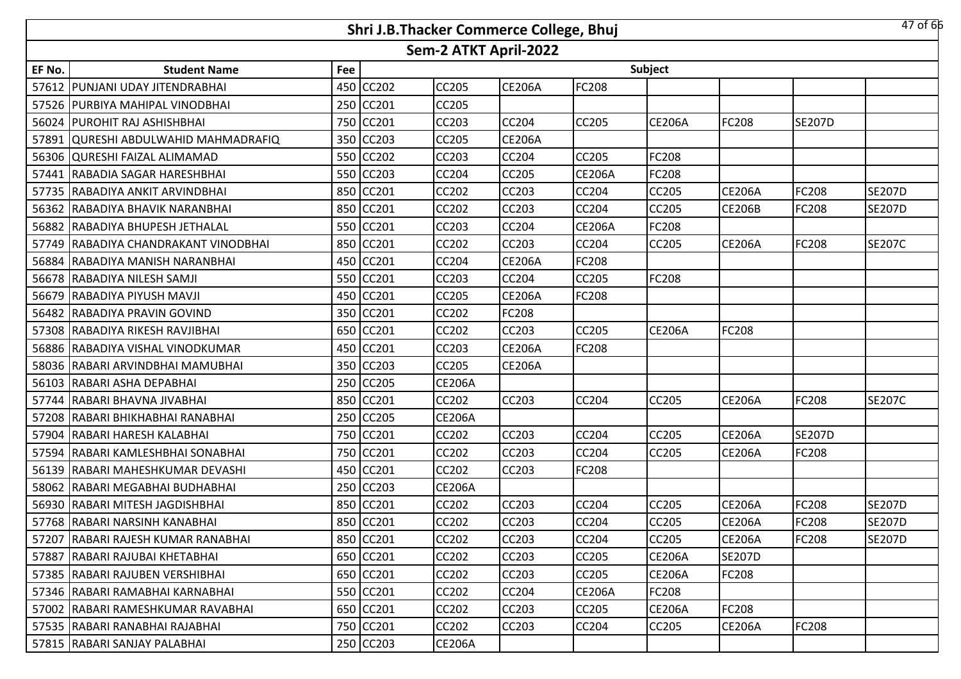|        |                                      |     | Shri J.B.Thacker Commerce College, Bhuj |                       |               |               |               |               |               | $47$ of 66    |
|--------|--------------------------------------|-----|-----------------------------------------|-----------------------|---------------|---------------|---------------|---------------|---------------|---------------|
|        |                                      |     |                                         | Sem-2 ATKT April-2022 |               |               |               |               |               |               |
| EF No. | <b>Student Name</b>                  | Fee |                                         |                       |               |               | Subject       |               |               |               |
|        | 57612 PUNJANI UDAY JITENDRABHAI      |     | 450 CC202                               | <b>CC205</b>          | <b>CE206A</b> | <b>FC208</b>  |               |               |               |               |
|        | 57526 PURBIYA MAHIPAL VINODBHAI      | 250 | CC201                                   | <b>CC205</b>          |               |               |               |               |               |               |
|        | 56024 PUROHIT RAJ ASHISHBHAI         |     | 750 CC201                               | CC203                 | <b>CC204</b>  | <b>CC205</b>  | <b>CE206A</b> | FC208         | <b>SE207D</b> |               |
|        | 57891 QURESHI ABDULWAHID MAHMADRAFIQ | 350 | CC203                                   | <b>CC205</b>          | <b>CE206A</b> |               |               |               |               |               |
|        | 56306 QURESHI FAIZAL ALIMAMAD        | 550 | <b>CC202</b>                            | <b>CC203</b>          | <b>CC204</b>  | <b>CC205</b>  | FC208         |               |               |               |
|        | 57441 RABADIA SAGAR HARESHBHAI       | 550 | CC203                                   | CC204                 | <b>CC205</b>  | <b>CE206A</b> | FC208         |               |               |               |
|        | 57735 RABADIYA ANKIT ARVINDBHAI      | 850 | <b>CC201</b>                            | <b>CC202</b>          | <b>CC203</b>  | CC204         | CC205         | <b>CE206A</b> | <b>FC208</b>  | <b>SE207D</b> |
|        | 56362 RABADIYA BHAVIK NARANBHAI      | 850 | CC201                                   | <b>CC202</b>          | <b>CC203</b>  | <b>CC204</b>  | CC205         | <b>CE206B</b> | FC208         | <b>SE207D</b> |
|        | 56882 RABADIYA BHUPESH JETHALAL      | 550 | CC201                                   | <b>CC203</b>          | <b>CC204</b>  | <b>CE206A</b> | FC208         |               |               |               |
|        | 57749 RABADIYA CHANDRAKANT VINODBHAI | 850 | CC201                                   | CC202                 | <b>CC203</b>  | CC204         | CC205         | <b>CE206A</b> | FC208         | <b>SE207C</b> |
|        | 56884 RABADIYA MANISH NARANBHAI      |     | 450 CC201                               | <b>CC204</b>          | <b>CE206A</b> | <b>FC208</b>  |               |               |               |               |
|        | 56678 RABADIYA NILESH SAMJI          |     | 550 CC201                               | CC203                 | <b>CC204</b>  | CC205         | FC208         |               |               |               |
|        | 56679 IRABADIYA PIYUSH MAVJI         |     | 450 CC201                               | <b>CC205</b>          | <b>CE206A</b> | <b>FC208</b>  |               |               |               |               |
|        | 56482 RABADIYA PRAVIN GOVIND         |     | 350 CC201                               | <b>CC202</b>          | <b>FC208</b>  |               |               |               |               |               |
|        | 57308 RABADIYA RIKESH RAVJIBHAI      |     | 650 CC201                               | <b>CC202</b>          | <b>CC203</b>  | <b>CC205</b>  | <b>CE206A</b> | FC208         |               |               |
|        | 56886 RABADIYA VISHAL VINODKUMAR     |     | 450 CC201                               | <b>CC203</b>          | <b>CE206A</b> | <b>FC208</b>  |               |               |               |               |
|        | 58036 RABARI ARVINDBHAI MAMUBHAI     | 350 | CC203                                   | <b>CC205</b>          | <b>CE206A</b> |               |               |               |               |               |
|        | 56103 RABARI ASHA DEPABHAI           |     | 250 CC205                               | <b>CE206A</b>         |               |               |               |               |               |               |
| 57744  | RABARI BHAVNA JIVABHAI               | 850 | CC201                                   | CC202                 | <b>CC203</b>  | <b>CC204</b>  | CC205         | <b>CE206A</b> | FC208         | <b>SE207C</b> |
|        | 57208 RABARI BHIKHABHAI RANABHAI     | 250 | <b>CC205</b>                            | <b>CE206A</b>         |               |               |               |               |               |               |
| 57904  | RABARI HARESH KALABHAI               | 750 | CC201                                   | CC202                 | <b>CC203</b>  | CC204         | CC205         | <b>CE206A</b> | <b>SE207D</b> |               |
|        | 57594 RABARI KAMLESHBHAI SONABHAI    |     | 750 CC201                               | <b>CC202</b>          | <b>CC203</b>  | <b>CC204</b>  | CC205         | <b>CE206A</b> | <b>FC208</b>  |               |
|        | 56139 RABARI MAHESHKUMAR DEVASHI     |     | 450 CC201                               | CC202                 | <b>CC203</b>  | FC208         |               |               |               |               |
|        | 58062 RABARI MEGABHAI BUDHABHAI      |     | 250 CC203                               | <b>CE206A</b>         |               |               |               |               |               |               |
|        | 56930 RABARI MITESH JAGDISHBHAI      |     | 850 CC201                               | CC202                 | <b>CC203</b>  | CC204         | CC205         | <b>CE206A</b> | FC208         | <b>SE207D</b> |
|        | 57768 RABARI NARSINH KANABHAI        |     | 850 CC201                               | <b>CC202</b>          | <b>CC203</b>  | <b>CC204</b>  | <b>CC205</b>  | <b>CE206A</b> | <b>FC208</b>  | <b>SE207D</b> |
|        | 57207 RABARI RAJESH KUMAR RANABHAI   |     | 850 CC201                               | CC202                 | <b>CC203</b>  | CC204         | CC205         | <b>CE206A</b> | <b>FC208</b>  | <b>SE207D</b> |
|        | 57887 RABARI RAJUBAI KHETABHAI       |     | 650 CC201                               | CC202                 | <b>CC203</b>  | <b>CC205</b>  | <b>CE206A</b> | <b>SE207D</b> |               |               |
|        | 57385 RABARI RAJUBEN VERSHIBHAI      |     | 650 CC201                               | CC202                 | <b>CC203</b>  | CC205         | <b>CE206A</b> | <b>FC208</b>  |               |               |
|        | 57346 RABARI RAMABHAI KARNABHAI      |     | 550 CC201                               | CC202                 | <b>CC204</b>  | <b>CE206A</b> | FC208         |               |               |               |
|        | 57002 RABARI RAMESHKUMAR RAVABHAI    |     | 650 CC201                               | CC202                 | <b>CC203</b>  | <b>CC205</b>  | <b>CE206A</b> | FC208         |               |               |
|        | 57535 RABARI RANABHAI RAJABHAI       |     | 750 CC201                               | CC202                 | <b>CC203</b>  | <b>CC204</b>  | CC205         | <b>CE206A</b> | <b>FC208</b>  |               |
|        | 57815   RABARI SANJAY PALABHAI       |     | 250 CC203                               | <b>CE206A</b>         |               |               |               |               |               |               |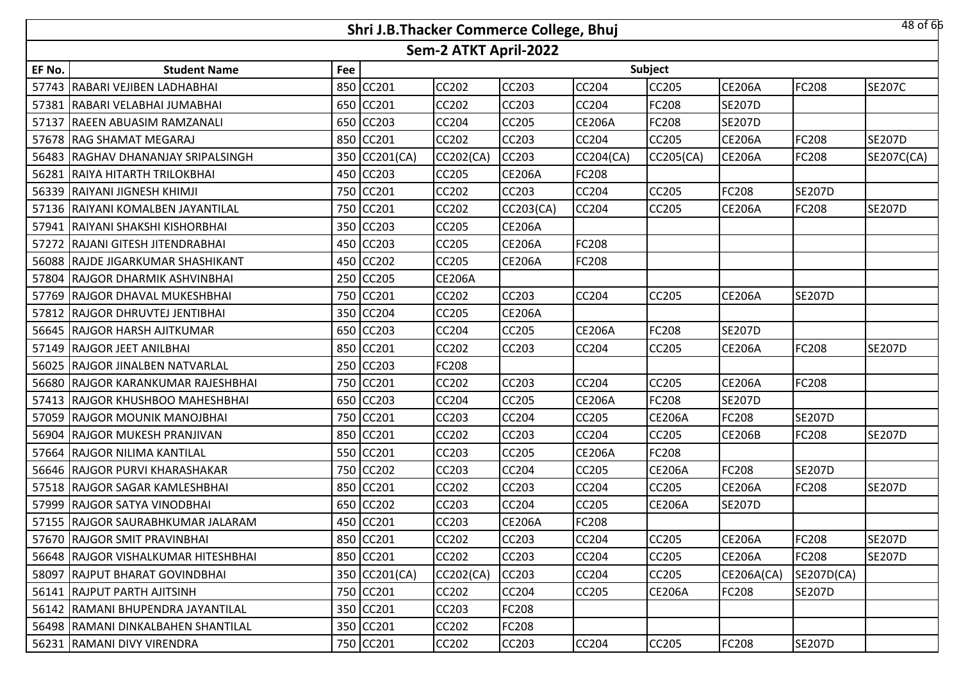|        |                                     |     | Shri J.B.Thacker Commerce College, Bhuj |                       |               |               |               |                   |               | 48 of 66      |
|--------|-------------------------------------|-----|-----------------------------------------|-----------------------|---------------|---------------|---------------|-------------------|---------------|---------------|
|        |                                     |     |                                         | Sem-2 ATKT April-2022 |               |               |               |                   |               |               |
| EF No. | <b>Student Name</b>                 | Fee |                                         |                       |               |               | Subject       |                   |               |               |
|        | 57743 RABARI VEJIBEN LADHABHAI      |     | 850 CC201                               | <b>CC202</b>          | <b>CC203</b>  | <b>CC204</b>  | CC205         | <b>CE206A</b>     | <b>FC208</b>  | <b>SE207C</b> |
|        | 57381 RABARI VELABHAI JUMABHAI      | 650 | CC201                                   | CC202                 | <b>CC203</b>  | <b>CC204</b>  | FC208         | <b>SE207D</b>     |               |               |
| 57137  | <b>RAEEN ABUASIM RAMZANALI</b>      | 650 | <b>CC203</b>                            | CC204                 | <b>CC205</b>  | <b>CE206A</b> | FC208         | <b>SE207D</b>     |               |               |
|        | 57678 RAG SHAMAT MEGARAJ            | 850 | <b>CC201</b>                            | CC202                 | <b>CC203</b>  | <b>CC204</b>  | CC205         | <b>CE206A</b>     | <b>FC208</b>  | <b>SE207D</b> |
|        | 56483 RAGHAV DHANANJAY SRIPALSINGH  | 350 | CC201(CA)                               | CC202(CA)             | <b>CC203</b>  | CC204(CA)     | CC205(CA)     | <b>CE206A</b>     | <b>FC208</b>  | SE207C(CA)    |
| 56281  | RAIYA HITARTH TRILOKBHAI            | 450 | CC203                                   | CC205                 | <b>CE206A</b> | FC208         |               |                   |               |               |
|        | 56339 RAIYANI JIGNESH KHIMJI        | 750 | <b>CC201</b>                            | <b>CC202</b>          | <b>CC203</b>  | <b>CC204</b>  | CC205         | FC208             | <b>SE207D</b> |               |
|        | 57136 RAIYANI KOMALBEN JAYANTILAL   | 750 | CC201                                   | CC202                 | CC203(CA)     | <b>CC204</b>  | CC205         | <b>CE206A</b>     | FC208         | <b>SE207D</b> |
|        | 57941 RAIYANI SHAKSHI KISHORBHAI    | 350 | <b>CC203</b>                            | <b>CC205</b>          | <b>CE206A</b> |               |               |                   |               |               |
|        | 57272 RAJANI GITESH JITENDRABHAI    | 450 | <b>CC203</b>                            | <b>CC205</b>          | <b>CE206A</b> | FC208         |               |                   |               |               |
|        | 56088 RAJDE JIGARKUMAR SHASHIKANT   |     | 450 CC202                               | <b>CC205</b>          | <b>CE206A</b> | <b>FC208</b>  |               |                   |               |               |
|        | 57804 RAJGOR DHARMIK ASHVINBHAI     |     | 250 CC205                               | <b>CE206A</b>         |               |               |               |                   |               |               |
|        | 57769 RAJGOR DHAVAL MUKESHBHAI      |     | 750 CC201                               | <b>CC202</b>          | <b>CC203</b>  | <b>CC204</b>  | <b>CC205</b>  | <b>CE206A</b>     | <b>SE207D</b> |               |
|        | 57812 RAJGOR DHRUVTEJ JENTIBHAI     |     | 350 CC204                               | <b>CC205</b>          | <b>CE206A</b> |               |               |                   |               |               |
|        | 56645 RAJGOR HARSH AJITKUMAR        |     | 650 CC203                               | CC204                 | <b>CC205</b>  | <b>CE206A</b> | FC208         | <b>SE207D</b>     |               |               |
|        | 57149 RAJGOR JEET ANILBHAI          |     | 850 CC201                               | <b>CC202</b>          | <b>CC203</b>  | CC204         | CC205         | <b>CE206A</b>     | <b>FC208</b>  | <b>SE207D</b> |
|        | 56025 RAJGOR JINALBEN NATVARLAL     | 250 | CC203                                   | FC208                 |               |               |               |                   |               |               |
|        | 56680 RAJGOR KARANKUMAR RAJESHBHAI  | 750 | CC201                                   | CC202                 | <b>CC203</b>  | CC204         | CC205         | <b>CE206A</b>     | <b>FC208</b>  |               |
| 57413  | <b>RAJGOR KHUSHBOO MAHESHBHAI</b>   | 650 | CC203                                   | CC204                 | <b>CC205</b>  | <b>CE206A</b> | FC208         | <b>SE207D</b>     |               |               |
|        | 57059 RAJGOR MOUNIK MANOJBHAI       | 750 | CC201                                   | CC203                 | <b>CC204</b>  | CC205         | <b>CE206A</b> | FC208             | <b>SE207D</b> |               |
| 56904  | <b>RAJGOR MUKESH PRANJIVAN</b>      | 850 | CC201                                   | CC202                 | <b>CC203</b>  | CC204         | CC205         | <b>CE206B</b>     | FC208         | <b>SE207D</b> |
|        | 57664 RAJGOR NILIMA KANTILAL        |     | 550 CC201                               | <b>CC203</b>          | <b>CC205</b>  | <b>CE206A</b> | FC208         |                   |               |               |
|        | 56646 RAJGOR PURVI KHARASHAKAR      |     | 750 CC202                               | CC203                 | <b>CC204</b>  | CC205         | <b>CE206A</b> | FC208             | <b>SE207D</b> |               |
|        | 57518 RAJGOR SAGAR KAMLESHBHAI      |     | 850 CC201                               | <b>CC202</b>          | <b>CC203</b>  | <b>CC204</b>  | CC205         | <b>CE206A</b>     | <b>FC208</b>  | <b>SE207D</b> |
|        | 57999 RAJGOR SATYA VINODBHAI        |     | 650 CC202                               | CC203                 | <b>CC204</b>  | CC205         | <b>CE206A</b> | <b>SE207D</b>     |               |               |
|        | 57155 RAJGOR SAURABHKUMAR JALARAM   |     | 450 CC201                               | <b>CC203</b>          | <b>CE206A</b> | <b>FC208</b>  |               |                   |               |               |
|        | 57670 RAJGOR SMIT PRAVINBHAI        |     | 850 CC201                               | CC202                 | <b>CC203</b>  | CC204         | CC205         | <b>CE206A</b>     | <b>FC208</b>  | <b>SE207D</b> |
|        | 56648 RAJGOR VISHALKUMAR HITESHBHAI |     | 850 CC201                               | <b>CC202</b>          | <b>CC203</b>  | <b>CC204</b>  | CC205         | <b>CE206A</b>     | <b>FC208</b>  | <b>SE207D</b> |
|        | 58097   RAJPUT BHARAT GOVINDBHAI    |     | 350 CC201(CA)                           | CC202(CA)             | <b>CC203</b>  | <b>CC204</b>  | CC205         | <b>CE206A(CA)</b> | SE207D(CA)    |               |
|        | 56141 RAJPUT PARTH AJITSINH         | 750 | CC201                                   | CC202                 | <b>CC204</b>  | <b>CC205</b>  | <b>CE206A</b> | FC208             | <b>SE207D</b> |               |
|        | 56142 RAMANI BHUPENDRA JAYANTILAL   |     | 350 CC201                               | CC203                 | <b>FC208</b>  |               |               |                   |               |               |
|        | 56498 RAMANI DINKALBAHEN SHANTILAL  |     | 350 CC201                               | CC202                 | <b>FC208</b>  |               |               |                   |               |               |
|        | 56231 RAMANI DIVY VIRENDRA          |     | 750 CC201                               | CC202                 | <b>CC203</b>  | CC204         | CC205         | FC208             | <b>SE207D</b> |               |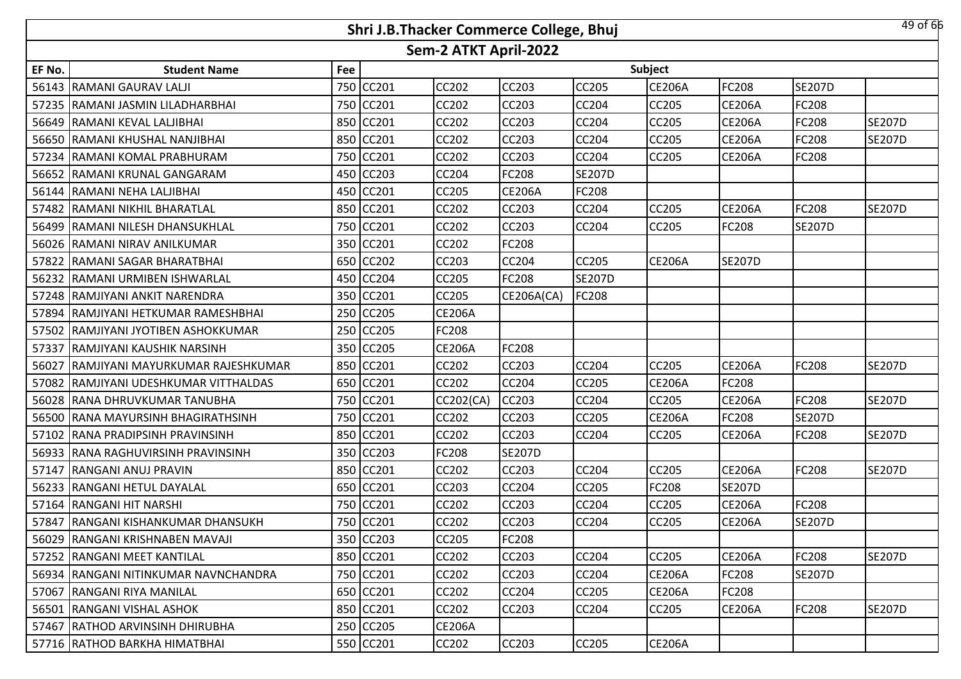|        |                                       |     | Shri J.B.Thacker Commerce College, Bhuj |                       |               |               |               |               |               | 49 of 66      |
|--------|---------------------------------------|-----|-----------------------------------------|-----------------------|---------------|---------------|---------------|---------------|---------------|---------------|
|        |                                       |     |                                         | Sem-2 ATKT April-2022 |               |               |               |               |               |               |
| EF No. | <b>Student Name</b>                   | Fee |                                         |                       |               |               | Subject       |               |               |               |
|        | 56143 RAMANI GAURAV LALJI             | 750 | <b>CC201</b>                            | CC202                 | CC203         | CC205         | <b>CE206A</b> | FC208         | <b>SE207D</b> |               |
|        | 57235 RAMANI JASMIN LILADHARBHAI      | 750 | <b>CC201</b>                            | <b>CC202</b>          | <b>CC203</b>  | <b>CC204</b>  | CC205         | <b>CE206A</b> | <b>FC208</b>  |               |
|        | 56649 RAMANI KEVAL LALJIBHAI          |     | 850 CC201                               | CC202                 | CC203         | CC204         | CC205         | <b>CE206A</b> | FC208         | <b>SE207D</b> |
|        | 56650 RAMANI KHUSHAL NANJIBHAI        | 850 | CC201                                   | <b>CC202</b>          | <b>CC203</b>  | <b>CC204</b>  | CC205         | <b>CE206A</b> | <b>FC208</b>  | <b>SE207D</b> |
| 57234  | <b>RAMANI KOMAL PRABHURAM</b>         | 750 | <b>CC201</b>                            | CC202                 | CC203         | CC204         | CC205         | <b>CE206A</b> | <b>FC208</b>  |               |
|        | 56652 RAMANI KRUNAL GANGARAM          | 450 | <b>CC203</b>                            | <b>CC204</b>          | <b>FC208</b>  | <b>SE207D</b> |               |               |               |               |
|        | 56144 RAMANI NEHA LALJIBHAI           | 450 | CC201                                   | CC205                 | <b>CE206A</b> | <b>FC208</b>  |               |               |               |               |
| 57482  | RAMANI NIKHIL BHARATLAL               | 850 | CC201                                   | CC202                 | CC203         | <b>CC204</b>  | <b>CC205</b>  | <b>CE206A</b> | <b>FC208</b>  | <b>SE207D</b> |
|        | 56499 RAMANI NILESH DHANSUKHLAL       | 750 | <b>CC201</b>                            | CC202                 | CC203         | <b>CC204</b>  | CC205         | FC208         | <b>SE207D</b> |               |
|        | 56026 RAMANI NIRAV ANILKUMAR          | 350 | CC201                                   | CC202                 | FC208         |               |               |               |               |               |
| 57822  | RAMANI SAGAR BHARATBHAI               | 650 | <b>CC202</b>                            | CC203                 | CC204         | CC205         | <b>CE206A</b> | <b>SE207D</b> |               |               |
| 56232  | RAMANI URMIBEN ISHWARLAL              | 450 | CC204                                   | CC205                 | FC208         | <b>SE207D</b> |               |               |               |               |
|        | 57248 RAMJIYANI ANKIT NARENDRA        | 350 | <b>CC201</b>                            | CC205                 | CE206A(CA)    | <b>FC208</b>  |               |               |               |               |
| 57894  | RAMJIYANI HETKUMAR RAMESHBHAI         | 250 | <b>CC205</b>                            | <b>CE206A</b>         |               |               |               |               |               |               |
|        | 57502 RAMJIYANI JYOTIBEN ASHOKKUMAR   | 250 | <b>CC205</b>                            | FC208                 |               |               |               |               |               |               |
| 57337  | <b>RAMJIYANI KAUSHIK NARSINH</b>      | 350 | <b>CC205</b>                            | <b>CE206A</b>         | FC208         |               |               |               |               |               |
| 56027  | IRAMJIYANI MAYURKUMAR RAJESHKUMAR     | 850 | <b>CC201</b>                            | <b>CC202</b>          | <b>CC203</b>  | <b>CC204</b>  | CC205         | <b>CE206A</b> | <b>FC208</b>  | <b>SE207D</b> |
| 57082  | RAMJIYANI UDESHKUMAR VITTHALDAS       | 650 | CC201                                   | CC202                 | <b>CC204</b>  | CC205         | <b>CE206A</b> | FC208         |               |               |
| 56028  | RANA DHRUVKUMAR TANUBHA               | 750 | <b>CC201</b>                            | CC202(CA)             | <b>CC203</b>  | <b>CC204</b>  | CC205         | <b>CE206A</b> | <b>FC208</b>  | <b>SE207D</b> |
|        | 56500 RANA MAYURSINH BHAGIRATHSINH    | 750 | <b>CC201</b>                            | <b>CC202</b>          | <b>CC203</b>  | CC205         | <b>CE206A</b> | FC208         | <b>SE207D</b> |               |
| 57102  | <b>RANA PRADIPSINH PRAVINSINH</b>     | 850 | <b>CC201</b>                            | CC202                 | <b>CC203</b>  | CC204         | CC205         | <b>CE206A</b> | <b>FC208</b>  | <b>SE207D</b> |
| 56933  | <b>RANA RAGHUVIRSINH PRAVINSINH</b>   | 350 | <b>CC203</b>                            | FC208                 | <b>SE207D</b> |               |               |               |               |               |
| 57147  | <b>RANGANI ANUJ PRAVIN</b>            | 850 | CC201                                   | CC202                 | CC203         | CC204         | CC205         | <b>CE206A</b> | <b>FC208</b>  | <b>SE207D</b> |
|        | 56233 RANGANI HETUL DAYALAL           | 650 | <b>CC201</b>                            | CC203                 | <b>CC204</b>  | CC205         | FC208         | <b>SE207D</b> |               |               |
|        | 57164 RANGANI HIT NARSHI              | 750 | CC201                                   | CC202                 | CC203         | CC204         | CC205         | <b>CE206A</b> | <b>FC208</b>  |               |
|        | 57847 RANGANI KISHANKUMAR DHANSUKH    |     | 750 CC201                               | <b>CC202</b>          | <b>CC203</b>  | <b>CC204</b>  | CC205         | <b>CE206A</b> | <b>SE207D</b> |               |
|        | 56029 RANGANI KRISHNABEN MAVAJI       |     | 350 CC203                               | <b>CC205</b>          | FC208         |               |               |               |               |               |
|        | 57252 RANGANI MEET KANTILAL           |     | 850 CC201                               | CC202                 | <b>CC203</b>  | <b>CC204</b>  | CC205         | <b>CE206A</b> | <b>FC208</b>  | <b>SE207D</b> |
|        | 56934 IRANGANI NITINKUMAR NAVNCHANDRA |     | 750 CC201                               | <b>CC202</b>          | <b>CC203</b>  | <b>CC204</b>  | <b>CE206A</b> | FC208         | <b>SE207D</b> |               |
|        | 57067 RANGANI RIYA MANILAL            |     | 650 CC201                               | <b>CC202</b>          | CC204         | <b>CC205</b>  | <b>CE206A</b> | FC208         |               |               |
|        | 56501 RANGANI VISHAL ASHOK            |     | 850 CC201                               | CC202                 | CC203         | <b>CC204</b>  | CC205         | <b>CE206A</b> | <b>FC208</b>  | <b>SE207D</b> |
|        | 57467 RATHOD ARVINSINH DHIRUBHA       |     | 250 CC205                               | <b>CE206A</b>         |               |               |               |               |               |               |
|        | 57716 RATHOD BARKHA HIMATBHAI         |     | 550 CC201                               | <b>CC202</b>          | CC203         | <b>CC205</b>  | <b>CE206A</b> |               |               |               |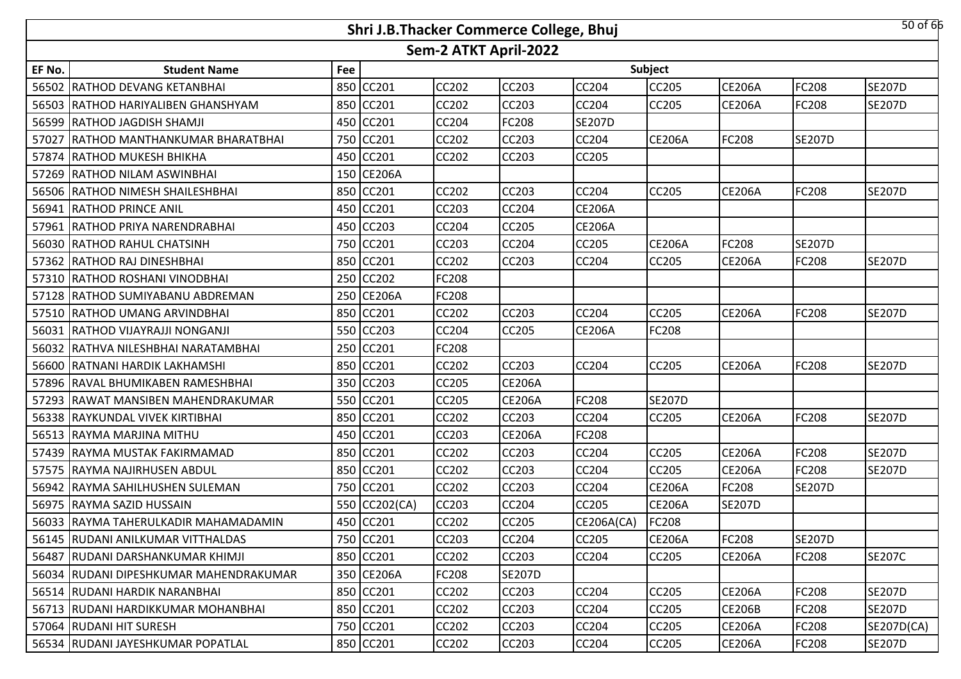|        |                                        |     | Shri J.B.Thacker Commerce College, Bhuj |                       |               |               |               |               |               | $50$ of $66$  |
|--------|----------------------------------------|-----|-----------------------------------------|-----------------------|---------------|---------------|---------------|---------------|---------------|---------------|
|        |                                        |     |                                         | Sem-2 ATKT April-2022 |               |               |               |               |               |               |
| EF No. | <b>Student Name</b>                    | Fee |                                         |                       |               |               | Subject       |               |               |               |
| 56502  | RATHOD DEVANG KETANBHAI                | 850 | CC201                                   | <b>CC202</b>          | <b>CC203</b>  | <b>CC204</b>  | <b>CC205</b>  | <b>CE206A</b> | <b>FC208</b>  | <b>SE207D</b> |
|        | 56503 RATHOD HARIYALIBEN GHANSHYAM     | 850 | CC201                                   | <b>CC202</b>          | <b>CC203</b>  | CC204         | CC205         | <b>CE206A</b> | <b>FC208</b>  | <b>SE207D</b> |
| 56599  | <b>RATHOD JAGDISH SHAMJI</b>           |     | 450 CC201                               | <b>CC204</b>          | <b>FC208</b>  | <b>SE207D</b> |               |               |               |               |
| 57027  | <b>RATHOD MANTHANKUMAR BHARATBHAI</b>  |     | 750 CC201                               | <b>CC202</b>          | <b>CC203</b>  | <b>CC204</b>  | <b>CE206A</b> | FC208         | <b>SE207D</b> |               |
| 57874  | <b>RATHOD MUKESH BHIKHA</b>            |     | 450 CC201                               | <b>CC202</b>          | <b>CC203</b>  | <b>CC205</b>  |               |               |               |               |
|        | 57269 RATHOD NILAM ASWINBHAI           |     | 150 CE206A                              |                       |               |               |               |               |               |               |
|        | 56506 RATHOD NIMESH SHAILESHBHAI       |     | 850 CC201                               | <b>CC202</b>          | <b>CC203</b>  | <b>CC204</b>  | <b>CC205</b>  | <b>CE206A</b> | <b>FC208</b>  | <b>SE207D</b> |
|        | 56941 RATHOD PRINCE ANIL               | 450 | <b>CC201</b>                            | CC203                 | <b>CC204</b>  | <b>CE206A</b> |               |               |               |               |
|        | 57961 RATHOD PRIYA NARENDRABHAI        | 450 | <b>CC203</b>                            | <b>CC204</b>          | <b>CC205</b>  | <b>CE206A</b> |               |               |               |               |
|        | 56030 RATHOD RAHUL CHATSINH            | 750 | <b>CC201</b>                            | <b>CC203</b>          | <b>CC204</b>  | <b>CC205</b>  | <b>CE206A</b> | FC208         | <b>SE207D</b> |               |
|        | 57362 RATHOD RAJ DINESHBHAI            | 850 | CC201                                   | <b>CC202</b>          | <b>CC203</b>  | <b>CC204</b>  | CC205         | <b>CE206A</b> | <b>FC208</b>  | <b>SE207D</b> |
|        | 57310 RATHOD ROSHANI VINODBHAI         | 250 | CC202                                   | FC208                 |               |               |               |               |               |               |
|        | 57128 RATHOD SUMIYABANU ABDREMAN       | 250 | <b>CE206A</b>                           | FC208                 |               |               |               |               |               |               |
|        | 57510 RATHOD UMANG ARVINDBHAI          | 850 | CC201                                   | CC202                 | <b>CC203</b>  | CC204         | CC205         | <b>CE206A</b> | FC208         | <b>SE207D</b> |
|        | 56031 RATHOD VIJAYRAJJI NONGANJI       |     | 550 CC203                               | <b>CC204</b>          | <b>CC205</b>  | <b>CE206A</b> | FC208         |               |               |               |
|        | 56032 RATHVA NILESHBHAI NARATAMBHAI    |     | 250 CC201                               | FC208                 |               |               |               |               |               |               |
|        | 56600 RATNANI HARDIK LAKHAMSHI         |     | 850 CC201                               | <b>CC202</b>          | <b>CC203</b>  | <b>CC204</b>  | <b>CC205</b>  | <b>CE206A</b> | <b>FC208</b>  | <b>SE207D</b> |
|        | 57896 RAVAL BHUMIKABEN RAMESHBHAI      |     | 350 CC203                               | <b>CC205</b>          | <b>CE206A</b> |               |               |               |               |               |
|        | 57293 IRAWAT MANSIBEN MAHENDRAKUMAR    |     | 550 CC201                               | <b>CC205</b>          | <b>CE206A</b> | <b>FC208</b>  | <b>SE207D</b> |               |               |               |
|        | 56338 RAYKUNDAL VIVEK KIRTIBHAI        |     | 850 CC201                               | <b>CC202</b>          | <b>CC203</b>  | CC204         | CC205         | <b>CE206A</b> | <b>FC208</b>  | <b>SE207D</b> |
|        | 56513 RAYMA MARJINA MITHU              | 450 | CC201                                   | CC203                 | <b>CE206A</b> | <b>FC208</b>  |               |               |               |               |
|        | 57439 RAYMA MUSTAK FAKIRMAMAD          | 850 | <b>CC201</b>                            | <b>CC202</b>          | <b>CC203</b>  | CC204         | <b>CC205</b>  | <b>CE206A</b> | <b>FC208</b>  | <b>SE207D</b> |
| 57575  | RAYMA NAJIRHUSEN ABDUL                 | 850 | CC201                                   | CC202                 | <b>CC203</b>  | <b>CC204</b>  | CC205         | <b>CE206A</b> | <b>FC208</b>  | <b>SE207D</b> |
|        | 56942 RAYMA SAHILHUSHEN SULEMAN        | 750 | CC201                                   | <b>CC202</b>          | <b>CC203</b>  | <b>CC204</b>  | <b>CE206A</b> | FC208         | <b>SE207D</b> |               |
|        | 56975 RAYMA SAZID HUSSAIN              | 550 | CC202(CA)                               | CC203                 | <b>CC204</b>  | CC205         | <b>CE206A</b> | <b>SE207D</b> |               |               |
|        | 56033 RAYMA TAHERULKADIR MAHAMADAMIN   |     | 450 CC201                               | <b>CC202</b>          | <b>CC205</b>  | CE206A(CA)    | FC208         |               |               |               |
|        | 56145 RUDANI ANILKUMAR VITTHALDAS      |     | 750 CC201                               | <b>CC203</b>          | <b>CC204</b>  | <b>CC205</b>  | <b>CE206A</b> | FC208         | <b>SE207D</b> |               |
|        | 56487 RUDANI DARSHANKUMAR KHIMJI       |     | 850 CC201                               | <b>CC202</b>          | <b>CC203</b>  | <b>CC204</b>  | <b>CC205</b>  | <b>CE206A</b> | <b>FC208</b>  | <b>SE207C</b> |
|        | 56034 RUDANI DIPESHKUMAR MAHENDRAKUMAR |     | 350 CE206A                              | FC208                 | <b>SE207D</b> |               |               |               |               |               |
|        | 56514 RUDANI HARDIK NARANBHAI          |     | 850 CC201                               | CC202                 | <b>CC203</b>  | <b>CC204</b>  | CC205         | <b>CE206A</b> | <b>FC208</b>  | <b>SE207D</b> |
|        | 56713 RUDANI HARDIKKUMAR MOHANBHAI     |     | 850 CC201                               | CC202                 | <b>CC203</b>  | CC204         | CC205         | <b>CE206B</b> | <b>FC208</b>  | <b>SE207D</b> |
|        | 57064 RUDANI HIT SURESH                |     | 750 CC201                               | CC202                 | CC203         | <b>CC204</b>  | CC205         | <b>CE206A</b> | <b>FC208</b>  | SE207D(CA)    |
|        | 56534 RUDANI JAYESHKUMAR POPATLAL      |     | 850 CC201                               | CC202                 | <b>CC203</b>  | <b>CC204</b>  | CC205         | <b>CE206A</b> | <b>FC208</b>  | <b>SE207D</b> |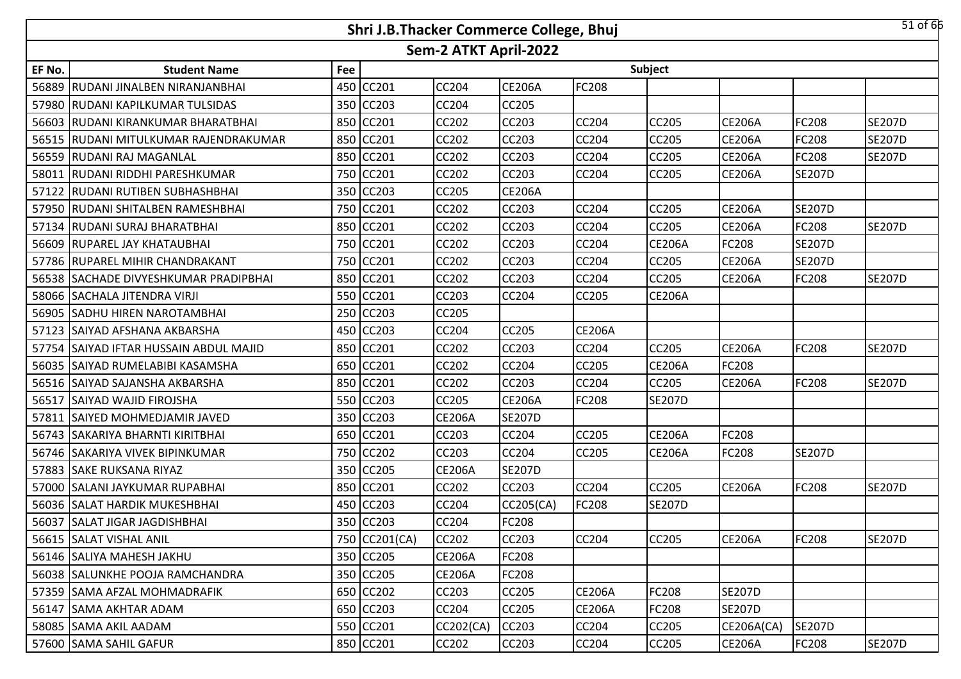|        |                                         |     | Shri J.B.Thacker Commerce College, Bhuj |                       |               |               |               |               |               | $51$ of $66$  |
|--------|-----------------------------------------|-----|-----------------------------------------|-----------------------|---------------|---------------|---------------|---------------|---------------|---------------|
|        |                                         |     |                                         | Sem-2 ATKT April-2022 |               |               |               |               |               |               |
| EF No. | <b>Student Name</b>                     | Fee |                                         |                       |               |               | Subject       |               |               |               |
| 56889  | RUDANI JINALBEN NIRANJANBHAI            |     | 450 CC201                               | <b>CC204</b>          | <b>CE206A</b> | FC208         |               |               |               |               |
|        | 57980 RUDANI KAPILKUMAR TULSIDAS        |     | 350 CC203                               | <b>CC204</b>          | <b>CC205</b>  |               |               |               |               |               |
|        | 56603 RUDANI KIRANKUMAR BHARATBHAI      |     | 850 CC201                               | <b>CC202</b>          | CC203         | CC204         | <b>CC205</b>  | <b>CE206A</b> | FC208         | <b>SE207D</b> |
|        | 56515 RUDANI MITULKUMAR RAJENDRAKUMAR   |     | 850 CC201                               | <b>CC202</b>          | CC203         | CC204         | <b>CC205</b>  | <b>CE206A</b> | <b>FC208</b>  | <b>SE207D</b> |
|        | 56559 RUDANI RAJ MAGANLAL               |     | 850 CC201                               | <b>CC202</b>          | CC203         | CC204         | CC205         | <b>CE206A</b> | FC208         | <b>SE207D</b> |
|        | 58011 RUDANI RIDDHI PARESHKUMAR         |     | 750 CC201                               | <b>CC202</b>          | <b>CC203</b>  | CC204         | <b>CC205</b>  | <b>CE206A</b> | <b>SE207D</b> |               |
|        | 57122 RUDANI RUTIBEN SUBHASHBHAI        |     | 350 CC203                               | <b>CC205</b>          | <b>CE206A</b> |               |               |               |               |               |
|        | 57950 RUDANI SHITALBEN RAMESHBHAI       |     | 750 CC201                               | <b>CC202</b>          | <b>CC203</b>  | CC204         | <b>CC205</b>  | <b>CE206A</b> | <b>SE207D</b> |               |
|        | 57134 RUDANI SURAJ BHARATBHAI           |     | 850 CC201                               | CC202                 | CC203         | CC204         | CC205         | <b>CE206A</b> | FC208         | <b>SE207D</b> |
|        | 56609 RUPAREL JAY KHATAUBHAI            |     | 750 CC201                               | CC202                 | CC203         | CC204         | <b>CE206A</b> | FC208         | <b>SE207D</b> |               |
|        | 57786 RUPAREL MIHIR CHANDRAKANT         |     | 750 CC201                               | CC202                 | CC203         | CC204         | <b>CC205</b>  | <b>CE206A</b> | <b>SE207D</b> |               |
|        | 56538 SACHADE DIVYESHKUMAR PRADIPBHAI   |     | 850 CC201                               | CC202                 | CC203         | CC204         | CC205         | <b>CE206A</b> | FC208         | <b>SE207D</b> |
|        | 58066 SACHALA JITENDRA VIRJI            |     | 550 CC201                               | CC203                 | CC204         | CC205         | <b>CE206A</b> |               |               |               |
|        | 56905 SADHU HIREN NAROTAMBHAI           |     | 250 CC203                               | <b>CC205</b>          |               |               |               |               |               |               |
|        | 57123 SAIYAD AFSHANA AKBARSHA           |     | 450 CC203                               | <b>CC204</b>          | <b>CC205</b>  | <b>CE206A</b> |               |               |               |               |
| 57754  | <b>SAIYAD IFTAR HUSSAIN ABDUL MAJID</b> |     | 850 CC201                               | <b>CC202</b>          | CC203         | CC204         | <b>CC205</b>  | <b>CE206A</b> | FC208         | <b>SE207D</b> |
|        | 56035 SAIYAD RUMELABIBI KASAMSHA        |     | 650 CC201                               | <b>CC202</b>          | <b>CC204</b>  | CC205         | <b>CE206A</b> | FC208         |               |               |
|        | 56516 SAIYAD SAJANSHA AKBARSHA          |     | 850 CC201                               | <b>CC202</b>          | CC203         | CC204         | <b>CC205</b>  | <b>CE206A</b> | FC208         | <b>SE207D</b> |
|        | 56517 SAIYAD WAJID FIROJSHA             |     | 550 CC203                               | <b>CC205</b>          | <b>CE206A</b> | FC208         | <b>SE207D</b> |               |               |               |
|        | 57811 SAIYED MOHMEDJAMIR JAVED          |     | 350 CC203                               | <b>CE206A</b>         | <b>SE207D</b> |               |               |               |               |               |
|        | 56743 SAKARIYA BHARNTI KIRITBHAI        |     | 650 CC201                               | CC203                 | <b>CC204</b>  | CC205         | <b>CE206A</b> | FC208         |               |               |
|        | 56746 SAKARIYA VIVEK BIPINKUMAR         |     | 750 CC202                               | CC203                 | CC204         | CC205         | <b>CE206A</b> | FC208         | <b>SE207D</b> |               |
| 57883  | <b>SAKE RUKSANA RIYAZ</b>               |     | 350 CC205                               | <b>CE206A</b>         | <b>SE207D</b> |               |               |               |               |               |
|        | 57000 SALANI JAYKUMAR RUPABHAI          |     | 850 CC201                               | CC202                 | CC203         | CC204         | <b>CC205</b>  | <b>CE206A</b> | FC208         | <b>SE207D</b> |
|        | 56036 SALAT HARDIK MUKESHBHAI           |     | 450 CC203                               | CC204                 | CC205(CA)     | FC208         | <b>SE207D</b> |               |               |               |
|        | 56037 SALAT JIGAR JAGDISHBHAI           |     | 350 CC203                               | <b>CC204</b>          | FC208         |               |               |               |               |               |
|        | 56615 SALAT VISHAL ANIL                 |     | 750 CC201(CA)                           | <b>CC202</b>          | <b>CC203</b>  | CC204         | <b>CC205</b>  | <b>CE206A</b> | FC208         | <b>SE207D</b> |
|        | 56146 SALIYA MAHESH JAKHU               |     | 350 CC205                               | <b>CE206A</b>         | <b>FC208</b>  |               |               |               |               |               |
|        | 56038 SALUNKHE POOJA RAMCHANDRA         |     | 350 CC205                               | <b>CE206A</b>         | FC208         |               |               |               |               |               |
|        | 57359 SAMA AFZAL MOHMADRAFIK            |     | 650 CC202                               | CC203                 | CC205         | <b>CE206A</b> | <b>FC208</b>  | <b>SE207D</b> |               |               |
|        | 56147 SAMA AKHTAR ADAM                  |     | 650 CC203                               | CC204                 | <b>CC205</b>  | <b>CE206A</b> | <b>FC208</b>  | <b>SE207D</b> |               |               |
|        | 58085 SAMA AKIL AADAM                   |     | 550 CC201                               | CC202(CA)             | CC203         | CC204         | CC205         | CE206A(CA)    | <b>SE207D</b> |               |
|        | 57600 SAMA SAHIL GAFUR                  |     | 850 CC201                               | CC202                 | CC203         | CC204         | CC205         | <b>CE206A</b> | <b>FC208</b>  | <b>SE207D</b> |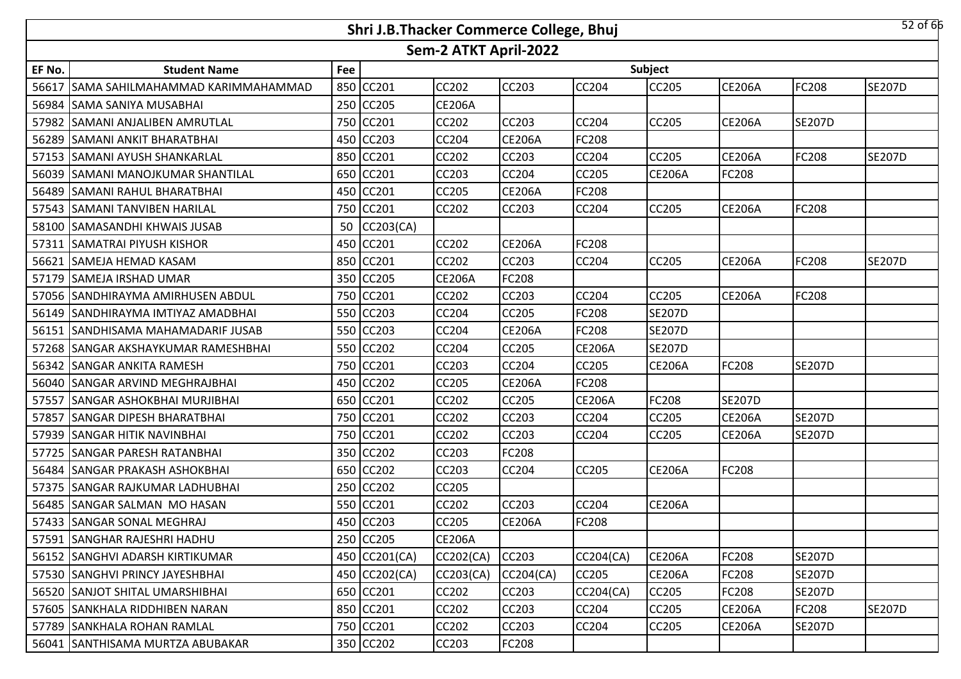|        |                                     |     | Shri J.B.Thacker Commerce College, Bhuj |                       |               |               |               |               |               | $52$ of 66    |
|--------|-------------------------------------|-----|-----------------------------------------|-----------------------|---------------|---------------|---------------|---------------|---------------|---------------|
|        |                                     |     |                                         | Sem-2 ATKT April-2022 |               |               |               |               |               |               |
| EF No. | <b>Student Name</b>                 | Fee |                                         |                       |               |               | Subject       |               |               |               |
| 56617  | SAMA SAHILMAHAMMAD KARIMMAHAMMAD    | 850 | CC201                                   | CC202                 | <b>CC203</b>  | <b>CC204</b>  | CC205         | <b>CE206A</b> | <b>FC208</b>  | <b>SE207D</b> |
| 56984  | <b>SAMA SANIYA MUSABHAI</b>         | 250 | <b>CC205</b>                            | <b>CE206A</b>         |               |               |               |               |               |               |
| 57982  | <b>SAMANI ANJALIBEN AMRUTLAL</b>    | 750 | <b>CC201</b>                            | CC202                 | CC203         | CC204         | CC205         | <b>CE206A</b> | <b>SE207D</b> |               |
|        | 56289 SAMANI ANKIT BHARATBHAI       |     | 450 CC203                               | <b>CC204</b>          | <b>CE206A</b> | <b>FC208</b>  |               |               |               |               |
|        | 57153 SAMANI AYUSH SHANKARLAL       |     | 850 CC201                               | CC202                 | CC203         | CC204         | CC205         | <b>CE206A</b> | <b>FC208</b>  | <b>SE207D</b> |
|        | 56039 SAMANI MANOJKUMAR SHANTILAL   | 650 | <b>CC201</b>                            | <b>CC203</b>          | <b>CC204</b>  | <b>CC205</b>  | <b>CE206A</b> | FC208         |               |               |
| 56489  | <b>SAMANI RAHUL BHARATBHAI</b>      | 450 | CC201                                   | CC205                 | <b>CE206A</b> | FC208         |               |               |               |               |
|        | 57543 SAMANI TANVIBEN HARILAL       | 750 | CC201                                   | <b>CC202</b>          | <b>CC203</b>  | <b>CC204</b>  | <b>CC205</b>  | <b>CE206A</b> | <b>FC208</b>  |               |
|        | 58100 SAMASANDHI KHWAIS JUSAB       | 50  | CC203(CA)                               |                       |               |               |               |               |               |               |
| 57311  | <b>SAMATRAI PIYUSH KISHOR</b>       | 450 | <b>CC201</b>                            | CC202                 | <b>CE206A</b> | <b>FC208</b>  |               |               |               |               |
| 56621  | SAMEJA HEMAD KASAM                  | 850 | CC201                                   | CC202                 | CC203         | <b>CC204</b>  | CC205         | <b>CE206A</b> | <b>FC208</b>  | <b>SE207D</b> |
| 57179  | <b>SAMEJA IRSHAD UMAR</b>           | 350 | <b>CC205</b>                            | <b>CE206A</b>         | FC208         |               |               |               |               |               |
|        | 57056 SANDHIRAYMA AMIRHUSEN ABDUL   | 750 | <b>CC201</b>                            | CC202                 | CC203         | CC204         | CC205         | <b>CE206A</b> | <b>FC208</b>  |               |
| 56149  | SANDHIRAYMA IMTIYAZ AMADBHAI        | 550 | <b>CC203</b>                            | CC204                 | CC205         | FC208         | <b>SE207D</b> |               |               |               |
|        | 56151 SANDHISAMA MAHAMADARIF JUSAB  | 550 | <b>CC203</b>                            | CC204                 | <b>CE206A</b> | FC208         | <b>SE207D</b> |               |               |               |
|        | 57268 SANGAR AKSHAYKUMAR RAMESHBHAI |     | 550 CC202                               | CC204                 | CC205         | <b>CE206A</b> | <b>SE207D</b> |               |               |               |
|        | 56342 SANGAR ANKITA RAMESH          | 750 | CC201                                   | <b>CC203</b>          | <b>CC204</b>  | <b>CC205</b>  | <b>CE206A</b> | FC208         | <b>SE207D</b> |               |
|        | 56040 SANGAR ARVIND MEGHRAJBHAI     |     | 450 CC202                               | CC205                 | <b>CE206A</b> | FC208         |               |               |               |               |
|        | 57557 SANGAR ASHOKBHAI MURJIBHAI    | 650 | CC201                                   | <b>CC202</b>          | <b>CC205</b>  | <b>CE206A</b> | FC208         | <b>SE207D</b> |               |               |
| 57857  | <b>SANGAR DIPESH BHARATBHAI</b>     |     | 750 CC201                               | CC202                 | CC203         | CC204         | CC205         | <b>CE206A</b> | <b>SE207D</b> |               |
| 57939  | <b>SANGAR HITIK NAVINBHAI</b>       | 750 | <b>CC201</b>                            | CC202                 | <b>CC203</b>  | <b>CC204</b>  | CC205         | <b>CE206A</b> | <b>SE207D</b> |               |
| 57725  | <b>SANGAR PARESH RATANBHAI</b>      | 350 | <b>CC202</b>                            | CC203                 | FC208         |               |               |               |               |               |
| 56484  | <b>SANGAR PRAKASH ASHOKBHAI</b>     | 650 | <b>CC202</b>                            | CC203                 | CC204         | <b>CC205</b>  | <b>CE206A</b> | FC208         |               |               |
| 57375  | <b>SANGAR RAJKUMAR LADHUBHAI</b>    | 250 | <b>CC202</b>                            | CC205                 |               |               |               |               |               |               |
|        | 56485 SANGAR SALMAN MO HASAN        | 550 | CC201                                   | CC202                 | CC203         | CC204         | <b>CE206A</b> |               |               |               |
|        | 57433 SANGAR SONAL MEGHRAJ          |     | 450 CC203                               | CC205                 | <b>CE206A</b> | FC208         |               |               |               |               |
|        | 57591 SANGHAR RAJESHRI HADHU        |     | 250 CC205                               | <b>CE206A</b>         |               |               |               |               |               |               |
|        | 56152 SANGHVI ADARSH KIRTIKUMAR     |     | 450 CC201(CA)                           | <b>CC202(CA)</b>      | CC203         | CC204(CA)     | <b>CE206A</b> | FC208         | <b>SE207D</b> |               |
|        | 57530 SANGHVI PRINCY JAYESHBHAI     |     | 450 CC202(CA)                           | CC203(CA)             | CC204(CA)     | <b>CC205</b>  | <b>CE206A</b> | FC208         | <b>SE207D</b> |               |
|        | 56520 SANJOT SHITAL UMARSHIBHAI     |     | 650 CC201                               | <b>CC202</b>          | CC203         | CC204(CA)     | <b>CC205</b>  | FC208         | <b>SE207D</b> |               |
|        | 57605 SANKHALA RIDDHIBEN NARAN      |     | 850 CC201                               | CC202                 | CC203         | CC204         | CC205         | <b>CE206A</b> | <b>FC208</b>  | <b>SE207D</b> |
|        | 57789 SANKHALA ROHAN RAMLAL         |     | 750 CC201                               | CC202                 | CC203         | CC204         | <b>CC205</b>  | <b>CE206A</b> | <b>SE207D</b> |               |
|        | 56041 SANTHISAMA MURTZA ABUBAKAR    |     | 350 CC202                               | CC203                 | FC208         |               |               |               |               |               |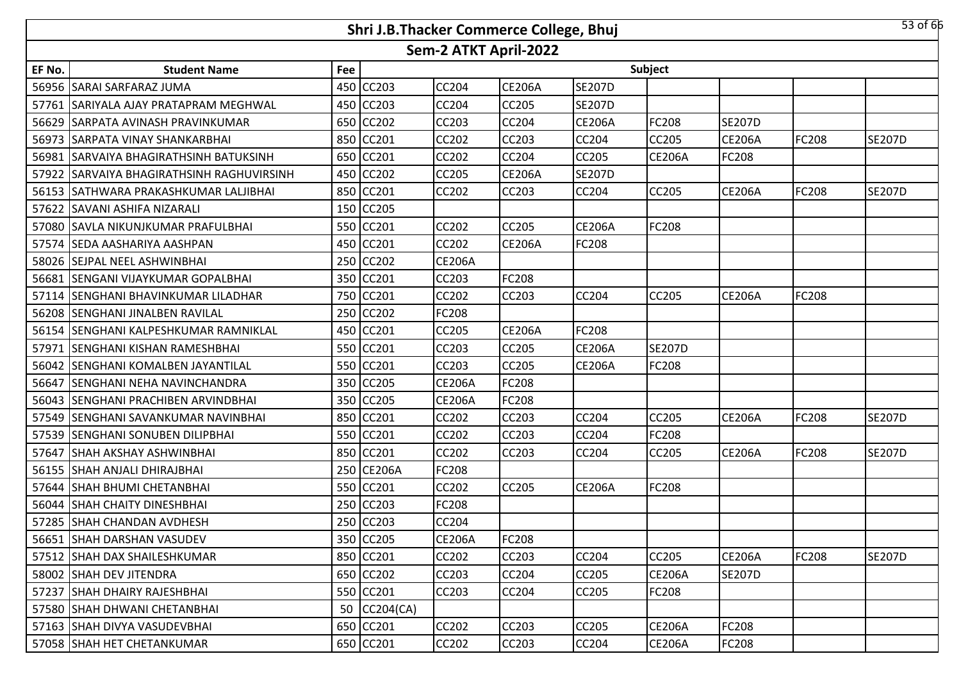|        |                                           |     | Shri J.B.Thacker Commerce College, Bhuj |                       |               |               |               |               |              | $53$ of 66    |
|--------|-------------------------------------------|-----|-----------------------------------------|-----------------------|---------------|---------------|---------------|---------------|--------------|---------------|
|        |                                           |     |                                         | Sem-2 ATKT April-2022 |               |               |               |               |              |               |
| EF No. | <b>Student Name</b>                       | Fee |                                         |                       |               |               | Subject       |               |              |               |
|        | 56956 SARAI SARFARAZ JUMA                 |     | 450 CC203                               | <b>CC204</b>          | <b>CE206A</b> | <b>SE207D</b> |               |               |              |               |
|        | 57761 SARIYALA AJAY PRATAPRAM MEGHWAL     |     | 450 CC203                               | <b>CC204</b>          | <b>CC205</b>  | <b>SE207D</b> |               |               |              |               |
|        | 56629 SARPATA AVINASH PRAVINKUMAR         |     | 650 CC202                               | <b>CC203</b>          | CC204         | <b>CE206A</b> | <b>FC208</b>  | <b>SE207D</b> |              |               |
|        | 56973 SARPATA VINAY SHANKARBHAI           |     | 850 CC201                               | <b>CC202</b>          | <b>CC203</b>  | CC204         | <b>CC205</b>  | <b>CE206A</b> | <b>FC208</b> | <b>SE207D</b> |
|        | 56981 SARVAIYA BHAGIRATHSINH BATUKSINH    |     | 650 CC201                               | <b>CC202</b>          | CC204         | CC205         | <b>CE206A</b> | FC208         |              |               |
|        | 57922 SARVAIYA BHAGIRATHSINH RAGHUVIRSINH |     | 450 CC202                               | <b>CC205</b>          | <b>CE206A</b> | <b>SE207D</b> |               |               |              |               |
|        | 56153 SATHWARA PRAKASHKUMAR LALJIBHAI     |     | 850 CC201                               | <b>CC202</b>          | CC203         | CC204         | <b>CC205</b>  | <b>CE206A</b> | FC208        | <b>SE207D</b> |
| 57622  | <b>SAVANI ASHIFA NIZARALI</b>             |     | 150 CC205                               |                       |               |               |               |               |              |               |
|        | 57080 SAVLA NIKUNJKUMAR PRAFULBHAI        |     | 550 CC201                               | <b>CC202</b>          | <b>CC205</b>  | <b>CE206A</b> | <b>FC208</b>  |               |              |               |
|        | 57574 SEDA AASHARIYA AASHPAN              |     | 450 CC201                               | CC202                 | <b>CE206A</b> | FC208         |               |               |              |               |
|        | 58026 SEJPAL NEEL ASHWINBHAI              |     | 250 CC202                               | <b>CE206A</b>         |               |               |               |               |              |               |
| 56681  | ISENGANI VIJAYKUMAR GOPALBHAI             |     | 350 CC201                               | CC203                 | FC208         |               |               |               |              |               |
|        | 57114 SENGHANI BHAVINKUMAR LILADHAR       |     | 750 CC201                               | <b>CC202</b>          | <b>CC203</b>  | CC204         | <b>CC205</b>  | <b>CE206A</b> | <b>FC208</b> |               |
|        | 56208 SENGHANI JINALBEN RAVILAL           |     | 250 CC202                               | <b>FC208</b>          |               |               |               |               |              |               |
|        | 56154 SENGHANI KALPESHKUMAR RAMNIKLAL     |     | 450 CC201                               | <b>CC205</b>          | <b>CE206A</b> | FC208         |               |               |              |               |
| 57971  | <b>SENGHANI KISHAN RAMESHBHAI</b>         |     | 550 CC201                               | <b>CC203</b>          | <b>CC205</b>  | <b>CE206A</b> | <b>SE207D</b> |               |              |               |
|        | 56042 SENGHANI KOMALBEN JAYANTILAL        |     | 550 CC201                               | <b>CC203</b>          | <b>CC205</b>  | <b>CE206A</b> | <b>FC208</b>  |               |              |               |
| 56647  | <b>SENGHANI NEHA NAVINCHANDRA</b>         |     | 350 CC205                               | <b>CE206A</b>         | FC208         |               |               |               |              |               |
|        | 56043 SENGHANI PRACHIBEN ARVINDBHAI       |     | 350 CC205                               | <b>CE206A</b>         | FC208         |               |               |               |              |               |
|        | 57549 SENGHANI SAVANKUMAR NAVINBHAI       |     | 850 CC201                               | <b>CC202</b>          | CC203         | CC204         | <b>CC205</b>  | <b>CE206A</b> | FC208        | <b>SE207D</b> |
| 57539  | <b>SENGHANI SONUBEN DILIPBHAI</b>         |     | 550 CC201                               | CC202                 | CC203         | CC204         | FC208         |               |              |               |
| 57647  | <b>SHAH AKSHAY ASHWINBHAI</b>             |     | 850 CC201                               | CC202                 | <b>CC203</b>  | CC204         | <b>CC205</b>  | <b>CE206A</b> | FC208        | <b>SE207D</b> |
| 56155  | ISHAH ANJALI DHIRAJBHAI                   |     | 250 CE206A                              | <b>FC208</b>          |               |               |               |               |              |               |
|        | 57644 SHAH BHUMI CHETANBHAI               |     | 550 CC201                               | CC202                 | <b>CC205</b>  | <b>CE206A</b> | FC208         |               |              |               |
|        | 56044 SHAH CHAITY DINESHBHAI              |     | 250 CC203                               | <b>FC208</b>          |               |               |               |               |              |               |
|        | 57285 SHAH CHANDAN AVDHESH                |     | 250 CC203                               | <b>CC204</b>          |               |               |               |               |              |               |
|        | 56651 SHAH DARSHAN VASUDEV                |     | 350 CC205                               | <b>CE206A</b>         | FC208         |               |               |               |              |               |
|        | 57512 SHAH DAX SHAILESHKUMAR              |     | 850 CC201                               | <b>CC202</b>          | CC203         | CC204         | <b>CC205</b>  | <b>CE206A</b> | <b>FC208</b> | <b>SE207D</b> |
|        | 58002 SHAH DEV JITENDRA                   |     | 650 CC202                               | CC203                 | <b>CC204</b>  | CC205         | <b>CE206A</b> | <b>SE207D</b> |              |               |
|        | 57237 SHAH DHAIRY RAJESHBHAI              |     | 550 CC201                               | CC203                 | CC204         | CC205         | <b>FC208</b>  |               |              |               |
|        | 57580 SHAH DHWANI CHETANBHAI              |     | 50 CC204(CA)                            |                       |               |               |               |               |              |               |
|        | 57163 SHAH DIVYA VASUDEVBHAI              |     | 650 CC201                               | <b>CC202</b>          | <b>CC203</b>  | CC205         | <b>CE206A</b> | FC208         |              |               |
|        | 57058 SHAH HET CHETANKUMAR                |     | 650 CC201                               | <b>CC202</b>          | CC203         | CC204         | <b>CE206A</b> | FC208         |              |               |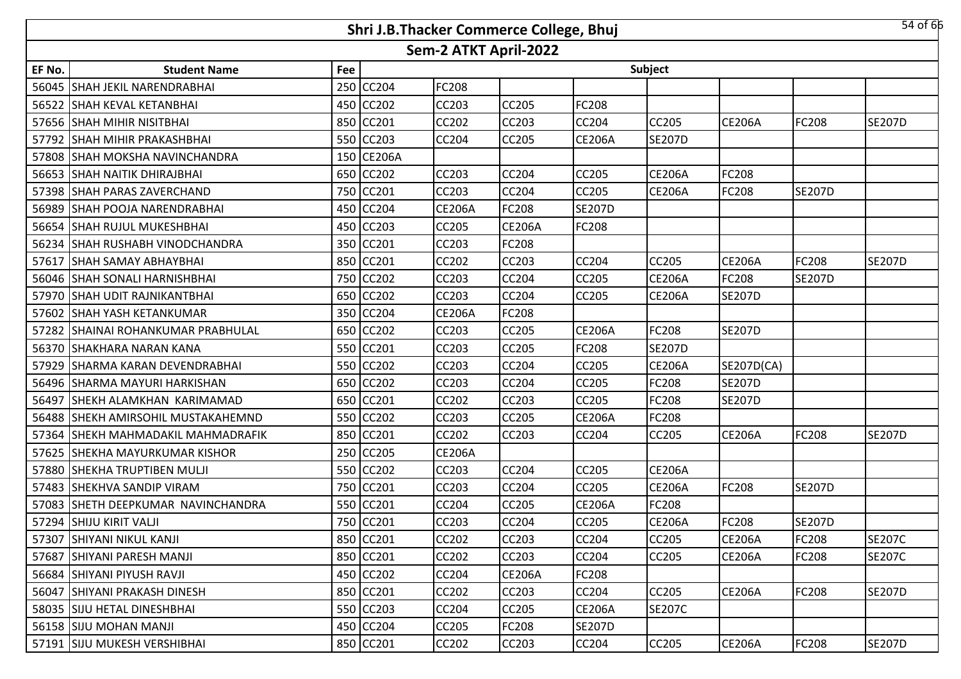|        |                                                                |     | Shri J.B.Thacker Commerce College, Bhuj |               |               |               |               |               |               | 54 of 66      |  |  |  |  |
|--------|----------------------------------------------------------------|-----|-----------------------------------------|---------------|---------------|---------------|---------------|---------------|---------------|---------------|--|--|--|--|
|        | Sem-2 ATKT April-2022<br>Subject<br><b>Student Name</b><br>Fee |     |                                         |               |               |               |               |               |               |               |  |  |  |  |
| EF No. |                                                                |     |                                         |               |               |               |               |               |               |               |  |  |  |  |
|        | 56045 SHAH JEKIL NARENDRABHAI                                  | 250 | <b>CC204</b>                            | FC208         |               |               |               |               |               |               |  |  |  |  |
|        | 56522 SHAH KEVAL KETANBHAI                                     |     | 450 CC202                               | <b>CC203</b>  | <b>CC205</b>  | FC208         |               |               |               |               |  |  |  |  |
|        | 57656 SHAH MIHIR NISITBHAI                                     |     | 850 CC201                               | <b>CC202</b>  | <b>CC203</b>  | CC204         | CC205         | <b>CE206A</b> | FC208         | <b>SE207D</b> |  |  |  |  |
|        | 57792 SHAH MIHIR PRAKASHBHAI                                   |     | 550 CC203                               | <b>CC204</b>  | <b>CC205</b>  | <b>CE206A</b> | <b>SE207D</b> |               |               |               |  |  |  |  |
|        | 57808 SHAH MOKSHA NAVINCHANDRA                                 |     | 150 CE206A                              |               |               |               |               |               |               |               |  |  |  |  |
|        | 56653 SHAH NAITIK DHIRAJBHAI                                   |     | 650 CC202                               | <b>CC203</b>  | <b>CC204</b>  | <b>CC205</b>  | <b>CE206A</b> | <b>FC208</b>  |               |               |  |  |  |  |
|        | 57398 SHAH PARAS ZAVERCHAND                                    |     | 750 CC201                               | <b>CC203</b>  | <b>CC204</b>  | CC205         | <b>CE206A</b> | FC208         | <b>SE207D</b> |               |  |  |  |  |
|        | 56989 SHAH POOJA NARENDRABHAI                                  | 450 | <b>CC204</b>                            | <b>CE206A</b> | <b>FC208</b>  | <b>SE207D</b> |               |               |               |               |  |  |  |  |
|        | 56654 SHAH RUJUL MUKESHBHAI                                    | 450 | CC203                                   | <b>CC205</b>  | <b>CE206A</b> | <b>FC208</b>  |               |               |               |               |  |  |  |  |
|        | 56234 SHAH RUSHABH VINODCHANDRA                                | 350 | CC201                                   | CC203         | <b>FC208</b>  |               |               |               |               |               |  |  |  |  |
|        | 57617 SHAH SAMAY ABHAYBHAI                                     | 850 | <b>CC201</b>                            | <b>CC202</b>  | <b>CC203</b>  | <b>CC204</b>  | <b>CC205</b>  | <b>CE206A</b> | <b>FC208</b>  | <b>SE207D</b> |  |  |  |  |
|        | 56046 SHAH SONALI HARNISHBHAI                                  | 750 | CC202                                   | CC203         | <b>CC204</b>  | CC205         | <b>CE206A</b> | FC208         | <b>SE207D</b> |               |  |  |  |  |
|        | 57970 SHAH UDIT RAJNIKANTBHAI                                  |     | 650 CC202                               | <b>CC203</b>  | <b>CC204</b>  | <b>CC205</b>  | <b>CE206A</b> | <b>SE207D</b> |               |               |  |  |  |  |
|        | 57602 SHAH YASH KETANKUMAR                                     |     | 350 CC204                               | <b>CE206A</b> | <b>FC208</b>  |               |               |               |               |               |  |  |  |  |
|        | 57282 SHAINAI ROHANKUMAR PRABHULAL                             |     | 650 CC202                               | <b>CC203</b>  | <b>CC205</b>  | <b>CE206A</b> | FC208         | <b>SE207D</b> |               |               |  |  |  |  |
|        | 56370 SHAKHARA NARAN KANA                                      |     | 550 CC201                               | CC203         | <b>CC205</b>  | FC208         | <b>SE207D</b> |               |               |               |  |  |  |  |
|        | 57929 SHARMA KARAN DEVENDRABHAI                                |     | 550 CC202                               | <b>CC203</b>  | <b>CC204</b>  | <b>CC205</b>  | <b>CE206A</b> | SE207D(CA)    |               |               |  |  |  |  |
|        | 56496 SHARMA MAYURI HARKISHAN                                  |     | 650 CC202                               | CC203         | <b>CC204</b>  | CC205         | FC208         | <b>SE207D</b> |               |               |  |  |  |  |
|        | 56497 SHEKH ALAMKHAN KARIMAMAD                                 | 650 | CC201                                   | <b>CC202</b>  | <b>CC203</b>  | <b>CC205</b>  | FC208         | <b>SE207D</b> |               |               |  |  |  |  |
|        | 56488 SHEKH AMIRSOHIL MUSTAKAHEMND                             | 550 | <b>CC202</b>                            | CC203         | <b>CC205</b>  | <b>CE206A</b> | FC208         |               |               |               |  |  |  |  |
|        | 57364 SHEKH MAHMADAKIL MAHMADRAFIK                             | 850 | CC201                                   | CC202         | <b>CC203</b>  | <b>CC204</b>  | CC205         | <b>CE206A</b> | <b>FC208</b>  | <b>SE207D</b> |  |  |  |  |
|        | 57625 SHEKHA MAYURKUMAR KISHOR                                 | 250 | <b>CC205</b>                            | <b>CE206A</b> |               |               |               |               |               |               |  |  |  |  |
| 57880  | <b>SHEKHA TRUPTIBEN MULJI</b>                                  | 550 | CC202                                   | CC203         | <b>CC204</b>  | <b>CC205</b>  | <b>CE206A</b> |               |               |               |  |  |  |  |
|        | 57483 SHEKHVA SANDIP VIRAM                                     | 750 | CC201                                   | <b>CC203</b>  | <b>CC204</b>  | CC205         | <b>CE206A</b> | FC208         | <b>SE207D</b> |               |  |  |  |  |
|        | 57083 SHETH DEEPKUMAR NAVINCHANDRA                             | 550 | CC201                                   | CC204         | <b>CC205</b>  | <b>CE206A</b> | FC208         |               |               |               |  |  |  |  |
|        | 57294 SHIJU KIRIT VALJI                                        |     | 750 CC201                               | <b>CC203</b>  | <b>CC204</b>  | <b>CC205</b>  | <b>CE206A</b> | FC208         | <b>SE207D</b> |               |  |  |  |  |
|        | 57307 SHIYANI NIKUL KANJI                                      |     | 850 CC201                               | CC202         | <b>CC203</b>  | <b>CC204</b>  | <b>CC205</b>  | <b>CE206A</b> | <b>FC208</b>  | <b>SE207C</b> |  |  |  |  |
|        | 57687 SHIYANI PARESH MANJI                                     |     | 850 CC201                               | CC202         | <b>CC203</b>  | <b>CC204</b>  | <b>CC205</b>  | <b>CE206A</b> | <b>FC208</b>  | <b>SE207C</b> |  |  |  |  |
|        | 56684 SHIYANI PIYUSH RAVJI                                     |     | 450 CC202                               | <b>CC204</b>  | <b>CE206A</b> | FC208         |               |               |               |               |  |  |  |  |
|        | 56047 SHIYANI PRAKASH DINESH                                   |     | 850 CC201                               | CC202         | <b>CC203</b>  | <b>CC204</b>  | <b>CC205</b>  | <b>CE206A</b> | <b>FC208</b>  | <b>SE207D</b> |  |  |  |  |
|        | 58035 SIJU HETAL DINESHBHAI                                    |     | 550 CC203                               | CC204         | <b>CC205</b>  | <b>CE206A</b> | <b>SE207C</b> |               |               |               |  |  |  |  |
|        | 56158 SIJU MOHAN MANJI                                         |     | 450 CC204                               | <b>CC205</b>  | <b>FC208</b>  | <b>SE207D</b> |               |               |               |               |  |  |  |  |
|        | 57191 SIJU MUKESH VERSHIBHAI                                   |     | 850 CC201                               | CC202         | CC203         | CC204         | CC205         | <b>CE206A</b> | <b>FC208</b>  | <b>SE207D</b> |  |  |  |  |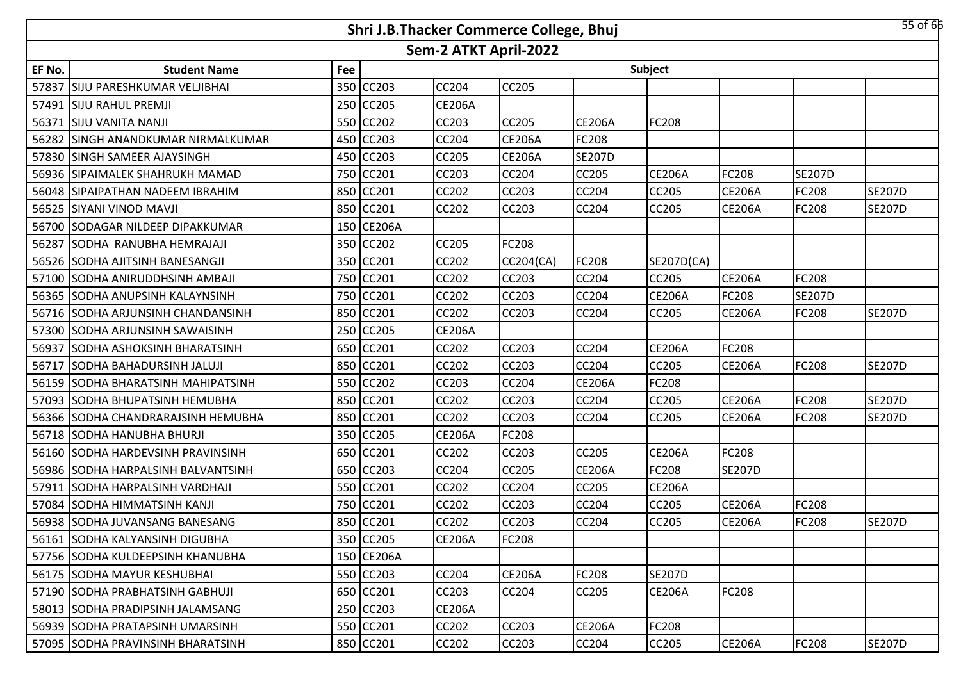|        |                                     |     | Shri J.B.Thacker Commerce College, Bhuj |                       |                  |               |               |               |               | $55$ of $66$  |
|--------|-------------------------------------|-----|-----------------------------------------|-----------------------|------------------|---------------|---------------|---------------|---------------|---------------|
|        |                                     |     |                                         | Sem-2 ATKT April-2022 |                  |               |               |               |               |               |
| EF No. | <b>Student Name</b>                 | Fee |                                         |                       |                  |               | Subject       |               |               |               |
| 57837  | <b>SIJU PARESHKUMAR VELJIBHAI</b>   |     | 350 CC203                               | <b>CC204</b>          | <b>CC205</b>     |               |               |               |               |               |
|        | 57491 SIJU RAHUL PREMJI             |     | 250 CC205                               | <b>CE206A</b>         |                  |               |               |               |               |               |
| 56371  | <b>SIJU VANITA NANJI</b>            |     | 550 CC202                               | CC203                 | <b>CC205</b>     | <b>CE206A</b> | FC208         |               |               |               |
| 56282  | <b>SINGH ANANDKUMAR NIRMALKUMAR</b> |     | 450 CC203                               | CC204                 | <b>CE206A</b>    | <b>FC208</b>  |               |               |               |               |
|        | 57830 SINGH SAMEER AJAYSINGH        |     | 450 CC203                               | CC205                 | <b>CE206A</b>    | <b>SE207D</b> |               |               |               |               |
| 56936  | <b>SIPAIMALEK SHAHRUKH MAMAD</b>    |     | 750 CC201                               | CC203                 | <b>CC204</b>     | CC205         | <b>CE206A</b> | FC208         | <b>SE207D</b> |               |
|        | 56048 SIPAIPATHAN NADEEM IBRAHIM    |     | 850 CC201                               | CC202                 | CC203            | CC204         | CC205         | <b>CE206A</b> | FC208         | <b>SE207D</b> |
|        | 56525 SIYANI VINOD MAVJI            |     | 850 CC201                               | CC202                 | CC203            | CC204         | CC205         | <b>CE206A</b> | FC208         | <b>SE207D</b> |
|        | 56700 SODAGAR NILDEEP DIPAKKUMAR    |     | 150 CE206A                              |                       |                  |               |               |               |               |               |
| 56287  | SODHA RANUBHA HEMRAJAJI             |     | 350 CC202                               | <b>CC205</b>          | FC208            |               |               |               |               |               |
|        | 56526 SODHA AJITSINH BANESANGJI     |     | 350 CC201                               | <b>CC202</b>          | <b>CC204(CA)</b> | <b>FC208</b>  | SE207D(CA)    |               |               |               |
|        | 57100 SODHA ANIRUDDHSINH AMBAJI     |     | 750 CC201                               | CC202                 | CC203            | CC204         | CC205         | <b>CE206A</b> | FC208         |               |
|        | 56365 SODHA ANUPSINH KALAYNSINH     |     | 750 CC201                               | <b>CC202</b>          | <b>CC203</b>     | CC204         | <b>CE206A</b> | FC208         | <b>SE207D</b> |               |
|        | 56716 SODHA ARJUNSINH CHANDANSINH   |     | 850 CC201                               | <b>CC202</b>          | <b>CC203</b>     | <b>CC204</b>  | CC205         | <b>CE206A</b> | FC208         | <b>SE207D</b> |
|        | 57300 SODHA ARJUNSINH SAWAISINH     |     | 250 CC205                               | <b>CE206A</b>         |                  |               |               |               |               |               |
| 56937  | <b>ISODHA ASHOKSINH BHARATSINH</b>  |     | 650 CC201                               | CC202                 | <b>CC203</b>     | CC204         | <b>CE206A</b> | FC208         |               |               |
| 56717  | SODHA BAHADURSINH JALUJI            |     | 850 CC201                               | CC202                 | <b>CC203</b>     | CC204         | CC205         | <b>CE206A</b> | <b>FC208</b>  | <b>SE207D</b> |
| 56159  | SODHA BHARATSINH MAHIPATSINH        |     | 550 CC202                               | CC203                 | <b>CC204</b>     | <b>CE206A</b> | FC208         |               |               |               |
| 57093  | SODHA BHUPATSINH HEMUBHA            |     | 850 CC201                               | CC202                 | CC203            | CC204         | CC205         | <b>CE206A</b> | FC208         | <b>SE207D</b> |
|        | 56366 SODHA CHANDRARAJSINH HEMUBHA  |     | 850 CC201                               | CC202                 | CC203            | CC204         | CC205         | <b>CE206A</b> | FC208         | <b>SE207D</b> |
|        | 56718 SODHA HANUBHA BHURJI          |     | 350 CC205                               | <b>CE206A</b>         | FC208            |               |               |               |               |               |
|        | 56160 SODHA HARDEVSINH PRAVINSINH   |     | 650 CC201                               | CC202                 | CC203            | CC205         | <b>CE206A</b> | FC208         |               |               |
|        | 56986 SODHA HARPALSINH BALVANTSINH  |     | 650 CC203                               | CC204                 | CC205            | <b>CE206A</b> | FC208         | <b>SE207D</b> |               |               |
|        | 57911 SODHA HARPALSINH VARDHAJI     |     | 550 CC201                               | <b>CC202</b>          | <b>CC204</b>     | CC205         | <b>CE206A</b> |               |               |               |
|        | 57084 SODHA HIMMATSINH KANJI        |     | 750 CC201                               | CC202                 | CC203            | CC204         | CC205         | <b>CE206A</b> | FC208         |               |
|        | 56938 SODHA JUVANSANG BANESANG      |     | 850 CC201                               | <b>CC202</b>          | <b>CC203</b>     | <b>CC204</b>  | <b>CC205</b>  | <b>CE206A</b> | <b>FC208</b>  | <b>SE207D</b> |
|        | 56161 SODHA KALYANSINH DIGUBHA      |     | 350 CC205                               | <b>CE206A</b>         | <b>FC208</b>     |               |               |               |               |               |
|        | 57756 SODHA KULDEEPSINH KHANUBHA    |     | 150 CE206A                              |                       |                  |               |               |               |               |               |
|        | 56175 SODHA MAYUR KESHUBHAI         |     | 550 CC203                               | <b>CC204</b>          | <b>CE206A</b>    | <b>FC208</b>  | <b>SE207D</b> |               |               |               |
|        | 57190 SODHA PRABHATSINH GABHUJI     |     | 650 CC201                               | CC203                 | <b>CC204</b>     | <b>CC205</b>  | <b>CE206A</b> | FC208         |               |               |
|        | 58013 SODHA PRADIPSINH JALAMSANG    |     | 250 CC203                               | <b>CE206A</b>         |                  |               |               |               |               |               |
|        | 56939 SODHA PRATAPSINH UMARSINH     |     | 550 CC201                               | CC202                 | <b>CC203</b>     | <b>CE206A</b> | FC208         |               |               |               |
|        | 57095 SODHA PRAVINSINH BHARATSINH   |     | 850 CC201                               | CC202                 | <b>CC203</b>     | <b>CC204</b>  | CC205         | <b>CE206A</b> | <b>FC208</b>  | <b>SE207D</b> |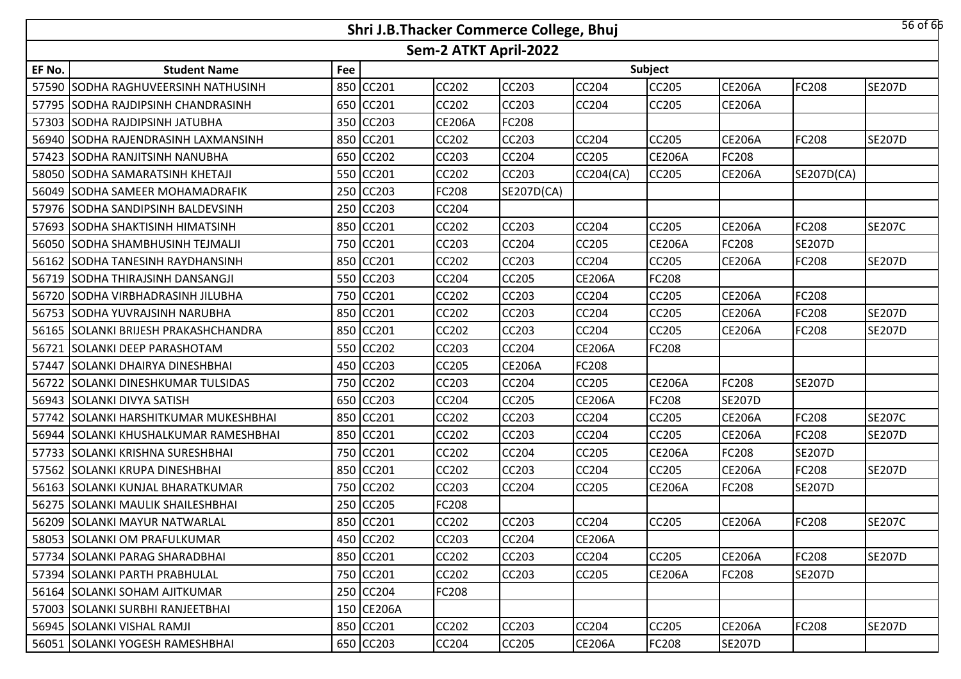|        |                                        |     | Shri J.B.Thacker Commerce College, Bhuj |                       |               |               |               |               |               | 56 of 66      |
|--------|----------------------------------------|-----|-----------------------------------------|-----------------------|---------------|---------------|---------------|---------------|---------------|---------------|
|        |                                        |     |                                         | Sem-2 ATKT April-2022 |               |               |               |               |               |               |
| EF No. | <b>Student Name</b>                    | Fee |                                         |                       |               |               | Subject       |               |               |               |
|        | 57590 SODHA RAGHUVEERSINH NATHUSINH    | 850 | CC201                                   | <b>CC202</b>          | <b>CC203</b>  | <b>CC204</b>  | CC205         | <b>CE206A</b> | <b>FC208</b>  | <b>SE207D</b> |
|        | 57795 SODHA RAJDIPSINH CHANDRASINH     | 650 | CC201                                   | <b>CC202</b>          | <b>CC203</b>  | <b>CC204</b>  | CC205         | <b>CE206A</b> |               |               |
|        | 57303 SODHA RAJDIPSINH JATUBHA         | 350 | CC203                                   | <b>CE206A</b>         | <b>FC208</b>  |               |               |               |               |               |
|        | 56940 SODHA RAJENDRASINH LAXMANSINH    | 850 | CC201                                   | <b>CC202</b>          | <b>CC203</b>  | <b>CC204</b>  | CC205         | <b>CE206A</b> | <b>FC208</b>  | <b>SE207D</b> |
|        | 57423 SODHA RANJITSINH NANUBHA         |     | 650 CC202                               | CC203                 | <b>CC204</b>  | CC205         | <b>CE206A</b> | FC208         |               |               |
|        | 58050 SODHA SAMARATSINH KHETAJI        |     | 550 CC201                               | <b>CC202</b>          | <b>CC203</b>  | CC204(CA)     | <b>CC205</b>  | <b>CE206A</b> | SE207D(CA)    |               |
|        | 56049 SODHA SAMEER MOHAMADRAFIK        |     | 250 CC203                               | FC208                 | SE207D(CA)    |               |               |               |               |               |
|        | 57976 SODHA SANDIPSINH BALDEVSINH      |     | 250 CC203                               | <b>CC204</b>          |               |               |               |               |               |               |
|        | 57693 SODHA SHAKTISINH HIMATSINH       | 850 | CC201                                   | <b>CC202</b>          | <b>CC203</b>  | <b>CC204</b>  | CC205         | <b>CE206A</b> | <b>FC208</b>  | <b>SE207C</b> |
|        | 56050 SODHA SHAMBHUSINH TEJMALJI       | 750 | CC201                                   | CC203                 | <b>CC204</b>  | <b>CC205</b>  | <b>CE206A</b> | FC208         | <b>SE207D</b> |               |
|        | 56162 SODHA TANESINH RAYDHANSINH       | 850 | <b>CC201</b>                            | <b>CC202</b>          | <b>CC203</b>  | CC204         | CC205         | <b>CE206A</b> | FC208         | <b>SE207D</b> |
|        | 56719 SODHA THIRAJSINH DANSANGJI       | 550 | CC203                                   | CC204                 | <b>CC205</b>  | <b>CE206A</b> | FC208         |               |               |               |
|        | 56720 SODHA VIRBHADRASINH JILUBHA      | 750 | CC201                                   | <b>CC202</b>          | <b>CC203</b>  | CC204         | CC205         | <b>CE206A</b> | <b>FC208</b>  |               |
|        | 56753 SODHA YUVRAJSINH NARUBHA         | 850 | CC201                                   | CC202                 | <b>CC203</b>  | CC204         | CC205         | <b>CE206A</b> | FC208         | <b>SE207D</b> |
|        | 56165 SOLANKI BRIJESH PRAKASHCHANDRA   | 850 | CC201                                   | <b>CC202</b>          | <b>CC203</b>  | <b>CC204</b>  | CC205         | <b>CE206A</b> | <b>FC208</b>  | <b>SE207D</b> |
| 56721  | <b>SOLANKI DEEP PARASHOTAM</b>         | 550 | <b>CC202</b>                            | CC203                 | <b>CC204</b>  | <b>CE206A</b> | FC208         |               |               |               |
|        | 57447 SOLANKI DHAIRYA DINESHBHAI       |     | 450 CC203                               | <b>CC205</b>          | <b>CE206A</b> | FC208         |               |               |               |               |
|        | 56722 SOLANKI DINESHKUMAR TULSIDAS     |     | 750 CC202                               | CC203                 | <b>CC204</b>  | CC205         | <b>CE206A</b> | FC208         | <b>SE207D</b> |               |
|        | 56943 SOLANKI DIVYA SATISH             |     | 650 CC203                               | <b>CC204</b>          | <b>CC205</b>  | <b>CE206A</b> | FC208         | <b>SE207D</b> |               |               |
|        | 57742 SOLANKI HARSHITKUMAR MUKESHBHAI  |     | 850 CC201                               | <b>CC202</b>          | <b>CC203</b>  | CC204         | CC205         | <b>CE206A</b> | FC208         | <b>SE207C</b> |
|        | 56944 ISOLANKI KHUSHALKUMAR RAMESHBHAI |     | 850 CC201                               | <b>CC202</b>          | <b>CC203</b>  | <b>CC204</b>  | CC205         | <b>CE206A</b> | <b>FC208</b>  | <b>SE207D</b> |
|        | 57733 SOLANKI KRISHNA SURESHBHAI       | 750 | CC201                                   | <b>CC202</b>          | <b>CC204</b>  | CC205         | <b>CE206A</b> | FC208         | <b>SE207D</b> |               |
|        | 57562 SOLANKI KRUPA DINESHBHAI         | 850 | CC201                                   | <b>CC202</b>          | <b>CC203</b>  | <b>CC204</b>  | CC205         | <b>CE206A</b> | <b>FC208</b>  | <b>SE207D</b> |
|        | 56163 SOLANKI KUNJAL BHARATKUMAR       | 750 | <b>CC202</b>                            | <b>CC203</b>          | <b>CC204</b>  | CC205         | <b>CE206A</b> | FC208         | <b>SE207D</b> |               |
|        | 56275 SOLANKI MAULIK SHAILESHBHAI      | 250 | CC205                                   | FC208                 |               |               |               |               |               |               |
|        | 56209 SOLANKI MAYUR NATWARLAL          |     | 850 CC201                               | <b>CC202</b>          | <b>CC203</b>  | <b>CC204</b>  | CC205         | <b>CE206A</b> | <b>FC208</b>  | <b>SE207C</b> |
|        | 58053 SOLANKI OM PRAFULKUMAR           |     | 450 CC202                               | CC203                 | <b>CC204</b>  | <b>CE206A</b> |               |               |               |               |
|        | 57734 SOLANKI PARAG SHARADBHAI         |     | 850 CC201                               | <b>CC202</b>          | <b>CC203</b>  | CC204         | CC205         | <b>CE206A</b> | <b>FC208</b>  | <b>SE207D</b> |
|        | 57394 SOLANKI PARTH PRABHULAL          |     | 750 CC201                               | <b>CC202</b>          | <b>CC203</b>  | <b>CC205</b>  | <b>CE206A</b> | FC208         | <b>SE207D</b> |               |
|        | 56164 SOLANKI SOHAM AJITKUMAR          |     | 250 CC204                               | <b>FC208</b>          |               |               |               |               |               |               |
|        | 57003 SOLANKI SURBHI RANJEETBHAI       |     | 150 CE206A                              |                       |               |               |               |               |               |               |
|        | 56945 SOLANKI VISHAL RAMJI             |     | 850 CC201                               | CC202                 | <b>CC203</b>  | <b>CC204</b>  | CC205         | <b>CE206A</b> | <b>FC208</b>  | <b>SE207D</b> |
|        | 56051 SOLANKI YOGESH RAMESHBHAI        |     | 650 CC203                               | CC204                 | <b>CC205</b>  | <b>CE206A</b> | FC208         | <b>SE207D</b> |               |               |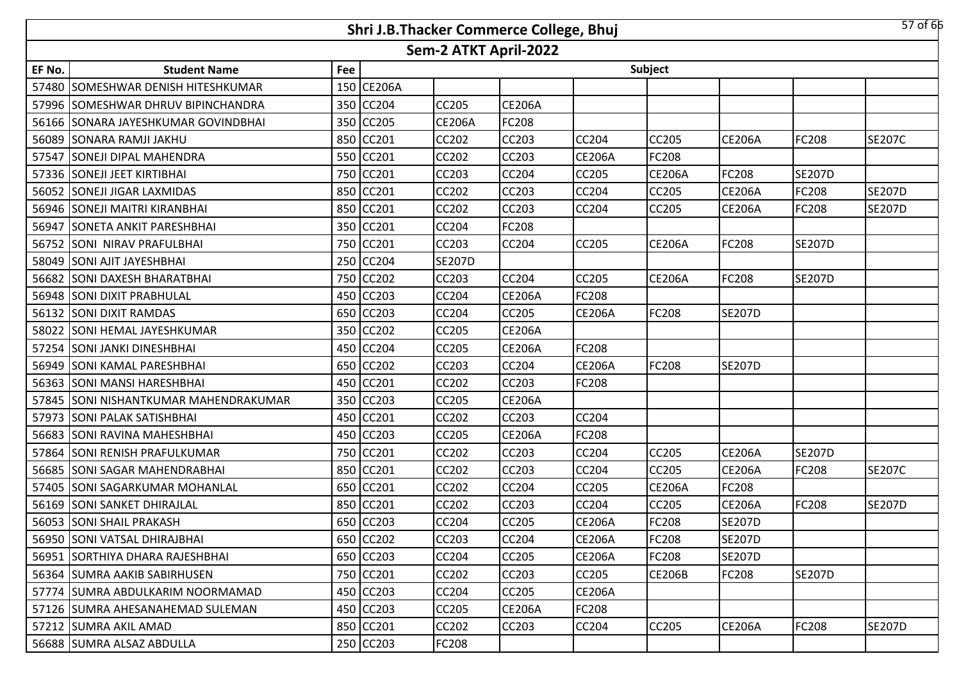|        |                                        |     |              |                       | Shri J.B.Thacker Commerce College, Bhuj |               |               |               |               | $57$ of 66    |
|--------|----------------------------------------|-----|--------------|-----------------------|-----------------------------------------|---------------|---------------|---------------|---------------|---------------|
|        |                                        |     |              | Sem-2 ATKT April-2022 |                                         |               |               |               |               |               |
| EF No. | <b>Student Name</b>                    | Fee |              |                       |                                         |               | Subject       |               |               |               |
|        | 57480 SOMESHWAR DENISH HITESHKUMAR     |     | 150 CE206A   |                       |                                         |               |               |               |               |               |
|        | 57996 SOMESHWAR DHRUV BIPINCHANDRA     | 350 | <b>CC204</b> | <b>CC205</b>          | <b>CE206A</b>                           |               |               |               |               |               |
| 56166  | SONARA JAYESHKUMAR GOVINDBHAI          | 350 | <b>CC205</b> | <b>CE206A</b>         | FC208                                   |               |               |               |               |               |
| 56089  | <b>SONARA RAMJI JAKHU</b>              | 850 | <b>CC201</b> | CC202                 | <b>CC203</b>                            | <b>CC204</b>  | CC205         | <b>CE206A</b> | <b>FC208</b>  | <b>SE207C</b> |
| 57547  | <b>SONEJI DIPAL MAHENDRA</b>           | 550 | CC201        | CC202                 | CC203                                   | <b>CE206A</b> | FC208         |               |               |               |
| 57336  | <b>SONEJI JEET KIRTIBHAI</b>           | 750 | CC201        | CC203                 | CC204                                   | CC205         | <b>CE206A</b> | FC208         | <b>SE207D</b> |               |
| 56052  | <b>SONEJI JIGAR LAXMIDAS</b>           | 850 | <b>CC201</b> | CC202                 | CC203                                   | CC204         | CC205         | <b>CE206A</b> | <b>FC208</b>  | <b>SE207D</b> |
|        | 56946 SONEJI MAITRI KIRANBHAI          | 850 | CC201        | CC202                 | CC203                                   | <b>CC204</b>  | CC205         | <b>CE206A</b> | <b>FC208</b>  | <b>SE207D</b> |
| 56947  | <b>SONETA ANKIT PARESHBHAI</b>         | 350 | <b>CC201</b> | CC204                 | FC208                                   |               |               |               |               |               |
| 56752  | <b>SONI NIRAV PRAFULBHAI</b>           | 750 | <b>CC201</b> | CC203                 | CC204                                   | CC205         | <b>CE206A</b> | FC208         | <b>SE207D</b> |               |
|        | 58049 SONI AJIT JAYESHBHAI             | 250 | <b>CC204</b> | <b>SE207D</b>         |                                         |               |               |               |               |               |
| 56682  | <b>SONI DAXESH BHARATBHAI</b>          |     | 750 CC202    | CC203                 | <b>CC204</b>                            | CC205         | <b>CE206A</b> | FC208         | <b>SE207D</b> |               |
|        | 56948 SONI DIXIT PRABHULAL             | 450 | CC203        | <b>CC204</b>          | <b>CE206A</b>                           | <b>FC208</b>  |               |               |               |               |
| 56132  | <b>SONI DIXIT RAMDAS</b>               |     | 650 CC203    | CC204                 | CC205                                   | <b>CE206A</b> | FC208         | <b>SE207D</b> |               |               |
| 58022  | <b>SONI HEMAL JAYESHKUMAR</b>          | 350 | <b>CC202</b> | <b>CC205</b>          | <b>CE206A</b>                           |               |               |               |               |               |
| 57254  | <b>SONI JANKI DINESHBHAI</b>           | 450 | CC204        | CC205                 | <b>CE206A</b>                           | <b>FC208</b>  |               |               |               |               |
| 56949  | <b>SONI KAMAL PARESHBHAI</b>           | 650 | <b>CC202</b> | CC203                 | <b>CC204</b>                            | <b>CE206A</b> | <b>FC208</b>  | <b>SE207D</b> |               |               |
| 56363  | <b>SONI MANSI HARESHBHAI</b>           | 450 | CC201        | CC202                 | CC203                                   | <b>FC208</b>  |               |               |               |               |
| 57845  | <b>SONI NISHANTKUMAR MAHENDRAKUMAR</b> | 350 | <b>CC203</b> | CC205                 | <b>CE206A</b>                           |               |               |               |               |               |
|        | 57973 SONI PALAK SATISHBHAI            | 450 | CC201        | CC202                 | CC203                                   | CC204         |               |               |               |               |
| 56683  | <b>SONI RAVINA MAHESHBHAI</b>          | 450 | <b>CC203</b> | CC205                 | <b>CE206A</b>                           | FC208         |               |               |               |               |
| 57864  | <b>SONI RENISH PRAFULKUMAR</b>         | 750 | <b>CC201</b> | CC202                 | <b>CC203</b>                            | <b>CC204</b>  | CC205         | <b>CE206A</b> | <b>SE207D</b> |               |
| 56685  | <b>SONI SAGAR MAHENDRABHAI</b>         | 850 | <b>CC201</b> | CC202                 | CC203                                   | CC204         | CC205         | <b>CE206A</b> | <b>FC208</b>  | <b>SE207C</b> |
|        | 57405 SONI SAGARKUMAR MOHANLAL         | 650 | CC201        | <b>CC202</b>          | <b>CC204</b>                            | <b>CC205</b>  | <b>CE206A</b> | FC208         |               |               |
|        | 56169   SONI SANKET DHIRAJLAL          |     | 850 CC201    | CC202                 | <b>CC203</b>                            | CC204         | CC205         | <b>CE206A</b> | FC208         | <b>SE207D</b> |
|        | 56053 SONI SHAIL PRAKASH               |     | 650 CC203    | <b>CC204</b>          | <b>CC205</b>                            | <b>CE206A</b> | FC208         | <b>SE207D</b> |               |               |
|        | 56950 SONI VATSAL DHIRAJBHAI           |     | 650 CC202    | CC203                 | <b>CC204</b>                            | <b>CE206A</b> | FC208         | <b>SE207D</b> |               |               |
|        | 56951 SORTHIYA DHARA RAJESHBHAI        |     | 650 CC203    | CC204                 | CC205                                   | <b>CE206A</b> | FC208         | <b>SE207D</b> |               |               |
|        | 56364 SUMRA AAKIB SABIRHUSEN           |     | 750 CC201    | CC202                 | CC203                                   | CC205         | <b>CE206B</b> | FC208         | <b>SE207D</b> |               |
|        | 57774 SUMRA ABDULKARIM NOORMAMAD       | 450 | <b>CC203</b> | CC204                 | <b>CC205</b>                            | <b>CE206A</b> |               |               |               |               |
|        | 57126 SUMRA AHESANAHEMAD SULEMAN       |     | 450 CC203    | CC205                 | <b>CE206A</b>                           | FC208         |               |               |               |               |
|        | 57212 SUMRA AKIL AMAD                  | 850 | CC201        | CC202                 | CC203                                   | <b>CC204</b>  | CC205         | <b>CE206A</b> | <b>FC208</b>  | <b>SE207D</b> |
|        | 56688 SUMRA ALSAZ ABDULLA              |     | 250 CC203    | FC208                 |                                         |               |               |               |               |               |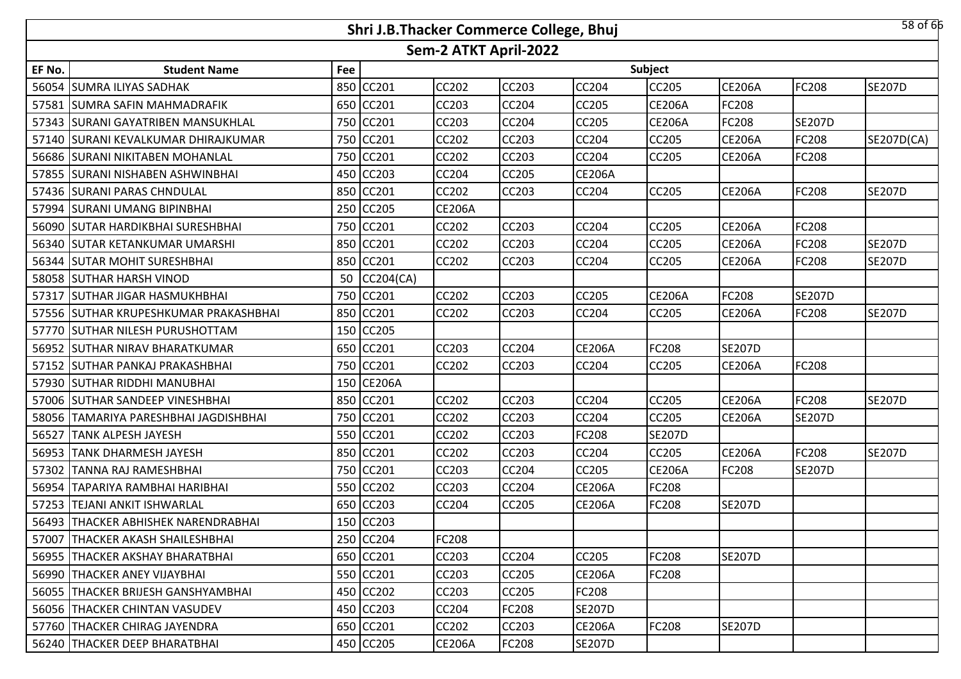|        |                                       |     |              |                       | Shri J.B.Thacker Commerce College, Bhuj |               |               |               |               | 58 of 66      |
|--------|---------------------------------------|-----|--------------|-----------------------|-----------------------------------------|---------------|---------------|---------------|---------------|---------------|
|        |                                       |     |              | Sem-2 ATKT April-2022 |                                         |               |               |               |               |               |
| EF No. | <b>Student Name</b>                   | Fee |              |                       |                                         |               | Subject       |               |               |               |
|        | 56054 SUMRA ILIYAS SADHAK             | 850 | <b>CC201</b> | <b>CC202</b>          | <b>CC203</b>                            | <b>CC204</b>  | CC205         | <b>CE206A</b> | <b>FC208</b>  | <b>SE207D</b> |
|        | 57581 SUMRA SAFIN MAHMADRAFIK         |     | 650 CC201    | <b>CC203</b>          | <b>CC204</b>                            | <b>CC205</b>  | <b>CE206A</b> | FC208         |               |               |
|        | 57343 SURANI GAYATRIBEN MANSUKHLAL    |     | 750 CC201    | CC203                 | <b>CC204</b>                            | CC205         | <b>CE206A</b> | FC208         | <b>SE207D</b> |               |
|        | 57140 SURANI KEVALKUMAR DHIRAJKUMAR   |     | 750 CC201    | <b>CC202</b>          | <b>CC203</b>                            | <b>CC204</b>  | <b>CC205</b>  | <b>CE206A</b> | <b>FC208</b>  | SE207D(CA)    |
|        | 56686 SURANI NIKITABEN MOHANLAL       |     | 750 CC201    | <b>CC202</b>          | <b>CC203</b>                            | CC204         | CC205         | <b>CE206A</b> | FC208         |               |
|        | 57855 SURANI NISHABEN ASHWINBHAI      |     | 450 CC203    | <b>CC204</b>          | <b>CC205</b>                            | <b>CE206A</b> |               |               |               |               |
|        | 57436 SURANI PARAS CHNDULAL           |     | 850 CC201    | <b>CC202</b>          | <b>CC203</b>                            | CC204         | CC205         | <b>CE206A</b> | <b>FC208</b>  | <b>SE207D</b> |
|        | 57994 SURANI UMANG BIPINBHAI          | 250 | <b>CC205</b> | <b>CE206A</b>         |                                         |               |               |               |               |               |
|        | 56090 SUTAR HARDIKBHAI SURESHBHAI     | 750 | CC201        | <b>CC202</b>          | <b>CC203</b>                            | CC204         | <b>CC205</b>  | <b>CE206A</b> | <b>FC208</b>  |               |
|        | 56340   SUTAR KETANKUMAR UMARSHI      | 850 | CC201        | <b>CC202</b>          | <b>CC203</b>                            | CC204         | CC205         | <b>CE206A</b> | FC208         | <b>SE207D</b> |
|        | 56344 SUTAR MOHIT SURESHBHAI          | 850 | CC201        | <b>CC202</b>          | <b>CC203</b>                            | <b>CC204</b>  | CC205         | <b>CE206A</b> | <b>FC208</b>  | <b>SE207D</b> |
|        | 58058 SUTHAR HARSH VINOD              | 50  | CC204(CA)    |                       |                                         |               |               |               |               |               |
|        | 57317 SUTHAR JIGAR HASMUKHBHAI        | 750 | CC201        | <b>CC202</b>          | <b>CC203</b>                            | CC205         | <b>CE206A</b> | FC208         | <b>SE207D</b> |               |
|        | 57556 SUTHAR KRUPESHKUMAR PRAKASHBHAI |     | 850 CC201    | <b>CC202</b>          | <b>CC203</b>                            | CC204         | CC205         | <b>CE206A</b> | FC208         | <b>SE207D</b> |
|        | 57770 SUTHAR NILESH PURUSHOTTAM       |     | 150 CC205    |                       |                                         |               |               |               |               |               |
|        | 56952 SUTHAR NIRAV BHARATKUMAR        |     | 650 CC201    | <b>CC203</b>          | <b>CC204</b>                            | <b>CE206A</b> | FC208         | <b>SE207D</b> |               |               |
|        | 57152 SUTHAR PANKAJ PRAKASHBHAI       |     | 750 CC201    | <b>CC202</b>          | <b>CC203</b>                            | <b>CC204</b>  | <b>CC205</b>  | <b>CE206A</b> | <b>FC208</b>  |               |
|        | 57930 SUTHAR RIDDHI MANUBHAI          |     | 150 CE206A   |                       |                                         |               |               |               |               |               |
|        | 57006 SUTHAR SANDEEP VINESHBHAI       | 850 | <b>CC201</b> | <b>CC202</b>          | <b>CC203</b>                            | <b>CC204</b>  | CC205         | <b>CE206A</b> | <b>FC208</b>  | <b>SE207D</b> |
| 58056  | TAMARIYA PARESHBHAI JAGDISHBHAI       | 750 | <b>CC201</b> | <b>CC202</b>          | <b>CC203</b>                            | CC204         | CC205         | <b>CE206A</b> | <b>SE207D</b> |               |
| 56527  | <b>TANK ALPESH JAYESH</b>             | 550 | CC201        | CC202                 | <b>CC203</b>                            | FC208         | <b>SE207D</b> |               |               |               |
| 56953  | <b>TANK DHARMESH JAYESH</b>           | 850 | CC201        | <b>CC202</b>          | <b>CC203</b>                            | <b>CC204</b>  | CC205         | <b>CE206A</b> | <b>FC208</b>  | <b>SE207D</b> |
| 57302  | TANNA RAJ RAMESHBHAI                  | 750 | CC201        | CC203                 | <b>CC204</b>                            | <b>CC205</b>  | <b>CE206A</b> | FC208         | <b>SE207D</b> |               |
| 56954  | TAPARIYA RAMBHAI HARIBHAI             | 550 | <b>CC202</b> | <b>CC203</b>          | <b>CC204</b>                            | <b>CE206A</b> | FC208         |               |               |               |
| 57253  | <b>TEJANI ANKIT ISHWARLAL</b>         | 650 | <b>CC203</b> | <b>CC204</b>          | <b>CC205</b>                            | <b>CE206A</b> | FC208         | <b>SE207D</b> |               |               |
|        | 56493 THACKER ABHISHEK NARENDRABHAI   |     | 150 CC203    |                       |                                         |               |               |               |               |               |
|        | 57007   THACKER AKASH SHAILESHBHAI    |     | 250 CC204    | <b>FC208</b>          |                                         |               |               |               |               |               |
|        | 56955 THACKER AKSHAY BHARATBHAI       |     | 650 CC201    | CC203                 | <b>CC204</b>                            | <b>CC205</b>  | FC208         | <b>SE207D</b> |               |               |
|        | 56990 THACKER ANEY VIJAYBHAI          |     | 550 CC201    | CC203                 | <b>CC205</b>                            | <b>CE206A</b> | FC208         |               |               |               |
|        | 56055   THACKER BRIJESH GANSHYAMBHAI  |     | 450 CC202    | CC203                 | <b>CC205</b>                            | <b>FC208</b>  |               |               |               |               |
|        | 56056   THACKER CHINTAN VASUDEV       |     | 450 CC203    | CC204                 | <b>FC208</b>                            | <b>SE207D</b> |               |               |               |               |
|        | 57760 THACKER CHIRAG JAYENDRA         |     | 650 CC201    | CC202                 | <b>CC203</b>                            | <b>CE206A</b> | <b>FC208</b>  | <b>SE207D</b> |               |               |
|        | 56240   THACKER DEEP BHARATBHAI       |     | 450 CC205    | <b>CE206A</b>         | <b>FC208</b>                            | <b>SE207D</b> |               |               |               |               |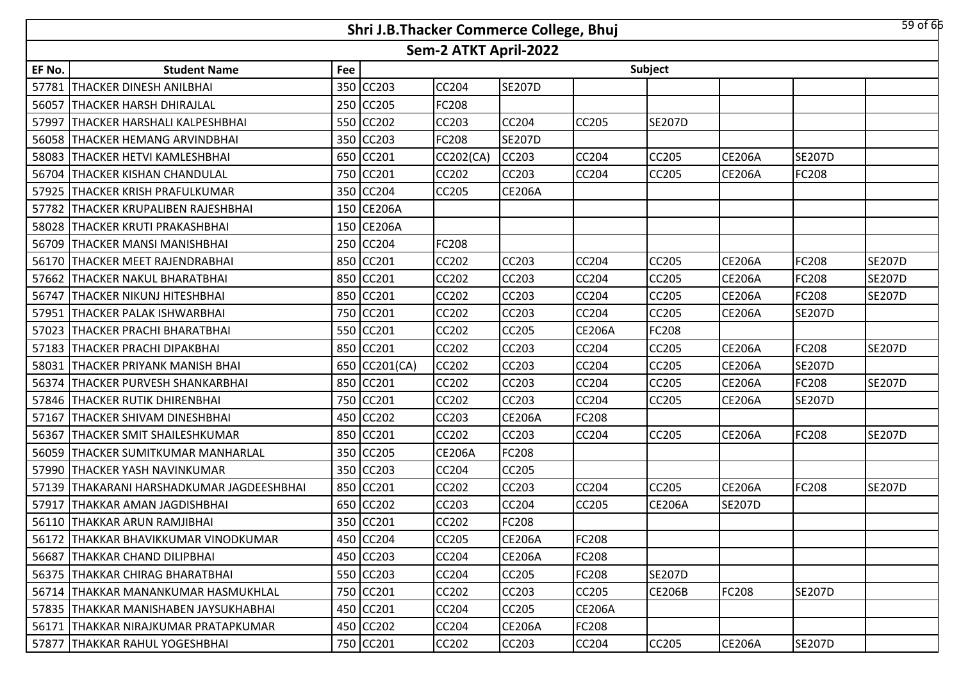|        |                                                                |     | Shri J.B.Thacker Commerce College, Bhuj |               |               |               |               |               |               | $59$ of 66    |  |  |  |  |
|--------|----------------------------------------------------------------|-----|-----------------------------------------|---------------|---------------|---------------|---------------|---------------|---------------|---------------|--|--|--|--|
|        | Sem-2 ATKT April-2022<br>Subject<br><b>Student Name</b><br>Fee |     |                                         |               |               |               |               |               |               |               |  |  |  |  |
| EF No. |                                                                |     |                                         |               |               |               |               |               |               |               |  |  |  |  |
| 57781  | <b>THACKER DINESH ANILBHAI</b>                                 | 350 | <b>CC203</b>                            | <b>CC204</b>  | <b>SE207D</b> |               |               |               |               |               |  |  |  |  |
| 56057  | <b>THACKER HARSH DHIRAJLAL</b>                                 |     | 250 CC205                               | FC208         |               |               |               |               |               |               |  |  |  |  |
| 57997  | THACKER HARSHALI KALPESHBHAI                                   |     | 550 CC202                               | CC203         | <b>CC204</b>  | <b>CC205</b>  | <b>SE207D</b> |               |               |               |  |  |  |  |
|        | 56058 THACKER HEMANG ARVINDBHAI                                |     | 350 CC203                               | FC208         | <b>SE207D</b> |               |               |               |               |               |  |  |  |  |
| 58083  | <b>THACKER HETVI KAMLESHBHAI</b>                               |     | 650 CC201                               | CC202(CA)     | <b>CC203</b>  | <b>CC204</b>  | CC205         | <b>CE206A</b> | <b>SE207D</b> |               |  |  |  |  |
| 56704  | <b>THACKER KISHAN CHANDULAL</b>                                |     | 750 CC201                               | <b>CC202</b>  | <b>CC203</b>  | <b>CC204</b>  | CC205         | <b>CE206A</b> | <b>FC208</b>  |               |  |  |  |  |
| 57925  | THACKER KRISH PRAFULKUMAR                                      |     | 350 CC204                               | <b>CC205</b>  | <b>CE206A</b> |               |               |               |               |               |  |  |  |  |
| 57782  | THACKER KRUPALIBEN RAJESHBHAI                                  | 150 | <b>CE206A</b>                           |               |               |               |               |               |               |               |  |  |  |  |
| 58028  | THACKER KRUTI PRAKASHBHAI                                      | 150 | <b>CE206A</b>                           |               |               |               |               |               |               |               |  |  |  |  |
| 56709  | <b>THACKER MANSI MANISHBHAI</b>                                | 250 | CC204                                   | FC208         |               |               |               |               |               |               |  |  |  |  |
| 56170  | THACKER MEET RAJENDRABHAI                                      | 850 | <b>CC201</b>                            | <b>CC202</b>  | <b>CC203</b>  | CC204         | CC205         | <b>CE206A</b> | <b>FC208</b>  | <b>SE207D</b> |  |  |  |  |
| 57662  | THACKER NAKUL BHARATBHAI                                       | 850 | CC201                                   | CC202         | <b>CC203</b>  | CC204         | CC205         | <b>CE206A</b> | FC208         | <b>SE207D</b> |  |  |  |  |
| 56747  | THACKER NIKUNJ HITESHBHAI                                      |     | 850 CC201                               | <b>CC202</b>  | <b>CC203</b>  | CC204         | CC205         | <b>CE206A</b> | <b>FC208</b>  | <b>SE207D</b> |  |  |  |  |
| 57951  | <b>THACKER PALAK ISHWARBHAI</b>                                |     | 750 CC201                               | <b>CC202</b>  | <b>CC203</b>  | CC204         | CC205         | <b>CE206A</b> | <b>SE207D</b> |               |  |  |  |  |
| 57023  | <b>THACKER PRACHI BHARATBHAI</b>                               |     | 550 CC201                               | <b>CC202</b>  | <b>CC205</b>  | <b>CE206A</b> | FC208         |               |               |               |  |  |  |  |
| 57183  | <b>THACKER PRACHI DIPAKBHAI</b>                                |     | 850 CC201                               | <b>CC202</b>  | <b>CC203</b>  | CC204         | CC205         | <b>CE206A</b> | <b>FC208</b>  | <b>SE207D</b> |  |  |  |  |
| 58031  | THACKER PRIYANK MANISH BHAI                                    |     | 650 CC201(CA)                           | <b>CC202</b>  | <b>CC203</b>  | <b>CC204</b>  | CC205         | <b>CE206A</b> | <b>SE207D</b> |               |  |  |  |  |
| 56374  | THACKER PURVESH SHANKARBHAI                                    |     | 850 CC201                               | <b>CC202</b>  | <b>CC203</b>  | CC204         | CC205         | <b>CE206A</b> | <b>FC208</b>  | <b>SE207D</b> |  |  |  |  |
| 57846  | <b>THACKER RUTIK DHIRENBHAI</b>                                | 750 | CC201                                   | <b>CC202</b>  | <b>CC203</b>  | <b>CC204</b>  | CC205         | <b>CE206A</b> | <b>SE207D</b> |               |  |  |  |  |
| 57167  | THACKER SHIVAM DINESHBHAI                                      | 450 | <b>CC202</b>                            | CC203         | <b>CE206A</b> | <b>FC208</b>  |               |               |               |               |  |  |  |  |
| 56367  | <b>THACKER SMIT SHAILESHKUMAR</b>                              | 850 | CC201                                   | CC202         | <b>CC203</b>  | <b>CC204</b>  | <b>CC205</b>  | <b>CE206A</b> | <b>FC208</b>  | <b>SE207D</b> |  |  |  |  |
| 56059  | THACKER SUMITKUMAR MANHARLAL                                   | 350 | <b>CC205</b>                            | <b>CE206A</b> | <b>FC208</b>  |               |               |               |               |               |  |  |  |  |
| 57990  | THACKER YASH NAVINKUMAR                                        | 350 | CC203                                   | CC204         | <b>CC205</b>  |               |               |               |               |               |  |  |  |  |
| 57139  | THAKARANI HARSHADKUMAR JAGDEESHBHAI                            | 850 | CC201                                   | <b>CC202</b>  | <b>CC203</b>  | CC204         | CC205         | <b>CE206A</b> | <b>FC208</b>  | <b>SE207D</b> |  |  |  |  |
| 57917  | THAKKAR AMAN JAGDISHBHAI                                       | 650 | CC202                                   | <b>CC203</b>  | <b>CC204</b>  | CC205         | <b>CE206A</b> | <b>SE207D</b> |               |               |  |  |  |  |
|        | 56110 THAKKAR ARUN RAMJIBHAI                                   |     | 350 CC201                               | CC202         | <b>FC208</b>  |               |               |               |               |               |  |  |  |  |
|        | 56172   THAKKAR BHAVIKKUMAR VINODKUMAR                         |     | 450 CC204                               | <b>CC205</b>  | <b>CE206A</b> | FC208         |               |               |               |               |  |  |  |  |
|        | 56687   THAKKAR CHAND DILIPBHAI                                |     | 450 CC203                               | <b>CC204</b>  | <b>CE206A</b> | <b>FC208</b>  |               |               |               |               |  |  |  |  |
|        | 56375   THAKKAR CHIRAG BHARATBHAI                              |     | 550 CC203                               | <b>CC204</b>  | <b>CC205</b>  | FC208         | <b>SE207D</b> |               |               |               |  |  |  |  |
|        | 56714   THAKKAR MANANKUMAR HASMUKHLAL                          |     | 750 CC201                               | CC202         | <b>CC203</b>  | <b>CC205</b>  | <b>CE206B</b> | FC208         | <b>SE207D</b> |               |  |  |  |  |
|        | 57835   THAKKAR MANISHABEN JAYSUKHABHAI                        |     | 450 CC201                               | CC204         | <b>CC205</b>  | <b>CE206A</b> |               |               |               |               |  |  |  |  |
| 56171  | ITHAKKAR NIRAJKUMAR PRATAPKUMAR                                |     | 450 CC202                               | CC204         | <b>CE206A</b> | <b>FC208</b>  |               |               |               |               |  |  |  |  |
|        | 57877 THAKKAR RAHUL YOGESHBHAI                                 |     | 750 CC201                               | CC202         | <b>CC203</b>  | CC204         | CC205         | <b>CE206A</b> | <b>SE207D</b> |               |  |  |  |  |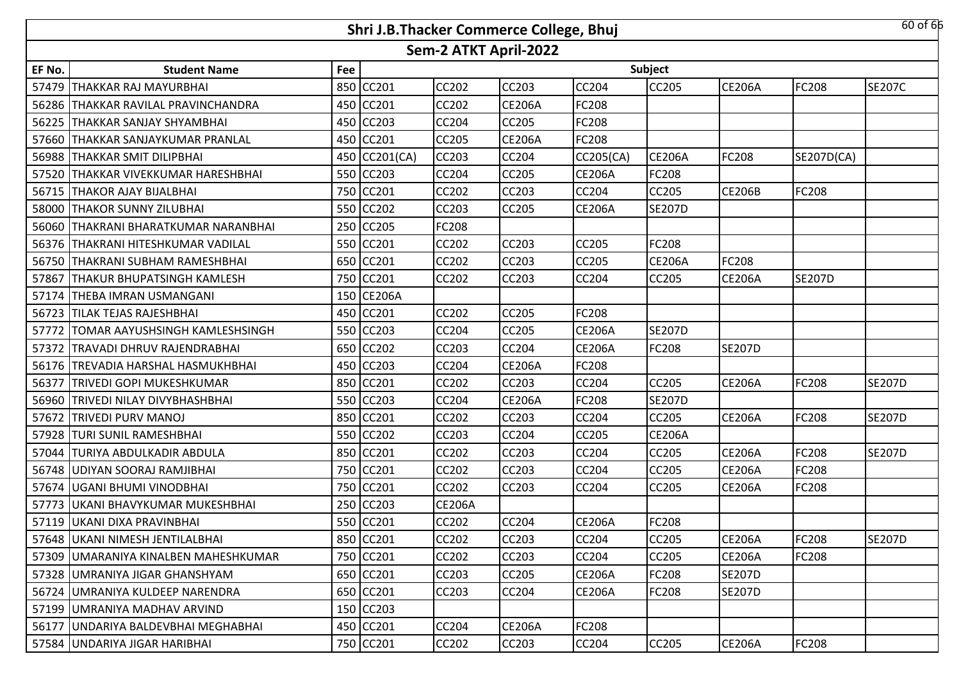|        |                                       |     | Shri J.B.Thacker Commerce College, Bhuj |                       |               |               |               |               |               | $60$ of $65$  |
|--------|---------------------------------------|-----|-----------------------------------------|-----------------------|---------------|---------------|---------------|---------------|---------------|---------------|
|        |                                       |     |                                         | Sem-2 ATKT April-2022 |               |               |               |               |               |               |
| EF No. | <b>Student Name</b>                   | Fee |                                         |                       |               |               | Subject       |               |               |               |
| 57479  | THAKKAR RAJ MAYURBHAI                 | 850 | CC201                                   | <b>CC202</b>          | <b>CC203</b>  | CC204         | CC205         | <b>CE206A</b> | <b>FC208</b>  | <b>SE207C</b> |
|        | 56286   THAKKAR RAVILAL PRAVINCHANDRA |     | 450 CC201                               | <b>CC202</b>          | <b>CE206A</b> | FC208         |               |               |               |               |
| 56225  | THAKKAR SANJAY SHYAMBHAI              |     | 450 CC203                               | <b>CC204</b>          | <b>CC205</b>  | FC208         |               |               |               |               |
|        | 57660 THAKKAR SANJAYKUMAR PRANLAL     |     | 450 CC201                               | <b>CC205</b>          | <b>CE206A</b> | <b>FC208</b>  |               |               |               |               |
|        | 56988 THAKKAR SMIT DILIPBHAI          |     | 450 CC201(CA)                           | <b>CC203</b>          | <b>CC204</b>  | CC205(CA)     | <b>CE206A</b> | FC208         | SE207D(CA)    |               |
| 57520  | THAKKAR VIVEKKUMAR HARESHBHAI         |     | 550 CC203                               | CC204                 | <b>CC205</b>  | <b>CE206A</b> | FC208         |               |               |               |
| 56715  | <b>THAKOR AJAY BIJALBHAI</b>          |     | 750 CC201                               | <b>CC202</b>          | <b>CC203</b>  | CC204         | CC205         | <b>CE206B</b> | <b>FC208</b>  |               |
| 58000  | <b>THAKOR SUNNY ZILUBHAI</b>          | 550 | <b>CC202</b>                            | CC203                 | <b>CC205</b>  | <b>CE206A</b> | <b>SE207D</b> |               |               |               |
| 56060  | THAKRANI BHARATKUMAR NARANBHAI        | 250 | CC205                                   | FC208                 |               |               |               |               |               |               |
| 56376  | <b>ITHAKRANI HITESHKUMAR VADILAL</b>  | 550 | CC201                                   | CC202                 | <b>CC203</b>  | CC205         | FC208         |               |               |               |
| 56750  | THAKRANI SUBHAM RAMESHBHAI            | 650 | CC201                                   | <b>CC202</b>          | <b>CC203</b>  | CC205         | <b>CE206A</b> | FC208         |               |               |
| 57867  | THAKUR BHUPATSINGH KAMLESH            | 750 | CC201                                   | CC202                 | <b>CC203</b>  | CC204         | CC205         | <b>CE206A</b> | <b>SE207D</b> |               |
| 57174  | <b>THEBA IMRAN USMANGANI</b>          |     | 150 CE206A                              |                       |               |               |               |               |               |               |
| 56723  | <b>TILAK TEJAS RAJESHBHAI</b>         |     | 450 CC201                               | <b>CC202</b>          | <b>CC205</b>  | FC208         |               |               |               |               |
| 57772  | TOMAR AAYUSHSINGH KAMLESHSINGH        |     | 550 CC203                               | <b>CC204</b>          | <b>CC205</b>  | <b>CE206A</b> | <b>SE207D</b> |               |               |               |
| 57372  | ITRAVADI DHRUV RAJENDRABHAI           |     | 650 CC202                               | CC203                 | <b>CC204</b>  | <b>CE206A</b> | FC208         | <b>SE207D</b> |               |               |
| 56176  | <b>TREVADIA HARSHAL HASMUKHBHAI</b>   | 450 | <b>CC203</b>                            | <b>CC204</b>          | <b>CE206A</b> | FC208         |               |               |               |               |
| 56377  | <b>TRIVEDI GOPI MUKESHKUMAR</b>       | 850 | CC201                                   | <b>CC202</b>          | <b>CC203</b>  | CC204         | <b>CC205</b>  | <b>CE206A</b> | FC208         | <b>SE207D</b> |
| 56960  | <b>TRIVEDI NILAY DIVYBHASHBHAI</b>    | 550 | CC203                                   | CC204                 | <b>CE206A</b> | <b>FC208</b>  | <b>SE207D</b> |               |               |               |
| 57672  | <b>TRIVEDI PURV MANOJ</b>             | 850 | <b>CC201</b>                            | <b>CC202</b>          | <b>CC203</b>  | CC204         | CC205         | <b>CE206A</b> | <b>FC208</b>  | <b>SE207D</b> |
| 57928  | <b> TURI SUNIL RAMESHBHAI</b>         | 550 | CC202                                   | CC203                 | <b>CC204</b>  | CC205         | <b>CE206A</b> |               |               |               |
| 57044  | TURIYA ABDULKADIR ABDULA              | 850 | <b>CC201</b>                            | <b>CC202</b>          | <b>CC203</b>  | CC204         | CC205         | <b>CE206A</b> | <b>FC208</b>  | <b>SE207D</b> |
|        | 56748 UDIYAN SOORAJ RAMJIBHAI         | 750 | CC201                                   | CC202                 | <b>CC203</b>  | CC204         | CC205         | <b>CE206A</b> | <b>FC208</b>  |               |
|        | 57674   UGANI BHUMI VINODBHAI         | 750 | CC201                                   | <b>CC202</b>          | <b>CC203</b>  | <b>CC204</b>  | CC205         | <b>CE206A</b> | <b>FC208</b>  |               |
|        | 57773   UKANI BHAVYKUMAR MUKESHBHAI   | 250 | CC203                                   | <b>CE206A</b>         |               |               |               |               |               |               |
|        | 57119 UKANI DIXA PRAVINBHAI           |     | 550 CC201                               | CC202                 | <b>CC204</b>  | <b>CE206A</b> | FC208         |               |               |               |
|        | 57648 UKANI NIMESH JENTILALBHAI       |     | 850 CC201                               | <b>CC202</b>          | <b>CC203</b>  | <b>CC204</b>  | CC205         | <b>CE206A</b> | <b>FC208</b>  | <b>SE207D</b> |
|        | 57309 JUMARANIYA KINALBEN MAHESHKUMAR |     | 750 CC201                               | CC202                 | <b>CC203</b>  | <b>CC204</b>  | CC205         | <b>CE206A</b> | <b>FC208</b>  |               |
|        | 57328 JUMRANIYA JIGAR GHANSHYAM       |     | 650 CC201                               | CC203                 | <b>CC205</b>  | <b>CE206A</b> | FC208         | <b>SE207D</b> |               |               |
|        | 56724 JUMRANIYA KULDEEP NARENDRA      |     | 650 CC201                               | CC203                 | <b>CC204</b>  | <b>CE206A</b> | FC208         | <b>SE207D</b> |               |               |
|        | 57199 JUMRANIYA MADHAV ARVIND         |     | 150 CC203                               |                       |               |               |               |               |               |               |
|        | 56177 JUNDARIYA BALDEVBHAI MEGHABHAI  |     | 450 CC201                               | CC204                 | <b>CE206A</b> | <b>FC208</b>  |               |               |               |               |
|        | 57584 UNDARIYA JIGAR HARIBHAI         |     | 750 CC201                               | CC202                 | CC203         | CC204         | CC205         | <b>CE206A</b> | <b>FC208</b>  |               |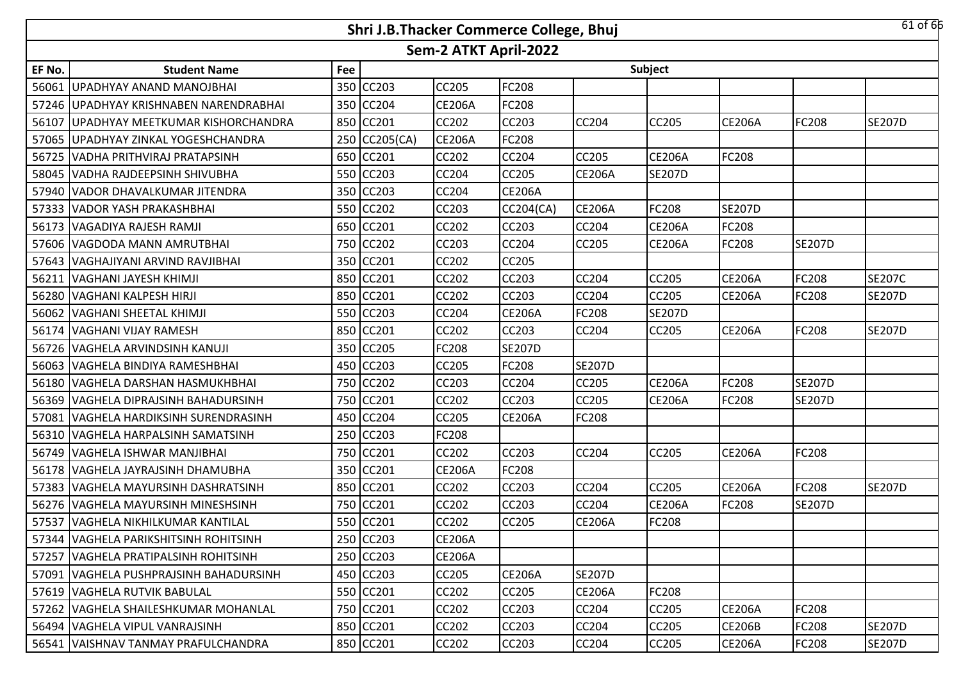| $61$ of $66$<br>Shri J.B.Thacker Commerce College, Bhuj |                                          |     |               |               |               |               |               |               |               |               |
|---------------------------------------------------------|------------------------------------------|-----|---------------|---------------|---------------|---------------|---------------|---------------|---------------|---------------|
| Sem-2 ATKT April-2022                                   |                                          |     |               |               |               |               |               |               |               |               |
| EF No.                                                  | <b>Student Name</b>                      | Fee |               |               |               |               | Subject       |               |               |               |
| 56061                                                   | UPADHYAY ANAND MANOJBHAI                 | 350 | <b>CC203</b>  | <b>CC205</b>  | <b>FC208</b>  |               |               |               |               |               |
|                                                         | 57246 UPADHYAY KRISHNABEN NARENDRABHAI   |     | 350 CC204     | <b>CE206A</b> | <b>FC208</b>  |               |               |               |               |               |
|                                                         | 56107 JUPADHYAY MEETKUMAR KISHORCHANDRA  |     | 850 CC201     | <b>CC202</b>  | <b>CC203</b>  | <b>CC204</b>  | CC205         | <b>CE206A</b> | FC208         | <b>SE207D</b> |
|                                                         | 57065 JUPADHYAY ZINKAL YOGESHCHANDRA     |     | 250 CC205(CA) | <b>CE206A</b> | <b>FC208</b>  |               |               |               |               |               |
| 56725                                                   | VADHA PRITHVIRAJ PRATAPSINH              |     | 650 CC201     | <b>CC202</b>  | <b>CC204</b>  | <b>CC205</b>  | <b>CE206A</b> | FC208         |               |               |
|                                                         | 58045 VADHA RAJDEEPSINH SHIVUBHA         |     | 550 CC203     | CC204         | <b>CC205</b>  | <b>CE206A</b> | <b>SE207D</b> |               |               |               |
|                                                         | 57940 VADOR DHAVALKUMAR JITENDRA         | 350 | <b>CC203</b>  | CC204         | <b>CE206A</b> |               |               |               |               |               |
|                                                         | 57333   VADOR YASH PRAKASHBHAI           | 550 | CC202         | CC203         | CC204(CA)     | <b>CE206A</b> | FC208         | <b>SE207D</b> |               |               |
|                                                         | 56173 VAGADIYA RAJESH RAMJI              | 650 | CC201         | <b>CC202</b>  | <b>CC203</b>  | <b>CC204</b>  | <b>CE206A</b> | FC208         |               |               |
|                                                         | 57606 VAGDODA MANN AMRUTBHAI             | 750 | CC202         | CC203         | <b>CC204</b>  | <b>CC205</b>  | <b>CE206A</b> | FC208         | <b>SE207D</b> |               |
|                                                         | 57643 VAGHAJIYANI ARVIND RAVJIBHAI       | 350 | CC201         | <b>CC202</b>  | <b>CC205</b>  |               |               |               |               |               |
| 56211                                                   | VAGHANI JAYESH KHIMJI                    | 850 | CC201         | CC202         | <b>CC203</b>  | CC204         | CC205         | <b>CE206A</b> | FC208         | <b>SE207C</b> |
|                                                         | 56280 VAGHANI KALPESH HIRJI              |     | 850 CC201     | <b>CC202</b>  | <b>CC203</b>  | CC204         | CC205         | <b>CE206A</b> | <b>FC208</b>  | <b>SE207D</b> |
|                                                         | 56062 VAGHANI SHEETAL KHIMJI             |     | 550 CC203     | CC204         | <b>CE206A</b> | FC208         | <b>SE207D</b> |               |               |               |
|                                                         | 56174 VAGHANI VIJAY RAMESH               |     | 850 CC201     | <b>CC202</b>  | <b>CC203</b>  | <b>CC204</b>  | <b>CC205</b>  | <b>CE206A</b> | <b>FC208</b>  | <b>SE207D</b> |
|                                                         | 56726 VAGHELA ARVINDSINH KANUJI          |     | 350 CC205     | FC208         | <b>SE207D</b> |               |               |               |               |               |
|                                                         | 56063 VAGHELA BINDIYA RAMESHBHAI         |     | 450 CC203     | <b>CC205</b>  | <b>FC208</b>  | <b>SE207D</b> |               |               |               |               |
|                                                         | 56180 VAGHELA DARSHAN HASMUKHBHAI        | 750 | <b>CC202</b>  | CC203         | <b>CC204</b>  | CC205         | <b>CE206A</b> | FC208         | <b>SE207D</b> |               |
| 56369                                                   | <b>VAGHELA DIPRAJSINH BAHADURSINH</b>    | 750 | CC201         | CC202         | <b>CC203</b>  | <b>CC205</b>  | <b>CE206A</b> | FC208         | <b>SE207D</b> |               |
| 57081                                                   | VAGHELA HARDIKSINH SURENDRASINH          | 450 | <b>CC204</b>  | <b>CC205</b>  | <b>CE206A</b> | <b>FC208</b>  |               |               |               |               |
|                                                         | 56310 VAGHELA HARPALSINH SAMATSINH       | 250 | CC203         | FC208         |               |               |               |               |               |               |
|                                                         | 56749 VAGHELA ISHWAR MANJIBHAI           | 750 | <b>CC201</b>  | <b>CC202</b>  | <b>CC203</b>  | <b>CC204</b>  | <b>CC205</b>  | <b>CE206A</b> | <b>FC208</b>  |               |
| 56178                                                   | VAGHELA JAYRAJSINH DHAMUBHA              | 350 | CC201         | <b>CE206A</b> | <b>FC208</b>  |               |               |               |               |               |
|                                                         | 57383 VAGHELA MAYURSINH DASHRATSINH      | 850 | CC201         | <b>CC202</b>  | <b>CC203</b>  | CC204         | CC205         | <b>CE206A</b> | <b>FC208</b>  | <b>SE207D</b> |
|                                                         | 56276 VAGHELA MAYURSINH MINESHSINH       | 750 | CC201         | CC202         | <b>CC203</b>  | CC204         | <b>CE206A</b> | FC208         | <b>SE207D</b> |               |
|                                                         | 57537 VAGHELA NIKHILKUMAR KANTILAL       |     | 550 CC201     | <b>CC202</b>  | <b>CC205</b>  | <b>CE206A</b> | FC208         |               |               |               |
|                                                         | 57344   VAGHELA PARIKSHITSINH ROHITSINH  |     | 250 CC203     | <b>CE206A</b> |               |               |               |               |               |               |
|                                                         | 57257   VAGHELA PRATIPALSINH ROHITSINH   |     | 250 CC203     | <b>CE206A</b> |               |               |               |               |               |               |
|                                                         | 57091   VAGHELA PUSHPRAJSINH BAHADURSINH |     | 450 CC203     | <b>CC205</b>  | <b>CE206A</b> | <b>SE207D</b> |               |               |               |               |
|                                                         | 57619   VAGHELA RUTVIK BABULAL           |     | 550 CC201     | CC202         | <b>CC205</b>  | <b>CE206A</b> | <b>FC208</b>  |               |               |               |
|                                                         | 57262 VAGHELA SHAILESHKUMAR MOHANLAL     |     | 750 CC201     | CC202         | CC203         | <b>CC204</b>  | CC205         | <b>CE206A</b> | <b>FC208</b>  |               |
|                                                         | 56494   VAGHELA VIPUL VANRAJSINH         |     | 850 CC201     | CC202         | <b>CC203</b>  | <b>CC204</b>  | CC205         | <b>CE206B</b> | <b>FC208</b>  | <b>SE207D</b> |
|                                                         | 56541 VAISHNAV TANMAY PRAFULCHANDRA      |     | 850 CC201     | CC202         | <b>CC203</b>  | CC204         | CC205         | <b>CE206A</b> | <b>FC208</b>  | <b>SE207D</b> |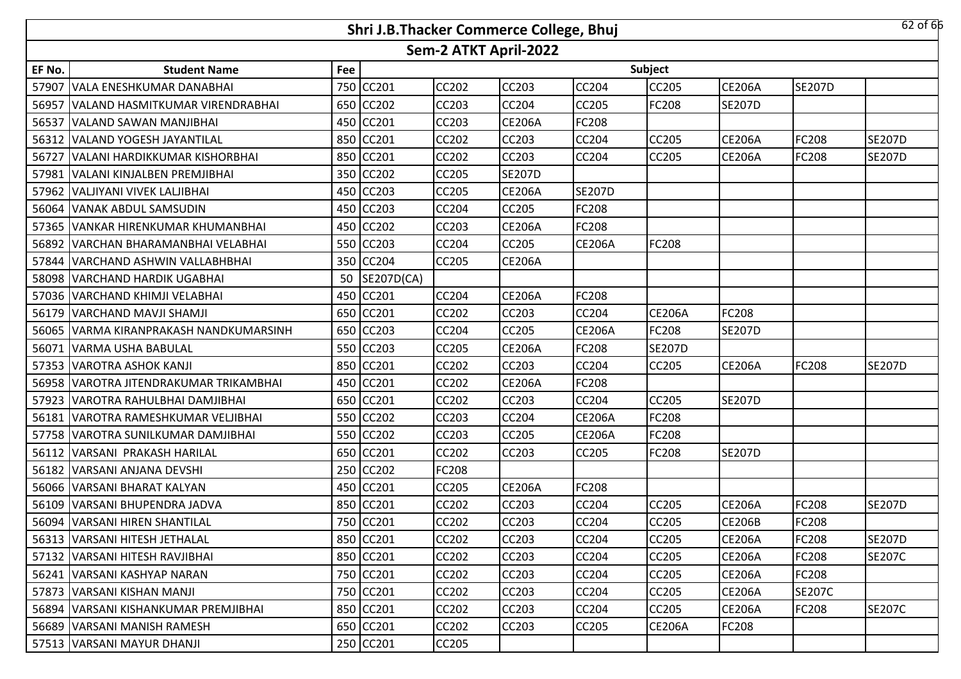| $62$ of $66$<br>Shri J.B.Thacker Commerce College, Bhuj |                                        |     |              |              |               |               |               |               |               |               |
|---------------------------------------------------------|----------------------------------------|-----|--------------|--------------|---------------|---------------|---------------|---------------|---------------|---------------|
| Sem-2 ATKT April-2022                                   |                                        |     |              |              |               |               |               |               |               |               |
| EF No.                                                  | <b>Student Name</b>                    | Fee |              |              |               |               | Subject       |               |               |               |
| 57907                                                   | VALA ENESHKUMAR DANABHAI               | 750 | CC201        | <b>CC202</b> | <b>CC203</b>  | CC204         | CC205         | <b>CE206A</b> | <b>SE207D</b> |               |
|                                                         | 56957 VALAND HASMITKUMAR VIRENDRABHAI  | 650 | <b>CC202</b> | <b>CC203</b> | <b>CC204</b>  | CC205         | FC208         | <b>SE207D</b> |               |               |
| 56537                                                   | VALAND SAWAN MANJIBHAI                 |     | 450 CC201    | <b>CC203</b> | <b>CE206A</b> | FC208         |               |               |               |               |
|                                                         | 56312 VALAND YOGESH JAYANTILAL         |     | 850 CC201    | <b>CC202</b> | <b>CC203</b>  | <b>CC204</b>  | <b>CC205</b>  | <b>CE206A</b> | <b>FC208</b>  | <b>SE207D</b> |
| 56727                                                   | VALANI HARDIKKUMAR KISHORBHAI          |     | 850 CC201    | <b>CC202</b> | <b>CC203</b>  | <b>CC204</b>  | CC205         | <b>CE206A</b> | <b>FC208</b>  | <b>SE207D</b> |
|                                                         | 57981 VALANI KINJALBEN PREMJIBHAI      |     | 350 CC202    | <b>CC205</b> | <b>SE207D</b> |               |               |               |               |               |
|                                                         | 57962 VALJIYANI VIVEK LALJIBHAI        | 450 | <b>CC203</b> | <b>CC205</b> | <b>CE206A</b> | <b>SE207D</b> |               |               |               |               |
| 56064                                                   | VANAK ABDUL SAMSUDIN                   | 450 | <b>CC203</b> | CC204        | <b>CC205</b>  | <b>FC208</b>  |               |               |               |               |
|                                                         | 57365 VANKAR HIRENKUMAR KHUMANBHAI     | 450 | <b>CC202</b> | <b>CC203</b> | <b>CE206A</b> | <b>FC208</b>  |               |               |               |               |
|                                                         | 56892 VARCHAN BHARAMANBHAI VELABHAI    | 550 | <b>CC203</b> | <b>CC204</b> | <b>CC205</b>  | <b>CE206A</b> | <b>FC208</b>  |               |               |               |
|                                                         | 57844 VARCHAND ASHWIN VALLABHBHAI      | 350 | <b>CC204</b> | <b>CC205</b> | <b>CE206A</b> |               |               |               |               |               |
| 58098                                                   | VARCHAND HARDIK UGABHAI                | 50  | SE207D(CA)   |              |               |               |               |               |               |               |
|                                                         | 57036 VARCHAND KHIMJI VELABHAI         | 450 | <b>CC201</b> | <b>CC204</b> | <b>CE206A</b> | FC208         |               |               |               |               |
|                                                         | 56179 VARCHAND MAVJI SHAMJI            | 650 | CC201        | CC202        | <b>CC203</b>  | CC204         | <b>CE206A</b> | FC208         |               |               |
|                                                         | 56065 VARMA KIRANPRAKASH NANDKUMARSINH |     | 650 CC203    | <b>CC204</b> | <b>CC205</b>  | <b>CE206A</b> | FC208         | <b>SE207D</b> |               |               |
| 56071                                                   | VARMA USHA BABULAL                     |     | 550 CC203    | <b>CC205</b> | <b>CE206A</b> | FC208         | <b>SE207D</b> |               |               |               |
|                                                         | 57353 VAROTRA ASHOK KANJI              |     | 850 CC201    | <b>CC202</b> | <b>CC203</b>  | <b>CC204</b>  | <b>CC205</b>  | <b>CE206A</b> | <b>FC208</b>  | <b>SE207D</b> |
|                                                         | 56958 VAROTRA JITENDRAKUMAR TRIKAMBHAI |     | 450 CC201    | <b>CC202</b> | <b>CE206A</b> | FC208         |               |               |               |               |
|                                                         | 57923 VAROTRA RAHULBHAI DAMJIBHAI      | 650 | CC201        | <b>CC202</b> | <b>CC203</b>  | <b>CC204</b>  | CC205         | <b>SE207D</b> |               |               |
| 56181                                                   | VAROTRA RAMESHKUMAR VELJIBHAI          | 550 | <b>CC202</b> | <b>CC203</b> | <b>CC204</b>  | <b>CE206A</b> | FC208         |               |               |               |
|                                                         | 57758 VAROTRA SUNILKUMAR DAMJIBHAI     | 550 | CC202        | CC203        | <b>CC205</b>  | <b>CE206A</b> | FC208         |               |               |               |
| 56112                                                   | VARSANI PRAKASH HARILAL                | 650 | CC201        | <b>CC202</b> | <b>CC203</b>  | CC205         | FC208         | <b>SE207D</b> |               |               |
| 56182                                                   | VARSANI ANJANA DEVSHI                  | 250 | CC202        | FC208        |               |               |               |               |               |               |
|                                                         | 56066 VARSANI BHARAT KALYAN            | 450 | CC201        | <b>CC205</b> | <b>CE206A</b> | FC208         |               |               |               |               |
|                                                         | 56109   VARSANI BHUPENDRA JADVA        | 850 | CC201        | CC202        | <b>CC203</b>  | CC204         | CC205         | <b>CE206A</b> | FC208         | <b>SE207D</b> |
|                                                         | 56094 VARSANI HIREN SHANTILAL          |     | 750 CC201    | <b>CC202</b> | <b>CC203</b>  | CC204         | CC205         | <b>CE206B</b> | <b>FC208</b>  |               |
|                                                         | 56313 VARSANI HITESH JETHALAL          |     | 850 CC201    | <b>CC202</b> | <b>CC203</b>  | <b>CC204</b>  | CC205         | <b>CE206A</b> | <b>FC208</b>  | <b>SE207D</b> |
|                                                         | 57132 VARSANI HITESH RAVJIBHAI         |     | 850 CC201    | CC202        | <b>CC203</b>  | <b>CC204</b>  | CC205         | <b>CE206A</b> | <b>FC208</b>  | <b>SE207C</b> |
|                                                         | 56241   VARSANI KASHYAP NARAN          |     | 750 CC201    | <b>CC202</b> | <b>CC203</b>  | CC204         | CC205         | <b>CE206A</b> | <b>FC208</b>  |               |
|                                                         | 57873   VARSANI KISHAN MANJI           |     | 750 CC201    | CC202        | <b>CC203</b>  | <b>CC204</b>  | CC205         | <b>CE206A</b> | <b>SE207C</b> |               |
|                                                         | 56894 VARSANI KISHANKUMAR PREMJIBHAI   |     | 850 CC201    | CC202        | <b>CC203</b>  | CC204         | CC205         | <b>CE206A</b> | <b>FC208</b>  | <b>SE207C</b> |
|                                                         | 56689 VARSANI MANISH RAMESH            |     | 650 CC201    | CC202        | CC203         | <b>CC205</b>  | <b>CE206A</b> | FC208         |               |               |
|                                                         | 57513 VARSANI MAYUR DHANJI             |     | 250 CC201    | CC205        |               |               |               |               |               |               |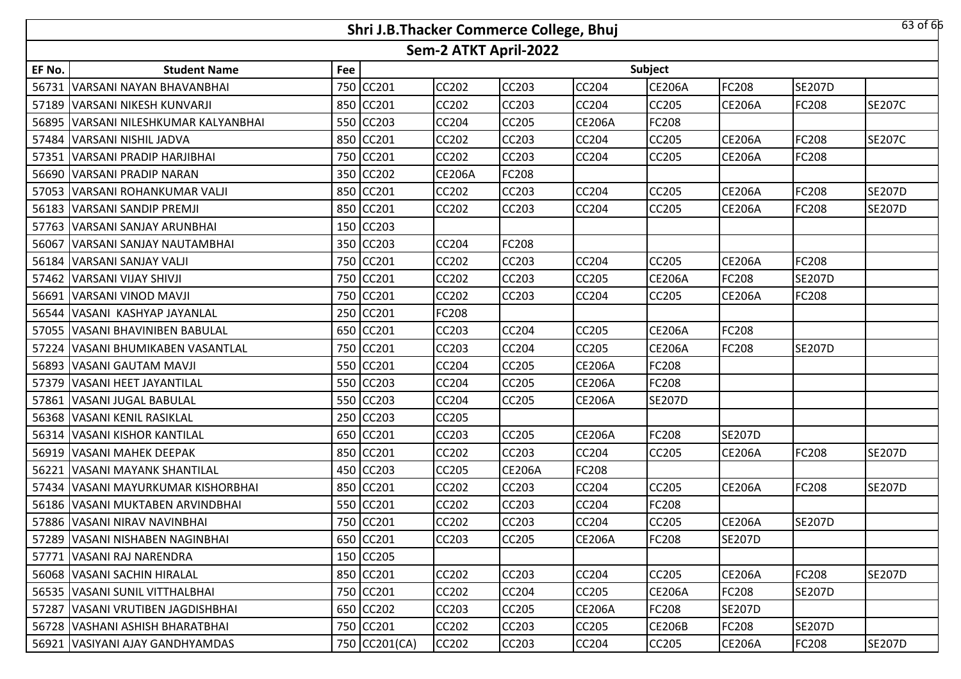| $63$ of $65$<br>Shri J.B.Thacker Commerce College, Bhuj |                                    |     |               |               |               |               |               |               |               |               |  |
|---------------------------------------------------------|------------------------------------|-----|---------------|---------------|---------------|---------------|---------------|---------------|---------------|---------------|--|
| Sem-2 ATKT April-2022                                   |                                    |     |               |               |               |               |               |               |               |               |  |
| EF No.                                                  | <b>Student Name</b>                | Fee |               |               |               |               | Subject       |               |               |               |  |
| 56731                                                   | IVARSANI NAYAN BHAVANBHAI          | 750 | CC201         | <b>CC202</b>  | <b>CC203</b>  | <b>CC204</b>  | <b>CE206A</b> | FC208         | <b>SE207D</b> |               |  |
|                                                         | 57189 VARSANI NIKESH KUNVARJI      | 850 | <b>CC201</b>  | <b>CC202</b>  | <b>CC203</b>  | CC204         | CC205         | <b>CE206A</b> | <b>FC208</b>  | <b>SE207C</b> |  |
| 56895                                                   | VARSANI NILESHKUMAR KALYANBHAI     | 550 | CC203         | CC204         | <b>CC205</b>  | <b>CE206A</b> | FC208         |               |               |               |  |
|                                                         | 57484 VARSANI NISHIL JADVA         |     | 850 CC201     | <b>CC202</b>  | <b>CC203</b>  | CC204         | CC205         | <b>CE206A</b> | <b>FC208</b>  | <b>SE207C</b> |  |
|                                                         | 57351 VARSANI PRADIP HARJIBHAI     |     | 750 CC201     | <b>CC202</b>  | <b>CC203</b>  | CC204         | CC205         | <b>CE206A</b> | FC208         |               |  |
|                                                         | 56690 VARSANI PRADIP NARAN         |     | 350 CC202     | <b>CE206A</b> | <b>FC208</b>  |               |               |               |               |               |  |
|                                                         | 57053   VARSANI ROHANKUMAR VALJI   |     | 850 CC201     | <b>CC202</b>  | <b>CC203</b>  | CC204         | CC205         | <b>CE206A</b> | FC208         | <b>SE207D</b> |  |
|                                                         | 56183 VARSANI SANDIP PREMJI        |     | 850 CC201     | CC202         | <b>CC203</b>  | <b>CC204</b>  | CC205         | <b>CE206A</b> | <b>FC208</b>  | <b>SE207D</b> |  |
|                                                         | 57763 VARSANI SANJAY ARUNBHAI      |     | 150 CC203     |               |               |               |               |               |               |               |  |
| 56067                                                   | VARSANI SANJAY NAUTAMBHAI          | 350 | CC203         | <b>CC204</b>  | <b>FC208</b>  |               |               |               |               |               |  |
|                                                         | 56184 VARSANI SANJAY VALJI         | 750 | CC201         | <b>CC202</b>  | <b>CC203</b>  | <b>CC204</b>  | CC205         | <b>CE206A</b> | <b>FC208</b>  |               |  |
|                                                         | 57462 VARSANI VIJAY SHIVJI         | 750 | CC201         | CC202         | <b>CC203</b>  | <b>CC205</b>  | <b>CE206A</b> | FC208         | <b>SE207D</b> |               |  |
|                                                         | 56691 VARSANI VINOD MAVJI          | 750 | <b>CC201</b>  | <b>CC202</b>  | <b>CC203</b>  | <b>CC204</b>  | CC205         | <b>CE206A</b> | <b>FC208</b>  |               |  |
|                                                         | 56544   VASANI KASHYAP JAYANLAL    | 250 | CC201         | FC208         |               |               |               |               |               |               |  |
|                                                         | 57055 VASANI BHAVINIBEN BABULAL    |     | 650 CC201     | <b>CC203</b>  | <b>CC204</b>  | <b>CC205</b>  | <b>CE206A</b> | FC208         |               |               |  |
|                                                         | 57224 VASANI BHUMIKABEN VASANTLAL  | 750 | CC201         | CC203         | <b>CC204</b>  | CC205         | <b>CE206A</b> | FC208         | <b>SE207D</b> |               |  |
|                                                         | 56893 VASANI GAUTAM MAVJI          |     | 550 CC201     | <b>CC204</b>  | <b>CC205</b>  | <b>CE206A</b> | FC208         |               |               |               |  |
|                                                         | 57379   VASANI HEET JAYANTILAL     |     | 550 CC203     | <b>CC204</b>  | <b>CC205</b>  | <b>CE206A</b> | FC208         |               |               |               |  |
|                                                         | 57861   VASANI JUGAL BABULAL       |     | 550 CC203     | <b>CC204</b>  | <b>CC205</b>  | <b>CE206A</b> | <b>SE207D</b> |               |               |               |  |
|                                                         | 56368 VASANI KENIL RASIKLAL        |     | 250 CC203     | <b>CC205</b>  |               |               |               |               |               |               |  |
|                                                         | 56314   VASANI KISHOR KANTILAL     |     | 650 CC201     | CC203         | <b>CC205</b>  | <b>CE206A</b> | <b>FC208</b>  | <b>SE207D</b> |               |               |  |
|                                                         | 56919 VASANI MAHEK DEEPAK          | 850 | CC201         | <b>CC202</b>  | <b>CC203</b>  | CC204         | CC205         | <b>CE206A</b> | <b>FC208</b>  | <b>SE207D</b> |  |
| 56221                                                   | VASANI MAYANK SHANTILAL            | 450 | <b>CC203</b>  | <b>CC205</b>  | <b>CE206A</b> | <b>FC208</b>  |               |               |               |               |  |
|                                                         | 57434 VASANI MAYURKUMAR KISHORBHAI | 850 | CC201         | <b>CC202</b>  | <b>CC203</b>  | CC204         | <b>CC205</b>  | <b>CE206A</b> | <b>FC208</b>  | <b>SE207D</b> |  |
|                                                         | 56186   VASANI MUKTABEN ARVINDBHAI | 550 | CC201         | CC202         | <b>CC203</b>  | CC204         | FC208         |               |               |               |  |
|                                                         | 57886 VASANI NIRAV NAVINBHAI       |     | 750 CC201     | <b>CC202</b>  | <b>CC203</b>  | CC204         | CC205         | <b>CE206A</b> | <b>SE207D</b> |               |  |
|                                                         | 57289 VASANI NISHABEN NAGINBHAI    |     | 650 CC201     | CC203         | <b>CC205</b>  | <b>CE206A</b> | FC208         | <b>SE207D</b> |               |               |  |
|                                                         | 57771   VASANI RAJ NARENDRA        |     | 150 CC205     |               |               |               |               |               |               |               |  |
|                                                         | 56068 VASANI SACHIN HIRALAL        |     | 850 CC201     | <b>CC202</b>  | <b>CC203</b>  | <b>CC204</b>  | CC205         | <b>CE206A</b> | <b>FC208</b>  | <b>SE207D</b> |  |
|                                                         | 56535  VASANI SUNIL VITTHALBHAI    |     | 750 CC201     | <b>CC202</b>  | <b>CC204</b>  | <b>CC205</b>  | <b>CE206A</b> | FC208         | <b>SE207D</b> |               |  |
|                                                         | 57287 VASANI VRUTIBEN JAGDISHBHAI  |     | 650 CC202     | CC203         | <b>CC205</b>  | <b>CE206A</b> | FC208         | <b>SE207D</b> |               |               |  |
|                                                         | 56728   VASHANI ASHISH BHARATBHAI  |     | 750 CC201     | CC202         | <b>CC203</b>  | <b>CC205</b>  | <b>CE206B</b> | FC208         | <b>SE207D</b> |               |  |
|                                                         | 56921 VASIYANI AJAY GANDHYAMDAS    |     | 750 CC201(CA) | CC202         | <b>CC203</b>  | CC204         | CC205         | <b>CE206A</b> | <b>FC208</b>  | <b>SE207D</b> |  |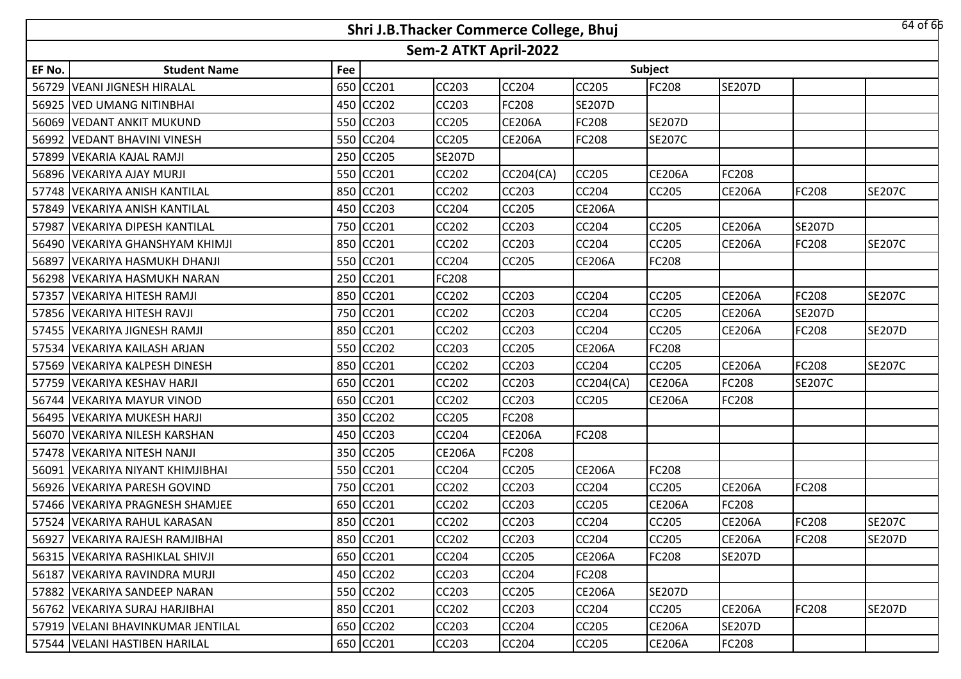|                       | 64 of 66<br>Shri J.B.Thacker Commerce College, Bhuj |     |           |               |                  |                  |                |               |               |               |  |
|-----------------------|-----------------------------------------------------|-----|-----------|---------------|------------------|------------------|----------------|---------------|---------------|---------------|--|
| Sem-2 ATKT April-2022 |                                                     |     |           |               |                  |                  |                |               |               |               |  |
| EF No.                | <b>Student Name</b>                                 | Fee |           |               |                  |                  | <b>Subject</b> |               |               |               |  |
| 56729                 | <b>VEANI JIGNESH HIRALAL</b>                        |     | 650 CC201 | CC203         | CC204            | CC205            | FC208          | <b>SE207D</b> |               |               |  |
|                       | 56925 VED UMANG NITINBHAI                           |     | 450 CC202 | CC203         | FC208            | <b>SE207D</b>    |                |               |               |               |  |
| 56069                 | <b>VEDANT ANKIT MUKUND</b>                          |     | 550 CC203 | <b>CC205</b>  | <b>CE206A</b>    | FC208            | <b>SE207D</b>  |               |               |               |  |
|                       | 56992   VEDANT BHAVINI VINESH                       |     | 550 CC204 | <b>CC205</b>  | <b>CE206A</b>    | FC208            | <b>SE207C</b>  |               |               |               |  |
| 57899                 | VEKARIA KAJAL RAMJI                                 |     | 250 CC205 | <b>SE207D</b> |                  |                  |                |               |               |               |  |
|                       | 56896 VEKARIYA AJAY MURJI                           |     | 550 CC201 | <b>CC202</b>  | <b>CC204(CA)</b> | CC205            | <b>CE206A</b>  | FC208         |               |               |  |
|                       | 57748   VEKARIYA ANISH KANTILAL                     |     | 850 CC201 | <b>CC202</b>  | CC203            | CC204            | <b>CC205</b>   | <b>CE206A</b> | FC208         | <b>SE207C</b> |  |
|                       | 57849   VEKARIYA ANISH KANTILAL                     |     | 450 CC203 | <b>CC204</b>  | <b>CC205</b>     | <b>CE206A</b>    |                |               |               |               |  |
| 57987                 | <b>VEKARIYA DIPESH KANTILAL</b>                     |     | 750 CC201 | <b>CC202</b>  | CC203            | CC204            | <b>CC205</b>   | <b>CE206A</b> | <b>SE207D</b> |               |  |
|                       | 56490   VEKARIYA GHANSHYAM KHIMJI                   |     | 850 CC201 | CC202         | <b>CC203</b>     | CC204            | <b>CC205</b>   | <b>CE206A</b> | <b>FC208</b>  | <b>SE207C</b> |  |
| 56897                 | VEKARIYA HASMUKH DHANJI                             |     | 550 CC201 | CC204         | <b>CC205</b>     | <b>CE206A</b>    | FC208          |               |               |               |  |
| 56298                 | VEKARIYA HASMUKH NARAN                              |     | 250 CC201 | <b>FC208</b>  |                  |                  |                |               |               |               |  |
| 57357                 | VEKARIYA HITESH RAMJI                               |     | 850 CC201 | CC202         | CC203            | CC204            | <b>CC205</b>   | <b>CE206A</b> | FC208         | <b>SE207C</b> |  |
|                       | 57856 VEKARIYA HITESH RAVJI                         |     | 750 CC201 | CC202         | CC203            | CC204            | CC205          | <b>CE206A</b> | <b>SE207D</b> |               |  |
|                       | 57455   VEKARIYA JIGNESH RAMJI                      |     | 850 CC201 | CC202         | CC203            | CC204            | <b>CC205</b>   | <b>CE206A</b> | FC208         | <b>SE207D</b> |  |
|                       | 57534 VEKARIYA KAILASH ARJAN                        |     | 550 CC202 | <b>CC203</b>  | CC205            | <b>CE206A</b>    | FC208          |               |               |               |  |
|                       | 57569 VEKARIYA KALPESH DINESH                       |     | 850 CC201 | <b>CC202</b>  | <b>CC203</b>     | CC204            | <b>CC205</b>   | CE206A        | <b>FC208</b>  | <b>SE207C</b> |  |
|                       | 57759 VEKARIYA KESHAV HARJI                         |     | 650 CC201 | <b>CC202</b>  | CC203            | <b>CC204(CA)</b> | <b>CE206A</b>  | FC208         | <b>SE207C</b> |               |  |
| 56744                 | <b>VEKARIYA MAYUR VINOD</b>                         |     | 650 CC201 | <b>CC202</b>  | <b>CC203</b>     | CC205            | <b>CE206A</b>  | FC208         |               |               |  |
|                       | 56495   VEKARIYA MUKESH HARJI                       |     | 350 CC202 | <b>CC205</b>  | FC208            |                  |                |               |               |               |  |
|                       | 56070   VEKARIYA NILESH KARSHAN                     |     | 450 CC203 | CC204         | <b>CE206A</b>    | FC208            |                |               |               |               |  |
|                       | 57478 VEKARIYA NITESH NANJI                         |     | 350 CC205 | <b>CE206A</b> | FC208            |                  |                |               |               |               |  |
| 56091                 | <b>VEKARIYA NIYANT KHIMJIBHAI</b>                   |     | 550 CC201 | CC204         | CC205            | <b>CE206A</b>    | <b>FC208</b>   |               |               |               |  |
|                       | 56926 VEKARIYA PARESH GOVIND                        |     | 750 CC201 | CC202         | CC203            | CC204            | <b>CC205</b>   | <b>CE206A</b> | FC208         |               |  |
|                       | 57466   VEKARIYA PRAGNESH SHAMJEE                   |     | 650 CC201 | CC202         | CC203            | CC205            | <b>CE206A</b>  | FC208         |               |               |  |
|                       | 57524 VEKARIYA RAHUL KARASAN                        |     | 850 CC201 | CC202         | CC203            | CC204            | CC205          | <b>CE206A</b> | FC208         | <b>SE207C</b> |  |
|                       | 56927 VEKARIYA RAJESH RAMJIBHAI                     |     | 850 CC201 | <b>CC202</b>  | <b>CC203</b>     | CC204            | <b>CC205</b>   | <b>CE206A</b> | FC208         | <b>SE207D</b> |  |
|                       | 56315 VEKARIYA RASHIKLAL SHIVJI                     |     | 650 CC201 | <b>CC204</b>  | <b>CC205</b>     | <b>CE206A</b>    | <b>FC208</b>   | <b>SE207D</b> |               |               |  |
|                       | 56187   VEKARIYA RAVINDRA MURJI                     |     | 450 CC202 | <b>CC203</b>  | <b>CC204</b>     | FC208            |                |               |               |               |  |
|                       | 57882 VEKARIYA SANDEEP NARAN                        |     | 550 CC202 | CC203         | CC205            | <b>CE206A</b>    | <b>SE207D</b>  |               |               |               |  |
|                       | 56762   VEKARIYA SURAJ HARJIBHAI                    |     | 850 CC201 | <b>CC202</b>  | CC203            | CC204            | <b>CC205</b>   | <b>CE206A</b> | FC208         | <b>SE207D</b> |  |
|                       | 57919   VELANI BHAVINKUMAR JENTILAL                 |     | 650 CC202 | CC203         | CC204            | CC205            | <b>CE206A</b>  | <b>SE207D</b> |               |               |  |
|                       | 57544   VELANI HASTIBEN HARILAL                     |     | 650 CC201 | CC203         | CC204            | CC205            | <b>CE206A</b>  | FC208         |               |               |  |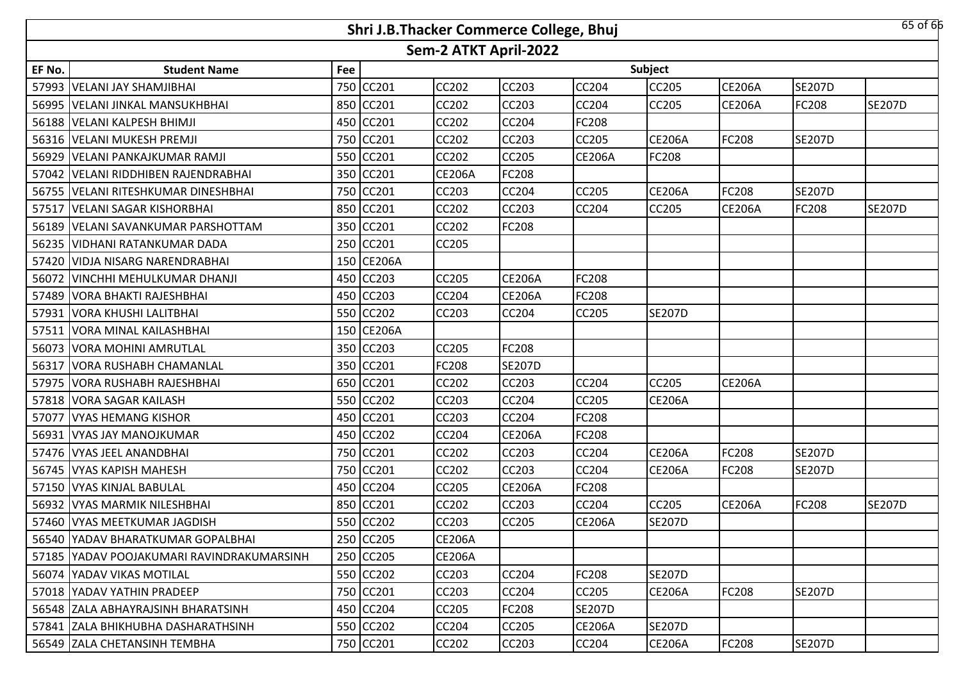| 65 of 66<br>Shri J.B.Thacker Commerce College, Bhuj |                                            |     |            |               |               |               |               |               |               |               |  |
|-----------------------------------------------------|--------------------------------------------|-----|------------|---------------|---------------|---------------|---------------|---------------|---------------|---------------|--|
| Sem-2 ATKT April-2022                               |                                            |     |            |               |               |               |               |               |               |               |  |
| EF No.                                              | <b>Student Name</b>                        | Fee |            |               |               |               | Subject       |               |               |               |  |
|                                                     | 57993 VELANI JAY SHAMJIBHAI                |     | 750 CC201  | <b>CC202</b>  | CC203         | CC204         | CC205         | <b>CE206A</b> | <b>SE207D</b> |               |  |
|                                                     | 56995 VELANI JINKAL MANSUKHBHAI            |     | 850 CC201  | <b>CC202</b>  | <b>CC203</b>  | CC204         | <b>CC205</b>  | <b>CE206A</b> | <b>FC208</b>  | <b>SE207D</b> |  |
|                                                     | 56188   VELANI KALPESH BHIMJI              |     | 450 CC201  | <b>CC202</b>  | CC204         | FC208         |               |               |               |               |  |
|                                                     | 56316   VELANI MUKESH PREMJI               |     | 750 CC201  | <b>CC202</b>  | <b>CC203</b>  | CC205         | <b>CE206A</b> | FC208         | <b>SE207D</b> |               |  |
|                                                     | 56929   VELANI PANKAJKUMAR RAMJI           |     | 550 CC201  | CC202         | <b>CC205</b>  | <b>CE206A</b> | FC208         |               |               |               |  |
|                                                     | 57042 VELANI RIDDHIBEN RAJENDRABHAI        |     | 350 CC201  | <b>CE206A</b> | <b>FC208</b>  |               |               |               |               |               |  |
| 56755                                               | <b>VELANI RITESHKUMAR DINESHBHAI</b>       |     | 750 CC201  | CC203         | <b>CC204</b>  | CC205         | <b>CE206A</b> | FC208         | <b>SE207D</b> |               |  |
| 57517                                               | <b>VELANI SAGAR KISHORBHAI</b>             |     | 850 CC201  | CC202         | <b>CC203</b>  | <b>CC204</b>  | CC205         | <b>CE206A</b> | <b>FC208</b>  | <b>SE207D</b> |  |
| 56189                                               | <b>VELANI SAVANKUMAR PARSHOTTAM</b>        |     | 350 CC201  | CC202         | <b>FC208</b>  |               |               |               |               |               |  |
|                                                     | 56235 VIDHANI RATANKUMAR DADA              |     | 250 CC201  | CC205         |               |               |               |               |               |               |  |
|                                                     | 57420 VIDJA NISARG NARENDRABHAI            |     | 150 CE206A |               |               |               |               |               |               |               |  |
| 56072                                               | VINCHHI MEHULKUMAR DHANJI                  |     | 450 CC203  | <b>CC205</b>  | <b>CE206A</b> | <b>FC208</b>  |               |               |               |               |  |
|                                                     | 57489 VORA BHAKTI RAJESHBHAI               |     | 450 CC203  | <b>CC204</b>  | <b>CE206A</b> | FC208         |               |               |               |               |  |
| 57931                                               | <b>VORA KHUSHI LALITBHAI</b>               |     | 550 CC202  | CC203         | CC204         | CC205         | <b>SE207D</b> |               |               |               |  |
|                                                     | 57511 VORA MINAL KAILASHBHAI               |     | 150 CE206A |               |               |               |               |               |               |               |  |
| 56073                                               | <b>VORA MOHINI AMRUTLAL</b>                |     | 350 CC203  | <b>CC205</b>  | FC208         |               |               |               |               |               |  |
|                                                     | 56317 VORA RUSHABH CHAMANLAL               |     | 350 CC201  | <b>FC208</b>  | <b>SE207D</b> |               |               |               |               |               |  |
| 57975                                               | <b>VORA RUSHABH RAJESHBHAI</b>             |     | 650 CC201  | CC202         | CC203         | CC204         | <b>CC205</b>  | <b>CE206A</b> |               |               |  |
| 57818                                               | <b>VORA SAGAR KAILASH</b>                  |     | 550 CC202  | CC203         | <b>CC204</b>  | CC205         | <b>CE206A</b> |               |               |               |  |
| 57077                                               | <b>VYAS HEMANG KISHOR</b>                  |     | 450 CC201  | CC203         | <b>CC204</b>  | FC208         |               |               |               |               |  |
| 56931                                               | <b>VYAS JAY MANOJKUMAR</b>                 |     | 450 CC202  | CC204         | <b>CE206A</b> | FC208         |               |               |               |               |  |
| 57476                                               | <b>VYAS JEEL ANANDBHAI</b>                 |     | 750 CC201  | CC202         | CC203         | CC204         | <b>CE206A</b> | FC208         | <b>SE207D</b> |               |  |
| 56745                                               | <b>VYAS KAPISH MAHESH</b>                  |     | 750 CC201  | CC202         | CC203         | CC204         | <b>CE206A</b> | FC208         | <b>SE207D</b> |               |  |
|                                                     | 57150 VYAS KINJAL BABULAL                  |     | 450 CC204  | <b>CC205</b>  | <b>CE206A</b> | FC208         |               |               |               |               |  |
|                                                     | 56932 VYAS MARMIK NILESHBHAI               |     | 850 CC201  | CC202         | CC203         | CC204         | CC205         | <b>CE206A</b> | FC208         | <b>SE207D</b> |  |
|                                                     | 57460 VYAS MEETKUMAR JAGDISH               |     | 550 CC202  | <b>CC203</b>  | CC205         | <b>CE206A</b> | <b>SE207D</b> |               |               |               |  |
|                                                     | 56540  YADAV BHARATKUMAR GOPALBHAI         |     | 250 CC205  | <b>CE206A</b> |               |               |               |               |               |               |  |
|                                                     | 57185  YADAV POOJAKUMARI RAVINDRAKUMARSINH |     | 250 CC205  | <b>CE206A</b> |               |               |               |               |               |               |  |
|                                                     | 56074 YADAV VIKAS MOTILAL                  |     | 550 CC202  | <b>CC203</b>  | <b>CC204</b>  | FC208         | <b>SE207D</b> |               |               |               |  |
|                                                     | 57018 IYADAV YATHIN PRADEEP                |     | 750 CC201  | CC203         | <b>CC204</b>  | <b>CC205</b>  | <b>CE206A</b> | FC208         | <b>SE207D</b> |               |  |
|                                                     | 56548 ZALA ABHAYRAJSINH BHARATSINH         |     | 450 CC204  | <b>CC205</b>  | <b>FC208</b>  | <b>SE207D</b> |               |               |               |               |  |
|                                                     | 57841 ZALA BHIKHUBHA DASHARATHSINH         |     | 550 CC202  | <b>CC204</b>  | <b>CC205</b>  | <b>CE206A</b> | <b>SE207D</b> |               |               |               |  |
|                                                     | 56549 ZALA CHETANSINH TEMBHA               |     | 750 CC201  | CC202         | CC203         | <b>CC204</b>  | <b>CE206A</b> | FC208         | <b>SE207D</b> |               |  |